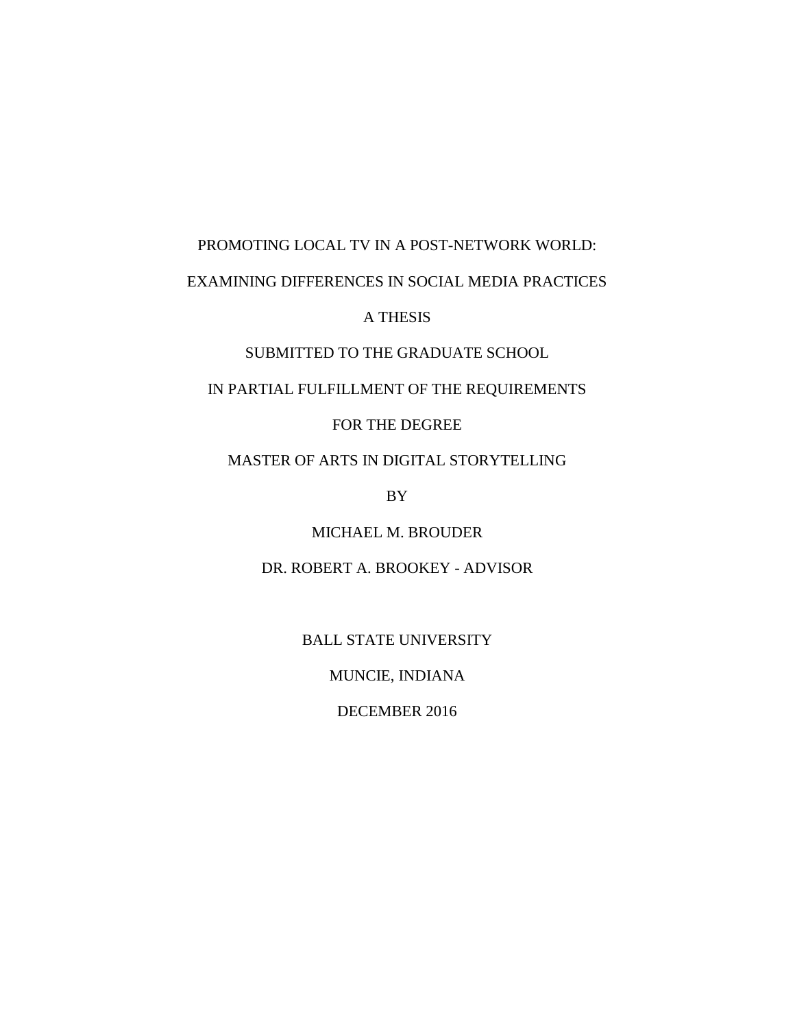# PROMOTING LOCAL TV IN A POST-NETWORK WORLD: EXAMINING DIFFERENCES IN SOCIAL MEDIA PRACTICES

A THESIS

SUBMITTED TO THE GRADUATE SCHOOL

IN PARTIAL FULFILLMENT OF THE REQUIREMENTS

FOR THE DEGREE

MASTER OF ARTS IN DIGITAL STORYTELLING

BY

MICHAEL M. BROUDER

DR. ROBERT A. BROOKEY - ADVISOR

BALL STATE UNIVERSITY

MUNCIE, INDIANA

DECEMBER 2016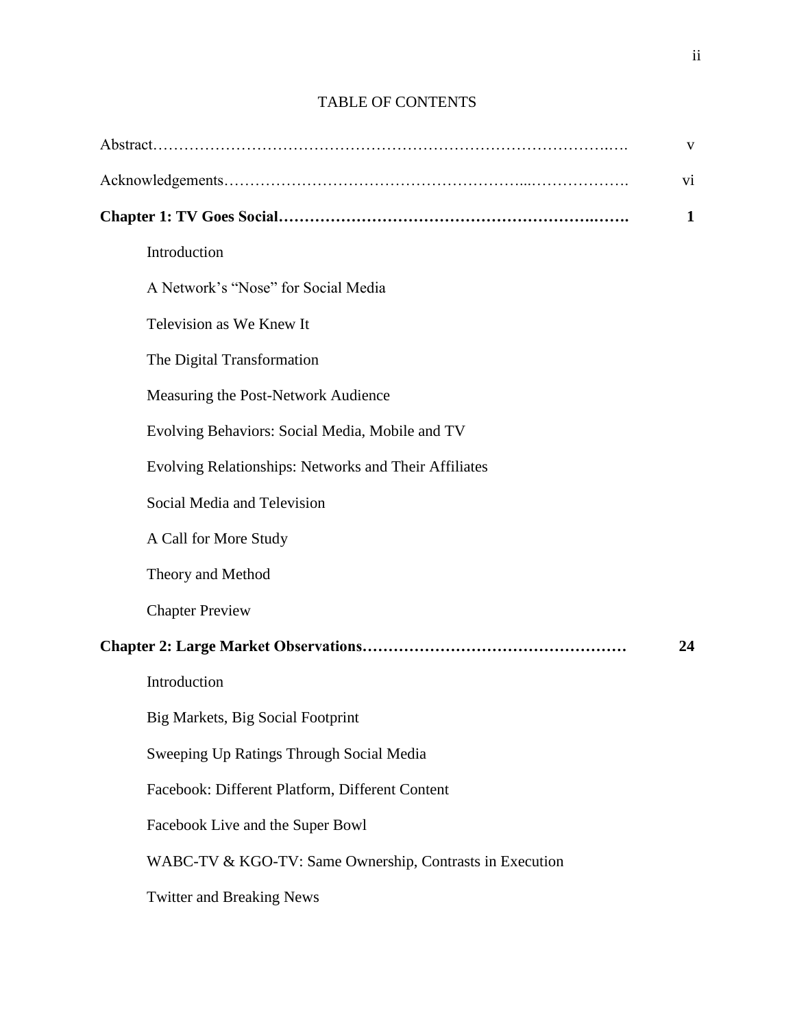|                                                          | V            |
|----------------------------------------------------------|--------------|
|                                                          | vi           |
|                                                          | $\mathbf{1}$ |
| Introduction                                             |              |
| A Network's "Nose" for Social Media                      |              |
| Television as We Knew It                                 |              |
| The Digital Transformation                               |              |
| Measuring the Post-Network Audience                      |              |
| Evolving Behaviors: Social Media, Mobile and TV          |              |
| Evolving Relationships: Networks and Their Affiliates    |              |
| Social Media and Television                              |              |
| A Call for More Study                                    |              |
| Theory and Method                                        |              |
| <b>Chapter Preview</b>                                   |              |
|                                                          | 24           |
| Introduction                                             |              |
| Big Markets, Big Social Footprint                        |              |
| Sweeping Up Ratings Through Social Media                 |              |
| Facebook: Different Platform, Different Content          |              |
| Facebook Live and the Super Bowl                         |              |
| WABC-TV & KGO-TV: Same Ownership, Contrasts in Execution |              |
| <b>Twitter and Breaking News</b>                         |              |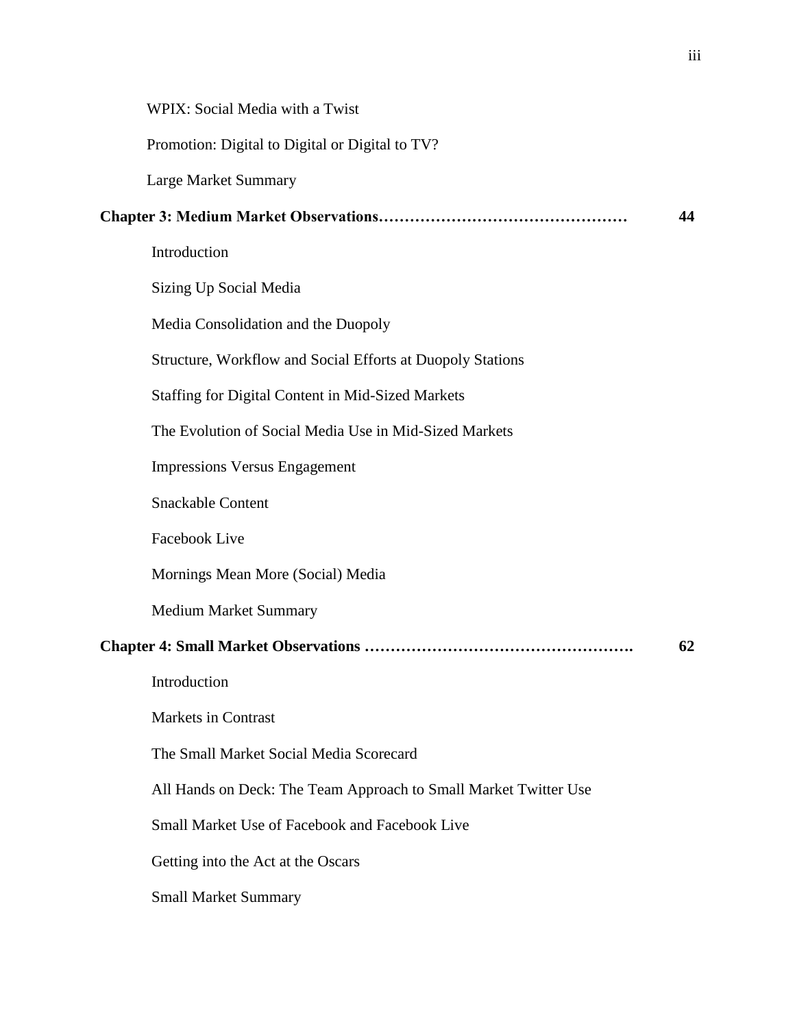| WPIX: Social Media with a Twist                                  |    |
|------------------------------------------------------------------|----|
| Promotion: Digital to Digital or Digital to TV?                  |    |
| Large Market Summary                                             |    |
|                                                                  | 44 |
| Introduction                                                     |    |
| Sizing Up Social Media                                           |    |
| Media Consolidation and the Duopoly                              |    |
| Structure, Workflow and Social Efforts at Duopoly Stations       |    |
| <b>Staffing for Digital Content in Mid-Sized Markets</b>         |    |
| The Evolution of Social Media Use in Mid-Sized Markets           |    |
| <b>Impressions Versus Engagement</b>                             |    |
| <b>Snackable Content</b>                                         |    |
| Facebook Live                                                    |    |
| Mornings Mean More (Social) Media                                |    |
| <b>Medium Market Summary</b>                                     |    |
|                                                                  | 62 |
| Introduction                                                     |    |
| <b>Markets in Contrast</b>                                       |    |
| The Small Market Social Media Scorecard                          |    |
| All Hands on Deck: The Team Approach to Small Market Twitter Use |    |
| Small Market Use of Facebook and Facebook Live                   |    |
| Getting into the Act at the Oscars                               |    |
| <b>Small Market Summary</b>                                      |    |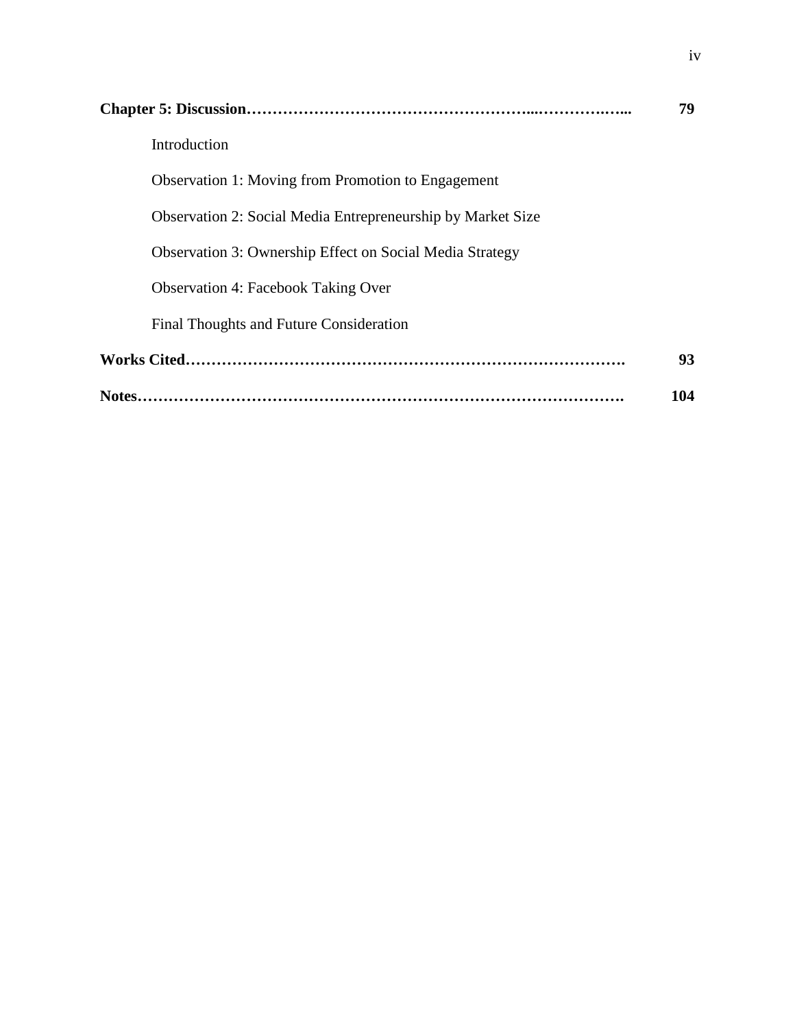|                                                                    | 79  |
|--------------------------------------------------------------------|-----|
| Introduction                                                       |     |
| Observation 1: Moving from Promotion to Engagement                 |     |
| <b>Observation 2: Social Media Entrepreneurship by Market Size</b> |     |
| <b>Observation 3: Ownership Effect on Social Media Strategy</b>    |     |
| <b>Observation 4: Facebook Taking Over</b>                         |     |
| Final Thoughts and Future Consideration                            |     |
|                                                                    | 93  |
|                                                                    | 104 |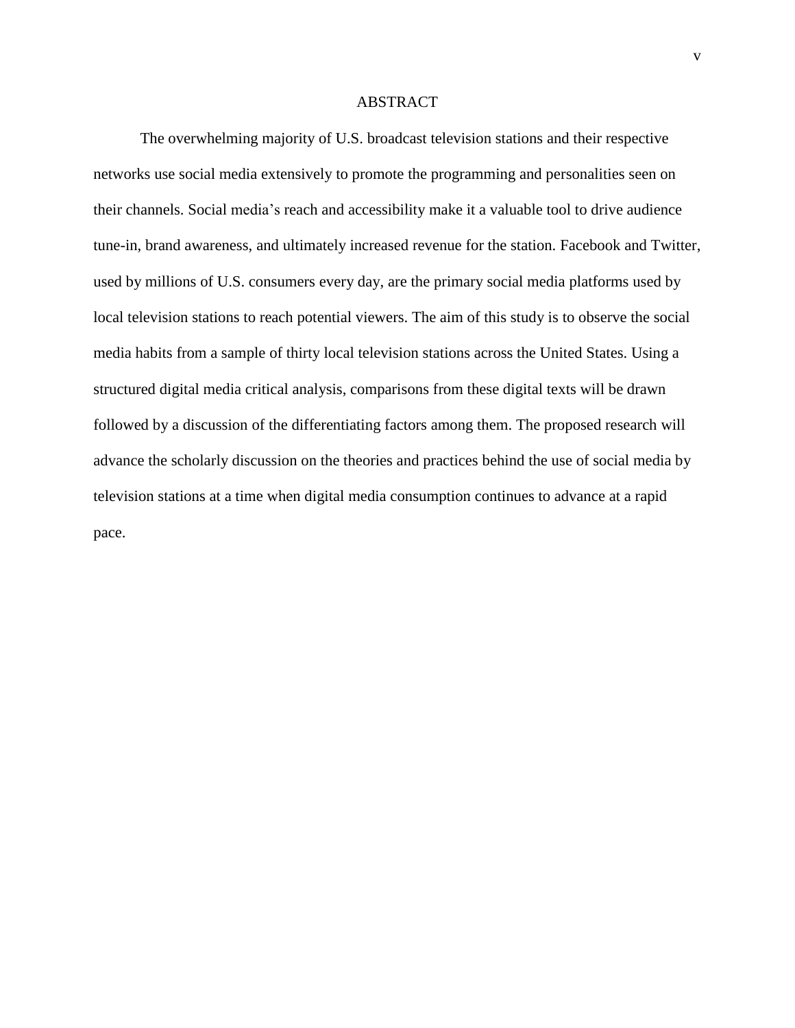# ABSTRACT

The overwhelming majority of U.S. broadcast television stations and their respective networks use social media extensively to promote the programming and personalities seen on their channels. Social media's reach and accessibility make it a valuable tool to drive audience tune-in, brand awareness, and ultimately increased revenue for the station. Facebook and Twitter, used by millions of U.S. consumers every day, are the primary social media platforms used by local television stations to reach potential viewers. The aim of this study is to observe the social media habits from a sample of thirty local television stations across the United States. Using a structured digital media critical analysis, comparisons from these digital texts will be drawn followed by a discussion of the differentiating factors among them. The proposed research will advance the scholarly discussion on the theories and practices behind the use of social media by television stations at a time when digital media consumption continues to advance at a rapid pace.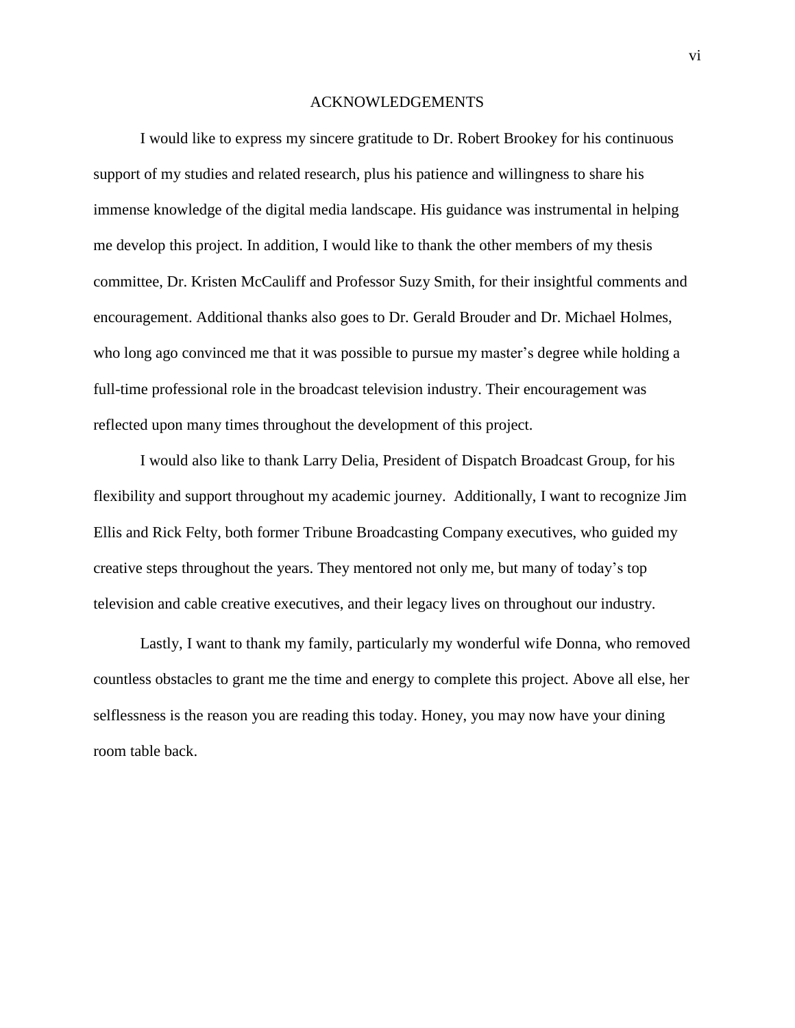## ACKNOWLEDGEMENTS

I would like to express my sincere gratitude to Dr. Robert Brookey for his continuous support of my studies and related research, plus his patience and willingness to share his immense knowledge of the digital media landscape. His guidance was instrumental in helping me develop this project. In addition, I would like to thank the other members of my thesis committee, Dr. Kristen McCauliff and Professor Suzy Smith, for their insightful comments and encouragement. Additional thanks also goes to Dr. Gerald Brouder and Dr. Michael Holmes, who long ago convinced me that it was possible to pursue my master's degree while holding a full-time professional role in the broadcast television industry. Their encouragement was reflected upon many times throughout the development of this project.

I would also like to thank Larry Delia, President of Dispatch Broadcast Group, for his flexibility and support throughout my academic journey. Additionally, I want to recognize Jim Ellis and Rick Felty, both former Tribune Broadcasting Company executives, who guided my creative steps throughout the years. They mentored not only me, but many of today's top television and cable creative executives, and their legacy lives on throughout our industry.

Lastly, I want to thank my family, particularly my wonderful wife Donna, who removed countless obstacles to grant me the time and energy to complete this project. Above all else, her selflessness is the reason you are reading this today. Honey, you may now have your dining room table back.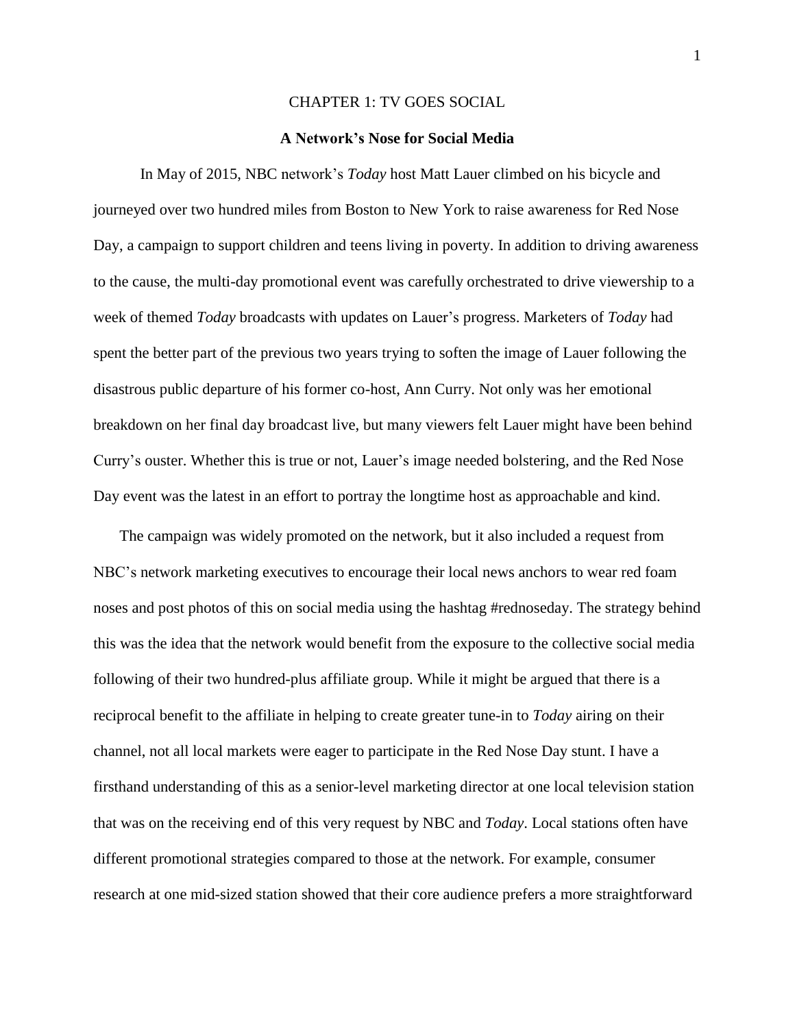# CHAPTER 1: TV GOES SOCIAL

# **A Network's Nose for Social Media**

In May of 2015, NBC network's *Today* host Matt Lauer climbed on his bicycle and journeyed over two hundred miles from Boston to New York to raise awareness for Red Nose Day, a campaign to support children and teens living in poverty. In addition to driving awareness to the cause, the multi-day promotional event was carefully orchestrated to drive viewership to a week of themed *Today* broadcasts with updates on Lauer's progress. Marketers of *Today* had spent the better part of the previous two years trying to soften the image of Lauer following the disastrous public departure of his former co-host, Ann Curry. Not only was her emotional breakdown on her final day broadcast live, but many viewers felt Lauer might have been behind Curry's ouster. Whether this is true or not, Lauer's image needed bolstering, and the Red Nose Day event was the latest in an effort to portray the longtime host as approachable and kind.

The campaign was widely promoted on the network, but it also included a request from NBC's network marketing executives to encourage their local news anchors to wear red foam noses and post photos of this on social media using the hashtag #rednoseday. The strategy behind this was the idea that the network would benefit from the exposure to the collective social media following of their two hundred-plus affiliate group. While it might be argued that there is a reciprocal benefit to the affiliate in helping to create greater tune-in to *Today* airing on their channel, not all local markets were eager to participate in the Red Nose Day stunt. I have a firsthand understanding of this as a senior-level marketing director at one local television station that was on the receiving end of this very request by NBC and *Today*. Local stations often have different promotional strategies compared to those at the network. For example, consumer research at one mid-sized station showed that their core audience prefers a more straightforward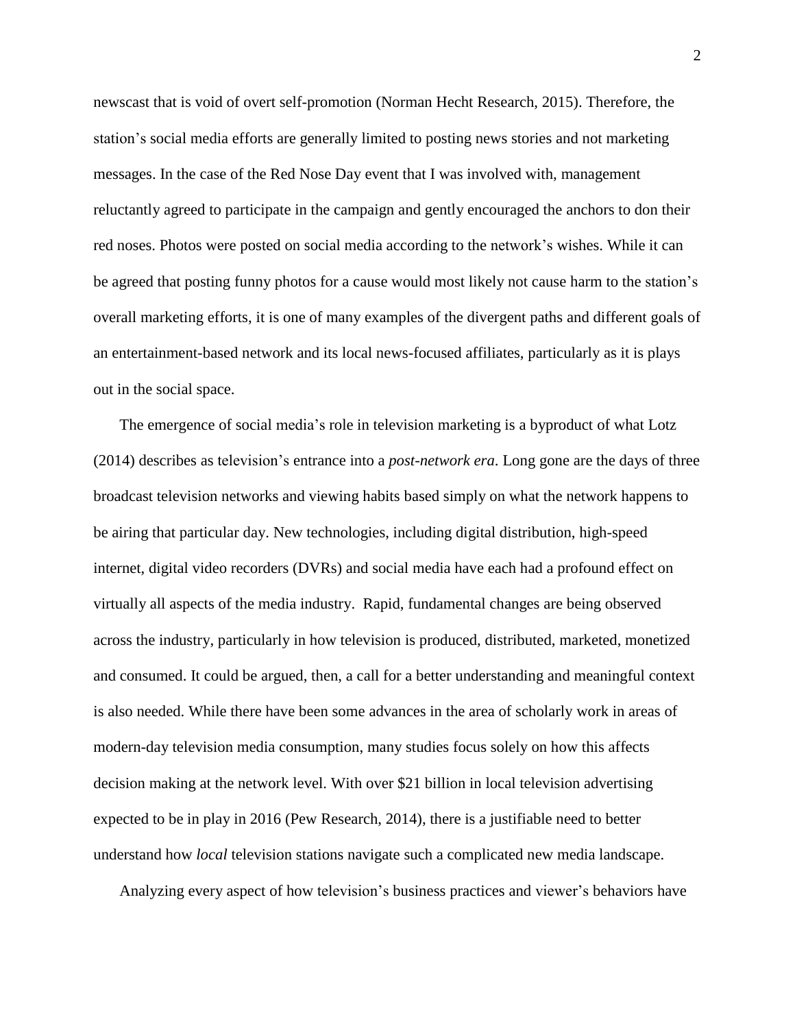newscast that is void of overt self-promotion (Norman Hecht Research, 2015). Therefore, the station's social media efforts are generally limited to posting news stories and not marketing messages. In the case of the Red Nose Day event that I was involved with, management reluctantly agreed to participate in the campaign and gently encouraged the anchors to don their red noses. Photos were posted on social media according to the network's wishes. While it can be agreed that posting funny photos for a cause would most likely not cause harm to the station's overall marketing efforts, it is one of many examples of the divergent paths and different goals of an entertainment-based network and its local news-focused affiliates, particularly as it is plays out in the social space.

The emergence of social media's role in television marketing is a byproduct of what Lotz (2014) describes as television's entrance into a *post-network era*. Long gone are the days of three broadcast television networks and viewing habits based simply on what the network happens to be airing that particular day. New technologies, including digital distribution, high-speed internet, digital video recorders (DVRs) and social media have each had a profound effect on virtually all aspects of the media industry. Rapid, fundamental changes are being observed across the industry, particularly in how television is produced, distributed, marketed, monetized and consumed. It could be argued, then, a call for a better understanding and meaningful context is also needed. While there have been some advances in the area of scholarly work in areas of modern-day television media consumption, many studies focus solely on how this affects decision making at the network level. With over \$21 billion in local television advertising expected to be in play in 2016 (Pew Research, 2014), there is a justifiable need to better understand how *local* television stations navigate such a complicated new media landscape.

Analyzing every aspect of how television's business practices and viewer's behaviors have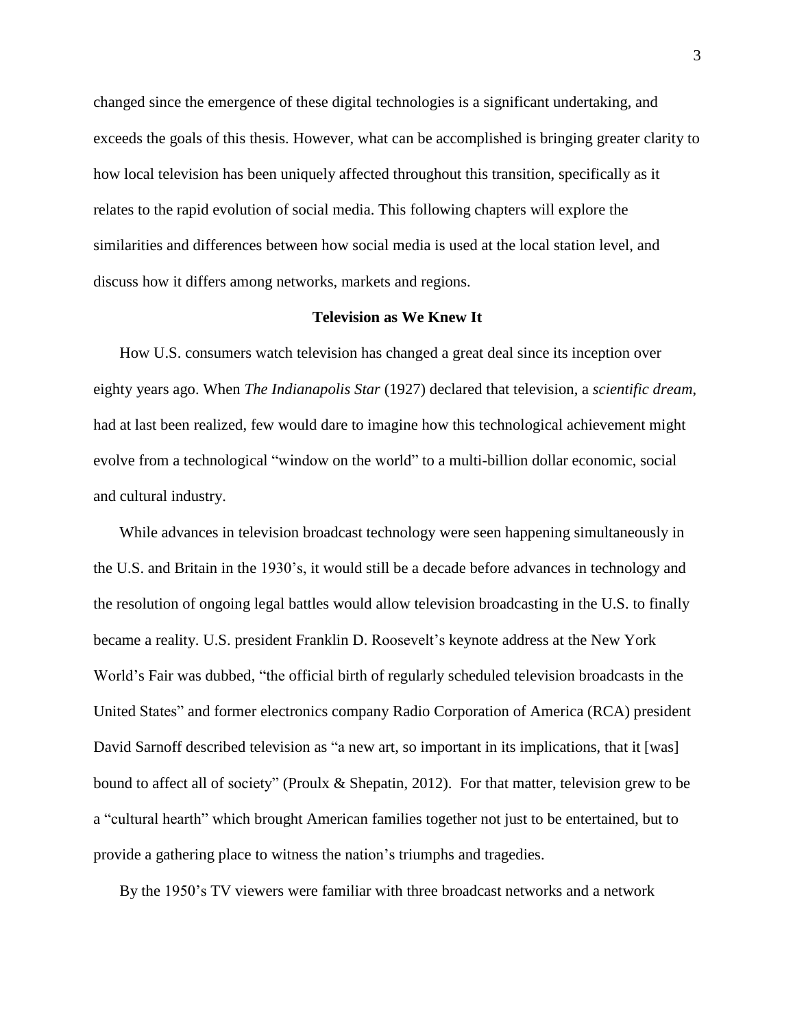changed since the emergence of these digital technologies is a significant undertaking, and exceeds the goals of this thesis. However, what can be accomplished is bringing greater clarity to how local television has been uniquely affected throughout this transition, specifically as it relates to the rapid evolution of social media. This following chapters will explore the similarities and differences between how social media is used at the local station level, and discuss how it differs among networks, markets and regions.

# **Television as We Knew It**

How U.S. consumers watch television has changed a great deal since its inception over eighty years ago. When *The Indianapolis Star* (1927) declared that television, a *scientific dream*, had at last been realized, few would dare to imagine how this technological achievement might evolve from a technological "window on the world" to a multi-billion dollar economic, social and cultural industry.

While advances in television broadcast technology were seen happening simultaneously in the U.S. and Britain in the 1930's, it would still be a decade before advances in technology and the resolution of ongoing legal battles would allow television broadcasting in the U.S. to finally became a reality. U.S. president Franklin D. Roosevelt's keynote address at the New York World's Fair was dubbed, "the official birth of regularly scheduled television broadcasts in the United States" and former electronics company Radio Corporation of America (RCA) president David Sarnoff described television as "a new art, so important in its implications, that it [was] bound to affect all of society" (Proulx & Shepatin, 2012). For that matter, television grew to be a "cultural hearth" which brought American families together not just to be entertained, but to provide a gathering place to witness the nation's triumphs and tragedies.

By the 1950's TV viewers were familiar with three broadcast networks and a network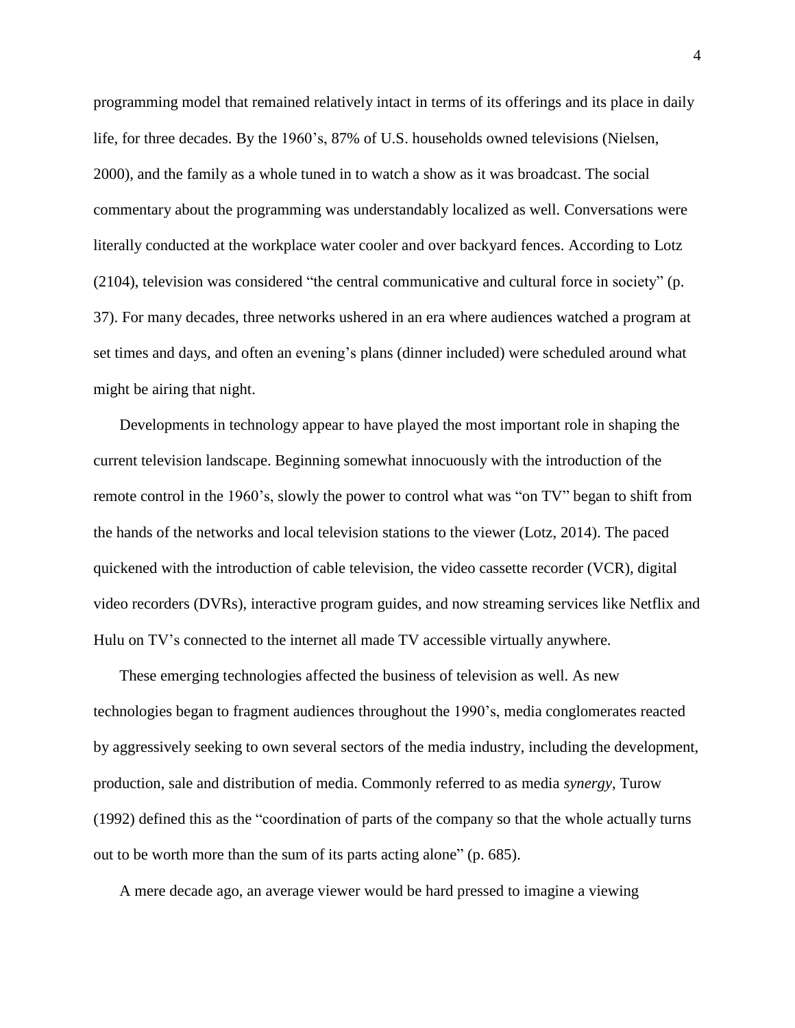programming model that remained relatively intact in terms of its offerings and its place in daily life, for three decades. By the 1960's, 87% of U.S. households owned televisions (Nielsen, 2000), and the family as a whole tuned in to watch a show as it was broadcast. The social commentary about the programming was understandably localized as well. Conversations were literally conducted at the workplace water cooler and over backyard fences. According to Lotz (2104), television was considered "the central communicative and cultural force in society" (p. 37). For many decades, three networks ushered in an era where audiences watched a program at set times and days, and often an evening's plans (dinner included) were scheduled around what might be airing that night.

Developments in technology appear to have played the most important role in shaping the current television landscape. Beginning somewhat innocuously with the introduction of the remote control in the 1960's, slowly the power to control what was "on TV" began to shift from the hands of the networks and local television stations to the viewer (Lotz, 2014). The paced quickened with the introduction of cable television, the video cassette recorder (VCR), digital video recorders (DVRs), interactive program guides, and now streaming services like Netflix and Hulu on TV's connected to the internet all made TV accessible virtually anywhere.

These emerging technologies affected the business of television as well. As new technologies began to fragment audiences throughout the 1990's, media conglomerates reacted by aggressively seeking to own several sectors of the media industry, including the development, production, sale and distribution of media. Commonly referred to as media *synergy*, Turow (1992) defined this as the "coordination of parts of the company so that the whole actually turns out to be worth more than the sum of its parts acting alone" (p. 685).

A mere decade ago, an average viewer would be hard pressed to imagine a viewing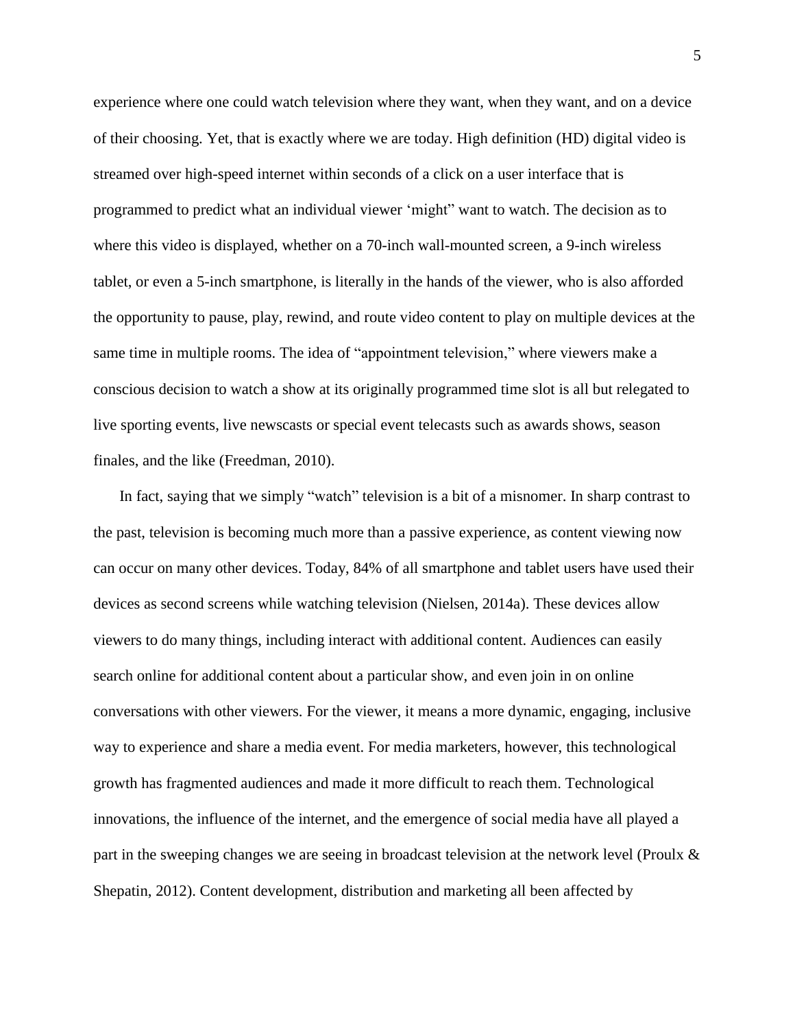experience where one could watch television where they want, when they want, and on a device of their choosing. Yet, that is exactly where we are today. High definition (HD) digital video is streamed over high-speed internet within seconds of a click on a user interface that is programmed to predict what an individual viewer 'might" want to watch. The decision as to where this video is displayed, whether on a 70-inch wall-mounted screen, a 9-inch wireless tablet, or even a 5-inch smartphone, is literally in the hands of the viewer, who is also afforded the opportunity to pause, play, rewind, and route video content to play on multiple devices at the same time in multiple rooms. The idea of "appointment television," where viewers make a conscious decision to watch a show at its originally programmed time slot is all but relegated to live sporting events, live newscasts or special event telecasts such as awards shows, season finales, and the like (Freedman, 2010).

In fact, saying that we simply "watch" television is a bit of a misnomer. In sharp contrast to the past, television is becoming much more than a passive experience, as content viewing now can occur on many other devices. Today, 84% of all smartphone and tablet users have used their devices as second screens while watching television (Nielsen, 2014a). These devices allow viewers to do many things, including interact with additional content. Audiences can easily search online for additional content about a particular show, and even join in on online conversations with other viewers. For the viewer, it means a more dynamic, engaging, inclusive way to experience and share a media event. For media marketers, however, this technological growth has fragmented audiences and made it more difficult to reach them. Technological innovations, the influence of the internet, and the emergence of social media have all played a part in the sweeping changes we are seeing in broadcast television at the network level (Proulx & Shepatin, 2012). Content development, distribution and marketing all been affected by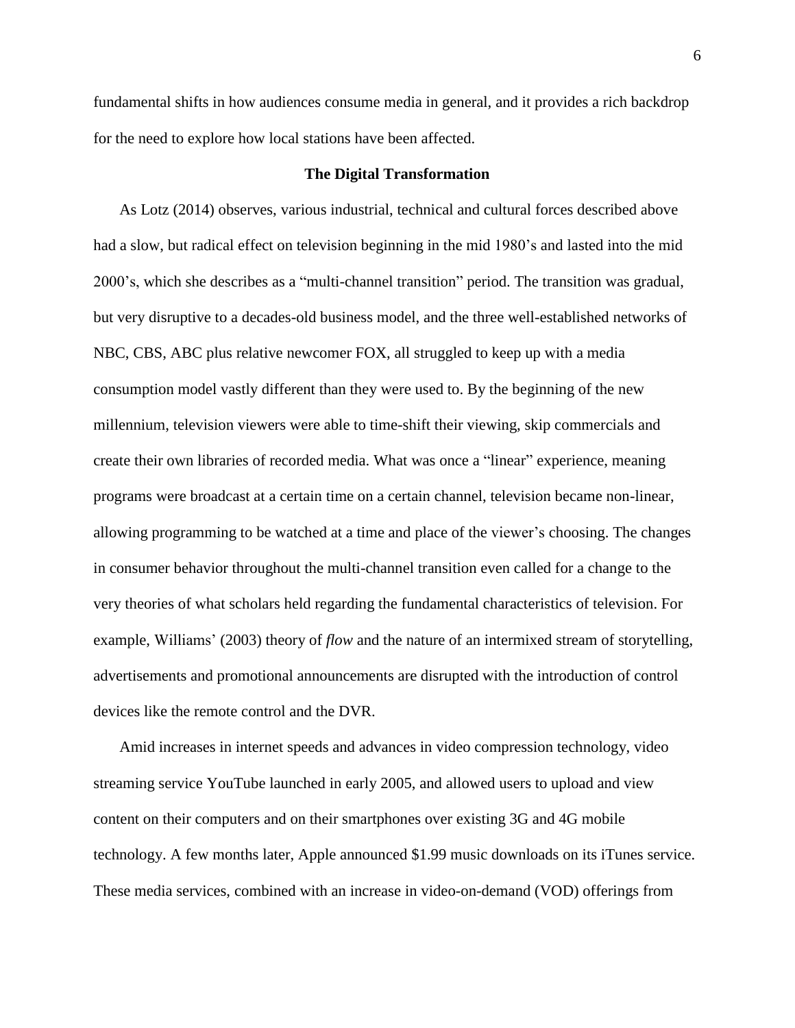fundamental shifts in how audiences consume media in general, and it provides a rich backdrop for the need to explore how local stations have been affected.

# **The Digital Transformation**

As Lotz (2014) observes, various industrial, technical and cultural forces described above had a slow, but radical effect on television beginning in the mid 1980's and lasted into the mid 2000's, which she describes as a "multi-channel transition" period. The transition was gradual, but very disruptive to a decades-old business model, and the three well-established networks of NBC, CBS, ABC plus relative newcomer FOX, all struggled to keep up with a media consumption model vastly different than they were used to. By the beginning of the new millennium, television viewers were able to time-shift their viewing, skip commercials and create their own libraries of recorded media. What was once a "linear" experience, meaning programs were broadcast at a certain time on a certain channel, television became non-linear, allowing programming to be watched at a time and place of the viewer's choosing. The changes in consumer behavior throughout the multi-channel transition even called for a change to the very theories of what scholars held regarding the fundamental characteristics of television. For example, Williams' (2003) theory of *flow* and the nature of an intermixed stream of storytelling, advertisements and promotional announcements are disrupted with the introduction of control devices like the remote control and the DVR.

Amid increases in internet speeds and advances in video compression technology, video streaming service YouTube launched in early 2005, and allowed users to upload and view content on their computers and on their smartphones over existing 3G and 4G mobile technology. A few months later, Apple announced \$1.99 music downloads on its iTunes service. These media services, combined with an increase in video-on-demand (VOD) offerings from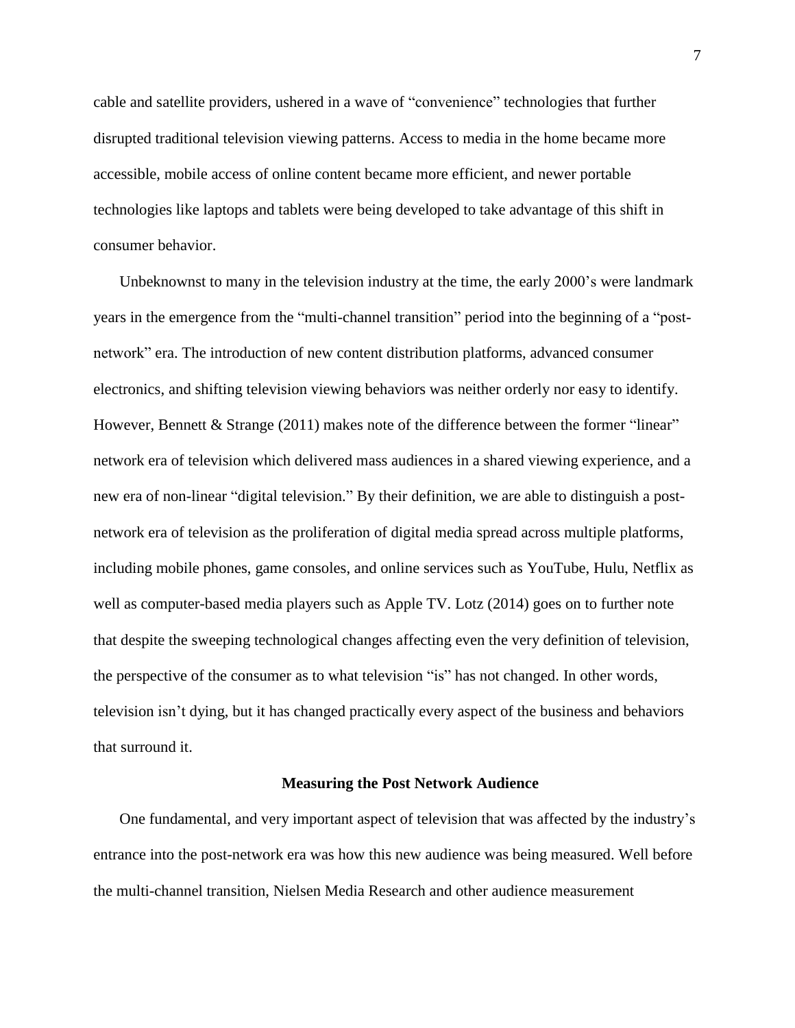cable and satellite providers, ushered in a wave of "convenience" technologies that further disrupted traditional television viewing patterns. Access to media in the home became more accessible, mobile access of online content became more efficient, and newer portable technologies like laptops and tablets were being developed to take advantage of this shift in consumer behavior.

Unbeknownst to many in the television industry at the time, the early 2000's were landmark years in the emergence from the "multi-channel transition" period into the beginning of a "postnetwork" era. The introduction of new content distribution platforms, advanced consumer electronics, and shifting television viewing behaviors was neither orderly nor easy to identify. However, Bennett & Strange (2011) makes note of the difference between the former "linear" network era of television which delivered mass audiences in a shared viewing experience, and a new era of non-linear "digital television." By their definition, we are able to distinguish a postnetwork era of television as the proliferation of digital media spread across multiple platforms, including mobile phones, game consoles, and online services such as YouTube, Hulu, Netflix as well as computer-based media players such as Apple TV. Lotz (2014) goes on to further note that despite the sweeping technological changes affecting even the very definition of television, the perspective of the consumer as to what television "is" has not changed. In other words, television isn't dying, but it has changed practically every aspect of the business and behaviors that surround it.

#### **Measuring the Post Network Audience**

One fundamental, and very important aspect of television that was affected by the industry's entrance into the post-network era was how this new audience was being measured. Well before the multi-channel transition, Nielsen Media Research and other audience measurement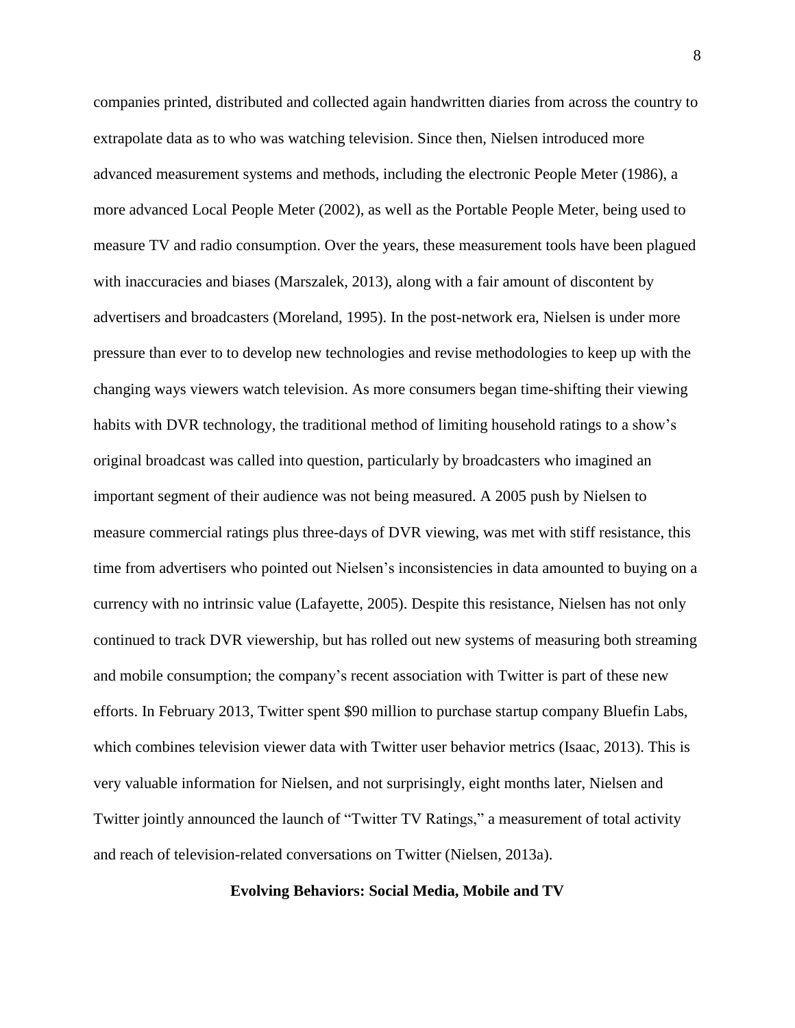companies printed, distributed and collected again handwritten diaries from across the country to extrapolate data as to who was watching television. Since then, Nielsen introduced more advanced measurement systems and methods, including the electronic People Meter (1986), a more advanced Local People Meter (2002), as well as the Portable People Meter, being used to measure TV and radio consumption. Over the years, these measurement tools have been plagued with inaccuracies and biases (Marszalek, 2013), along with a fair amount of discontent by advertisers and broadcasters (Moreland, 1995). In the post-network era, Nielsen is under more pressure than ever to to develop new technologies and revise methodologies to keep up with the changing ways viewers watch television. As more consumers began time-shifting their viewing habits with DVR technology, the traditional method of limiting household ratings to a show's original broadcast was called into question, particularly by broadcasters who imagined an important segment of their audience was not being measured. A 2005 push by Nielsen to measure commercial ratings plus three-days of DVR viewing, was met with stiff resistance, this time from advertisers who pointed out Nielsen's inconsistencies in data amounted to buying on a currency with no intrinsic value (Lafayette, 2005). Despite this resistance, Nielsen has not only continued to track DVR viewership, but has rolled out new systems of measuring both streaming and mobile consumption; the company's recent association with Twitter is part of these new efforts. In February 2013, Twitter spent \$90 million to purchase startup company Bluefin Labs, which combines television viewer data with Twitter user behavior metrics (Isaac, 2013). This is very valuable information for Nielsen, and not surprisingly, eight months later, Nielsen and Twitter jointly announced the launch of "Twitter TV Ratings," a measurement of total activity and reach of television-related conversations on Twitter (Nielsen, 2013a).

#### **Evolving Behaviors: Social Media, Mobile and TV**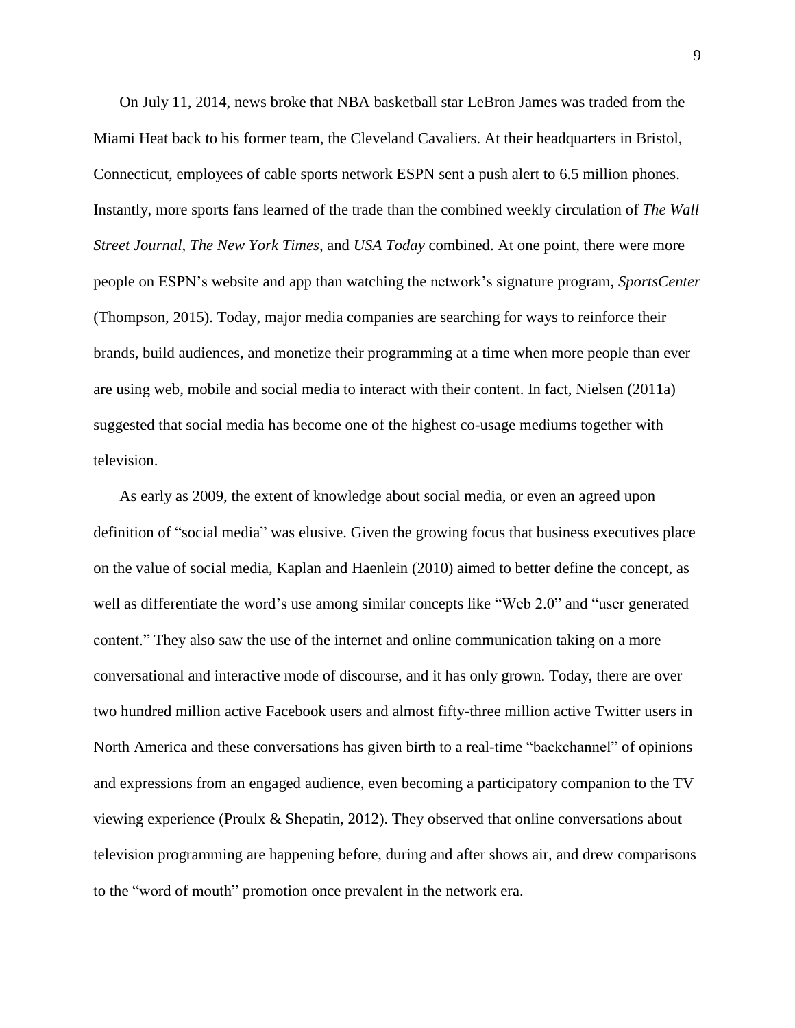On July 11, 2014, news broke that NBA basketball star LeBron James was traded from the Miami Heat back to his former team, the Cleveland Cavaliers. At their headquarters in Bristol, Connecticut, employees of cable sports network ESPN sent a push alert to 6.5 million phones. Instantly, more sports fans learned of the trade than the combined weekly circulation of *The Wall Street Journal*, *The New York Times*, and *USA Today* combined. At one point, there were more people on ESPN's website and app than watching the network's signature program, *SportsCenter* (Thompson, 2015). Today, major media companies are searching for ways to reinforce their brands, build audiences, and monetize their programming at a time when more people than ever are using web, mobile and social media to interact with their content. In fact, Nielsen (2011a) suggested that social media has become one of the highest co-usage mediums together with television.

As early as 2009, the extent of knowledge about social media, or even an agreed upon definition of "social media" was elusive. Given the growing focus that business executives place on the value of social media, Kaplan and Haenlein (2010) aimed to better define the concept, as well as differentiate the word's use among similar concepts like "Web 2.0" and "user generated content." They also saw the use of the internet and online communication taking on a more conversational and interactive mode of discourse, and it has only grown. Today, there are over two hundred million active Facebook users and almost fifty-three million active Twitter users in North America and these conversations has given birth to a real-time "backchannel" of opinions and expressions from an engaged audience, even becoming a participatory companion to the TV viewing experience (Proulx & Shepatin, 2012). They observed that online conversations about television programming are happening before, during and after shows air, and drew comparisons to the "word of mouth" promotion once prevalent in the network era.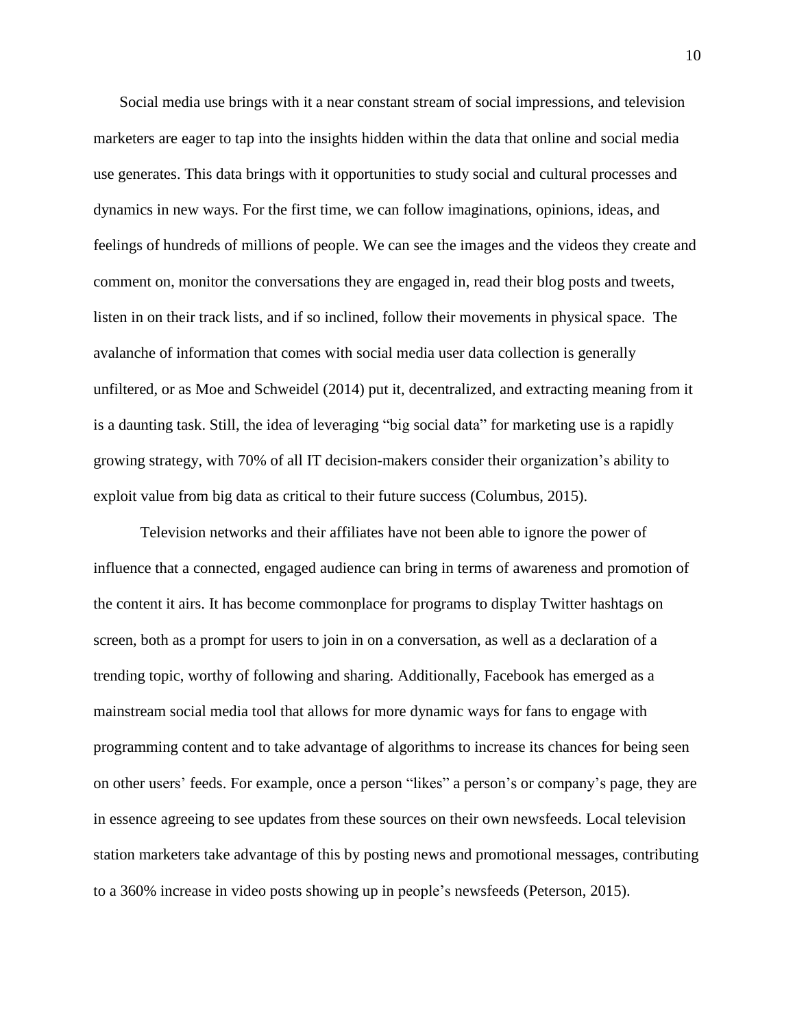Social media use brings with it a near constant stream of social impressions, and television marketers are eager to tap into the insights hidden within the data that online and social media use generates. This data brings with it opportunities to study social and cultural processes and dynamics in new ways. For the first time, we can follow imaginations, opinions, ideas, and feelings of hundreds of millions of people. We can see the images and the videos they create and comment on, monitor the conversations they are engaged in, read their blog posts and tweets, listen in on their track lists, and if so inclined, follow their movements in physical space. The avalanche of information that comes with social media user data collection is generally unfiltered, or as Moe and Schweidel (2014) put it, decentralized, and extracting meaning from it is a daunting task. Still, the idea of leveraging "big social data" for marketing use is a rapidly growing strategy, with 70% of all IT decision-makers consider their organization's ability to exploit value from big data as critical to their future success (Columbus, 2015).

Television networks and their affiliates have not been able to ignore the power of influence that a connected, engaged audience can bring in terms of awareness and promotion of the content it airs. It has become commonplace for programs to display Twitter hashtags on screen, both as a prompt for users to join in on a conversation, as well as a declaration of a trending topic, worthy of following and sharing. Additionally, Facebook has emerged as a mainstream social media tool that allows for more dynamic ways for fans to engage with programming content and to take advantage of algorithms to increase its chances for being seen on other users' feeds. For example, once a person "likes" a person's or company's page, they are in essence agreeing to see updates from these sources on their own newsfeeds. Local television station marketers take advantage of this by posting news and promotional messages, contributing to a 360% increase in video posts showing up in people's newsfeeds (Peterson, 2015).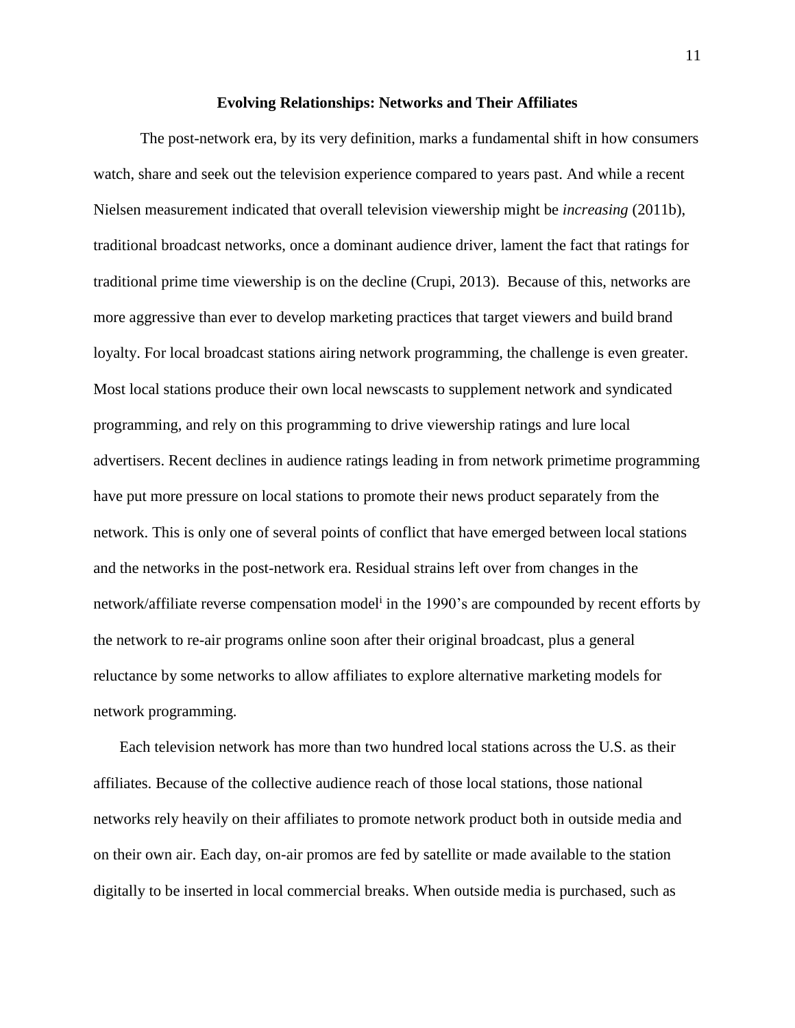## **Evolving Relationships: Networks and Their Affiliates**

The post-network era, by its very definition, marks a fundamental shift in how consumers watch, share and seek out the television experience compared to years past. And while a recent Nielsen measurement indicated that overall television viewership might be *increasing* (2011b), traditional broadcast networks, once a dominant audience driver, lament the fact that ratings for traditional prime time viewership is on the decline (Crupi, 2013). Because of this, networks are more aggressive than ever to develop marketing practices that target viewers and build brand loyalty. For local broadcast stations airing network programming, the challenge is even greater. Most local stations produce their own local newscasts to supplement network and syndicated programming, and rely on this programming to drive viewership ratings and lure local advertisers. Recent declines in audience ratings leading in from network primetime programming have put more pressure on local stations to promote their news product separately from the network. This is only one of several points of conflict that have emerged between local stations and the networks in the post-network era. Residual strains left over from changes in the network/affiliate reverse compensation model<sup>i</sup> in the 1990's are compounded by recent efforts by the network to re-air programs online soon after their original broadcast, plus a general reluctance by some networks to allow affiliates to explore alternative marketing models for network programming.

Each television network has more than two hundred local stations across the U.S. as their affiliates. Because of the collective audience reach of those local stations, those national networks rely heavily on their affiliates to promote network product both in outside media and on their own air. Each day, on-air promos are fed by satellite or made available to the station digitally to be inserted in local commercial breaks. When outside media is purchased, such as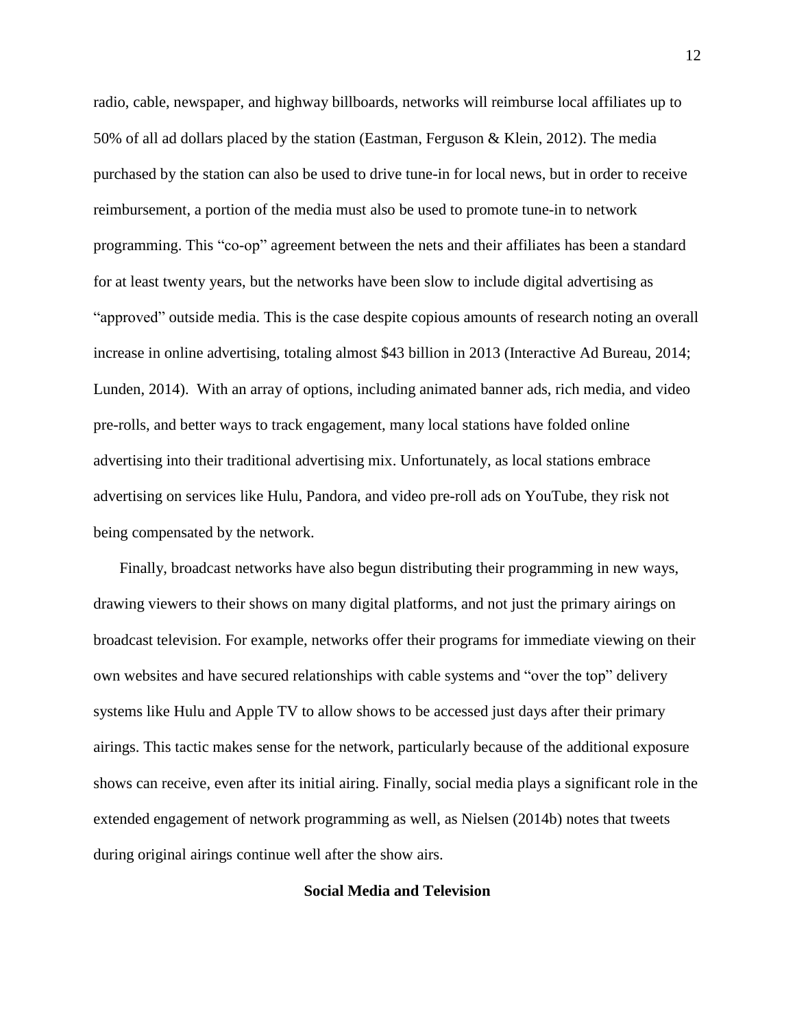radio, cable, newspaper, and highway billboards, networks will reimburse local affiliates up to 50% of all ad dollars placed by the station (Eastman, Ferguson & Klein, 2012). The media purchased by the station can also be used to drive tune-in for local news, but in order to receive reimbursement, a portion of the media must also be used to promote tune-in to network programming. This "co-op" agreement between the nets and their affiliates has been a standard for at least twenty years, but the networks have been slow to include digital advertising as "approved" outside media. This is the case despite copious amounts of research noting an overall increase in online advertising, totaling almost \$43 billion in 2013 (Interactive Ad Bureau, 2014; Lunden, 2014). With an array of options, including animated banner ads, rich media, and video pre-rolls, and better ways to track engagement, many local stations have folded online advertising into their traditional advertising mix. Unfortunately, as local stations embrace advertising on services like Hulu, Pandora, and video pre-roll ads on YouTube, they risk not being compensated by the network.

Finally, broadcast networks have also begun distributing their programming in new ways, drawing viewers to their shows on many digital platforms, and not just the primary airings on broadcast television. For example, networks offer their programs for immediate viewing on their own websites and have secured relationships with cable systems and "over the top" delivery systems like Hulu and Apple TV to allow shows to be accessed just days after their primary airings. This tactic makes sense for the network, particularly because of the additional exposure shows can receive, even after its initial airing. Finally, social media plays a significant role in the extended engagement of network programming as well, as Nielsen (2014b) notes that tweets during original airings continue well after the show airs.

# **Social Media and Television**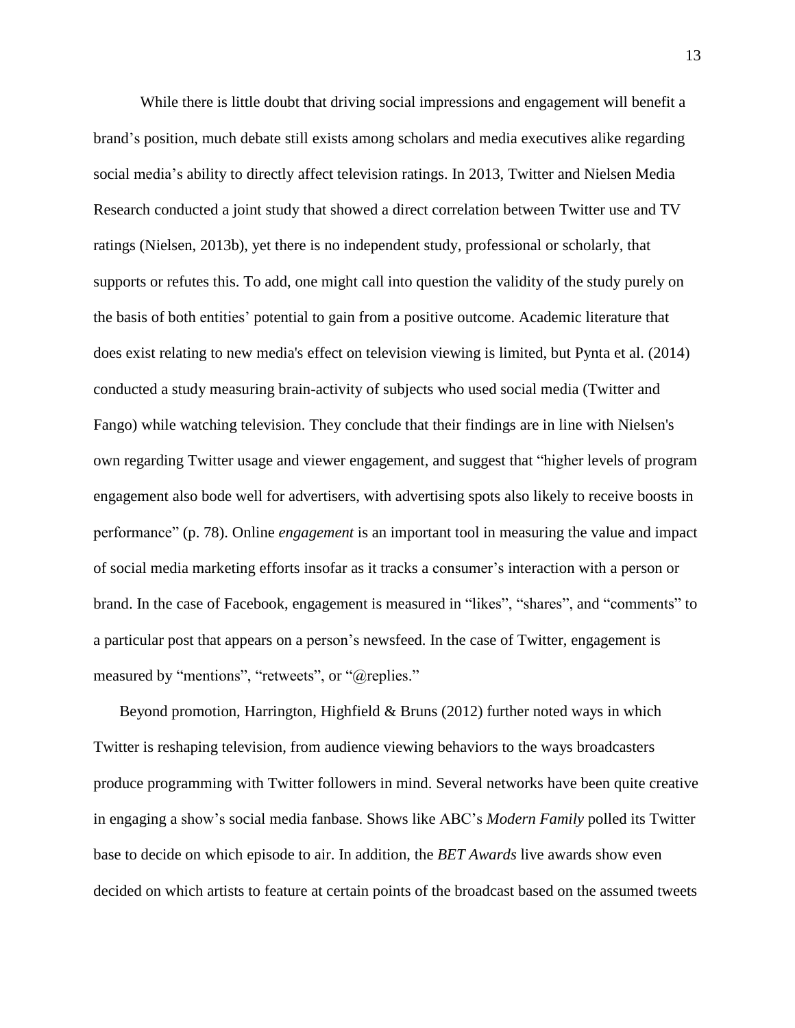While there is little doubt that driving social impressions and engagement will benefit a brand's position, much debate still exists among scholars and media executives alike regarding social media's ability to directly affect television ratings. In 2013, Twitter and Nielsen Media Research conducted a joint study that showed a direct correlation between Twitter use and TV ratings (Nielsen, 2013b), yet there is no independent study, professional or scholarly, that supports or refutes this. To add, one might call into question the validity of the study purely on the basis of both entities' potential to gain from a positive outcome. Academic literature that does exist relating to new media's effect on television viewing is limited, but Pynta et al. (2014) conducted a study measuring brain-activity of subjects who used social media (Twitter and Fango) while watching television. They conclude that their findings are in line with Nielsen's own regarding Twitter usage and viewer engagement, and suggest that "higher levels of program engagement also bode well for advertisers, with advertising spots also likely to receive boosts in performance" (p. 78). Online *engagement* is an important tool in measuring the value and impact of social media marketing efforts insofar as it tracks a consumer's interaction with a person or brand. In the case of Facebook, engagement is measured in "likes", "shares", and "comments" to a particular post that appears on a person's newsfeed. In the case of Twitter, engagement is measured by "mentions", "retweets", or "@replies."

Beyond promotion, Harrington, Highfield & Bruns (2012) further noted ways in which Twitter is reshaping television, from audience viewing behaviors to the ways broadcasters produce programming with Twitter followers in mind. Several networks have been quite creative in engaging a show's social media fanbase. Shows like ABC's *Modern Family* polled its Twitter base to decide on which episode to air. In addition, the *BET Awards* live awards show even decided on which artists to feature at certain points of the broadcast based on the assumed tweets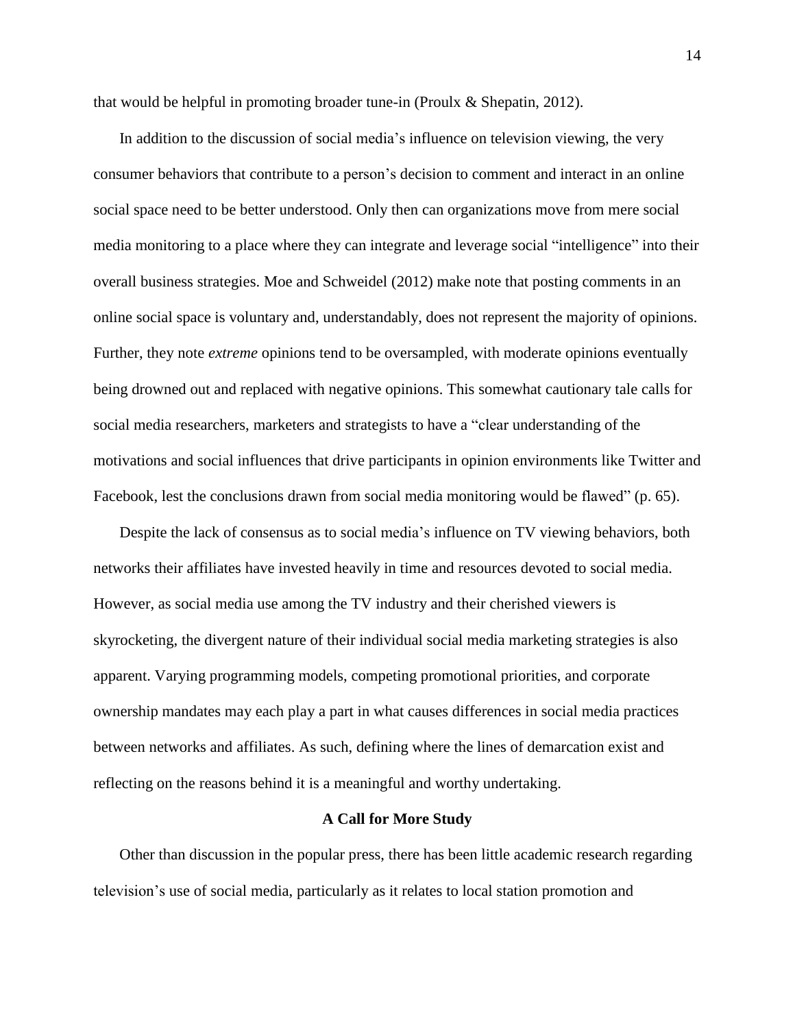that would be helpful in promoting broader tune-in (Proulx & Shepatin, 2012).

In addition to the discussion of social media's influence on television viewing, the very consumer behaviors that contribute to a person's decision to comment and interact in an online social space need to be better understood. Only then can organizations move from mere social media monitoring to a place where they can integrate and leverage social "intelligence" into their overall business strategies. Moe and Schweidel (2012) make note that posting comments in an online social space is voluntary and, understandably, does not represent the majority of opinions. Further, they note *extreme* opinions tend to be oversampled, with moderate opinions eventually being drowned out and replaced with negative opinions. This somewhat cautionary tale calls for social media researchers, marketers and strategists to have a "clear understanding of the motivations and social influences that drive participants in opinion environments like Twitter and Facebook, lest the conclusions drawn from social media monitoring would be flawed" (p. 65).

Despite the lack of consensus as to social media's influence on TV viewing behaviors, both networks their affiliates have invested heavily in time and resources devoted to social media. However, as social media use among the TV industry and their cherished viewers is skyrocketing, the divergent nature of their individual social media marketing strategies is also apparent. Varying programming models, competing promotional priorities, and corporate ownership mandates may each play a part in what causes differences in social media practices between networks and affiliates. As such, defining where the lines of demarcation exist and reflecting on the reasons behind it is a meaningful and worthy undertaking.

#### **A Call for More Study**

Other than discussion in the popular press, there has been little academic research regarding television's use of social media, particularly as it relates to local station promotion and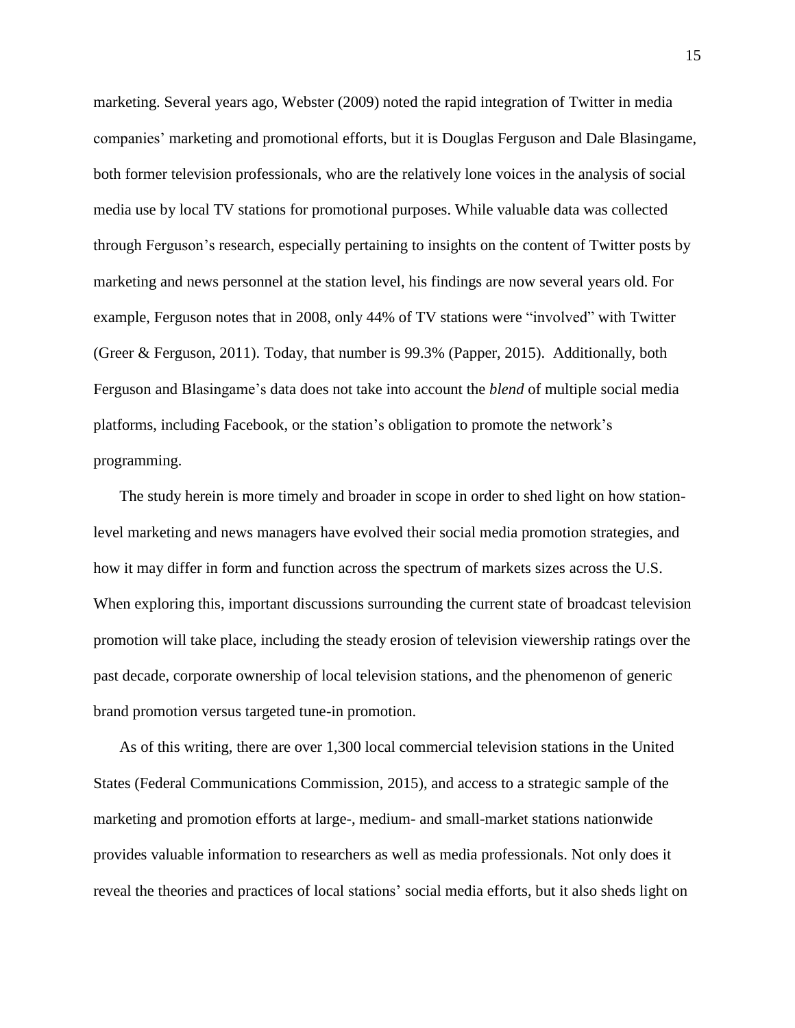marketing. Several years ago, Webster (2009) noted the rapid integration of Twitter in media companies' marketing and promotional efforts, but it is Douglas Ferguson and Dale Blasingame, both former television professionals, who are the relatively lone voices in the analysis of social media use by local TV stations for promotional purposes. While valuable data was collected through Ferguson's research, especially pertaining to insights on the content of Twitter posts by marketing and news personnel at the station level, his findings are now several years old. For example, Ferguson notes that in 2008, only 44% of TV stations were "involved" with Twitter (Greer & Ferguson, 2011). Today, that number is 99.3% (Papper, 2015). Additionally, both Ferguson and Blasingame's data does not take into account the *blend* of multiple social media platforms, including Facebook, or the station's obligation to promote the network's programming.

The study herein is more timely and broader in scope in order to shed light on how stationlevel marketing and news managers have evolved their social media promotion strategies, and how it may differ in form and function across the spectrum of markets sizes across the U.S. When exploring this, important discussions surrounding the current state of broadcast television promotion will take place, including the steady erosion of television viewership ratings over the past decade, corporate ownership of local television stations, and the phenomenon of generic brand promotion versus targeted tune-in promotion.

As of this writing, there are over 1,300 local commercial television stations in the United States (Federal Communications Commission, 2015), and access to a strategic sample of the marketing and promotion efforts at large-, medium- and small-market stations nationwide provides valuable information to researchers as well as media professionals. Not only does it reveal the theories and practices of local stations' social media efforts, but it also sheds light on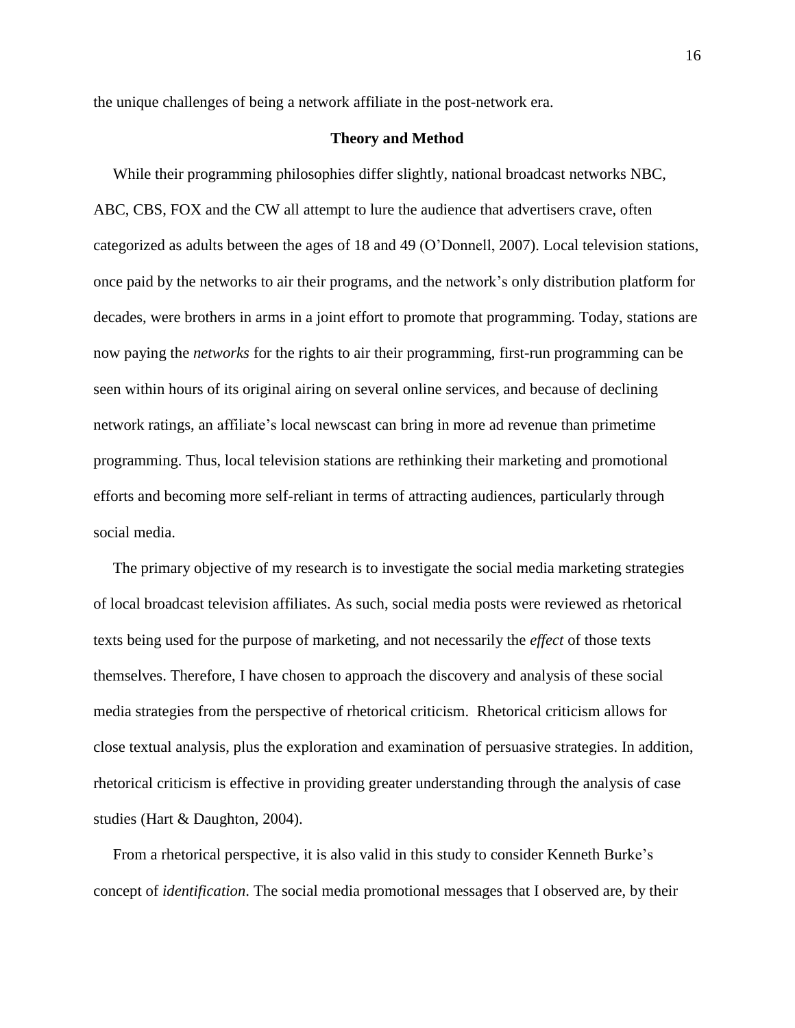the unique challenges of being a network affiliate in the post-network era.

# **Theory and Method**

While their programming philosophies differ slightly, national broadcast networks NBC, ABC, CBS, FOX and the CW all attempt to lure the audience that advertisers crave, often categorized as adults between the ages of 18 and 49 (O'Donnell, 2007). Local television stations, once paid by the networks to air their programs, and the network's only distribution platform for decades, were brothers in arms in a joint effort to promote that programming. Today, stations are now paying the *networks* for the rights to air their programming, first-run programming can be seen within hours of its original airing on several online services, and because of declining network ratings, an affiliate's local newscast can bring in more ad revenue than primetime programming. Thus, local television stations are rethinking their marketing and promotional efforts and becoming more self-reliant in terms of attracting audiences, particularly through social media.

The primary objective of my research is to investigate the social media marketing strategies of local broadcast television affiliates. As such, social media posts were reviewed as rhetorical texts being used for the purpose of marketing, and not necessarily the *effect* of those texts themselves. Therefore, I have chosen to approach the discovery and analysis of these social media strategies from the perspective of rhetorical criticism. Rhetorical criticism allows for close textual analysis, plus the exploration and examination of persuasive strategies. In addition, rhetorical criticism is effective in providing greater understanding through the analysis of case studies (Hart & Daughton, 2004).

From a rhetorical perspective, it is also valid in this study to consider Kenneth Burke's concept of *identification*. The social media promotional messages that I observed are, by their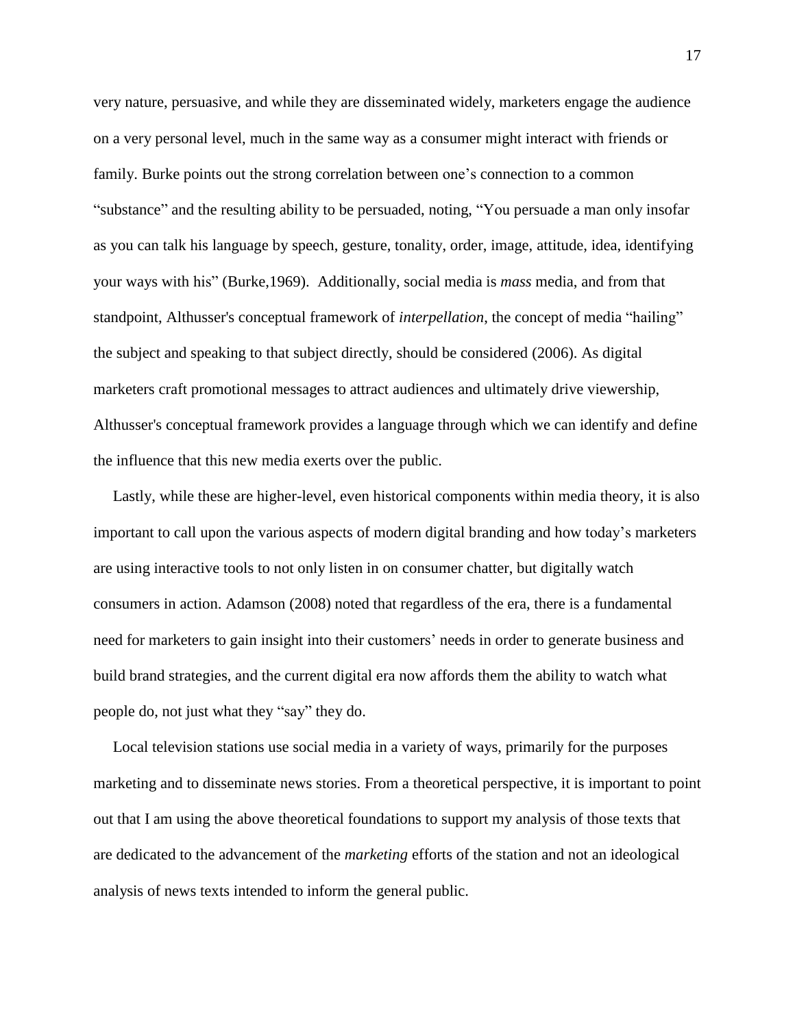very nature, persuasive, and while they are disseminated widely, marketers engage the audience on a very personal level, much in the same way as a consumer might interact with friends or family. Burke points out the strong correlation between one's connection to a common "substance" and the resulting ability to be persuaded, noting, "You persuade a man only insofar as you can talk his language by speech, gesture, tonality, order, image, attitude, idea, identifying your ways with his" (Burke,1969). Additionally, social media is *mass* media, and from that standpoint, Althusser's conceptual framework of *interpellation*, the concept of media "hailing" the subject and speaking to that subject directly, should be considered (2006). As digital marketers craft promotional messages to attract audiences and ultimately drive viewership, Althusser's conceptual framework provides a language through which we can identify and define the influence that this new media exerts over the public.

Lastly, while these are higher-level, even historical components within media theory, it is also important to call upon the various aspects of modern digital branding and how today's marketers are using interactive tools to not only listen in on consumer chatter, but digitally watch consumers in action. Adamson (2008) noted that regardless of the era, there is a fundamental need for marketers to gain insight into their customers' needs in order to generate business and build brand strategies, and the current digital era now affords them the ability to watch what people do, not just what they "say" they do.

Local television stations use social media in a variety of ways, primarily for the purposes marketing and to disseminate news stories. From a theoretical perspective, it is important to point out that I am using the above theoretical foundations to support my analysis of those texts that are dedicated to the advancement of the *marketing* efforts of the station and not an ideological analysis of news texts intended to inform the general public.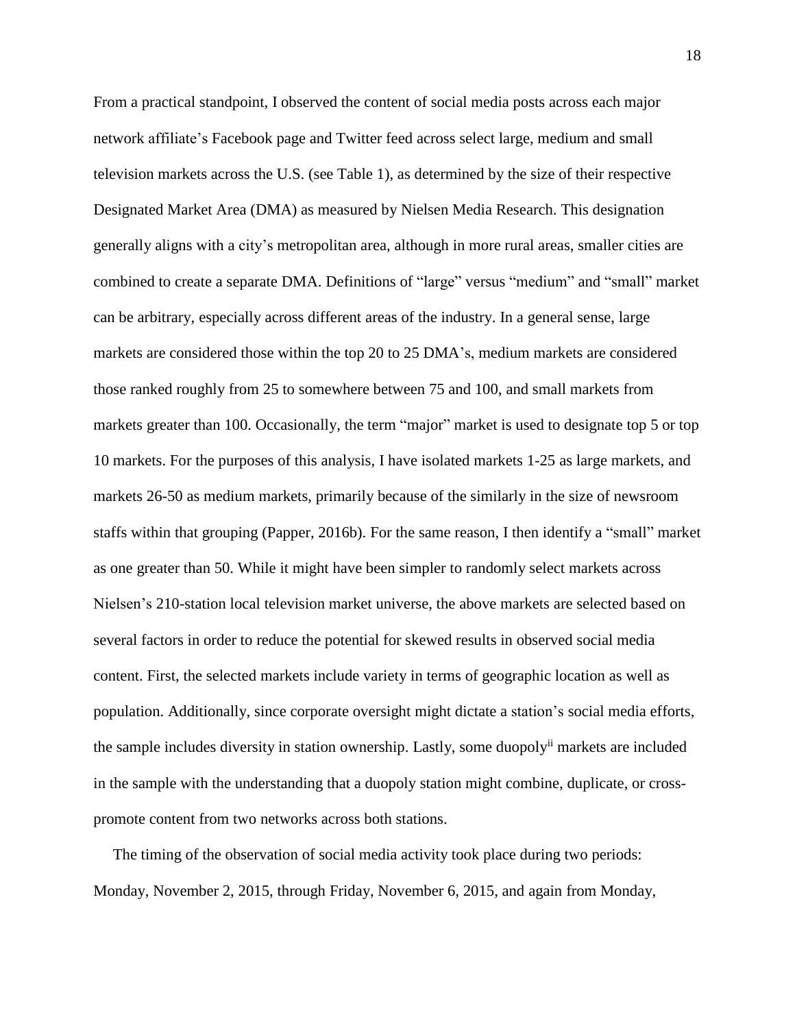From a practical standpoint, I observed the content of social media posts across each major network affiliate's Facebook page and Twitter feed across select large, medium and small television markets across the U.S. (see Table 1), as determined by the size of their respective Designated Market Area (DMA) as measured by Nielsen Media Research. This designation generally aligns with a city's metropolitan area, although in more rural areas, smaller cities are combined to create a separate DMA. Definitions of "large" versus "medium" and "small" market can be arbitrary, especially across different areas of the industry. In a general sense, large markets are considered those within the top 20 to 25 DMA's, medium markets are considered those ranked roughly from 25 to somewhere between 75 and 100, and small markets from markets greater than 100. Occasionally, the term "major" market is used to designate top 5 or top 10 markets. For the purposes of this analysis, I have isolated markets 1-25 as large markets, and markets 26-50 as medium markets, primarily because of the similarly in the size of newsroom staffs within that grouping (Papper, 2016b). For the same reason, I then identify a "small" market as one greater than 50. While it might have been simpler to randomly select markets across Nielsen's 210-station local television market universe, the above markets are selected based on several factors in order to reduce the potential for skewed results in observed social media content. First, the selected markets include variety in terms of geographic location as well as population. Additionally, since corporate oversight might dictate a station's social media efforts, the sample includes diversity in station ownership. Lastly, some duopoly<sup>ii</sup> markets are included in the sample with the understanding that a duopoly station might combine, duplicate, or crosspromote content from two networks across both stations.

The timing of the observation of social media activity took place during two periods: Monday, November 2, 2015, through Friday, November 6, 2015, and again from Monday,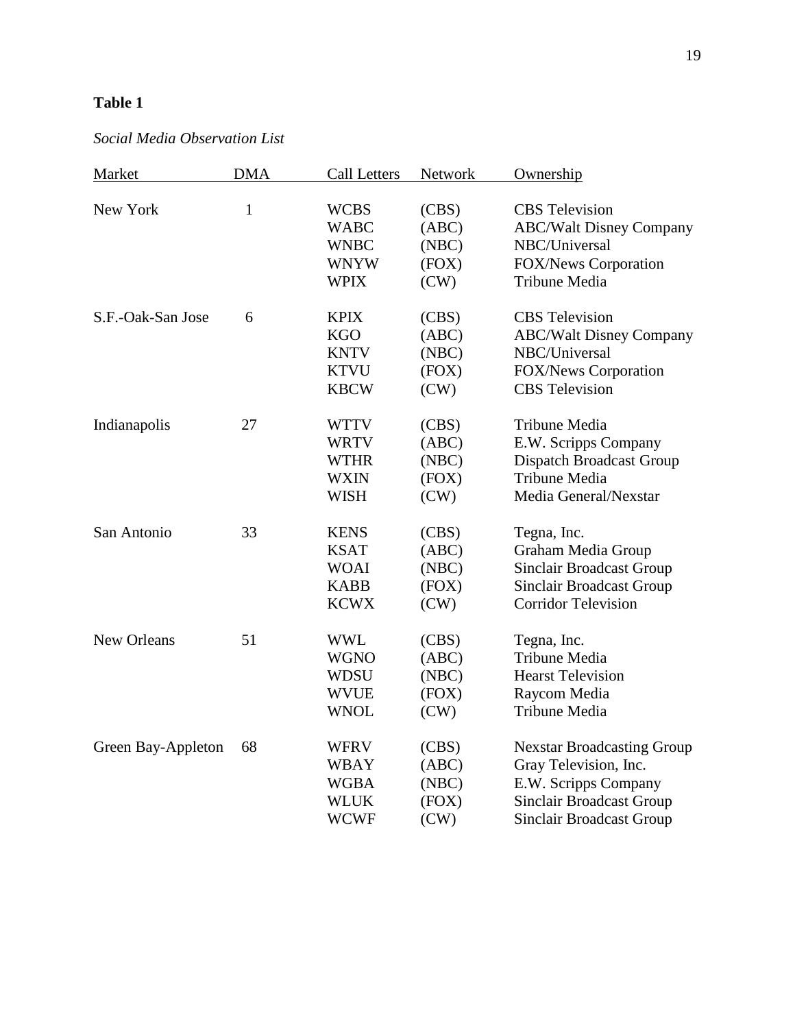# **Table 1**

# *Social Media Observation List*

| Market             | <b>DMA</b>   | Call Letters               | Network        | Ownership                                                     |
|--------------------|--------------|----------------------------|----------------|---------------------------------------------------------------|
| New York           | $\mathbf{1}$ | <b>WCBS</b>                |                | <b>CBS</b> Television                                         |
|                    |              | <b>WABC</b>                | (CBS)<br>(ABC) |                                                               |
|                    |              | <b>WNBC</b>                | (NBC)          | <b>ABC/Walt Disney Company</b><br>NBC/Universal               |
|                    |              |                            |                |                                                               |
|                    |              | <b>WNYW</b><br><b>WPIX</b> | (FOX)<br>(CW)  | <b>FOX/News Corporation</b>                                   |
|                    |              |                            |                | Tribune Media                                                 |
| S.F.-Oak-San Jose  | 6            | <b>KPIX</b>                | (CBS)          | <b>CBS</b> Television                                         |
|                    |              | <b>KGO</b>                 | (ABC)          | <b>ABC/Walt Disney Company</b>                                |
|                    |              | <b>KNTV</b>                | (NBC)          | NBC/Universal                                                 |
|                    |              | <b>KTVU</b>                | (FOX)          | <b>FOX/News Corporation</b>                                   |
|                    |              | <b>KBCW</b>                | (CW)           | <b>CBS</b> Television                                         |
| Indianapolis       | 27           | <b>WTTV</b>                | (CBS)          | Tribune Media                                                 |
|                    |              | <b>WRTV</b>                | (ABC)          | E.W. Scripps Company                                          |
|                    |              | <b>WTHR</b>                | (NBC)          | <b>Dispatch Broadcast Group</b>                               |
|                    |              | <b>WXIN</b>                | (FOX)          | Tribune Media                                                 |
|                    |              | <b>WISH</b>                | (CW)           | Media General/Nexstar                                         |
| San Antonio        | 33           | <b>KENS</b>                | (CBS)          | Tegna, Inc.                                                   |
|                    |              | <b>KSAT</b>                | (ABC)          | Graham Media Group                                            |
|                    |              | <b>WOAI</b>                | (NBC)          | <b>Sinclair Broadcast Group</b>                               |
|                    |              | <b>KABB</b>                | (FOX)          |                                                               |
|                    |              | <b>KCWX</b>                | (CW)           | <b>Sinclair Broadcast Group</b><br><b>Corridor Television</b> |
|                    |              |                            |                |                                                               |
| New Orleans        | 51           | <b>WWL</b>                 | (CBS)          | Tegna, Inc.                                                   |
|                    |              | <b>WGNO</b>                | (ABC)          | Tribune Media                                                 |
|                    |              | <b>WDSU</b>                | (NBC)          | <b>Hearst Television</b>                                      |
|                    |              | <b>WVUE</b>                | (FOX)          | Raycom Media                                                  |
|                    |              | <b>WNOL</b>                | (CW)           | Tribune Media                                                 |
| Green Bay-Appleton | 68           | <b>WFRV</b>                | (CBS)          | <b>Nexstar Broadcasting Group</b>                             |
|                    |              | <b>WBAY</b>                | (ABC)          | Gray Television, Inc.                                         |
|                    |              | <b>WGBA</b>                | (NBC)          | E.W. Scripps Company                                          |
|                    |              | <b>WLUK</b>                | (FOX)          | Sinclair Broadcast Group                                      |
|                    |              | <b>WCWF</b>                | (CW)           | <b>Sinclair Broadcast Group</b>                               |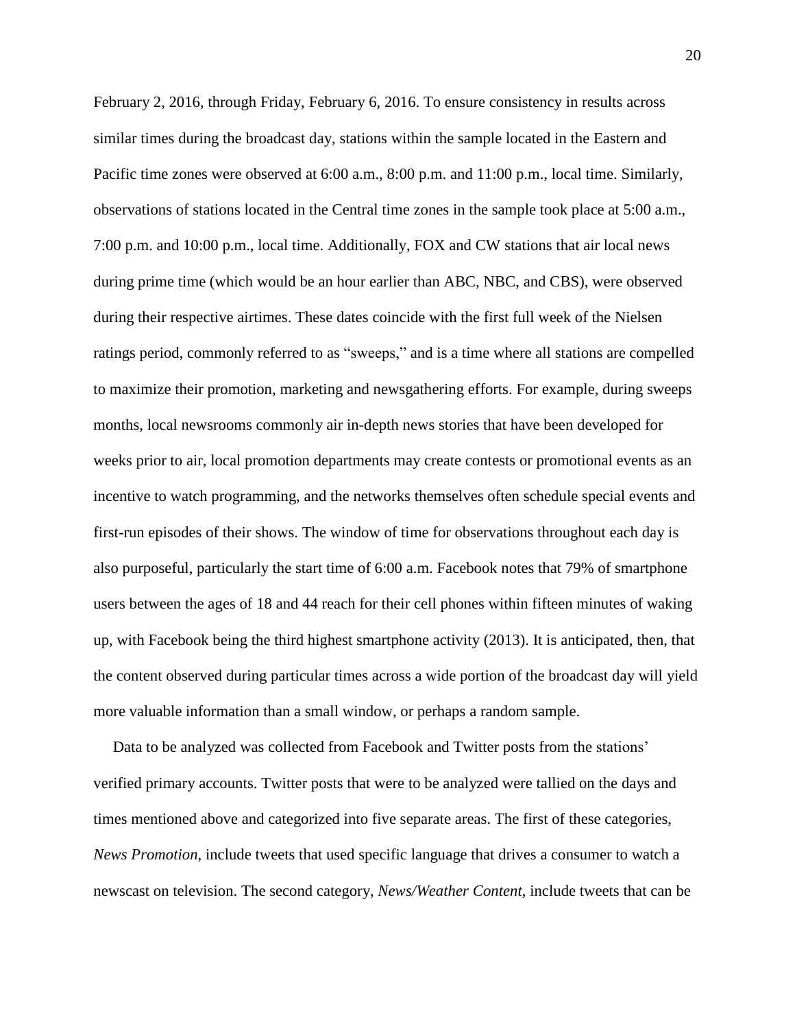February 2, 2016, through Friday, February 6, 2016. To ensure consistency in results across similar times during the broadcast day, stations within the sample located in the Eastern and Pacific time zones were observed at 6:00 a.m., 8:00 p.m. and 11:00 p.m., local time. Similarly, observations of stations located in the Central time zones in the sample took place at 5:00 a.m., 7:00 p.m. and 10:00 p.m., local time. Additionally, FOX and CW stations that air local news during prime time (which would be an hour earlier than ABC, NBC, and CBS), were observed during their respective airtimes. These dates coincide with the first full week of the Nielsen ratings period, commonly referred to as "sweeps," and is a time where all stations are compelled to maximize their promotion, marketing and newsgathering efforts. For example, during sweeps months, local newsrooms commonly air in-depth news stories that have been developed for weeks prior to air, local promotion departments may create contests or promotional events as an incentive to watch programming, and the networks themselves often schedule special events and first-run episodes of their shows. The window of time for observations throughout each day is also purposeful, particularly the start time of 6:00 a.m. Facebook notes that 79% of smartphone users between the ages of 18 and 44 reach for their cell phones within fifteen minutes of waking up, with Facebook being the third highest smartphone activity (2013). It is anticipated, then, that the content observed during particular times across a wide portion of the broadcast day will yield more valuable information than a small window, or perhaps a random sample.

Data to be analyzed was collected from Facebook and Twitter posts from the stations' verified primary accounts. Twitter posts that were to be analyzed were tallied on the days and times mentioned above and categorized into five separate areas. The first of these categories, *News Promotion*, include tweets that used specific language that drives a consumer to watch a newscast on television. The second category, *News/Weather Content*, include tweets that can be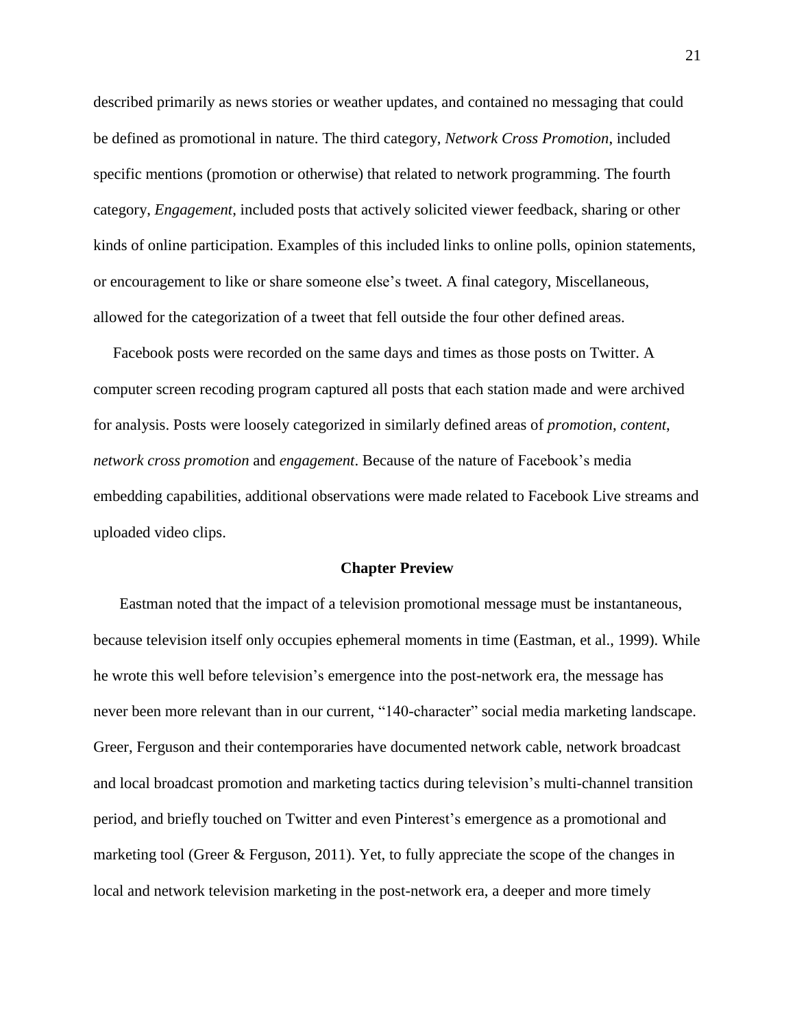described primarily as news stories or weather updates, and contained no messaging that could be defined as promotional in nature. The third category, *Network Cross Promotion*, included specific mentions (promotion or otherwise) that related to network programming. The fourth category, *Engagement*, included posts that actively solicited viewer feedback, sharing or other kinds of online participation. Examples of this included links to online polls, opinion statements, or encouragement to like or share someone else's tweet. A final category, Miscellaneous, allowed for the categorization of a tweet that fell outside the four other defined areas.

Facebook posts were recorded on the same days and times as those posts on Twitter. A computer screen recoding program captured all posts that each station made and were archived for analysis. Posts were loosely categorized in similarly defined areas of *promotion*, *content*, *network cross promotion* and *engagement*. Because of the nature of Facebook's media embedding capabilities, additional observations were made related to Facebook Live streams and uploaded video clips.

#### **Chapter Preview**

Eastman noted that the impact of a television promotional message must be instantaneous, because television itself only occupies ephemeral moments in time (Eastman, et al., 1999). While he wrote this well before television's emergence into the post-network era, the message has never been more relevant than in our current, "140-character" social media marketing landscape. Greer, Ferguson and their contemporaries have documented network cable, network broadcast and local broadcast promotion and marketing tactics during television's multi-channel transition period, and briefly touched on Twitter and even Pinterest's emergence as a promotional and marketing tool (Greer & Ferguson, 2011). Yet, to fully appreciate the scope of the changes in local and network television marketing in the post-network era, a deeper and more timely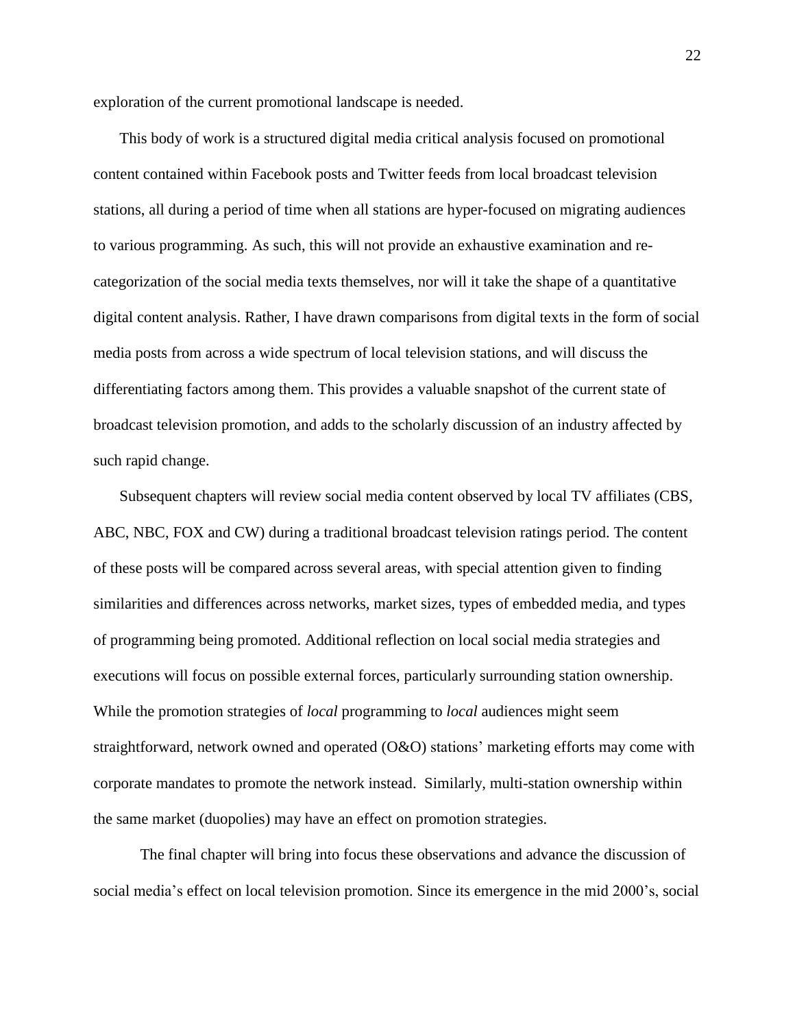exploration of the current promotional landscape is needed.

This body of work is a structured digital media critical analysis focused on promotional content contained within Facebook posts and Twitter feeds from local broadcast television stations, all during a period of time when all stations are hyper-focused on migrating audiences to various programming. As such, this will not provide an exhaustive examination and recategorization of the social media texts themselves, nor will it take the shape of a quantitative digital content analysis. Rather, I have drawn comparisons from digital texts in the form of social media posts from across a wide spectrum of local television stations, and will discuss the differentiating factors among them. This provides a valuable snapshot of the current state of broadcast television promotion, and adds to the scholarly discussion of an industry affected by such rapid change.

Subsequent chapters will review social media content observed by local TV affiliates (CBS, ABC, NBC, FOX and CW) during a traditional broadcast television ratings period. The content of these posts will be compared across several areas, with special attention given to finding similarities and differences across networks, market sizes, types of embedded media, and types of programming being promoted. Additional reflection on local social media strategies and executions will focus on possible external forces, particularly surrounding station ownership. While the promotion strategies of *local* programming to *local* audiences might seem straightforward, network owned and operated (O&O) stations' marketing efforts may come with corporate mandates to promote the network instead. Similarly, multi-station ownership within the same market (duopolies) may have an effect on promotion strategies.

The final chapter will bring into focus these observations and advance the discussion of social media's effect on local television promotion. Since its emergence in the mid 2000's, social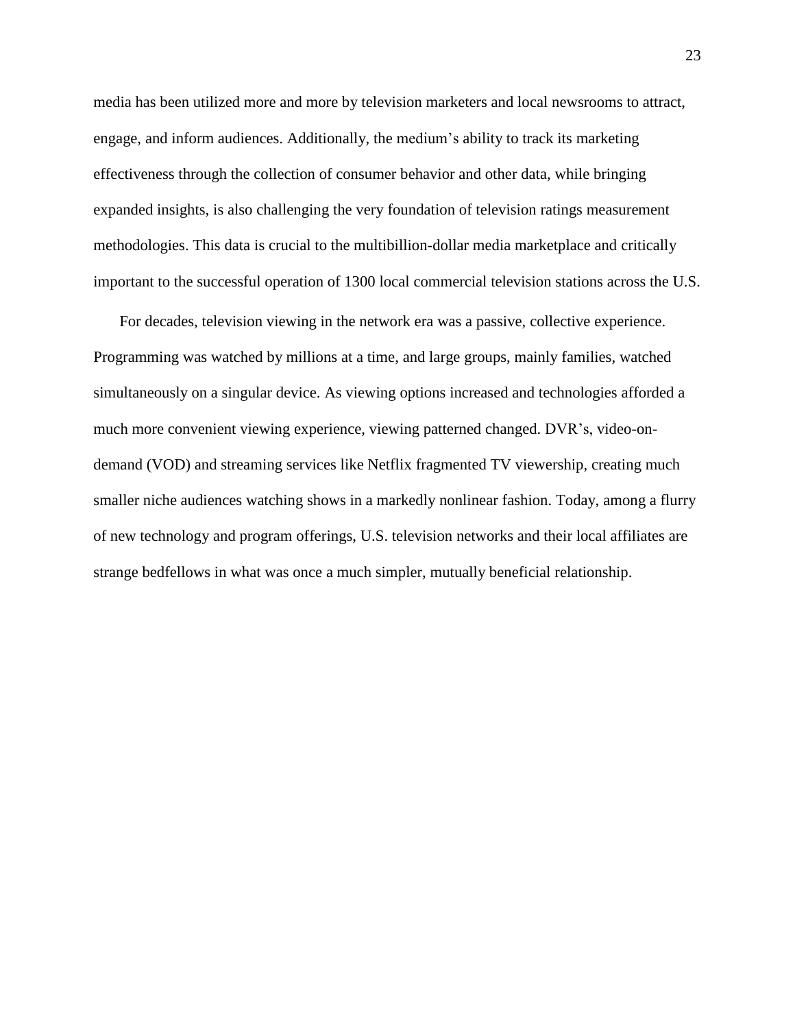media has been utilized more and more by television marketers and local newsrooms to attract, engage, and inform audiences. Additionally, the medium's ability to track its marketing effectiveness through the collection of consumer behavior and other data, while bringing expanded insights, is also challenging the very foundation of television ratings measurement methodologies. This data is crucial to the multibillion-dollar media marketplace and critically important to the successful operation of 1300 local commercial television stations across the U.S.

For decades, television viewing in the network era was a passive, collective experience. Programming was watched by millions at a time, and large groups, mainly families, watched simultaneously on a singular device. As viewing options increased and technologies afforded a much more convenient viewing experience, viewing patterned changed. DVR's, video-ondemand (VOD) and streaming services like Netflix fragmented TV viewership, creating much smaller niche audiences watching shows in a markedly nonlinear fashion. Today, among a flurry of new technology and program offerings, U.S. television networks and their local affiliates are strange bedfellows in what was once a much simpler, mutually beneficial relationship.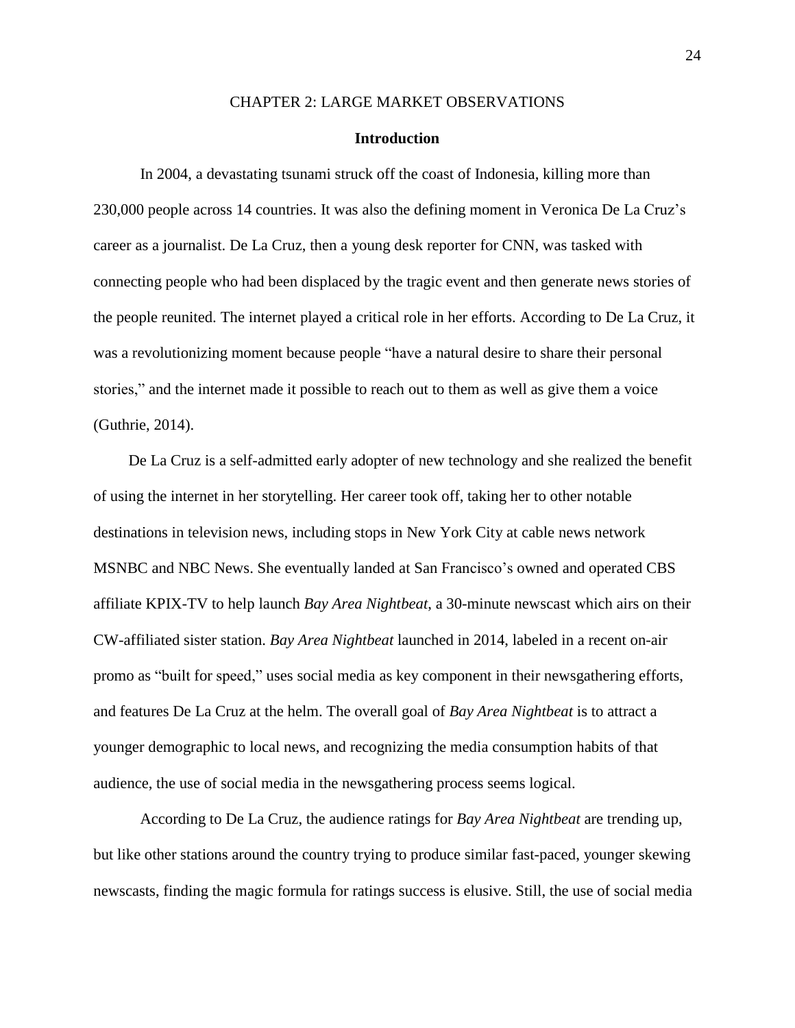#### CHAPTER 2: LARGE MARKET OBSERVATIONS

# **Introduction**

In 2004, a devastating tsunami struck off the coast of Indonesia, killing more than 230,000 people across 14 countries. It was also the defining moment in Veronica De La Cruz's career as a journalist. De La Cruz, then a young desk reporter for CNN, was tasked with connecting people who had been displaced by the tragic event and then generate news stories of the people reunited. The internet played a critical role in her efforts. According to De La Cruz, it was a revolutionizing moment because people "have a natural desire to share their personal stories," and the internet made it possible to reach out to them as well as give them a voice (Guthrie, 2014).

De La Cruz is a self-admitted early adopter of new technology and she realized the benefit of using the internet in her storytelling. Her career took off, taking her to other notable destinations in television news, including stops in New York City at cable news network MSNBC and NBC News. She eventually landed at San Francisco's owned and operated CBS affiliate KPIX-TV to help launch *Bay Area Nightbeat*, a 30-minute newscast which airs on their CW-affiliated sister station. *Bay Area Nightbeat* launched in 2014, labeled in a recent on-air promo as "built for speed," uses social media as key component in their newsgathering efforts, and features De La Cruz at the helm. The overall goal of *Bay Area Nightbeat* is to attract a younger demographic to local news, and recognizing the media consumption habits of that audience, the use of social media in the newsgathering process seems logical.

According to De La Cruz, the audience ratings for *Bay Area Nightbeat* are trending up, but like other stations around the country trying to produce similar fast-paced, younger skewing newscasts, finding the magic formula for ratings success is elusive. Still, the use of social media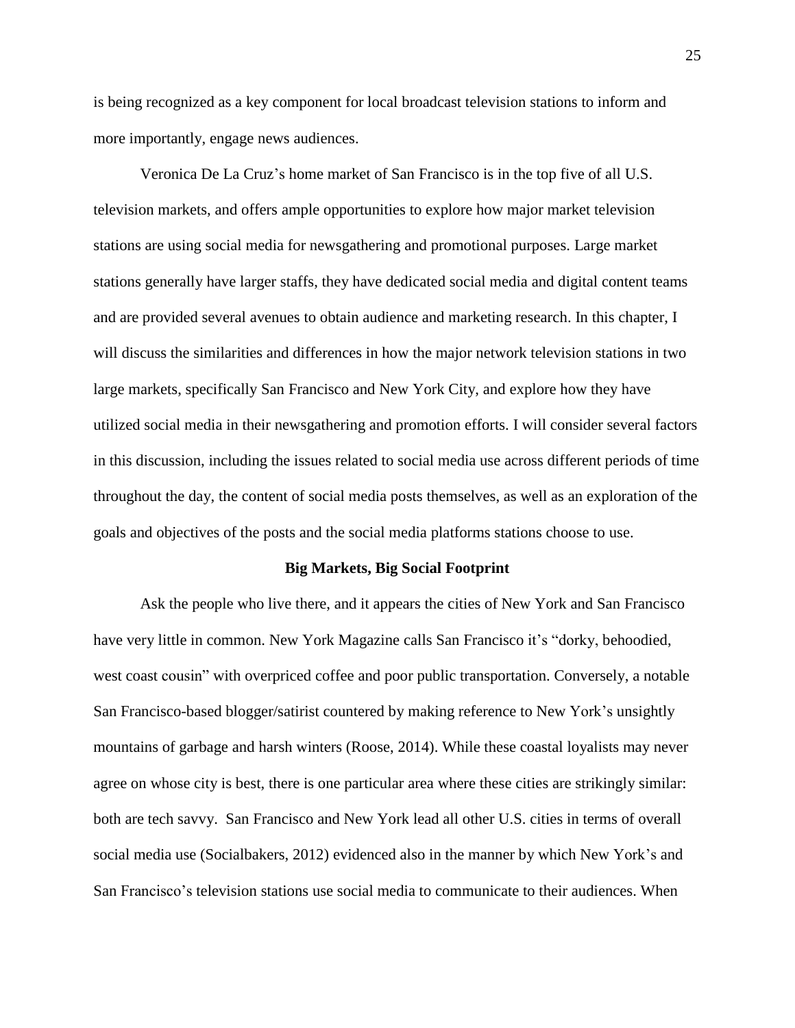is being recognized as a key component for local broadcast television stations to inform and more importantly, engage news audiences.

Veronica De La Cruz's home market of San Francisco is in the top five of all U.S. television markets, and offers ample opportunities to explore how major market television stations are using social media for newsgathering and promotional purposes. Large market stations generally have larger staffs, they have dedicated social media and digital content teams and are provided several avenues to obtain audience and marketing research. In this chapter, I will discuss the similarities and differences in how the major network television stations in two large markets, specifically San Francisco and New York City, and explore how they have utilized social media in their newsgathering and promotion efforts. I will consider several factors in this discussion, including the issues related to social media use across different periods of time throughout the day, the content of social media posts themselves, as well as an exploration of the goals and objectives of the posts and the social media platforms stations choose to use.

#### **Big Markets, Big Social Footprint**

Ask the people who live there, and it appears the cities of New York and San Francisco have very little in common. New York Magazine calls San Francisco it's "dorky, behoodied, west coast cousin" with overpriced coffee and poor public transportation. Conversely, a notable San Francisco-based blogger/satirist countered by making reference to New York's unsightly mountains of garbage and harsh winters (Roose, 2014). While these coastal loyalists may never agree on whose city is best, there is one particular area where these cities are strikingly similar: both are tech savvy. San Francisco and New York lead all other U.S. cities in terms of overall social media use (Socialbakers, 2012) evidenced also in the manner by which New York's and San Francisco's television stations use social media to communicate to their audiences. When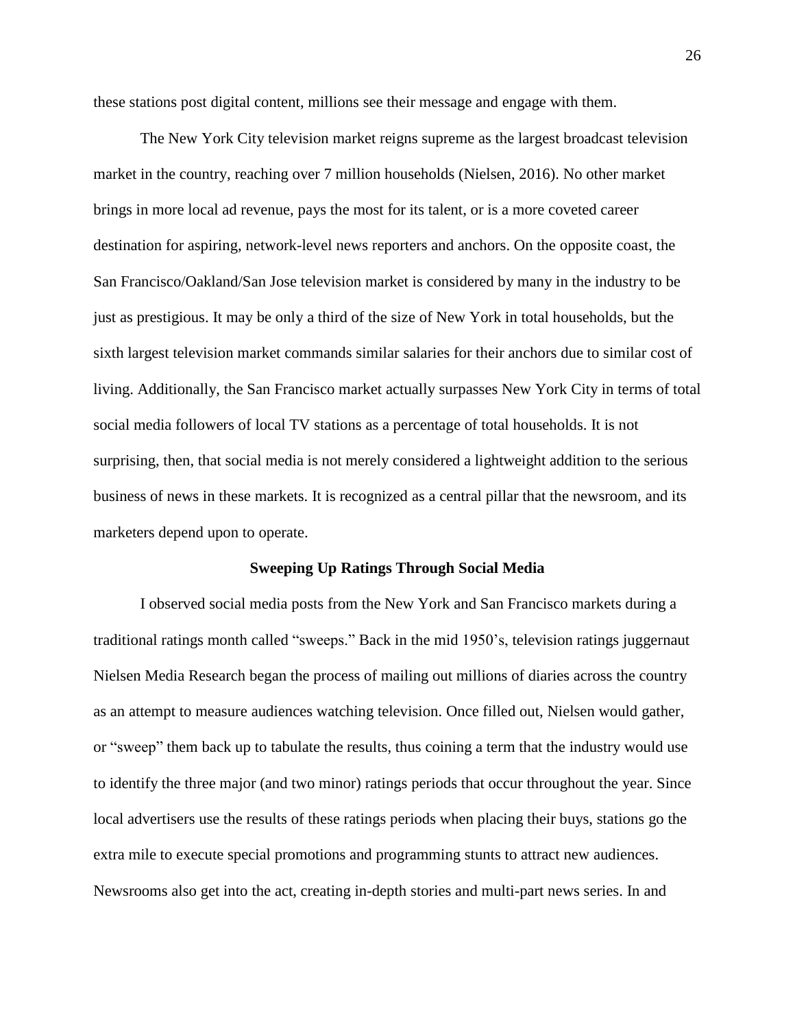these stations post digital content, millions see their message and engage with them.

The New York City television market reigns supreme as the largest broadcast television market in the country, reaching over 7 million households (Nielsen, 2016). No other market brings in more local ad revenue, pays the most for its talent, or is a more coveted career destination for aspiring, network-level news reporters and anchors. On the opposite coast, the San Francisco/Oakland/San Jose television market is considered by many in the industry to be just as prestigious. It may be only a third of the size of New York in total households, but the sixth largest television market commands similar salaries for their anchors due to similar cost of living. Additionally, the San Francisco market actually surpasses New York City in terms of total social media followers of local TV stations as a percentage of total households. It is not surprising, then, that social media is not merely considered a lightweight addition to the serious business of news in these markets. It is recognized as a central pillar that the newsroom, and its marketers depend upon to operate.

#### **Sweeping Up Ratings Through Social Media**

I observed social media posts from the New York and San Francisco markets during a traditional ratings month called "sweeps." Back in the mid 1950's, television ratings juggernaut Nielsen Media Research began the process of mailing out millions of diaries across the country as an attempt to measure audiences watching television. Once filled out, Nielsen would gather, or "sweep" them back up to tabulate the results, thus coining a term that the industry would use to identify the three major (and two minor) ratings periods that occur throughout the year. Since local advertisers use the results of these ratings periods when placing their buys, stations go the extra mile to execute special promotions and programming stunts to attract new audiences. Newsrooms also get into the act, creating in-depth stories and multi-part news series. In and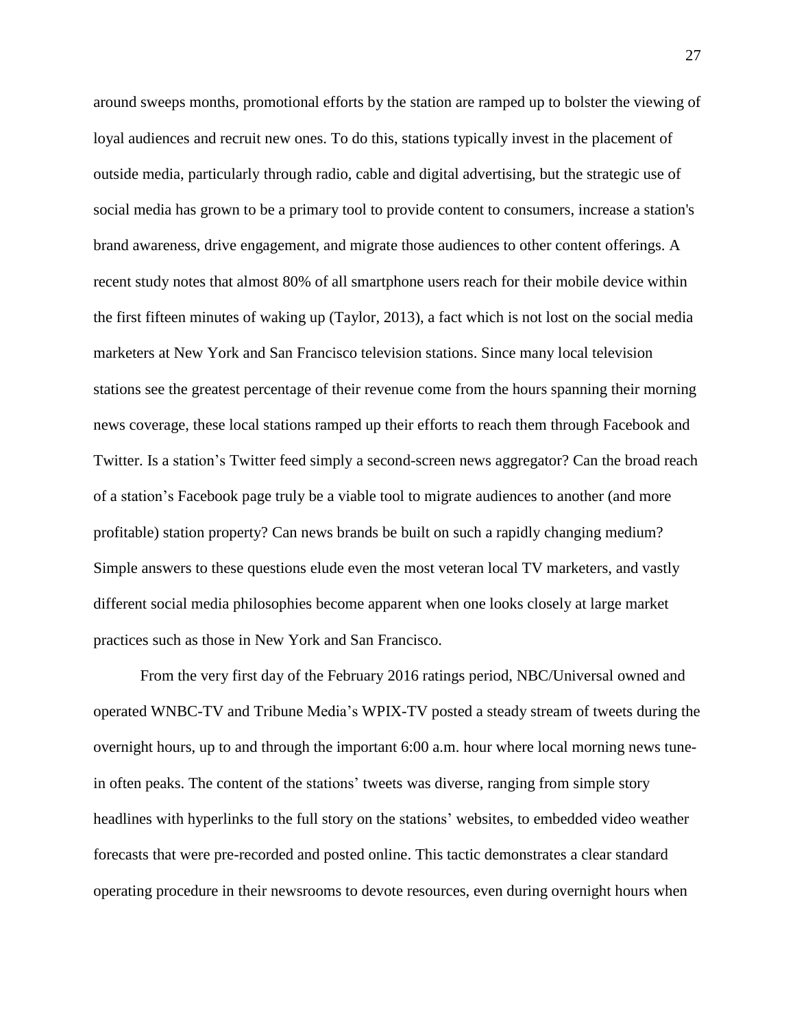around sweeps months, promotional efforts by the station are ramped up to bolster the viewing of loyal audiences and recruit new ones. To do this, stations typically invest in the placement of outside media, particularly through radio, cable and digital advertising, but the strategic use of social media has grown to be a primary tool to provide content to consumers, increase a station's brand awareness, drive engagement, and migrate those audiences to other content offerings. A recent study notes that almost 80% of all smartphone users reach for their mobile device within the first fifteen minutes of waking up (Taylor, 2013), a fact which is not lost on the social media marketers at New York and San Francisco television stations. Since many local television stations see the greatest percentage of their revenue come from the hours spanning their morning news coverage, these local stations ramped up their efforts to reach them through Facebook and Twitter. Is a station's Twitter feed simply a second-screen news aggregator? Can the broad reach of a station's Facebook page truly be a viable tool to migrate audiences to another (and more profitable) station property? Can news brands be built on such a rapidly changing medium? Simple answers to these questions elude even the most veteran local TV marketers, and vastly different social media philosophies become apparent when one looks closely at large market practices such as those in New York and San Francisco.

From the very first day of the February 2016 ratings period, NBC/Universal owned and operated WNBC-TV and Tribune Media's WPIX-TV posted a steady stream of tweets during the overnight hours, up to and through the important 6:00 a.m. hour where local morning news tunein often peaks. The content of the stations' tweets was diverse, ranging from simple story headlines with hyperlinks to the full story on the stations' websites, to embedded video weather forecasts that were pre-recorded and posted online. This tactic demonstrates a clear standard operating procedure in their newsrooms to devote resources, even during overnight hours when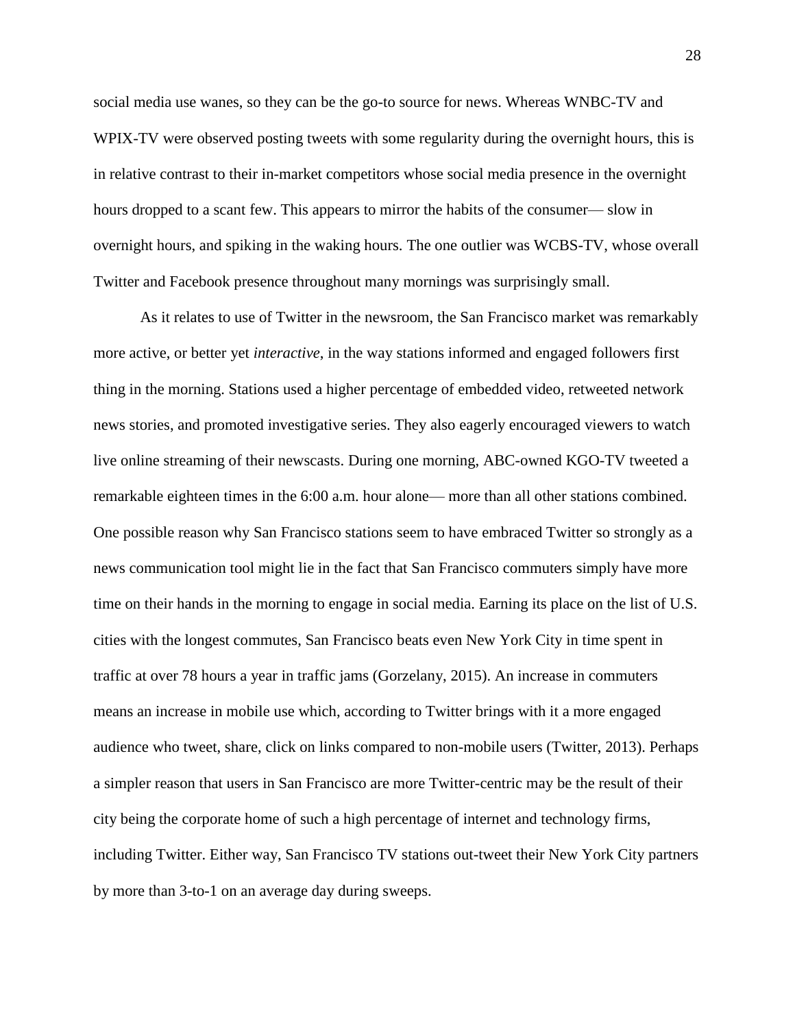social media use wanes, so they can be the go-to source for news. Whereas WNBC-TV and WPIX-TV were observed posting tweets with some regularity during the overnight hours, this is in relative contrast to their in-market competitors whose social media presence in the overnight hours dropped to a scant few. This appears to mirror the habits of the consumer— slow in overnight hours, and spiking in the waking hours. The one outlier was WCBS-TV, whose overall Twitter and Facebook presence throughout many mornings was surprisingly small.

As it relates to use of Twitter in the newsroom, the San Francisco market was remarkably more active, or better yet *interactive*, in the way stations informed and engaged followers first thing in the morning. Stations used a higher percentage of embedded video, retweeted network news stories, and promoted investigative series. They also eagerly encouraged viewers to watch live online streaming of their newscasts. During one morning, ABC-owned KGO-TV tweeted a remarkable eighteen times in the 6:00 a.m. hour alone— more than all other stations combined. One possible reason why San Francisco stations seem to have embraced Twitter so strongly as a news communication tool might lie in the fact that San Francisco commuters simply have more time on their hands in the morning to engage in social media. Earning its place on the list of U.S. cities with the longest commutes, San Francisco beats even New York City in time spent in traffic at over 78 hours a year in traffic jams (Gorzelany, 2015). An increase in commuters means an increase in mobile use which, according to Twitter brings with it a more engaged audience who tweet, share, click on links compared to non-mobile users (Twitter, 2013). Perhaps a simpler reason that users in San Francisco are more Twitter-centric may be the result of their city being the corporate home of such a high percentage of internet and technology firms, including Twitter. Either way, San Francisco TV stations out-tweet their New York City partners by more than 3-to-1 on an average day during sweeps.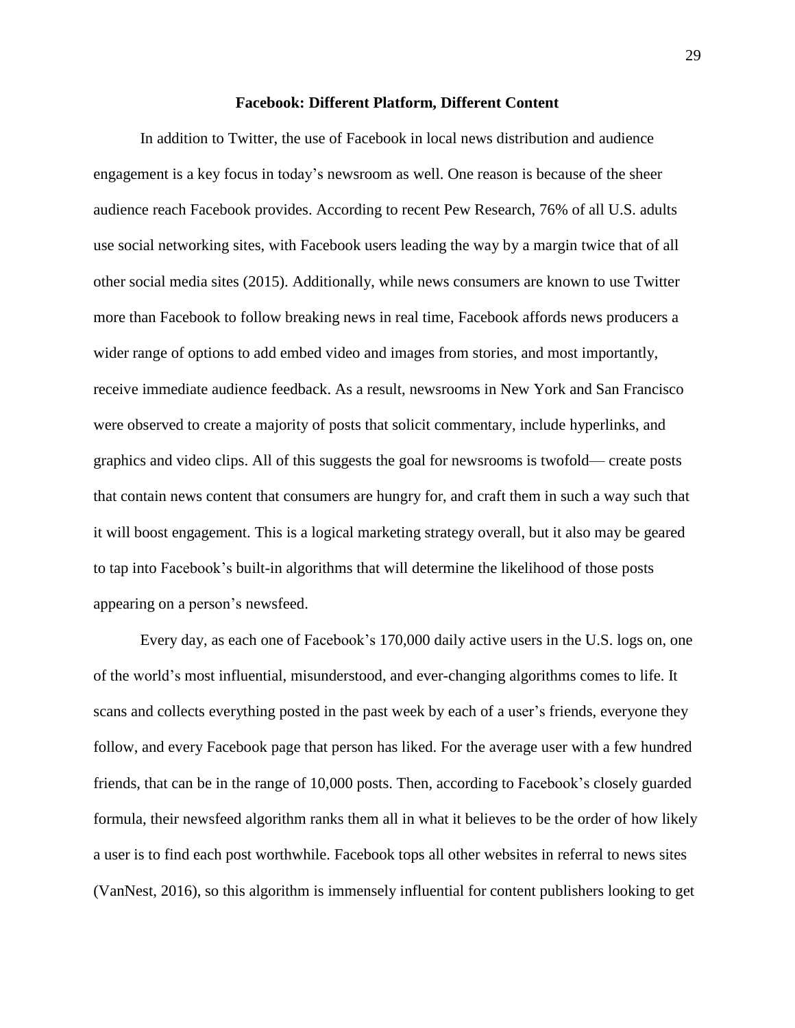# **Facebook: Different Platform, Different Content**

In addition to Twitter, the use of Facebook in local news distribution and audience engagement is a key focus in today's newsroom as well. One reason is because of the sheer audience reach Facebook provides. According to recent Pew Research, 76% of all U.S. adults use social networking sites, with Facebook users leading the way by a margin twice that of all other social media sites (2015). Additionally, while news consumers are known to use Twitter more than Facebook to follow breaking news in real time, Facebook affords news producers a wider range of options to add embed video and images from stories, and most importantly, receive immediate audience feedback. As a result, newsrooms in New York and San Francisco were observed to create a majority of posts that solicit commentary, include hyperlinks, and graphics and video clips. All of this suggests the goal for newsrooms is twofold— create posts that contain news content that consumers are hungry for, and craft them in such a way such that it will boost engagement. This is a logical marketing strategy overall, but it also may be geared to tap into Facebook's built-in algorithms that will determine the likelihood of those posts appearing on a person's newsfeed.

Every day, as each one of Facebook's 170,000 daily active users in the U.S. logs on, one of the world's most influential, misunderstood, and ever-changing algorithms comes to life. It scans and collects everything posted in the past week by each of a user's friends, everyone they follow, and every Facebook page that person has liked. For the average user with a few hundred friends, that can be in the range of 10,000 posts. Then, according to Facebook's closely guarded formula, their newsfeed algorithm ranks them all in what it believes to be the order of how likely a user is to find each post worthwhile. Facebook tops all other websites in referral to news sites (VanNest, 2016), so this algorithm is immensely influential for content publishers looking to get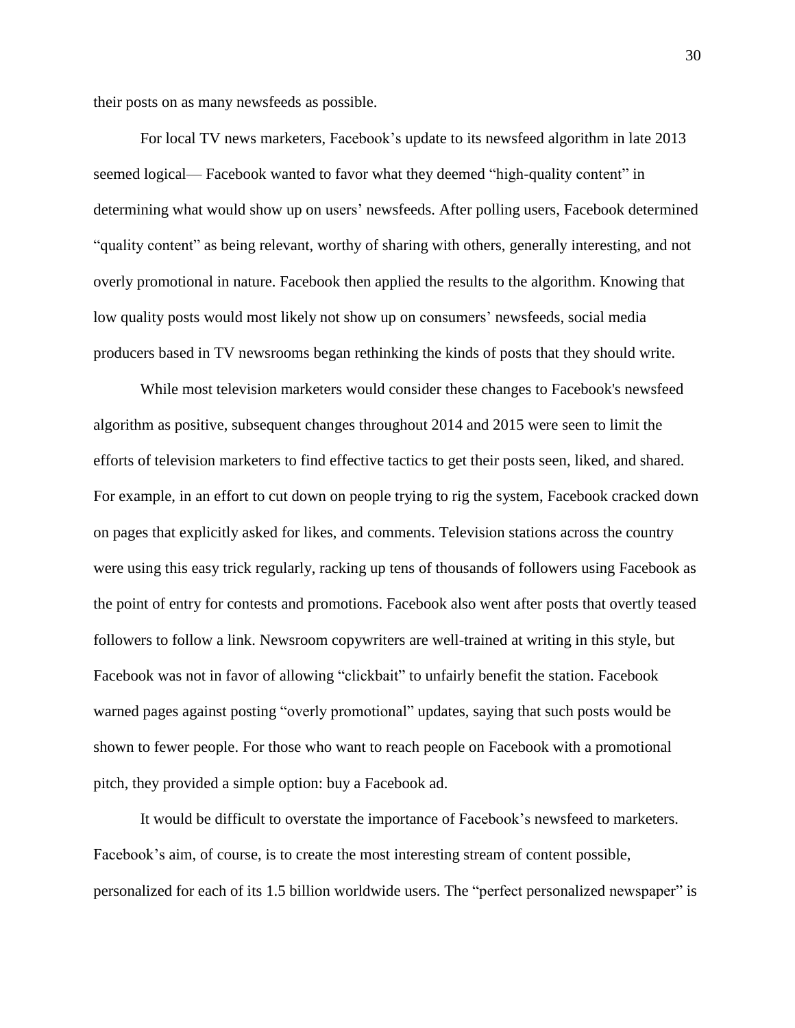their posts on as many newsfeeds as possible.

For local TV news marketers, Facebook's update to its newsfeed algorithm in late 2013 seemed logical— Facebook wanted to favor what they deemed "high-quality content" in determining what would show up on users' newsfeeds. After polling users, Facebook determined "quality content" as being relevant, worthy of sharing with others, generally interesting, and not overly promotional in nature. Facebook then applied the results to the algorithm. Knowing that low quality posts would most likely not show up on consumers' newsfeeds, social media producers based in TV newsrooms began rethinking the kinds of posts that they should write.

While most television marketers would consider these changes to Facebook's newsfeed algorithm as positive, subsequent changes throughout 2014 and 2015 were seen to limit the efforts of television marketers to find effective tactics to get their posts seen, liked, and shared. For example, in an effort to cut down on people trying to rig the system, Facebook cracked down on pages that explicitly asked for likes, and comments. Television stations across the country were using this easy trick regularly, racking up tens of thousands of followers using Facebook as the point of entry for contests and promotions. Facebook also went after posts that overtly teased followers to follow a link. Newsroom copywriters are well-trained at writing in this style, but Facebook was not in favor of allowing "clickbait" to unfairly benefit the station. Facebook warned pages against posting "overly promotional" updates, saying that such posts would be shown to fewer people. For those who want to reach people on Facebook with a promotional pitch, they provided a simple option: buy a Facebook ad.

It would be difficult to overstate the importance of Facebook's newsfeed to marketers. Facebook's aim, of course, is to create the most interesting stream of content possible, personalized for each of its 1.5 billion worldwide users. The "perfect personalized newspaper" is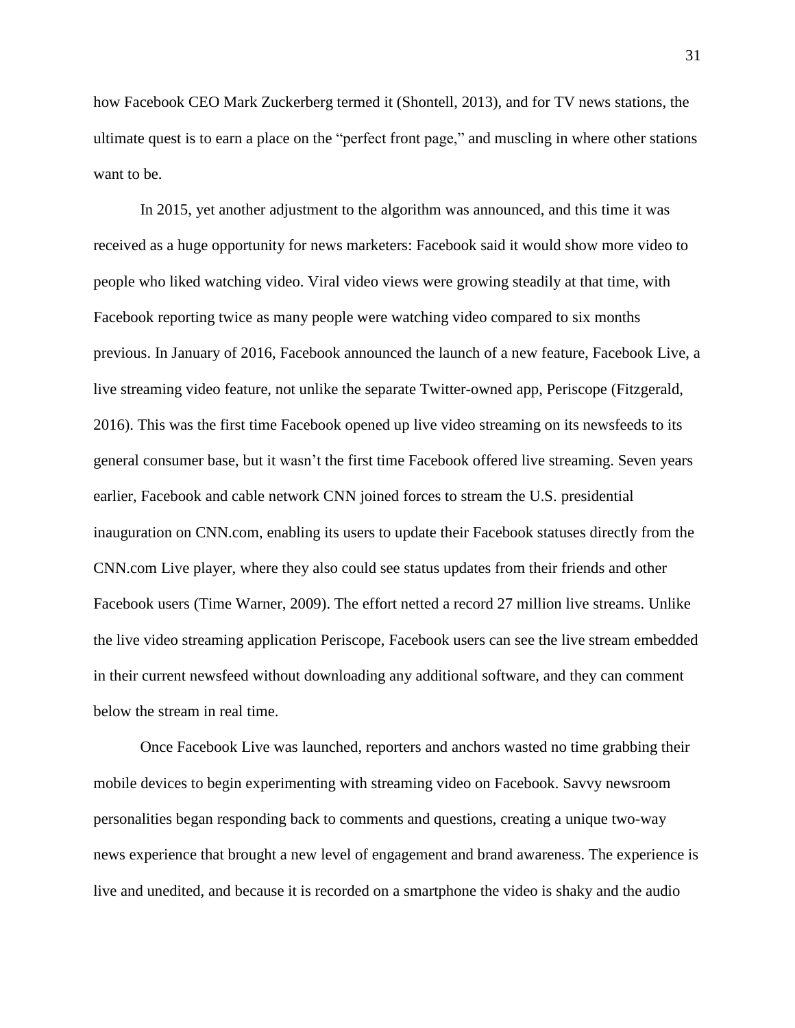how Facebook CEO Mark Zuckerberg termed it (Shontell, 2013), and for TV news stations, the ultimate quest is to earn a place on the "perfect front page," and muscling in where other stations want to be.

In 2015, yet another adjustment to the algorithm was announced, and this time it was received as a huge opportunity for news marketers: Facebook said it would show more video to people who liked watching video. Viral video views were growing steadily at that time, with Facebook reporting twice as many people were watching video compared to six months previous. In January of 2016, Facebook announced the launch of a new feature, Facebook Live, a live streaming video feature, not unlike the separate Twitter-owned app, Periscope (Fitzgerald, 2016). This was the first time Facebook opened up live video streaming on its newsfeeds to its general consumer base, but it wasn't the first time Facebook offered live streaming. Seven years earlier, Facebook and cable network CNN joined forces to stream the U.S. presidential inauguration on CNN.com, enabling its users to update their Facebook statuses directly from the CNN.com Live player, where they also could see status updates from their friends and other Facebook users (Time Warner, 2009). The effort netted a record 27 million live streams. Unlike the live video streaming application Periscope, Facebook users can see the live stream embedded in their current newsfeed without downloading any additional software, and they can comment below the stream in real time.

Once Facebook Live was launched, reporters and anchors wasted no time grabbing their mobile devices to begin experimenting with streaming video on Facebook. Savvy newsroom personalities began responding back to comments and questions, creating a unique two-way news experience that brought a new level of engagement and brand awareness. The experience is live and unedited, and because it is recorded on a smartphone the video is shaky and the audio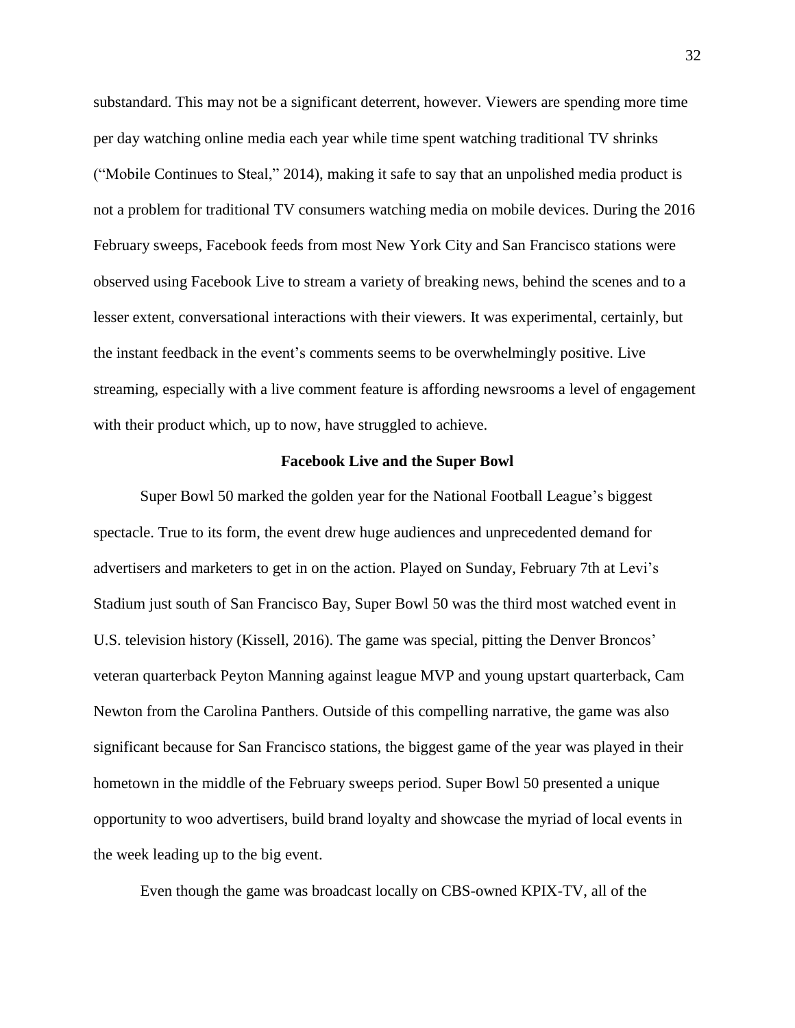substandard. This may not be a significant deterrent, however. Viewers are spending more time per day watching online media each year while time spent watching traditional TV shrinks ("Mobile Continues to Steal," 2014), making it safe to say that an unpolished media product is not a problem for traditional TV consumers watching media on mobile devices. During the 2016 February sweeps, Facebook feeds from most New York City and San Francisco stations were observed using Facebook Live to stream a variety of breaking news, behind the scenes and to a lesser extent, conversational interactions with their viewers. It was experimental, certainly, but the instant feedback in the event's comments seems to be overwhelmingly positive. Live streaming, especially with a live comment feature is affording newsrooms a level of engagement with their product which, up to now, have struggled to achieve.

### **Facebook Live and the Super Bowl**

Super Bowl 50 marked the golden year for the National Football League's biggest spectacle. True to its form, the event drew huge audiences and unprecedented demand for advertisers and marketers to get in on the action. Played on Sunday, February 7th at Levi's Stadium just south of San Francisco Bay, Super Bowl 50 was the third most watched event in U.S. television history (Kissell, 2016). The game was special, pitting the Denver Broncos' veteran quarterback Peyton Manning against league MVP and young upstart quarterback, Cam Newton from the Carolina Panthers. Outside of this compelling narrative, the game was also significant because for San Francisco stations, the biggest game of the year was played in their hometown in the middle of the February sweeps period. Super Bowl 50 presented a unique opportunity to woo advertisers, build brand loyalty and showcase the myriad of local events in the week leading up to the big event.

Even though the game was broadcast locally on CBS-owned KPIX-TV, all of the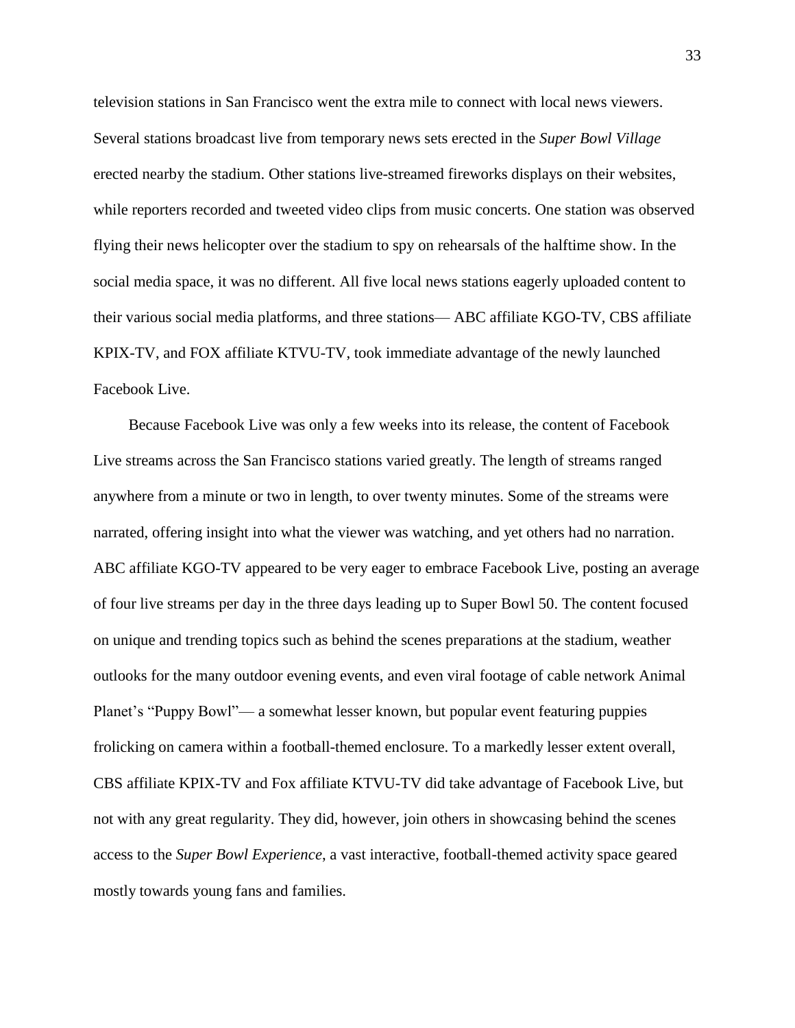television stations in San Francisco went the extra mile to connect with local news viewers. Several stations broadcast live from temporary news sets erected in the *Super Bowl Village* erected nearby the stadium. Other stations live-streamed fireworks displays on their websites, while reporters recorded and tweeted video clips from music concerts. One station was observed flying their news helicopter over the stadium to spy on rehearsals of the halftime show. In the social media space, it was no different. All five local news stations eagerly uploaded content to their various social media platforms, and three stations— ABC affiliate KGO-TV, CBS affiliate KPIX-TV, and FOX affiliate KTVU-TV, took immediate advantage of the newly launched Facebook Live.

Because Facebook Live was only a few weeks into its release, the content of Facebook Live streams across the San Francisco stations varied greatly. The length of streams ranged anywhere from a minute or two in length, to over twenty minutes. Some of the streams were narrated, offering insight into what the viewer was watching, and yet others had no narration. ABC affiliate KGO-TV appeared to be very eager to embrace Facebook Live, posting an average of four live streams per day in the three days leading up to Super Bowl 50. The content focused on unique and trending topics such as behind the scenes preparations at the stadium, weather outlooks for the many outdoor evening events, and even viral footage of cable network Animal Planet's "Puppy Bowl"— a somewhat lesser known, but popular event featuring puppies frolicking on camera within a football-themed enclosure. To a markedly lesser extent overall, CBS affiliate KPIX-TV and Fox affiliate KTVU-TV did take advantage of Facebook Live, but not with any great regularity. They did, however, join others in showcasing behind the scenes access to the *Super Bowl Experience*, a vast interactive, football-themed activity space geared mostly towards young fans and families.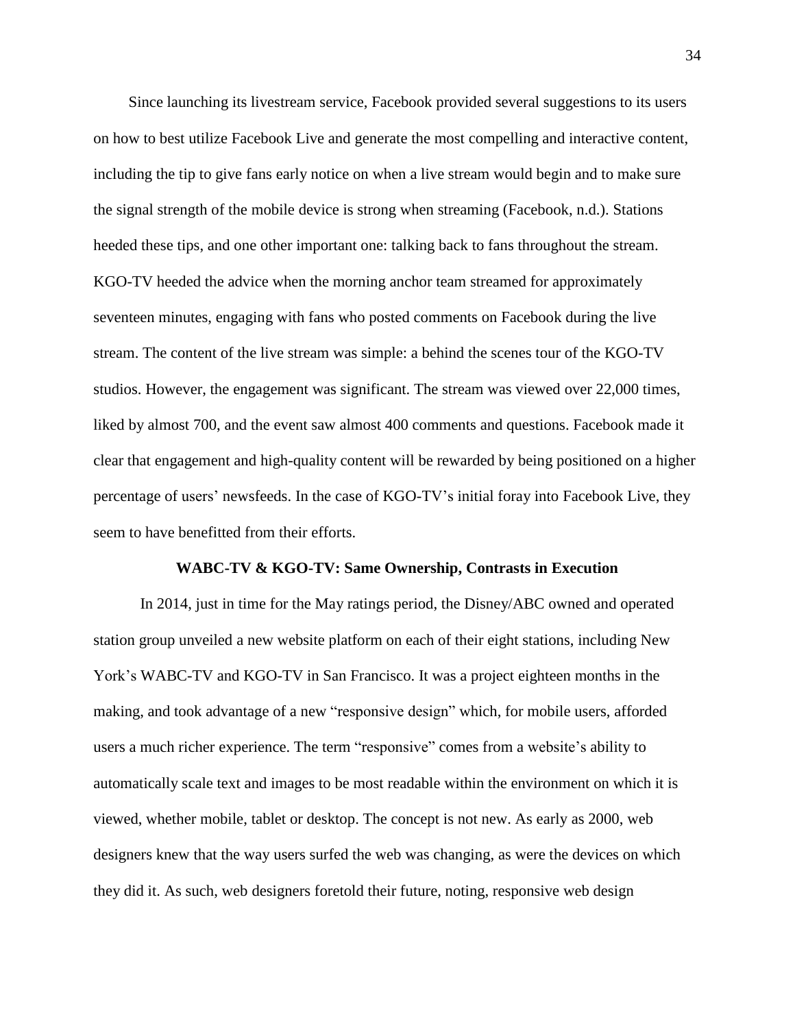Since launching its livestream service, Facebook provided several suggestions to its users on how to best utilize Facebook Live and generate the most compelling and interactive content, including the tip to give fans early notice on when a live stream would begin and to make sure the signal strength of the mobile device is strong when streaming (Facebook, n.d.). Stations heeded these tips, and one other important one: talking back to fans throughout the stream. KGO-TV heeded the advice when the morning anchor team streamed for approximately seventeen minutes, engaging with fans who posted comments on Facebook during the live stream. The content of the live stream was simple: a behind the scenes tour of the KGO-TV studios. However, the engagement was significant. The stream was viewed over 22,000 times, liked by almost 700, and the event saw almost 400 comments and questions. Facebook made it clear that engagement and high-quality content will be rewarded by being positioned on a higher percentage of users' newsfeeds. In the case of KGO-TV's initial foray into Facebook Live, they seem to have benefitted from their efforts.

### **WABC-TV & KGO-TV: Same Ownership, Contrasts in Execution**

In 2014, just in time for the May ratings period, the Disney/ABC owned and operated station group unveiled a new website platform on each of their eight stations, including New York's WABC-TV and KGO-TV in San Francisco. It was a project eighteen months in the making, and took advantage of a new "responsive design" which, for mobile users, afforded users a much richer experience. The term "responsive" comes from a website's ability to automatically scale text and images to be most readable within the environment on which it is viewed, whether mobile, tablet or desktop. The concept is not new. As early as 2000, web designers knew that the way users surfed the web was changing, as were the devices on which they did it. As such, web designers foretold their future, noting, responsive web design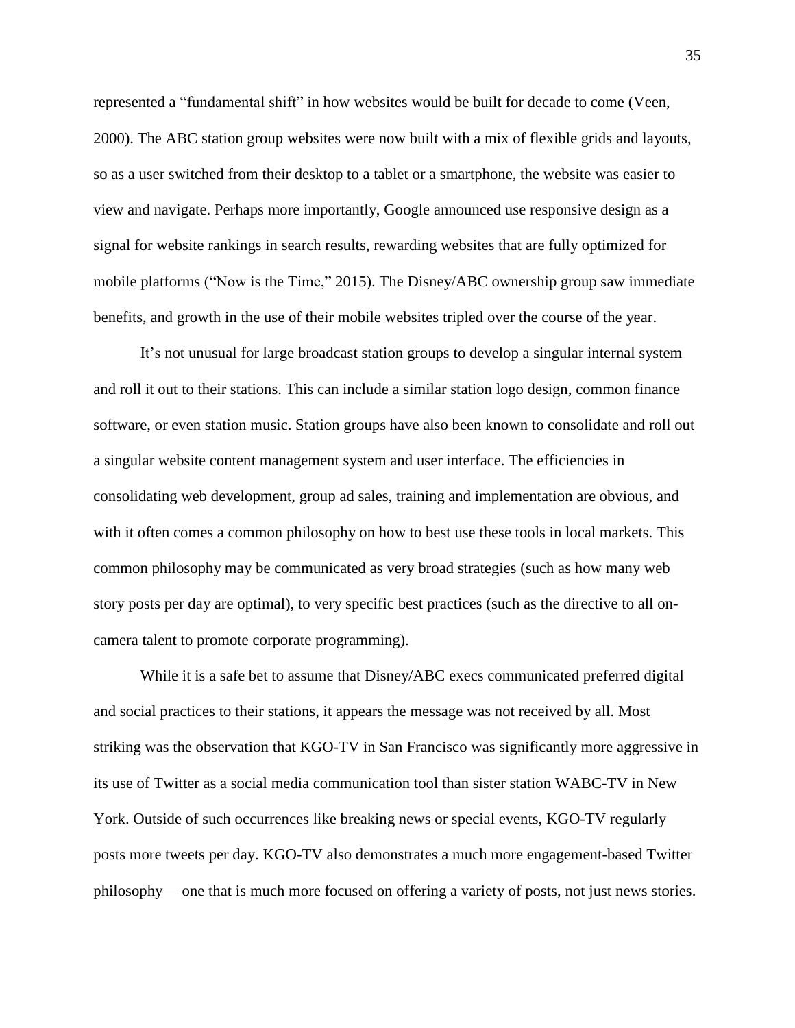represented a "fundamental shift" in how websites would be built for decade to come (Veen, 2000). The ABC station group websites were now built with a mix of flexible grids and layouts, so as a user switched from their desktop to a tablet or a smartphone, the website was easier to view and navigate. Perhaps more importantly, Google announced use responsive design as a signal for website rankings in search results, rewarding websites that are fully optimized for mobile platforms ("Now is the Time," 2015). The Disney/ABC ownership group saw immediate benefits, and growth in the use of their mobile websites tripled over the course of the year.

It's not unusual for large broadcast station groups to develop a singular internal system and roll it out to their stations. This can include a similar station logo design, common finance software, or even station music. Station groups have also been known to consolidate and roll out a singular website content management system and user interface. The efficiencies in consolidating web development, group ad sales, training and implementation are obvious, and with it often comes a common philosophy on how to best use these tools in local markets. This common philosophy may be communicated as very broad strategies (such as how many web story posts per day are optimal), to very specific best practices (such as the directive to all oncamera talent to promote corporate programming).

While it is a safe bet to assume that Disney/ABC execs communicated preferred digital and social practices to their stations, it appears the message was not received by all. Most striking was the observation that KGO-TV in San Francisco was significantly more aggressive in its use of Twitter as a social media communication tool than sister station WABC-TV in New York. Outside of such occurrences like breaking news or special events, KGO-TV regularly posts more tweets per day. KGO-TV also demonstrates a much more engagement-based Twitter philosophy— one that is much more focused on offering a variety of posts, not just news stories.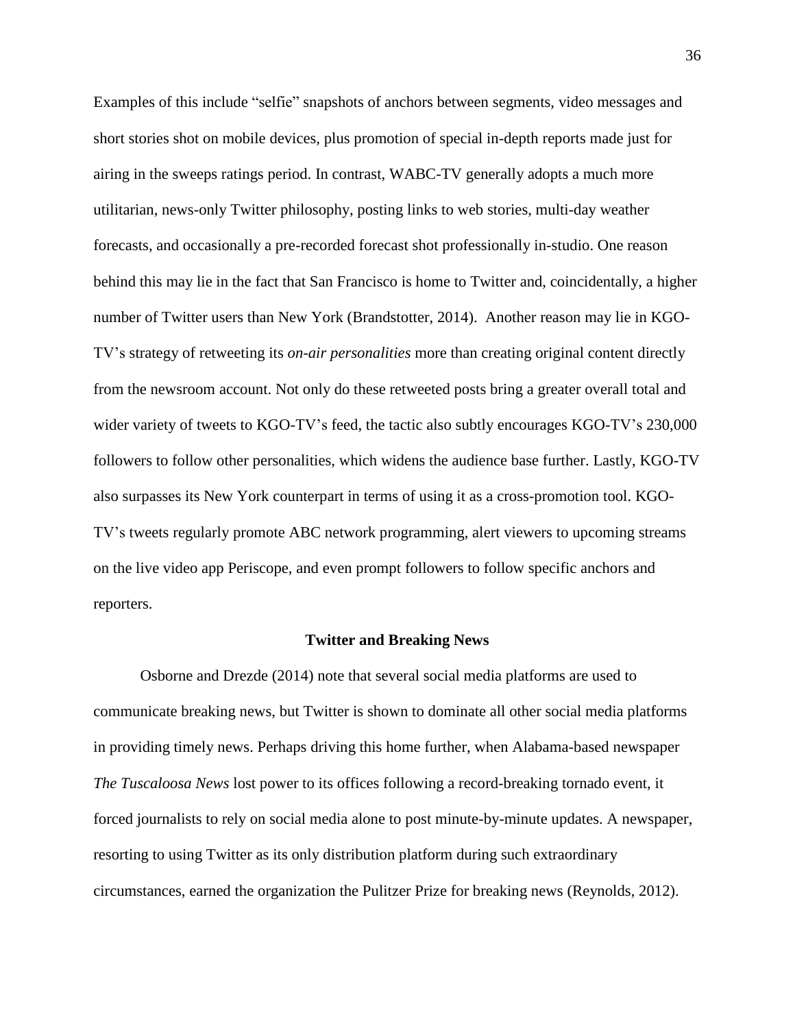Examples of this include "selfie" snapshots of anchors between segments, video messages and short stories shot on mobile devices, plus promotion of special in-depth reports made just for airing in the sweeps ratings period. In contrast, WABC-TV generally adopts a much more utilitarian, news-only Twitter philosophy, posting links to web stories, multi-day weather forecasts, and occasionally a pre-recorded forecast shot professionally in-studio. One reason behind this may lie in the fact that San Francisco is home to Twitter and, coincidentally, a higher number of Twitter users than New York (Brandstotter, 2014). Another reason may lie in KGO-TV's strategy of retweeting its *on-air personalities* more than creating original content directly from the newsroom account. Not only do these retweeted posts bring a greater overall total and wider variety of tweets to KGO-TV's feed, the tactic also subtly encourages KGO-TV's 230,000 followers to follow other personalities, which widens the audience base further. Lastly, KGO-TV also surpasses its New York counterpart in terms of using it as a cross-promotion tool. KGO-TV's tweets regularly promote ABC network programming, alert viewers to upcoming streams on the live video app Periscope, and even prompt followers to follow specific anchors and reporters.

#### **Twitter and Breaking News**

Osborne and Drezde (2014) note that several social media platforms are used to communicate breaking news, but Twitter is shown to dominate all other social media platforms in providing timely news. Perhaps driving this home further, when Alabama-based newspaper *The Tuscaloosa News* lost power to its offices following a record-breaking tornado event, it forced journalists to rely on social media alone to post minute-by-minute updates. A newspaper, resorting to using Twitter as its only distribution platform during such extraordinary circumstances, earned the organization the Pulitzer Prize for breaking news (Reynolds, 2012).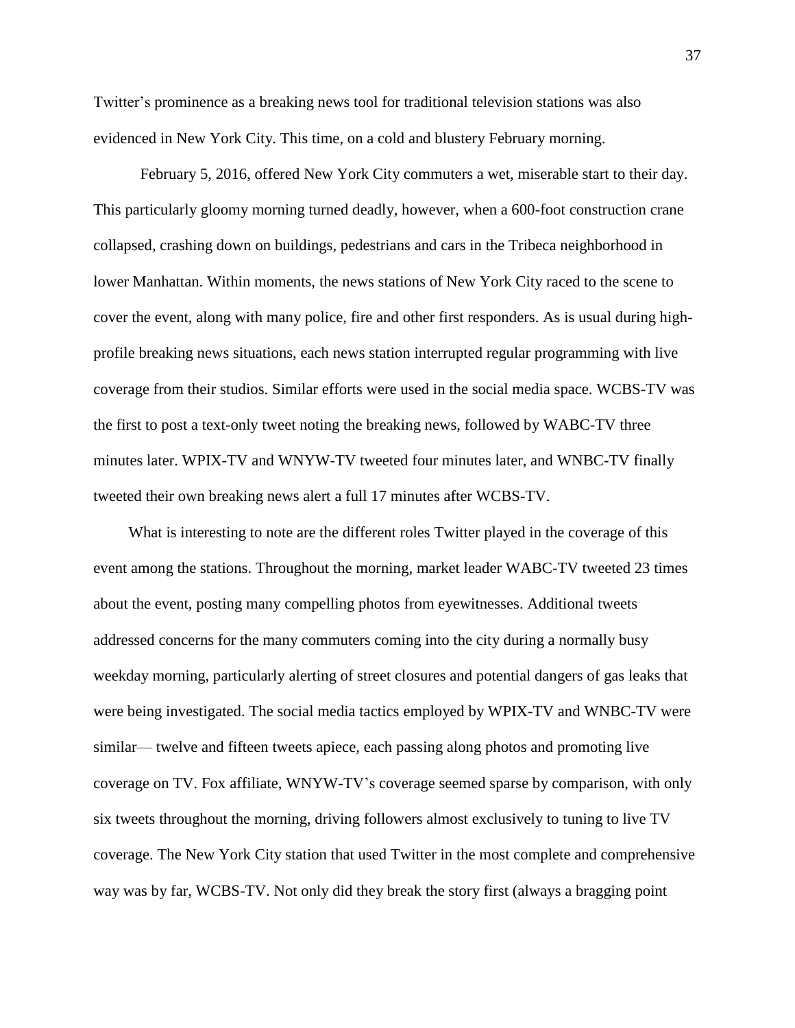Twitter's prominence as a breaking news tool for traditional television stations was also evidenced in New York City. This time, on a cold and blustery February morning.

February 5, 2016, offered New York City commuters a wet, miserable start to their day. This particularly gloomy morning turned deadly, however, when a 600-foot construction crane collapsed, crashing down on buildings, pedestrians and cars in the Tribeca neighborhood in lower Manhattan. Within moments, the news stations of New York City raced to the scene to cover the event, along with many police, fire and other first responders. As is usual during highprofile breaking news situations, each news station interrupted regular programming with live coverage from their studios. Similar efforts were used in the social media space. WCBS-TV was the first to post a text-only tweet noting the breaking news, followed by WABC-TV three minutes later. WPIX-TV and WNYW-TV tweeted four minutes later, and WNBC-TV finally tweeted their own breaking news alert a full 17 minutes after WCBS-TV.

What is interesting to note are the different roles Twitter played in the coverage of this event among the stations. Throughout the morning, market leader WABC-TV tweeted 23 times about the event, posting many compelling photos from eyewitnesses. Additional tweets addressed concerns for the many commuters coming into the city during a normally busy weekday morning, particularly alerting of street closures and potential dangers of gas leaks that were being investigated. The social media tactics employed by WPIX-TV and WNBC-TV were similar— twelve and fifteen tweets apiece, each passing along photos and promoting live coverage on TV. Fox affiliate, WNYW-TV's coverage seemed sparse by comparison, with only six tweets throughout the morning, driving followers almost exclusively to tuning to live TV coverage. The New York City station that used Twitter in the most complete and comprehensive way was by far, WCBS-TV. Not only did they break the story first (always a bragging point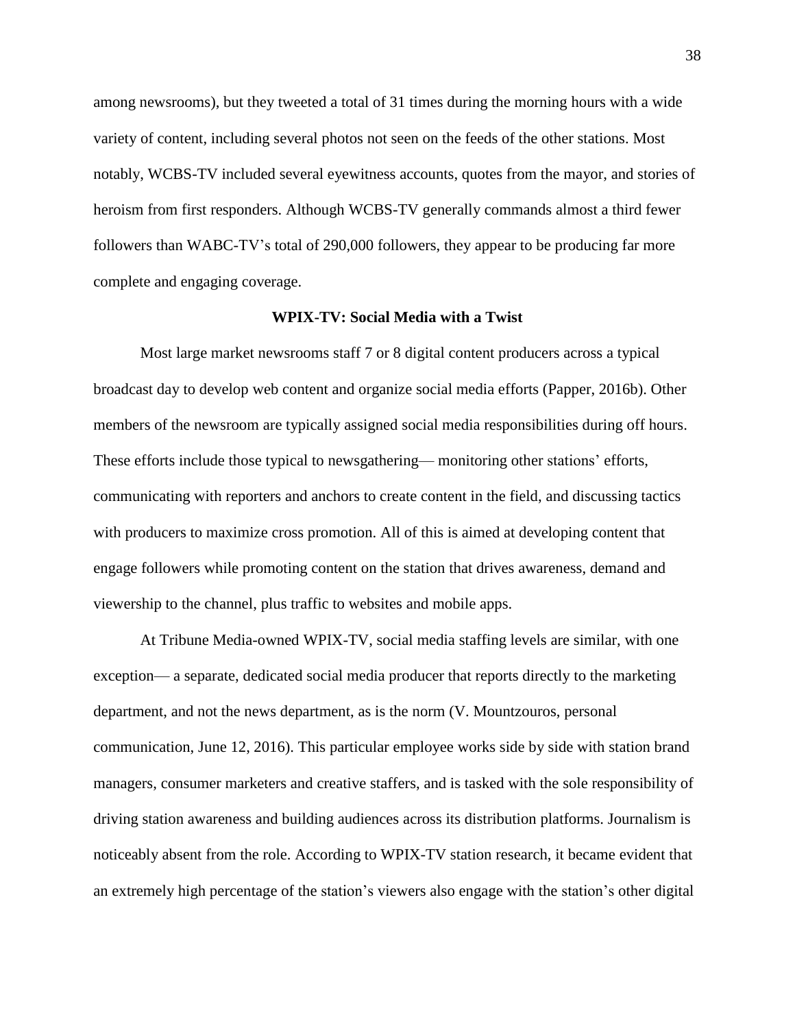among newsrooms), but they tweeted a total of 31 times during the morning hours with a wide variety of content, including several photos not seen on the feeds of the other stations. Most notably, WCBS-TV included several eyewitness accounts, quotes from the mayor, and stories of heroism from first responders. Although WCBS-TV generally commands almost a third fewer followers than WABC-TV's total of 290,000 followers, they appear to be producing far more complete and engaging coverage.

### **WPIX-TV: Social Media with a Twist**

Most large market newsrooms staff 7 or 8 digital content producers across a typical broadcast day to develop web content and organize social media efforts (Papper, 2016b). Other members of the newsroom are typically assigned social media responsibilities during off hours. These efforts include those typical to newsgathering— monitoring other stations' efforts, communicating with reporters and anchors to create content in the field, and discussing tactics with producers to maximize cross promotion. All of this is aimed at developing content that engage followers while promoting content on the station that drives awareness, demand and viewership to the channel, plus traffic to websites and mobile apps.

At Tribune Media-owned WPIX-TV, social media staffing levels are similar, with one exception— a separate, dedicated social media producer that reports directly to the marketing department, and not the news department, as is the norm (V. Mountzouros, personal communication, June 12, 2016). This particular employee works side by side with station brand managers, consumer marketers and creative staffers, and is tasked with the sole responsibility of driving station awareness and building audiences across its distribution platforms. Journalism is noticeably absent from the role. According to WPIX-TV station research, it became evident that an extremely high percentage of the station's viewers also engage with the station's other digital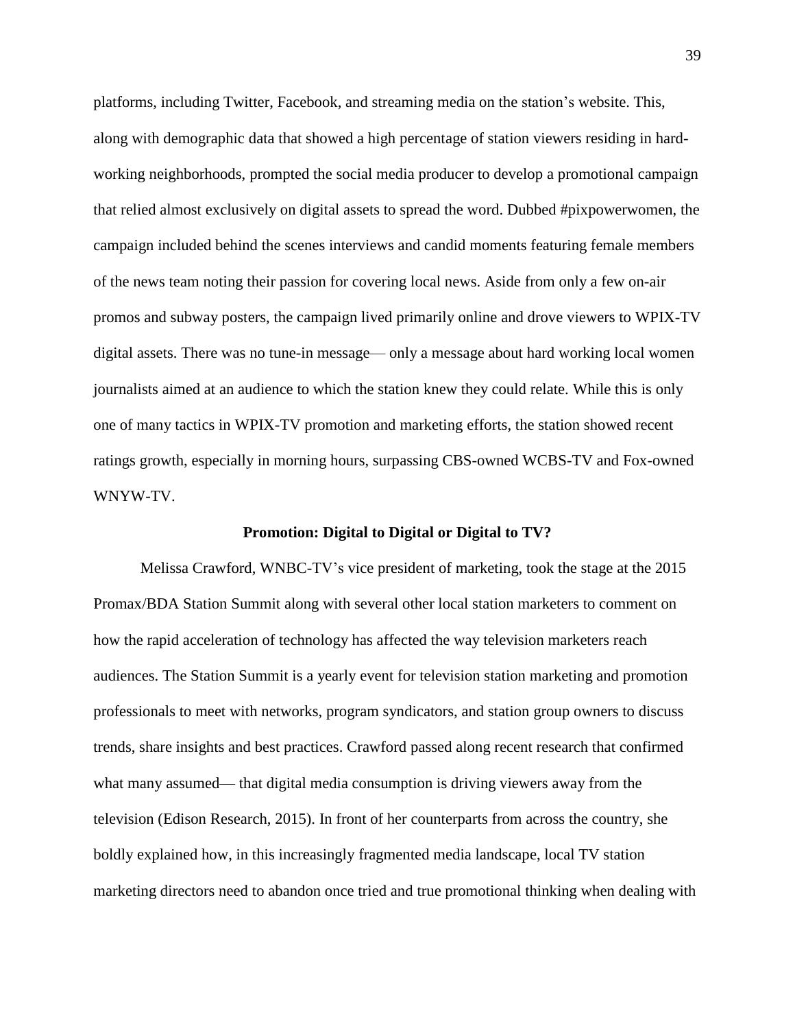platforms, including Twitter, Facebook, and streaming media on the station's website. This, along with demographic data that showed a high percentage of station viewers residing in hardworking neighborhoods, prompted the social media producer to develop a promotional campaign that relied almost exclusively on digital assets to spread the word. Dubbed #pixpowerwomen, the campaign included behind the scenes interviews and candid moments featuring female members of the news team noting their passion for covering local news. Aside from only a few on-air promos and subway posters, the campaign lived primarily online and drove viewers to WPIX-TV digital assets. There was no tune-in message— only a message about hard working local women journalists aimed at an audience to which the station knew they could relate. While this is only one of many tactics in WPIX-TV promotion and marketing efforts, the station showed recent ratings growth, especially in morning hours, surpassing CBS-owned WCBS-TV and Fox-owned WNYW-TV.

## **Promotion: Digital to Digital or Digital to TV?**

Melissa Crawford, WNBC-TV's vice president of marketing, took the stage at the 2015 Promax/BDA Station Summit along with several other local station marketers to comment on how the rapid acceleration of technology has affected the way television marketers reach audiences. The Station Summit is a yearly event for television station marketing and promotion professionals to meet with networks, program syndicators, and station group owners to discuss trends, share insights and best practices. Crawford passed along recent research that confirmed what many assumed— that digital media consumption is driving viewers away from the television (Edison Research, 2015). In front of her counterparts from across the country, she boldly explained how, in this increasingly fragmented media landscape, local TV station marketing directors need to abandon once tried and true promotional thinking when dealing with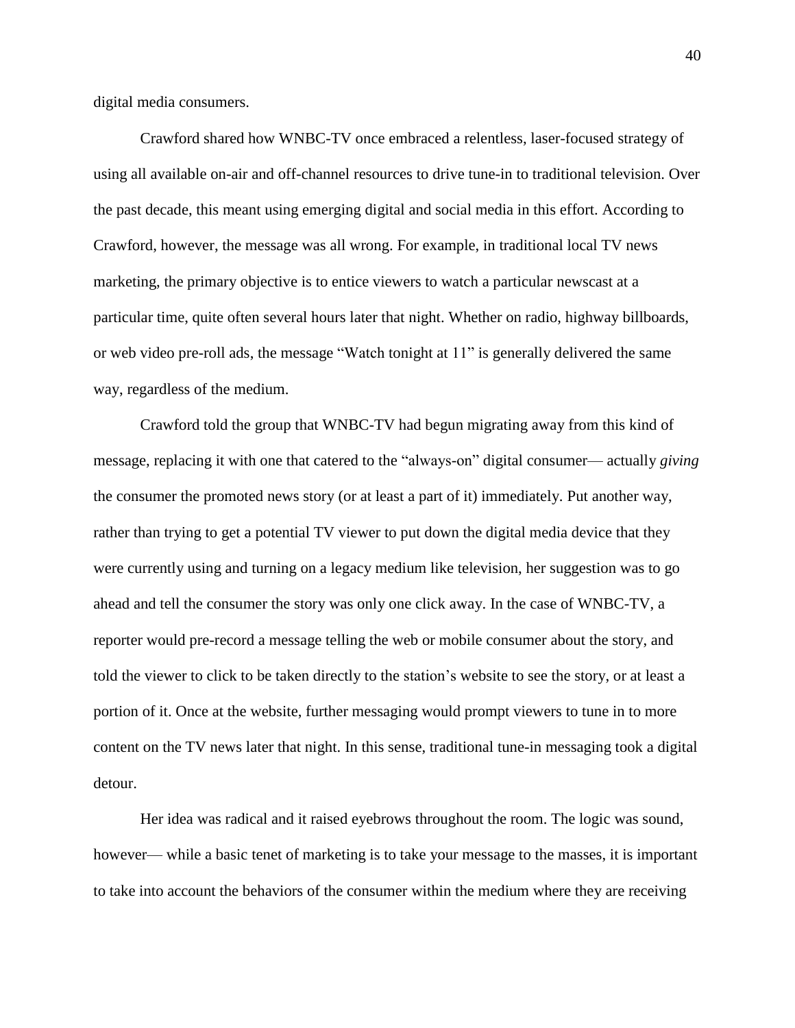digital media consumers.

Crawford shared how WNBC-TV once embraced a relentless, laser-focused strategy of using all available on-air and off-channel resources to drive tune-in to traditional television. Over the past decade, this meant using emerging digital and social media in this effort. According to Crawford, however, the message was all wrong. For example, in traditional local TV news marketing, the primary objective is to entice viewers to watch a particular newscast at a particular time, quite often several hours later that night. Whether on radio, highway billboards, or web video pre-roll ads, the message "Watch tonight at 11" is generally delivered the same way, regardless of the medium.

Crawford told the group that WNBC-TV had begun migrating away from this kind of message, replacing it with one that catered to the "always-on" digital consumer— actually *giving* the consumer the promoted news story (or at least a part of it) immediately. Put another way, rather than trying to get a potential TV viewer to put down the digital media device that they were currently using and turning on a legacy medium like television, her suggestion was to go ahead and tell the consumer the story was only one click away. In the case of WNBC-TV, a reporter would pre-record a message telling the web or mobile consumer about the story, and told the viewer to click to be taken directly to the station's website to see the story, or at least a portion of it. Once at the website, further messaging would prompt viewers to tune in to more content on the TV news later that night. In this sense, traditional tune-in messaging took a digital detour.

Her idea was radical and it raised eyebrows throughout the room. The logic was sound, however— while a basic tenet of marketing is to take your message to the masses, it is important to take into account the behaviors of the consumer within the medium where they are receiving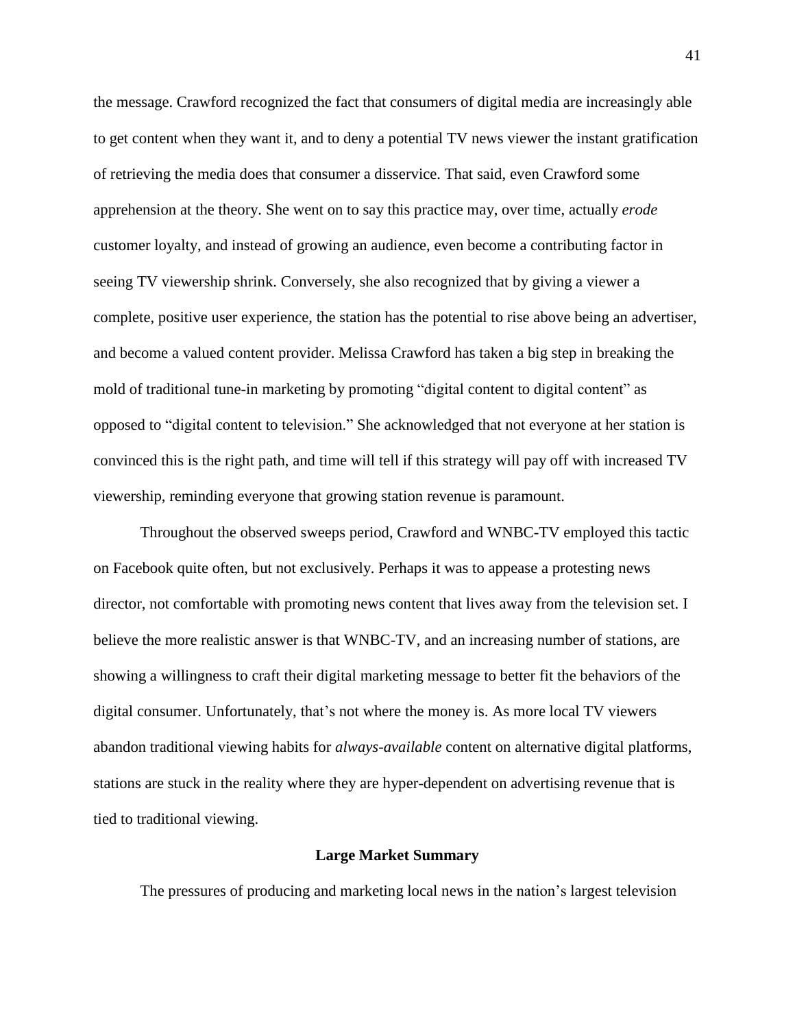the message. Crawford recognized the fact that consumers of digital media are increasingly able to get content when they want it, and to deny a potential TV news viewer the instant gratification of retrieving the media does that consumer a disservice. That said, even Crawford some apprehension at the theory. She went on to say this practice may, over time, actually *erode* customer loyalty, and instead of growing an audience, even become a contributing factor in seeing TV viewership shrink. Conversely, she also recognized that by giving a viewer a complete, positive user experience, the station has the potential to rise above being an advertiser, and become a valued content provider. Melissa Crawford has taken a big step in breaking the mold of traditional tune-in marketing by promoting "digital content to digital content" as opposed to "digital content to television." She acknowledged that not everyone at her station is convinced this is the right path, and time will tell if this strategy will pay off with increased TV viewership, reminding everyone that growing station revenue is paramount.

Throughout the observed sweeps period, Crawford and WNBC-TV employed this tactic on Facebook quite often, but not exclusively. Perhaps it was to appease a protesting news director, not comfortable with promoting news content that lives away from the television set. I believe the more realistic answer is that WNBC-TV, and an increasing number of stations, are showing a willingness to craft their digital marketing message to better fit the behaviors of the digital consumer. Unfortunately, that's not where the money is. As more local TV viewers abandon traditional viewing habits for *always-available* content on alternative digital platforms, stations are stuck in the reality where they are hyper-dependent on advertising revenue that is tied to traditional viewing.

# **Large Market Summary**

The pressures of producing and marketing local news in the nation's largest television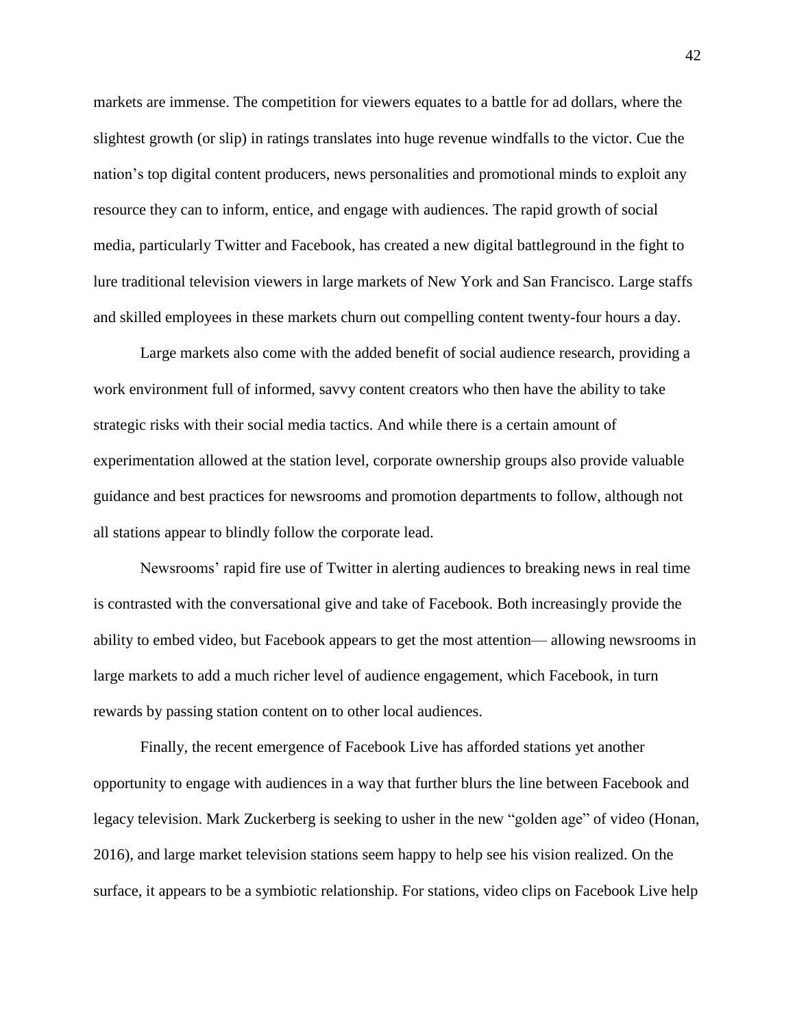markets are immense. The competition for viewers equates to a battle for ad dollars, where the slightest growth (or slip) in ratings translates into huge revenue windfalls to the victor. Cue the nation's top digital content producers, news personalities and promotional minds to exploit any resource they can to inform, entice, and engage with audiences. The rapid growth of social media, particularly Twitter and Facebook, has created a new digital battleground in the fight to lure traditional television viewers in large markets of New York and San Francisco. Large staffs and skilled employees in these markets churn out compelling content twenty-four hours a day.

Large markets also come with the added benefit of social audience research, providing a work environment full of informed, savvy content creators who then have the ability to take strategic risks with their social media tactics. And while there is a certain amount of experimentation allowed at the station level, corporate ownership groups also provide valuable guidance and best practices for newsrooms and promotion departments to follow, although not all stations appear to blindly follow the corporate lead.

Newsrooms' rapid fire use of Twitter in alerting audiences to breaking news in real time is contrasted with the conversational give and take of Facebook. Both increasingly provide the ability to embed video, but Facebook appears to get the most attention— allowing newsrooms in large markets to add a much richer level of audience engagement, which Facebook, in turn rewards by passing station content on to other local audiences.

Finally, the recent emergence of Facebook Live has afforded stations yet another opportunity to engage with audiences in a way that further blurs the line between Facebook and legacy television. Mark Zuckerberg is seeking to usher in the new "golden age" of video (Honan, 2016), and large market television stations seem happy to help see his vision realized. On the surface, it appears to be a symbiotic relationship. For stations, video clips on Facebook Live help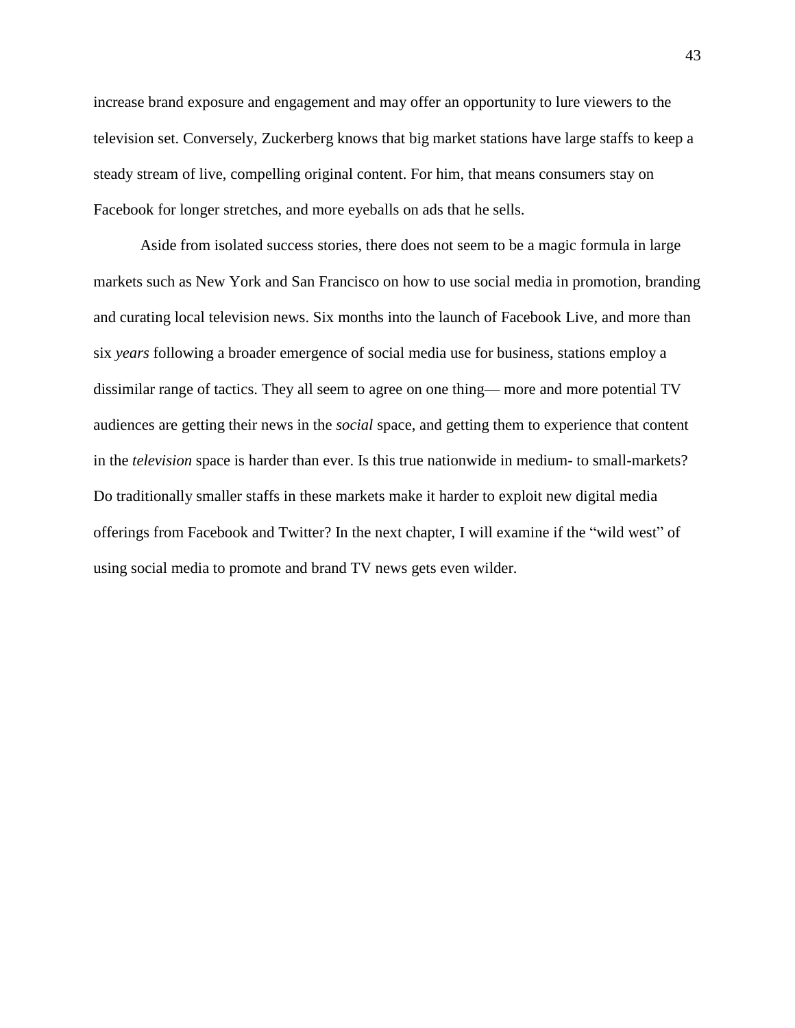increase brand exposure and engagement and may offer an opportunity to lure viewers to the television set. Conversely, Zuckerberg knows that big market stations have large staffs to keep a steady stream of live, compelling original content. For him, that means consumers stay on Facebook for longer stretches, and more eyeballs on ads that he sells.

Aside from isolated success stories, there does not seem to be a magic formula in large markets such as New York and San Francisco on how to use social media in promotion, branding and curating local television news. Six months into the launch of Facebook Live, and more than six *years* following a broader emergence of social media use for business, stations employ a dissimilar range of tactics. They all seem to agree on one thing— more and more potential TV audiences are getting their news in the *social* space, and getting them to experience that content in the *television* space is harder than ever. Is this true nationwide in medium- to small-markets? Do traditionally smaller staffs in these markets make it harder to exploit new digital media offerings from Facebook and Twitter? In the next chapter, I will examine if the "wild west" of using social media to promote and brand TV news gets even wilder.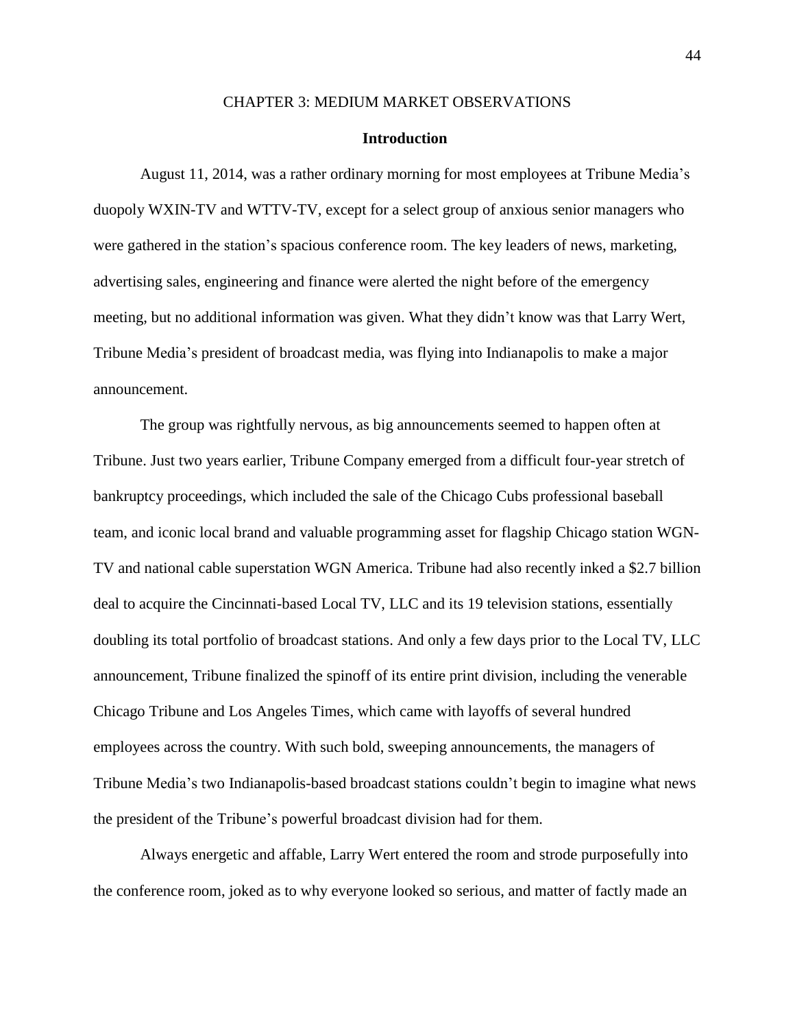### CHAPTER 3: MEDIUM MARKET OBSERVATIONS

### **Introduction**

August 11, 2014, was a rather ordinary morning for most employees at Tribune Media's duopoly WXIN-TV and WTTV-TV, except for a select group of anxious senior managers who were gathered in the station's spacious conference room. The key leaders of news, marketing, advertising sales, engineering and finance were alerted the night before of the emergency meeting, but no additional information was given. What they didn't know was that Larry Wert, Tribune Media's president of broadcast media, was flying into Indianapolis to make a major announcement.

The group was rightfully nervous, as big announcements seemed to happen often at Tribune. Just two years earlier, Tribune Company emerged from a difficult four-year stretch of bankruptcy proceedings, which included the sale of the Chicago Cubs professional baseball team, and iconic local brand and valuable programming asset for flagship Chicago station WGN-TV and national cable superstation WGN America. Tribune had also recently inked a \$2.7 billion deal to acquire the Cincinnati-based Local TV, LLC and its 19 television stations, essentially doubling its total portfolio of broadcast stations. And only a few days prior to the Local TV, LLC announcement, Tribune finalized the spinoff of its entire print division, including the venerable Chicago Tribune and Los Angeles Times, which came with layoffs of several hundred employees across the country. With such bold, sweeping announcements, the managers of Tribune Media's two Indianapolis-based broadcast stations couldn't begin to imagine what news the president of the Tribune's powerful broadcast division had for them.

Always energetic and affable, Larry Wert entered the room and strode purposefully into the conference room, joked as to why everyone looked so serious, and matter of factly made an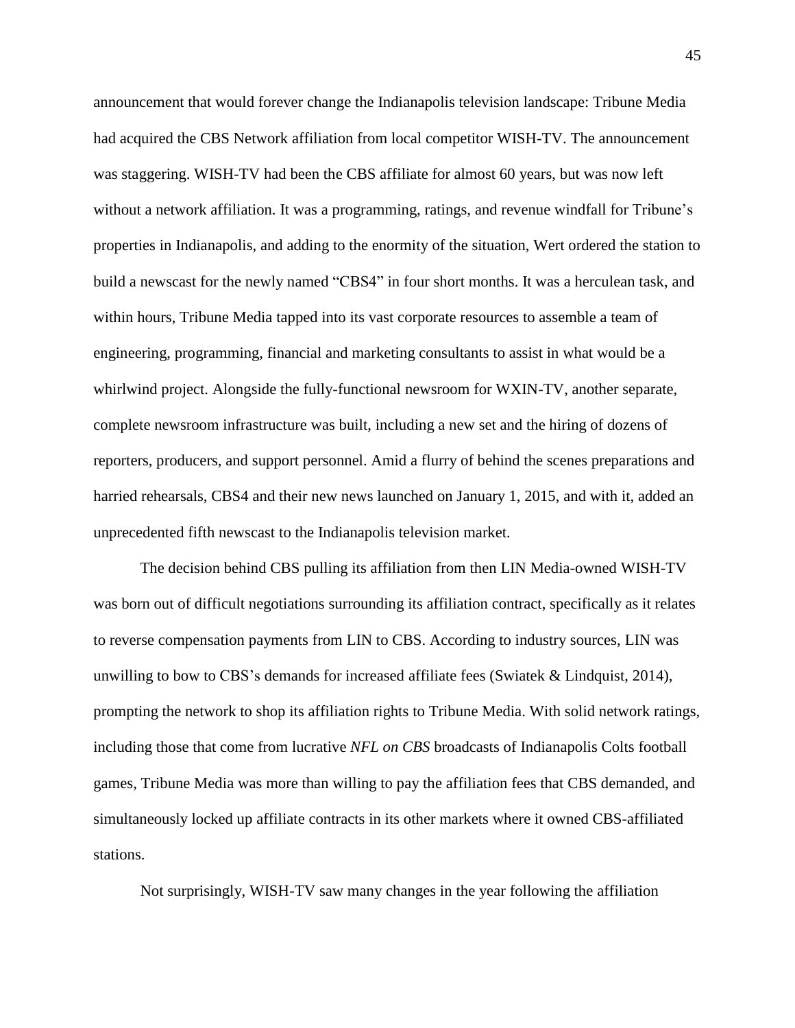announcement that would forever change the Indianapolis television landscape: Tribune Media had acquired the CBS Network affiliation from local competitor WISH-TV. The announcement was staggering. WISH-TV had been the CBS affiliate for almost 60 years, but was now left without a network affiliation. It was a programming, ratings, and revenue windfall for Tribune's properties in Indianapolis, and adding to the enormity of the situation, Wert ordered the station to build a newscast for the newly named "CBS4" in four short months. It was a herculean task, and within hours, Tribune Media tapped into its vast corporate resources to assemble a team of engineering, programming, financial and marketing consultants to assist in what would be a whirlwind project. Alongside the fully-functional newsroom for WXIN-TV, another separate, complete newsroom infrastructure was built, including a new set and the hiring of dozens of reporters, producers, and support personnel. Amid a flurry of behind the scenes preparations and harried rehearsals, CBS4 and their new news launched on January 1, 2015, and with it, added an unprecedented fifth newscast to the Indianapolis television market.

The decision behind CBS pulling its affiliation from then LIN Media-owned WISH-TV was born out of difficult negotiations surrounding its affiliation contract, specifically as it relates to reverse compensation payments from LIN to CBS. According to industry sources, LIN was unwilling to bow to CBS's demands for increased affiliate fees (Swiatek & Lindquist, 2014), prompting the network to shop its affiliation rights to Tribune Media. With solid network ratings, including those that come from lucrative *NFL on CBS* broadcasts of Indianapolis Colts football games, Tribune Media was more than willing to pay the affiliation fees that CBS demanded, and simultaneously locked up affiliate contracts in its other markets where it owned CBS-affiliated stations.

Not surprisingly, WISH-TV saw many changes in the year following the affiliation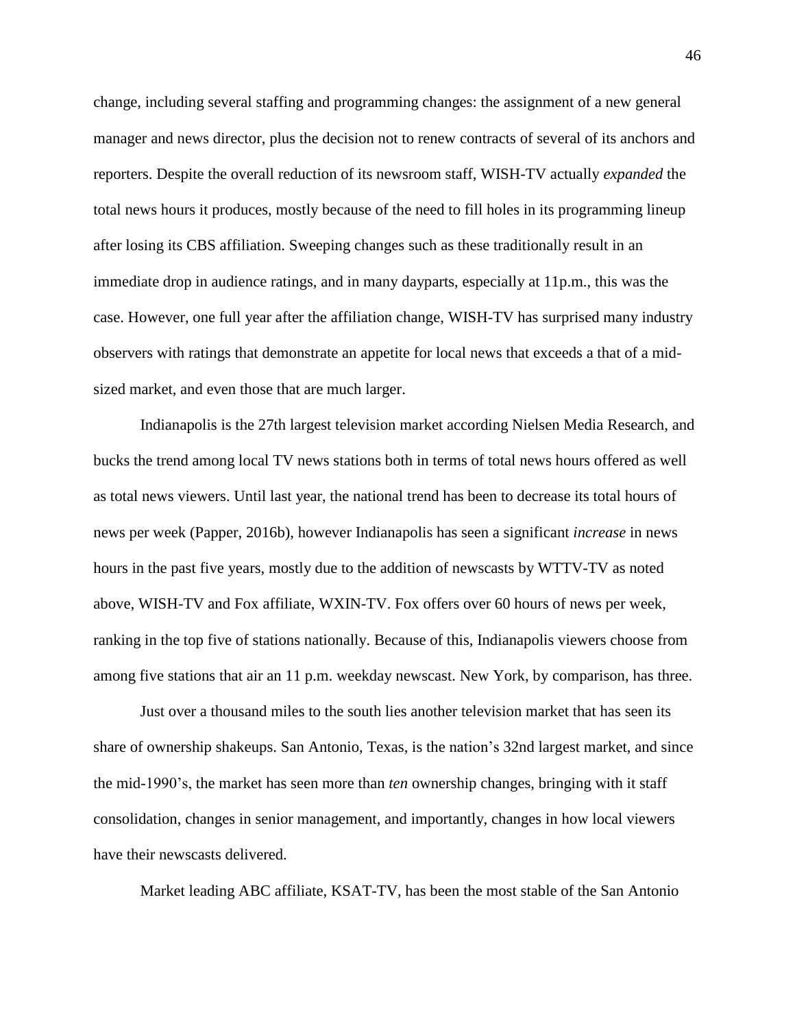change, including several staffing and programming changes: the assignment of a new general manager and news director, plus the decision not to renew contracts of several of its anchors and reporters. Despite the overall reduction of its newsroom staff, WISH-TV actually *expanded* the total news hours it produces, mostly because of the need to fill holes in its programming lineup after losing its CBS affiliation. Sweeping changes such as these traditionally result in an immediate drop in audience ratings, and in many dayparts, especially at 11p.m., this was the case. However, one full year after the affiliation change, WISH-TV has surprised many industry observers with ratings that demonstrate an appetite for local news that exceeds a that of a midsized market, and even those that are much larger.

Indianapolis is the 27th largest television market according Nielsen Media Research, and bucks the trend among local TV news stations both in terms of total news hours offered as well as total news viewers. Until last year, the national trend has been to decrease its total hours of news per week (Papper, 2016b), however Indianapolis has seen a significant *increase* in news hours in the past five years, mostly due to the addition of newscasts by WTTV-TV as noted above, WISH-TV and Fox affiliate, WXIN-TV. Fox offers over 60 hours of news per week, ranking in the top five of stations nationally. Because of this, Indianapolis viewers choose from among five stations that air an 11 p.m. weekday newscast. New York, by comparison, has three.

Just over a thousand miles to the south lies another television market that has seen its share of ownership shakeups. San Antonio, Texas, is the nation's 32nd largest market, and since the mid-1990's, the market has seen more than *ten* ownership changes, bringing with it staff consolidation, changes in senior management, and importantly, changes in how local viewers have their newscasts delivered.

Market leading ABC affiliate, KSAT-TV, has been the most stable of the San Antonio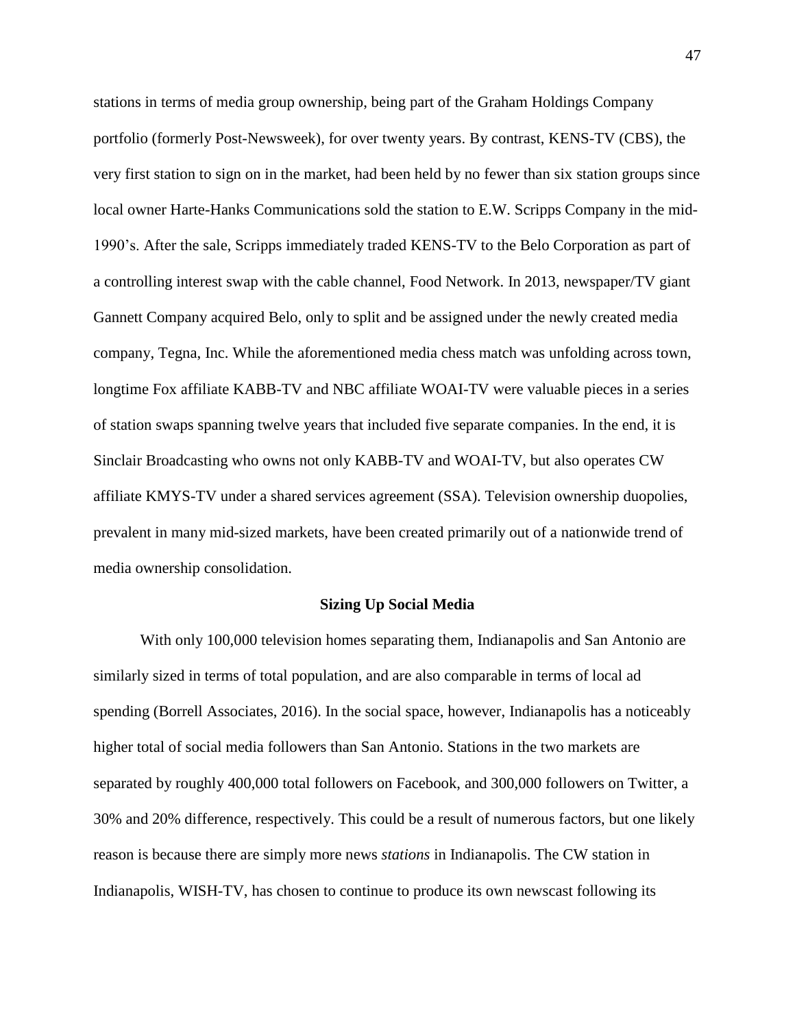stations in terms of media group ownership, being part of the Graham Holdings Company portfolio (formerly Post-Newsweek), for over twenty years. By contrast, KENS-TV (CBS), the very first station to sign on in the market, had been held by no fewer than six station groups since local owner Harte-Hanks Communications sold the station to E.W. Scripps Company in the mid-1990's. After the sale, Scripps immediately traded KENS-TV to the Belo Corporation as part of a controlling interest swap with the cable channel, Food Network. In 2013, newspaper/TV giant Gannett Company acquired Belo, only to split and be assigned under the newly created media company, Tegna, Inc. While the aforementioned media chess match was unfolding across town, longtime Fox affiliate KABB-TV and NBC affiliate WOAI-TV were valuable pieces in a series of station swaps spanning twelve years that included five separate companies. In the end, it is Sinclair Broadcasting who owns not only KABB-TV and WOAI-TV, but also operates CW affiliate KMYS-TV under a shared services agreement (SSA). Television ownership duopolies, prevalent in many mid-sized markets, have been created primarily out of a nationwide trend of media ownership consolidation.

## **Sizing Up Social Media**

With only 100,000 television homes separating them, Indianapolis and San Antonio are similarly sized in terms of total population, and are also comparable in terms of local ad spending (Borrell Associates, 2016). In the social space, however, Indianapolis has a noticeably higher total of social media followers than San Antonio. Stations in the two markets are separated by roughly 400,000 total followers on Facebook, and 300,000 followers on Twitter, a 30% and 20% difference, respectively. This could be a result of numerous factors, but one likely reason is because there are simply more news *stations* in Indianapolis. The CW station in Indianapolis, WISH-TV, has chosen to continue to produce its own newscast following its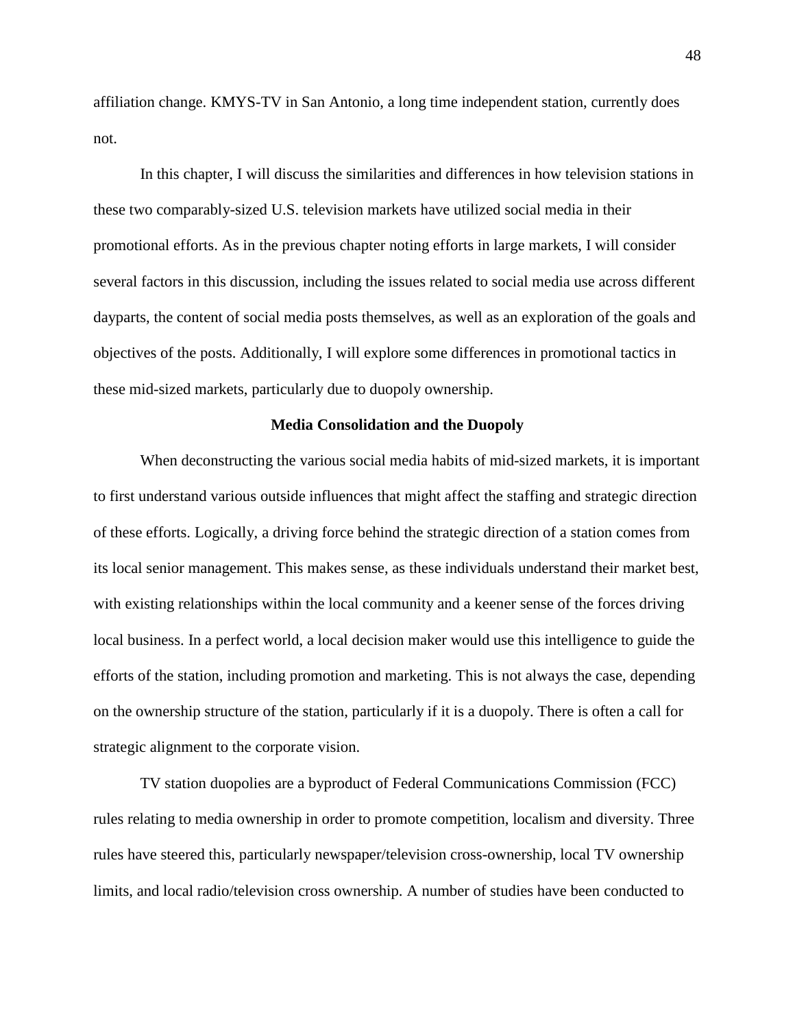affiliation change. KMYS-TV in San Antonio, a long time independent station, currently does not.

In this chapter, I will discuss the similarities and differences in how television stations in these two comparably-sized U.S. television markets have utilized social media in their promotional efforts. As in the previous chapter noting efforts in large markets, I will consider several factors in this discussion, including the issues related to social media use across different dayparts, the content of social media posts themselves, as well as an exploration of the goals and objectives of the posts. Additionally, I will explore some differences in promotional tactics in these mid-sized markets, particularly due to duopoly ownership.

# **Media Consolidation and the Duopoly**

When deconstructing the various social media habits of mid-sized markets, it is important to first understand various outside influences that might affect the staffing and strategic direction of these efforts. Logically, a driving force behind the strategic direction of a station comes from its local senior management. This makes sense, as these individuals understand their market best, with existing relationships within the local community and a keener sense of the forces driving local business. In a perfect world, a local decision maker would use this intelligence to guide the efforts of the station, including promotion and marketing. This is not always the case, depending on the ownership structure of the station, particularly if it is a duopoly. There is often a call for strategic alignment to the corporate vision.

TV station duopolies are a byproduct of Federal Communications Commission (FCC) rules relating to media ownership in order to promote competition, localism and diversity. Three rules have steered this, particularly newspaper/television cross-ownership, local TV ownership limits, and local radio/television cross ownership. A number of studies have been conducted to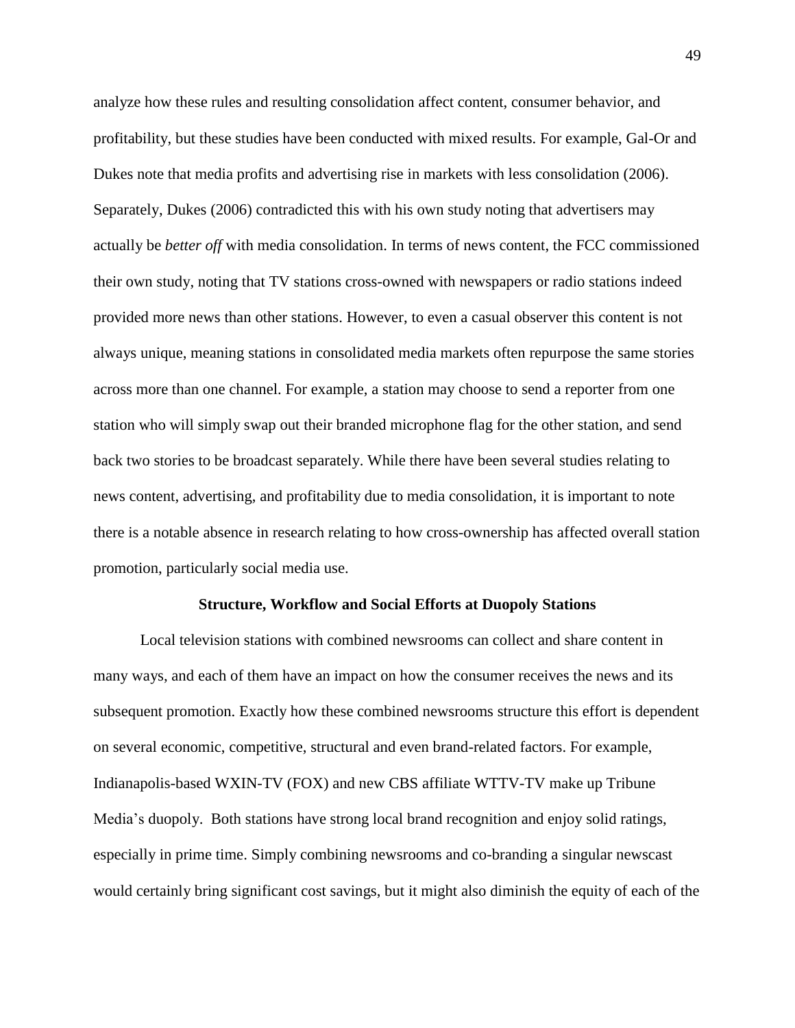analyze how these rules and resulting consolidation affect content, consumer behavior, and profitability, but these studies have been conducted with mixed results. For example, Gal-Or and Dukes note that media profits and advertising rise in markets with less consolidation (2006). Separately, Dukes (2006) contradicted this with his own study noting that advertisers may actually be *better off* with media consolidation. In terms of news content, the FCC commissioned their own study, noting that TV stations cross-owned with newspapers or radio stations indeed provided more news than other stations. However, to even a casual observer this content is not always unique, meaning stations in consolidated media markets often repurpose the same stories across more than one channel. For example, a station may choose to send a reporter from one station who will simply swap out their branded microphone flag for the other station, and send back two stories to be broadcast separately. While there have been several studies relating to news content, advertising, and profitability due to media consolidation, it is important to note there is a notable absence in research relating to how cross-ownership has affected overall station promotion, particularly social media use.

### **Structure, Workflow and Social Efforts at Duopoly Stations**

Local television stations with combined newsrooms can collect and share content in many ways, and each of them have an impact on how the consumer receives the news and its subsequent promotion. Exactly how these combined newsrooms structure this effort is dependent on several economic, competitive, structural and even brand-related factors. For example, Indianapolis-based WXIN-TV (FOX) and new CBS affiliate WTTV-TV make up Tribune Media's duopoly. Both stations have strong local brand recognition and enjoy solid ratings, especially in prime time. Simply combining newsrooms and co-branding a singular newscast would certainly bring significant cost savings, but it might also diminish the equity of each of the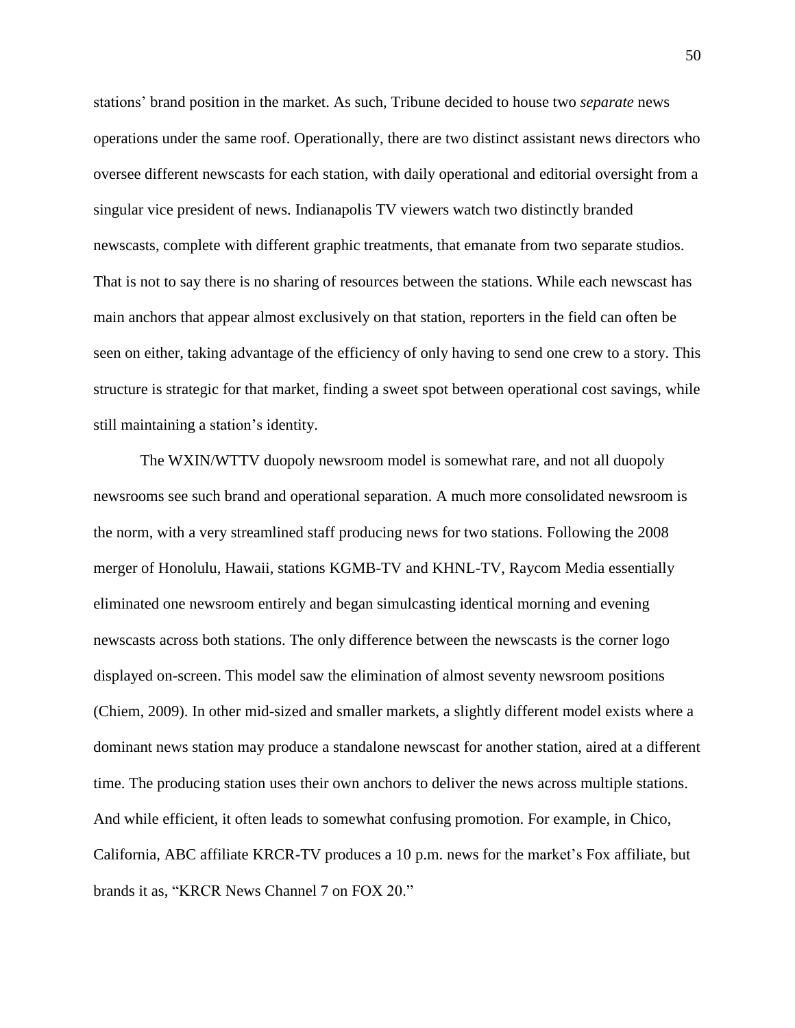stations' brand position in the market. As such, Tribune decided to house two *separate* news operations under the same roof. Operationally, there are two distinct assistant news directors who oversee different newscasts for each station, with daily operational and editorial oversight from a singular vice president of news. Indianapolis TV viewers watch two distinctly branded newscasts, complete with different graphic treatments, that emanate from two separate studios. That is not to say there is no sharing of resources between the stations. While each newscast has main anchors that appear almost exclusively on that station, reporters in the field can often be seen on either, taking advantage of the efficiency of only having to send one crew to a story. This structure is strategic for that market, finding a sweet spot between operational cost savings, while still maintaining a station's identity.

The WXIN/WTTV duopoly newsroom model is somewhat rare, and not all duopoly newsrooms see such brand and operational separation. A much more consolidated newsroom is the norm, with a very streamlined staff producing news for two stations. Following the 2008 merger of Honolulu, Hawaii, stations KGMB-TV and KHNL-TV, Raycom Media essentially eliminated one newsroom entirely and began simulcasting identical morning and evening newscasts across both stations. The only difference between the newscasts is the corner logo displayed on-screen. This model saw the elimination of almost seventy newsroom positions (Chiem, 2009). In other mid-sized and smaller markets, a slightly different model exists where a dominant news station may produce a standalone newscast for another station, aired at a different time. The producing station uses their own anchors to deliver the news across multiple stations. And while efficient, it often leads to somewhat confusing promotion. For example, in Chico, California, ABC affiliate KRCR-TV produces a 10 p.m. news for the market's Fox affiliate, but brands it as, "KRCR News Channel 7 on FOX 20."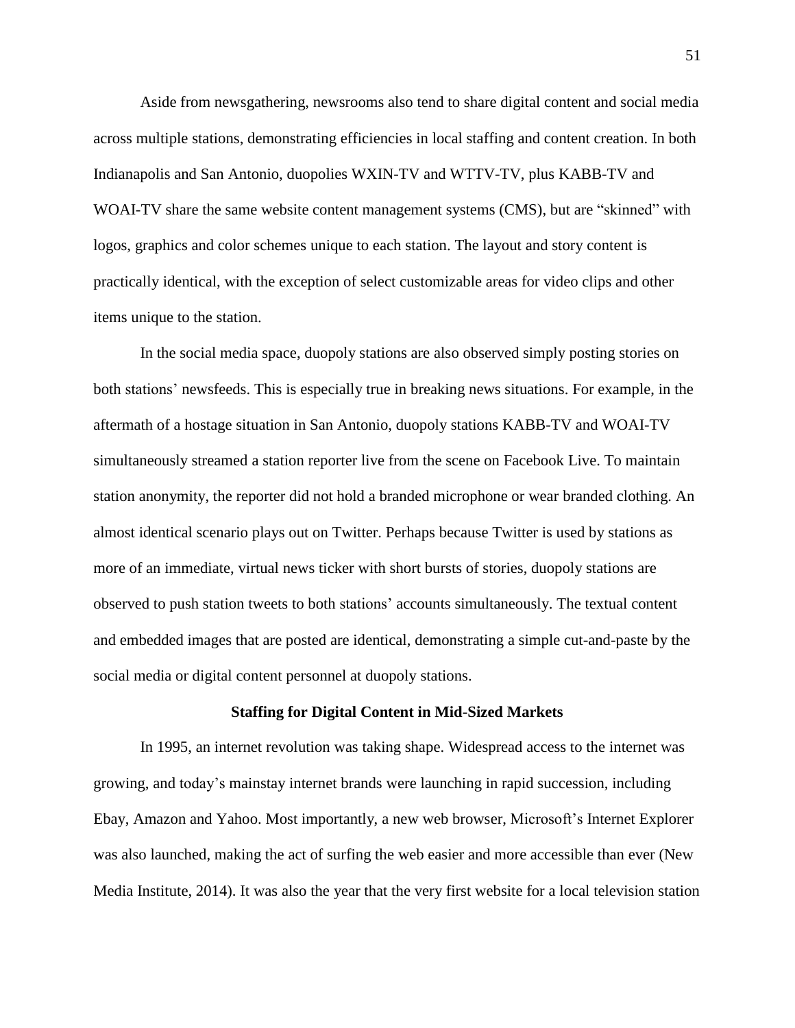Aside from newsgathering, newsrooms also tend to share digital content and social media across multiple stations, demonstrating efficiencies in local staffing and content creation. In both Indianapolis and San Antonio, duopolies WXIN-TV and WTTV-TV, plus KABB-TV and WOAI-TV share the same website content management systems (CMS), but are "skinned" with logos, graphics and color schemes unique to each station. The layout and story content is practically identical, with the exception of select customizable areas for video clips and other items unique to the station.

In the social media space, duopoly stations are also observed simply posting stories on both stations' newsfeeds. This is especially true in breaking news situations. For example, in the aftermath of a hostage situation in San Antonio, duopoly stations KABB-TV and WOAI-TV simultaneously streamed a station reporter live from the scene on Facebook Live. To maintain station anonymity, the reporter did not hold a branded microphone or wear branded clothing. An almost identical scenario plays out on Twitter. Perhaps because Twitter is used by stations as more of an immediate, virtual news ticker with short bursts of stories, duopoly stations are observed to push station tweets to both stations' accounts simultaneously. The textual content and embedded images that are posted are identical, demonstrating a simple cut-and-paste by the social media or digital content personnel at duopoly stations.

#### **Staffing for Digital Content in Mid-Sized Markets**

In 1995, an internet revolution was taking shape. Widespread access to the internet was growing, and today's mainstay internet brands were launching in rapid succession, including Ebay, Amazon and Yahoo. Most importantly, a new web browser, Microsoft's Internet Explorer was also launched, making the act of surfing the web easier and more accessible than ever (New Media Institute, 2014). It was also the year that the very first website for a local television station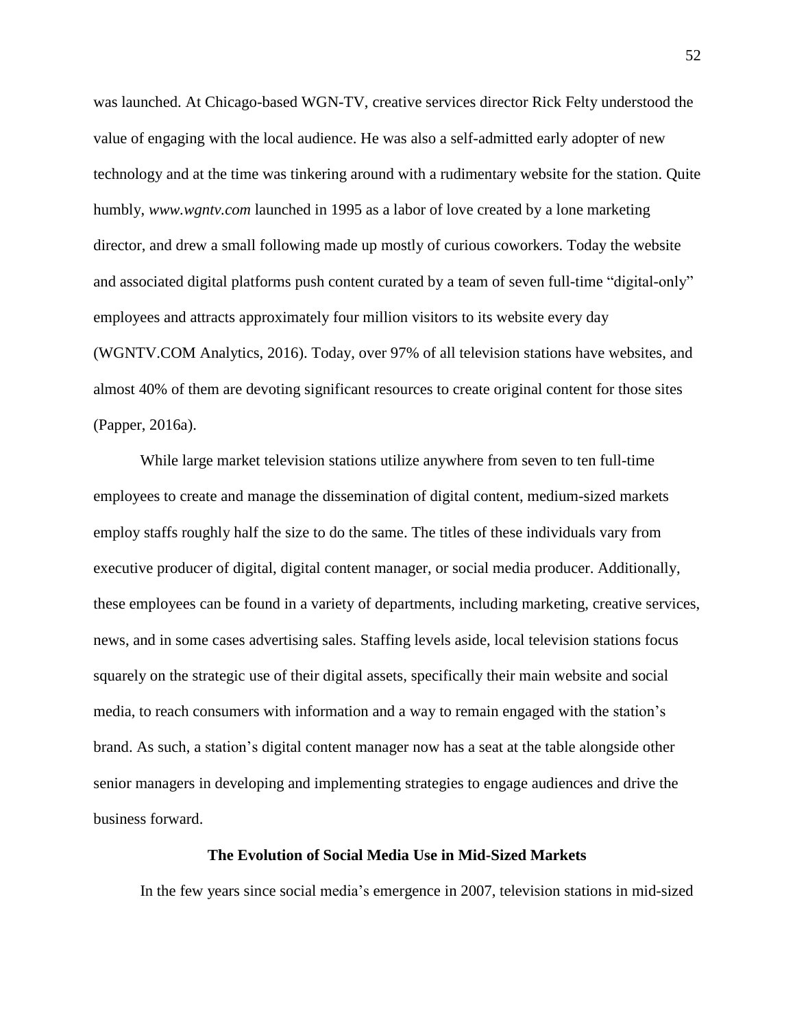was launched. At Chicago-based WGN-TV, creative services director Rick Felty understood the value of engaging with the local audience. He was also a self-admitted early adopter of new technology and at the time was tinkering around with a rudimentary website for the station. Quite humbly, *www.wgntv.com* launched in 1995 as a labor of love created by a lone marketing director, and drew a small following made up mostly of curious coworkers. Today the website and associated digital platforms push content curated by a team of seven full-time "digital-only" employees and attracts approximately four million visitors to its website every day (WGNTV.COM Analytics, 2016). Today, over 97% of all television stations have websites, and almost 40% of them are devoting significant resources to create original content for those sites (Papper, 2016a).

While large market television stations utilize anywhere from seven to ten full-time employees to create and manage the dissemination of digital content, medium-sized markets employ staffs roughly half the size to do the same. The titles of these individuals vary from executive producer of digital, digital content manager, or social media producer. Additionally, these employees can be found in a variety of departments, including marketing, creative services, news, and in some cases advertising sales. Staffing levels aside, local television stations focus squarely on the strategic use of their digital assets, specifically their main website and social media, to reach consumers with information and a way to remain engaged with the station's brand. As such, a station's digital content manager now has a seat at the table alongside other senior managers in developing and implementing strategies to engage audiences and drive the business forward.

## **The Evolution of Social Media Use in Mid-Sized Markets**

In the few years since social media's emergence in 2007, television stations in mid-sized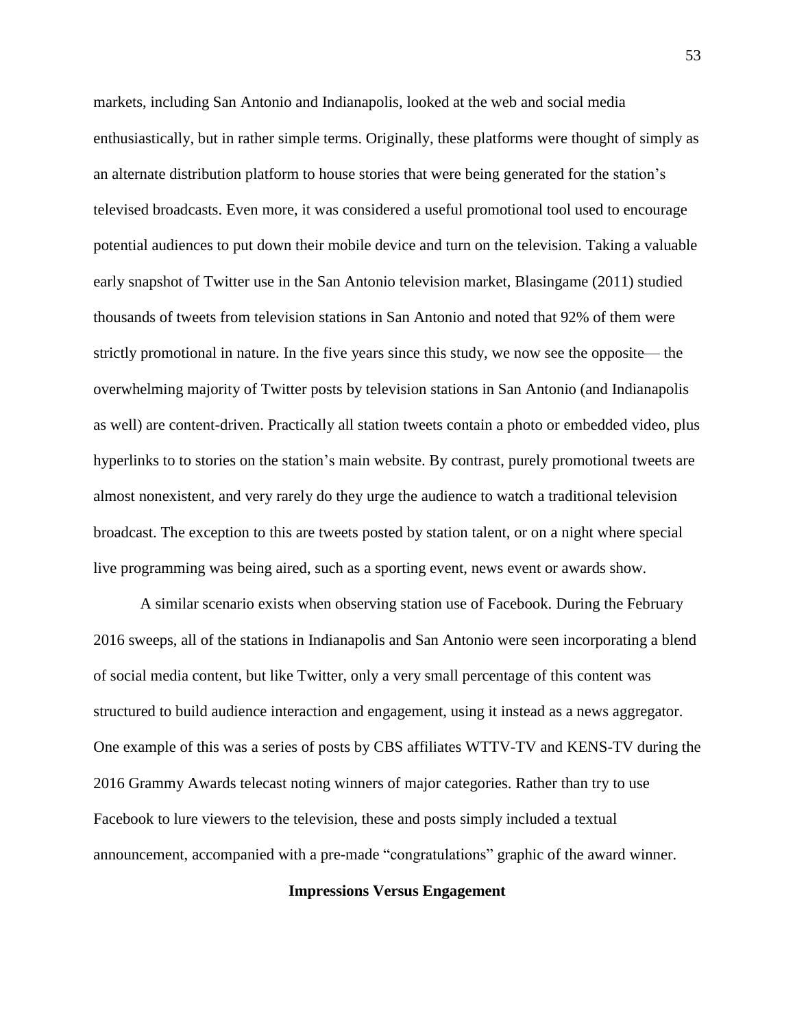markets, including San Antonio and Indianapolis, looked at the web and social media enthusiastically, but in rather simple terms. Originally, these platforms were thought of simply as an alternate distribution platform to house stories that were being generated for the station's televised broadcasts. Even more, it was considered a useful promotional tool used to encourage potential audiences to put down their mobile device and turn on the television. Taking a valuable early snapshot of Twitter use in the San Antonio television market, Blasingame (2011) studied thousands of tweets from television stations in San Antonio and noted that 92% of them were strictly promotional in nature. In the five years since this study, we now see the opposite— the overwhelming majority of Twitter posts by television stations in San Antonio (and Indianapolis as well) are content-driven. Practically all station tweets contain a photo or embedded video, plus hyperlinks to to stories on the station's main website. By contrast, purely promotional tweets are almost nonexistent, and very rarely do they urge the audience to watch a traditional television broadcast. The exception to this are tweets posted by station talent, or on a night where special live programming was being aired, such as a sporting event, news event or awards show.

A similar scenario exists when observing station use of Facebook. During the February 2016 sweeps, all of the stations in Indianapolis and San Antonio were seen incorporating a blend of social media content, but like Twitter, only a very small percentage of this content was structured to build audience interaction and engagement, using it instead as a news aggregator. One example of this was a series of posts by CBS affiliates WTTV-TV and KENS-TV during the 2016 Grammy Awards telecast noting winners of major categories. Rather than try to use Facebook to lure viewers to the television, these and posts simply included a textual announcement, accompanied with a pre-made "congratulations" graphic of the award winner.

#### **Impressions Versus Engagement**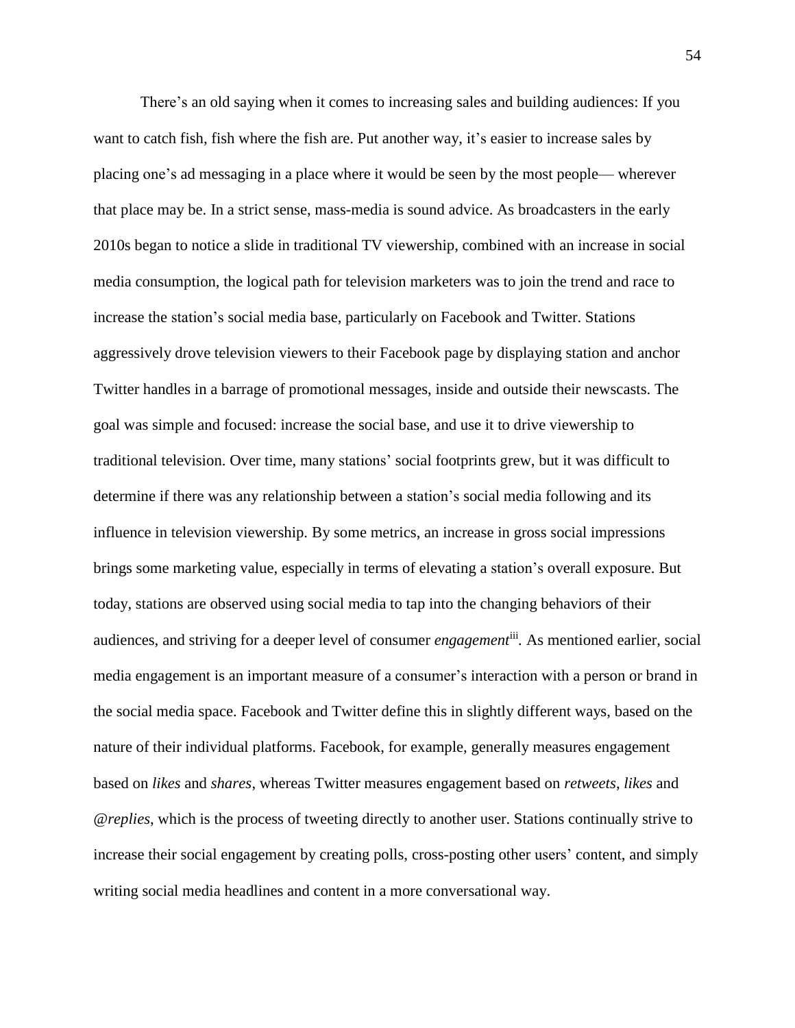There's an old saying when it comes to increasing sales and building audiences: If you want to catch fish, fish where the fish are. Put another way, it's easier to increase sales by placing one's ad messaging in a place where it would be seen by the most people— wherever that place may be. In a strict sense, mass-media is sound advice. As broadcasters in the early 2010s began to notice a slide in traditional TV viewership, combined with an increase in social media consumption, the logical path for television marketers was to join the trend and race to increase the station's social media base, particularly on Facebook and Twitter. Stations aggressively drove television viewers to their Facebook page by displaying station and anchor Twitter handles in a barrage of promotional messages, inside and outside their newscasts. The goal was simple and focused: increase the social base, and use it to drive viewership to traditional television. Over time, many stations' social footprints grew, but it was difficult to determine if there was any relationship between a station's social media following and its influence in television viewership. By some metrics, an increase in gross social impressions brings some marketing value, especially in terms of elevating a station's overall exposure. But today, stations are observed using social media to tap into the changing behaviors of their audiences, and striving for a deeper level of consumer *engagement*iii *.* As mentioned earlier, social media engagement is an important measure of a consumer's interaction with a person or brand in the social media space. Facebook and Twitter define this in slightly different ways, based on the nature of their individual platforms. Facebook, for example, generally measures engagement based on *likes* and *shares*, whereas Twitter measures engagement based on *retweets*, *likes* and *@replies*, which is the process of tweeting directly to another user. Stations continually strive to increase their social engagement by creating polls, cross-posting other users' content, and simply writing social media headlines and content in a more conversational way.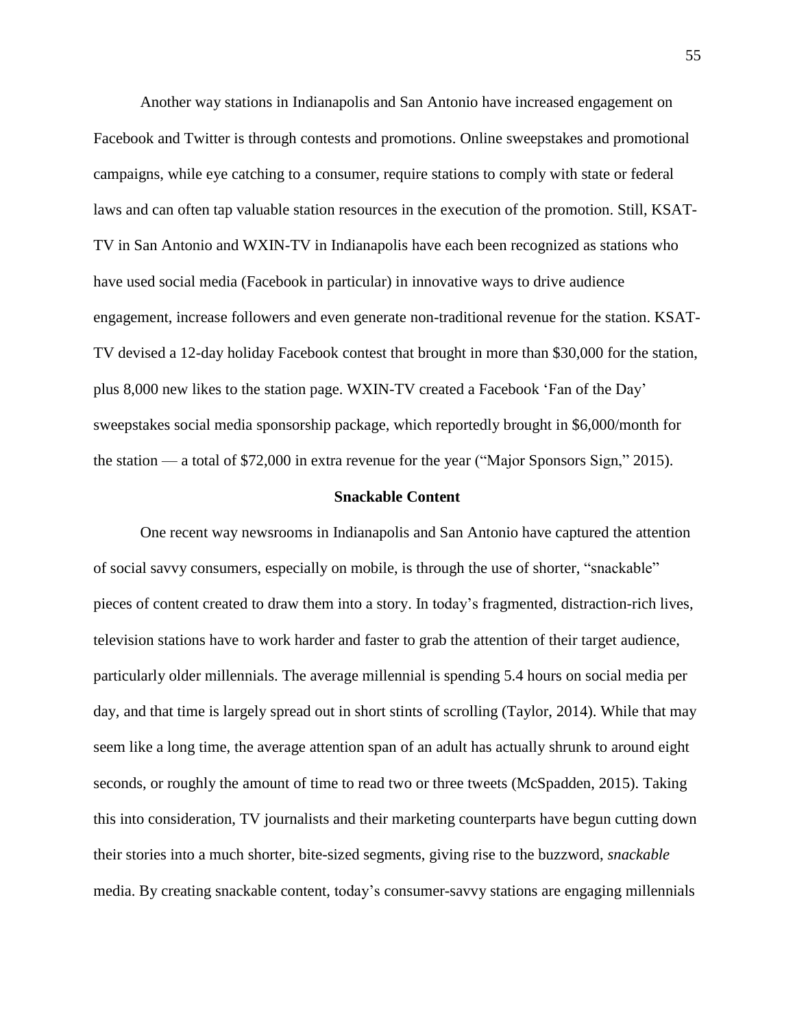Another way stations in Indianapolis and San Antonio have increased engagement on Facebook and Twitter is through contests and promotions. Online sweepstakes and promotional campaigns, while eye catching to a consumer, require stations to comply with state or federal laws and can often tap valuable station resources in the execution of the promotion. Still, KSAT-TV in San Antonio and WXIN-TV in Indianapolis have each been recognized as stations who have used social media (Facebook in particular) in innovative ways to drive audience engagement, increase followers and even generate non-traditional revenue for the station. KSAT-TV devised a 12-day holiday Facebook contest that brought in more than \$30,000 for the station, plus 8,000 new likes to the station page. WXIN-TV created a Facebook 'Fan of the Day' sweepstakes social media sponsorship package, which reportedly brought in \$6,000/month for the station — a total of \$72,000 in extra revenue for the year ("Major Sponsors Sign," 2015).

### **Snackable Content**

One recent way newsrooms in Indianapolis and San Antonio have captured the attention of social savvy consumers, especially on mobile, is through the use of shorter, "snackable" pieces of content created to draw them into a story. In today's fragmented, distraction-rich lives, television stations have to work harder and faster to grab the attention of their target audience, particularly older millennials. The average millennial is spending 5.4 hours on social media per day, and that time is largely spread out in short stints of scrolling (Taylor, 2014). While that may seem like a long time, the average attention span of an adult has actually shrunk to around eight seconds, or roughly the amount of time to read two or three tweets (McSpadden, 2015). Taking this into consideration, TV journalists and their marketing counterparts have begun cutting down their stories into a much shorter, bite-sized segments, giving rise to the buzzword, *snackable* media. By creating snackable content, today's consumer-savvy stations are engaging millennials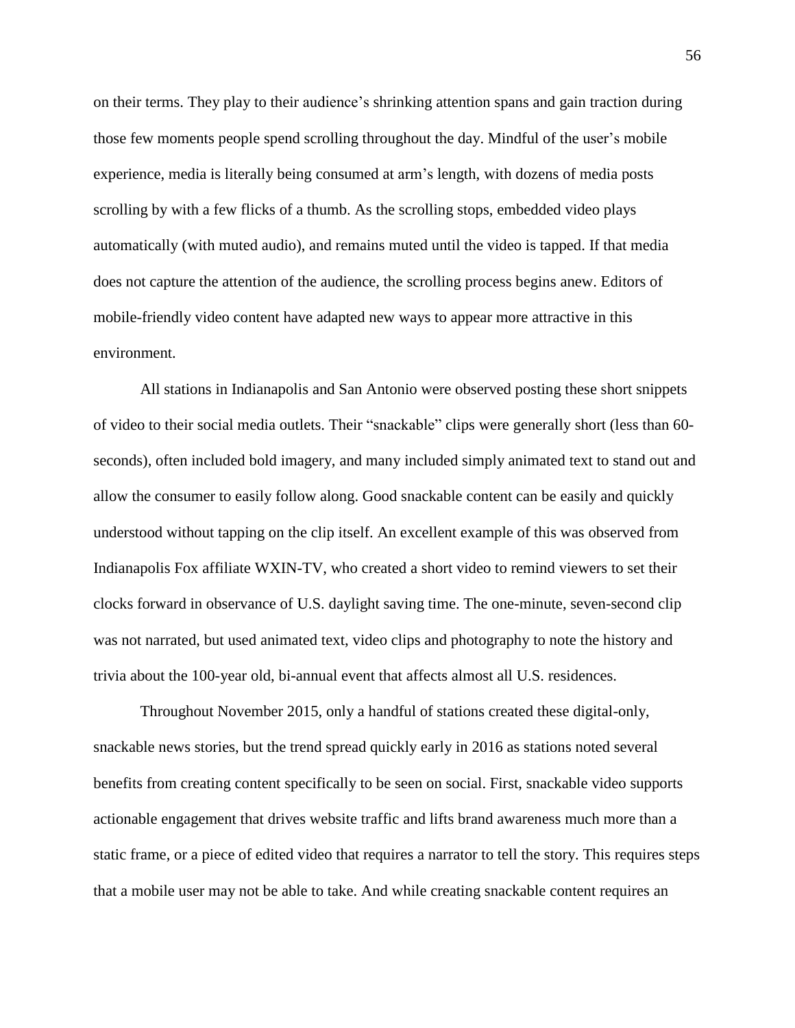on their terms. They play to their audience's shrinking attention spans and gain traction during those few moments people spend scrolling throughout the day. Mindful of the user's mobile experience, media is literally being consumed at arm's length, with dozens of media posts scrolling by with a few flicks of a thumb. As the scrolling stops, embedded video plays automatically (with muted audio), and remains muted until the video is tapped. If that media does not capture the attention of the audience, the scrolling process begins anew. Editors of mobile-friendly video content have adapted new ways to appear more attractive in this environment.

All stations in Indianapolis and San Antonio were observed posting these short snippets of video to their social media outlets. Their "snackable" clips were generally short (less than 60 seconds), often included bold imagery, and many included simply animated text to stand out and allow the consumer to easily follow along. Good snackable content can be easily and quickly understood without tapping on the clip itself. An excellent example of this was observed from Indianapolis Fox affiliate WXIN-TV, who created a short video to remind viewers to set their clocks forward in observance of U.S. daylight saving time. The one-minute, seven-second clip was not narrated, but used animated text, video clips and photography to note the history and trivia about the 100-year old, bi-annual event that affects almost all U.S. residences.

Throughout November 2015, only a handful of stations created these digital-only, snackable news stories, but the trend spread quickly early in 2016 as stations noted several benefits from creating content specifically to be seen on social. First, snackable video supports actionable engagement that drives website traffic and lifts brand awareness much more than a static frame, or a piece of edited video that requires a narrator to tell the story. This requires steps that a mobile user may not be able to take. And while creating snackable content requires an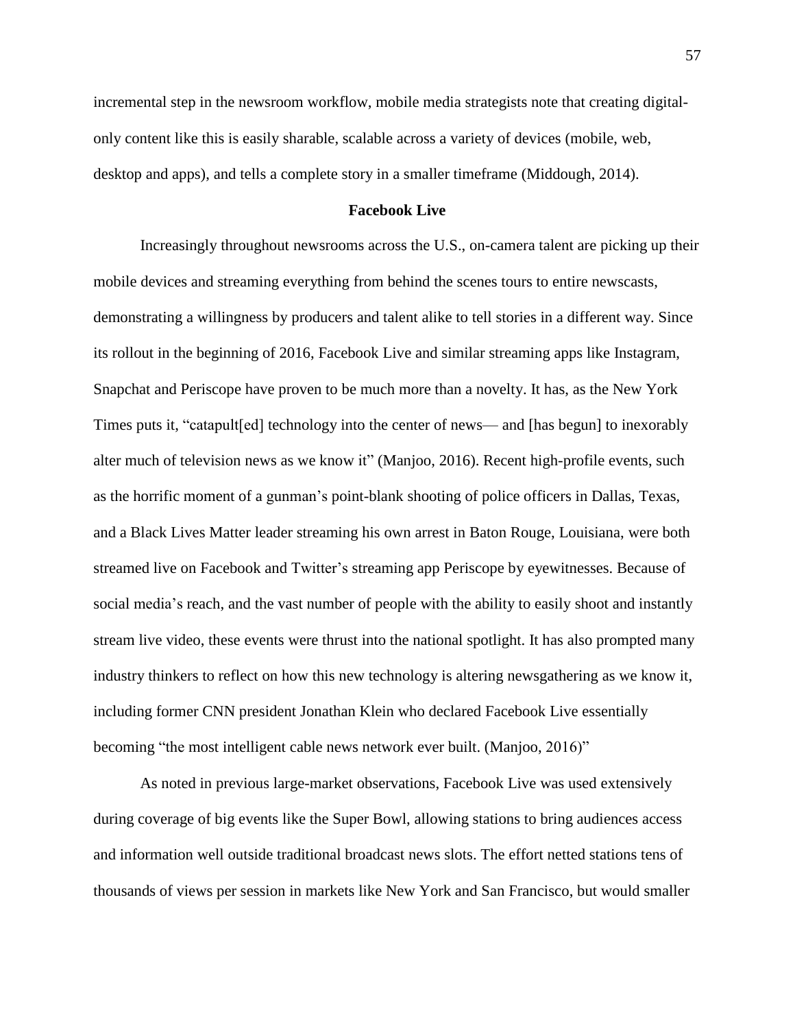incremental step in the newsroom workflow, mobile media strategists note that creating digitalonly content like this is easily sharable, scalable across a variety of devices (mobile, web, desktop and apps), and tells a complete story in a smaller timeframe (Middough, 2014).

### **Facebook Live**

Increasingly throughout newsrooms across the U.S., on-camera talent are picking up their mobile devices and streaming everything from behind the scenes tours to entire newscasts, demonstrating a willingness by producers and talent alike to tell stories in a different way. Since its rollout in the beginning of 2016, Facebook Live and similar streaming apps like Instagram, Snapchat and Periscope have proven to be much more than a novelty. It has, as the New York Times puts it, "catapult[ed] technology into the center of news— and [has begun] to inexorably alter much of television news as we know it" (Manjoo, 2016). Recent high-profile events, such as the horrific moment of a gunman's point-blank shooting of police officers in Dallas, Texas, and a Black Lives Matter leader streaming his own arrest in Baton Rouge, Louisiana, were both streamed live on Facebook and Twitter's streaming app Periscope by eyewitnesses. Because of social media's reach, and the vast number of people with the ability to easily shoot and instantly stream live video, these events were thrust into the national spotlight. It has also prompted many industry thinkers to reflect on how this new technology is altering newsgathering as we know it, including former CNN president Jonathan Klein who declared Facebook Live essentially becoming "the most intelligent cable news network ever built. (Manjoo, 2016)"

As noted in previous large-market observations, Facebook Live was used extensively during coverage of big events like the Super Bowl, allowing stations to bring audiences access and information well outside traditional broadcast news slots. The effort netted stations tens of thousands of views per session in markets like New York and San Francisco, but would smaller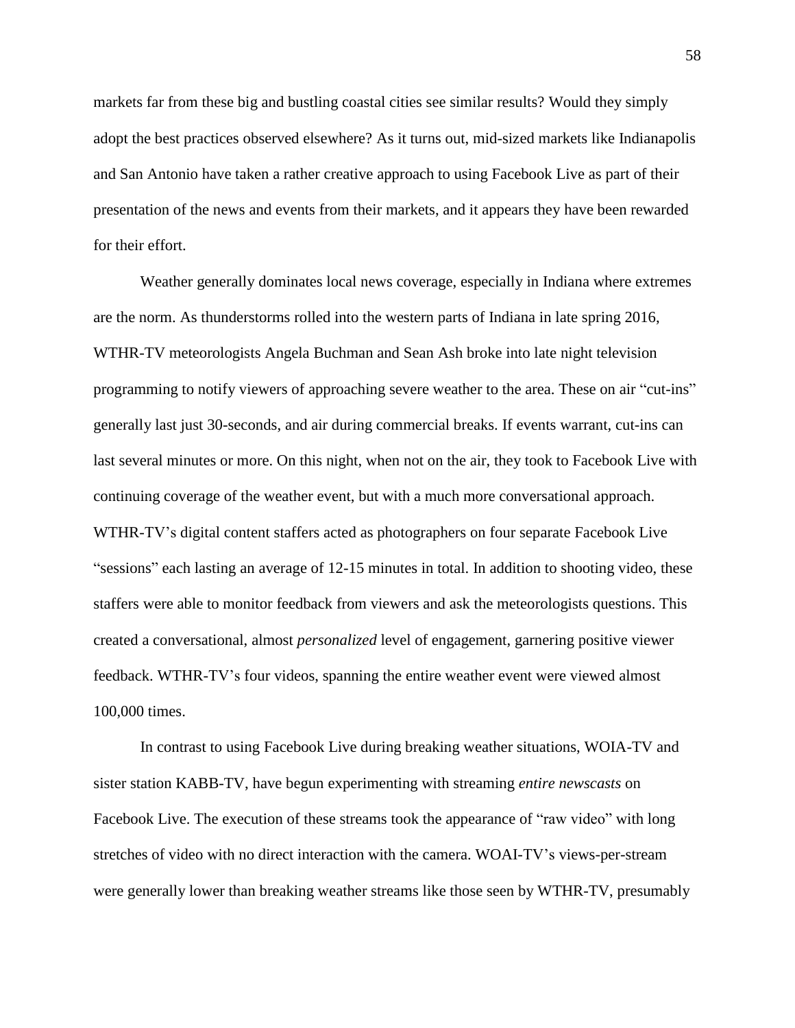markets far from these big and bustling coastal cities see similar results? Would they simply adopt the best practices observed elsewhere? As it turns out, mid-sized markets like Indianapolis and San Antonio have taken a rather creative approach to using Facebook Live as part of their presentation of the news and events from their markets, and it appears they have been rewarded for their effort.

Weather generally dominates local news coverage, especially in Indiana where extremes are the norm. As thunderstorms rolled into the western parts of Indiana in late spring 2016, WTHR-TV meteorologists Angela Buchman and Sean Ash broke into late night television programming to notify viewers of approaching severe weather to the area. These on air "cut-ins" generally last just 30-seconds, and air during commercial breaks. If events warrant, cut-ins can last several minutes or more. On this night, when not on the air, they took to Facebook Live with continuing coverage of the weather event, but with a much more conversational approach. WTHR-TV's digital content staffers acted as photographers on four separate Facebook Live "sessions" each lasting an average of 12-15 minutes in total. In addition to shooting video, these staffers were able to monitor feedback from viewers and ask the meteorologists questions. This created a conversational, almost *personalized* level of engagement, garnering positive viewer feedback. WTHR-TV's four videos, spanning the entire weather event were viewed almost 100,000 times.

In contrast to using Facebook Live during breaking weather situations, WOIA-TV and sister station KABB-TV, have begun experimenting with streaming *entire newscasts* on Facebook Live. The execution of these streams took the appearance of "raw video" with long stretches of video with no direct interaction with the camera. WOAI-TV's views-per-stream were generally lower than breaking weather streams like those seen by WTHR-TV, presumably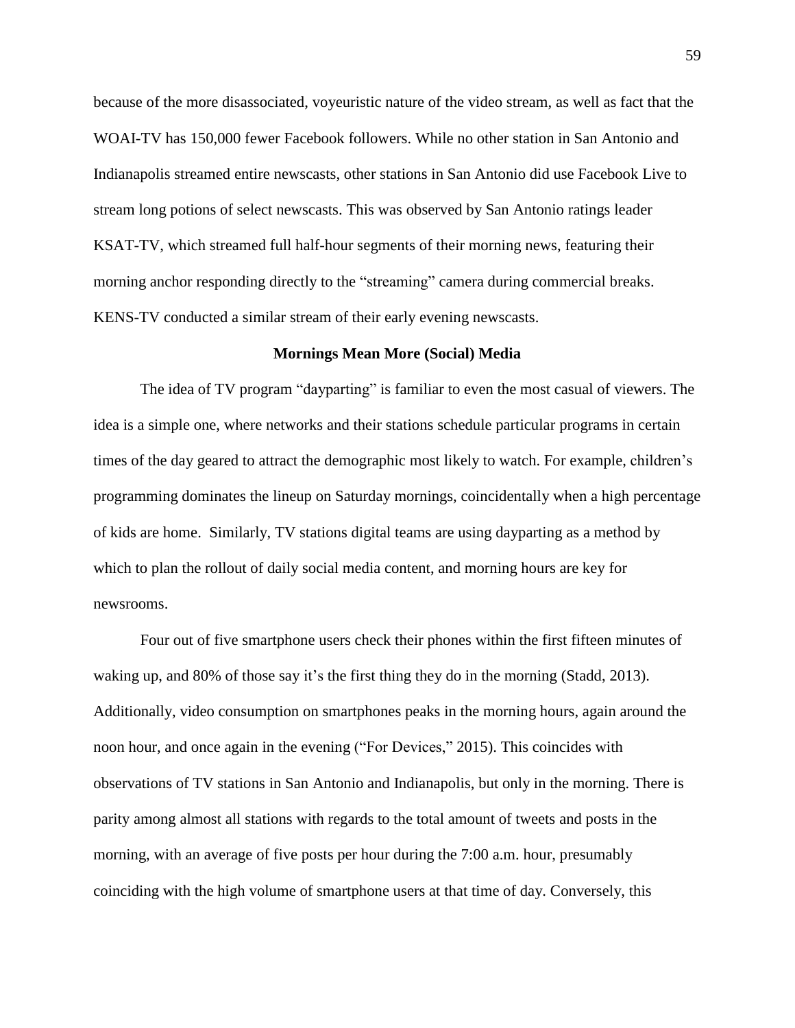because of the more disassociated, voyeuristic nature of the video stream, as well as fact that the WOAI-TV has 150,000 fewer Facebook followers. While no other station in San Antonio and Indianapolis streamed entire newscasts, other stations in San Antonio did use Facebook Live to stream long potions of select newscasts. This was observed by San Antonio ratings leader KSAT-TV, which streamed full half-hour segments of their morning news, featuring their morning anchor responding directly to the "streaming" camera during commercial breaks. KENS-TV conducted a similar stream of their early evening newscasts.

#### **Mornings Mean More (Social) Media**

The idea of TV program "dayparting" is familiar to even the most casual of viewers. The idea is a simple one, where networks and their stations schedule particular programs in certain times of the day geared to attract the demographic most likely to watch. For example, children's programming dominates the lineup on Saturday mornings, coincidentally when a high percentage of kids are home. Similarly, TV stations digital teams are using dayparting as a method by which to plan the rollout of daily social media content, and morning hours are key for newsrooms.

Four out of five smartphone users check their phones within the first fifteen minutes of waking up, and 80% of those say it's the first thing they do in the morning (Stadd, 2013). Additionally, video consumption on smartphones peaks in the morning hours, again around the noon hour, and once again in the evening ("For Devices," 2015). This coincides with observations of TV stations in San Antonio and Indianapolis, but only in the morning. There is parity among almost all stations with regards to the total amount of tweets and posts in the morning, with an average of five posts per hour during the 7:00 a.m. hour, presumably coinciding with the high volume of smartphone users at that time of day. Conversely, this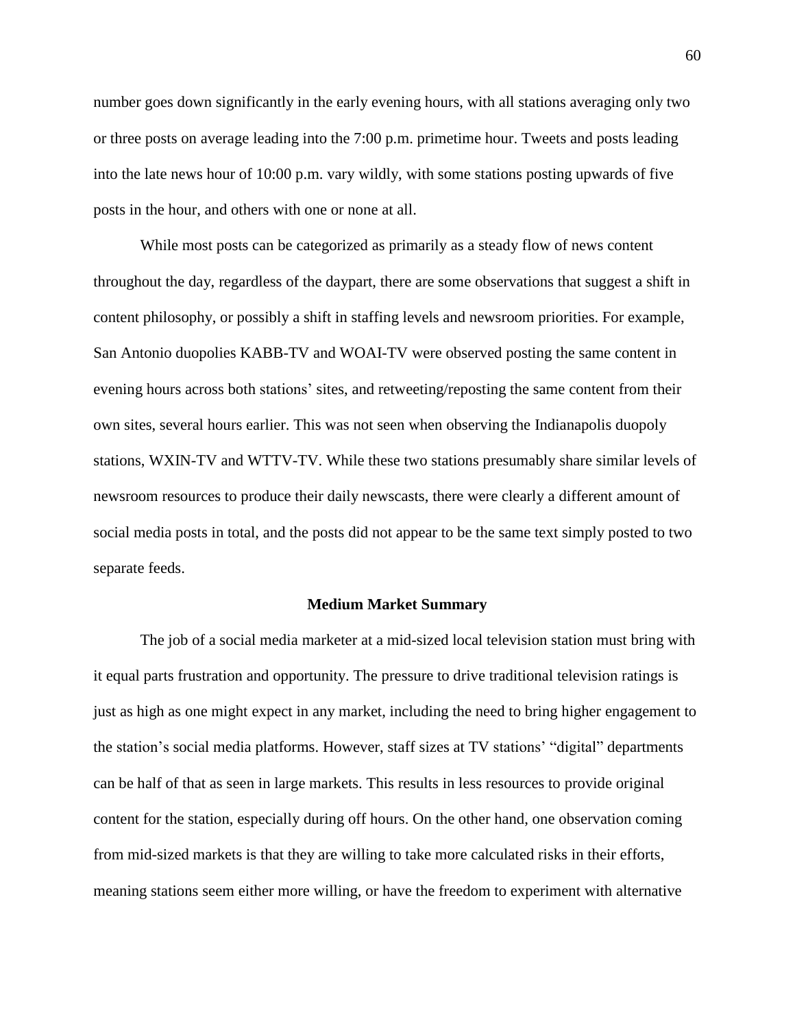number goes down significantly in the early evening hours, with all stations averaging only two or three posts on average leading into the 7:00 p.m. primetime hour. Tweets and posts leading into the late news hour of 10:00 p.m. vary wildly, with some stations posting upwards of five posts in the hour, and others with one or none at all.

While most posts can be categorized as primarily as a steady flow of news content throughout the day, regardless of the daypart, there are some observations that suggest a shift in content philosophy, or possibly a shift in staffing levels and newsroom priorities. For example, San Antonio duopolies KABB-TV and WOAI-TV were observed posting the same content in evening hours across both stations' sites, and retweeting/reposting the same content from their own sites, several hours earlier. This was not seen when observing the Indianapolis duopoly stations, WXIN-TV and WTTV-TV. While these two stations presumably share similar levels of newsroom resources to produce their daily newscasts, there were clearly a different amount of social media posts in total, and the posts did not appear to be the same text simply posted to two separate feeds.

### **Medium Market Summary**

The job of a social media marketer at a mid-sized local television station must bring with it equal parts frustration and opportunity. The pressure to drive traditional television ratings is just as high as one might expect in any market, including the need to bring higher engagement to the station's social media platforms. However, staff sizes at TV stations' "digital" departments can be half of that as seen in large markets. This results in less resources to provide original content for the station, especially during off hours. On the other hand, one observation coming from mid-sized markets is that they are willing to take more calculated risks in their efforts, meaning stations seem either more willing, or have the freedom to experiment with alternative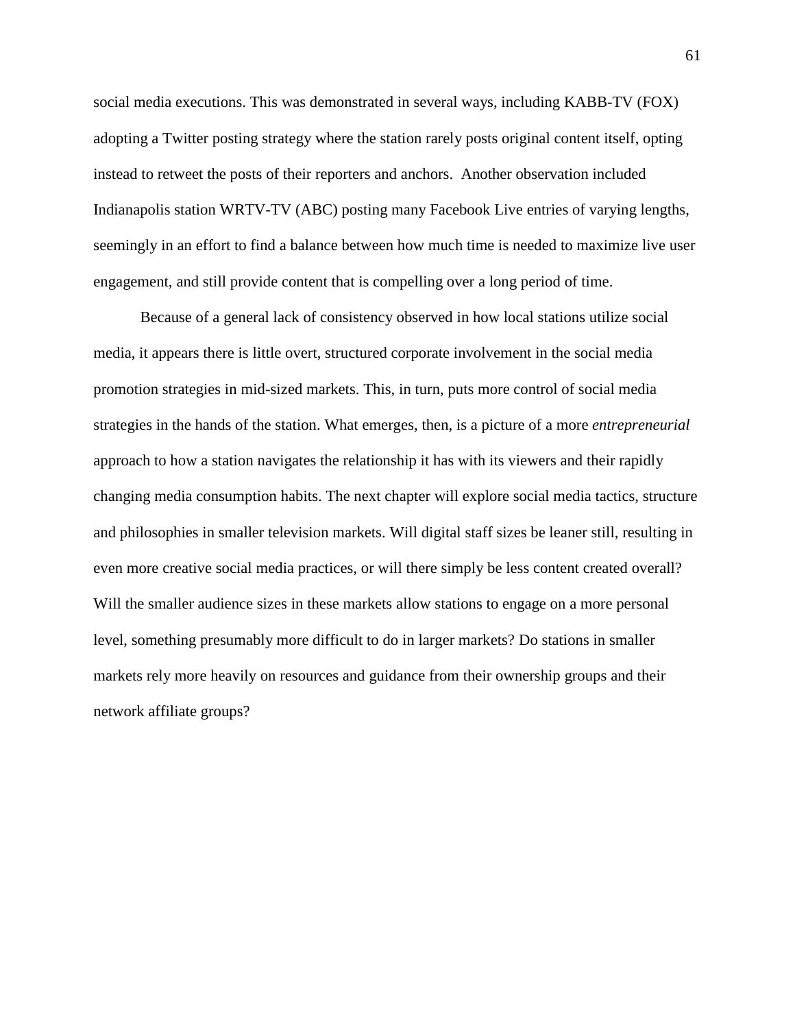social media executions. This was demonstrated in several ways, including KABB-TV (FOX) adopting a Twitter posting strategy where the station rarely posts original content itself, opting instead to retweet the posts of their reporters and anchors. Another observation included Indianapolis station WRTV-TV (ABC) posting many Facebook Live entries of varying lengths, seemingly in an effort to find a balance between how much time is needed to maximize live user engagement, and still provide content that is compelling over a long period of time.

Because of a general lack of consistency observed in how local stations utilize social media, it appears there is little overt, structured corporate involvement in the social media promotion strategies in mid-sized markets. This, in turn, puts more control of social media strategies in the hands of the station. What emerges, then, is a picture of a more *entrepreneurial* approach to how a station navigates the relationship it has with its viewers and their rapidly changing media consumption habits. The next chapter will explore social media tactics, structure and philosophies in smaller television markets. Will digital staff sizes be leaner still, resulting in even more creative social media practices, or will there simply be less content created overall? Will the smaller audience sizes in these markets allow stations to engage on a more personal level, something presumably more difficult to do in larger markets? Do stations in smaller markets rely more heavily on resources and guidance from their ownership groups and their network affiliate groups?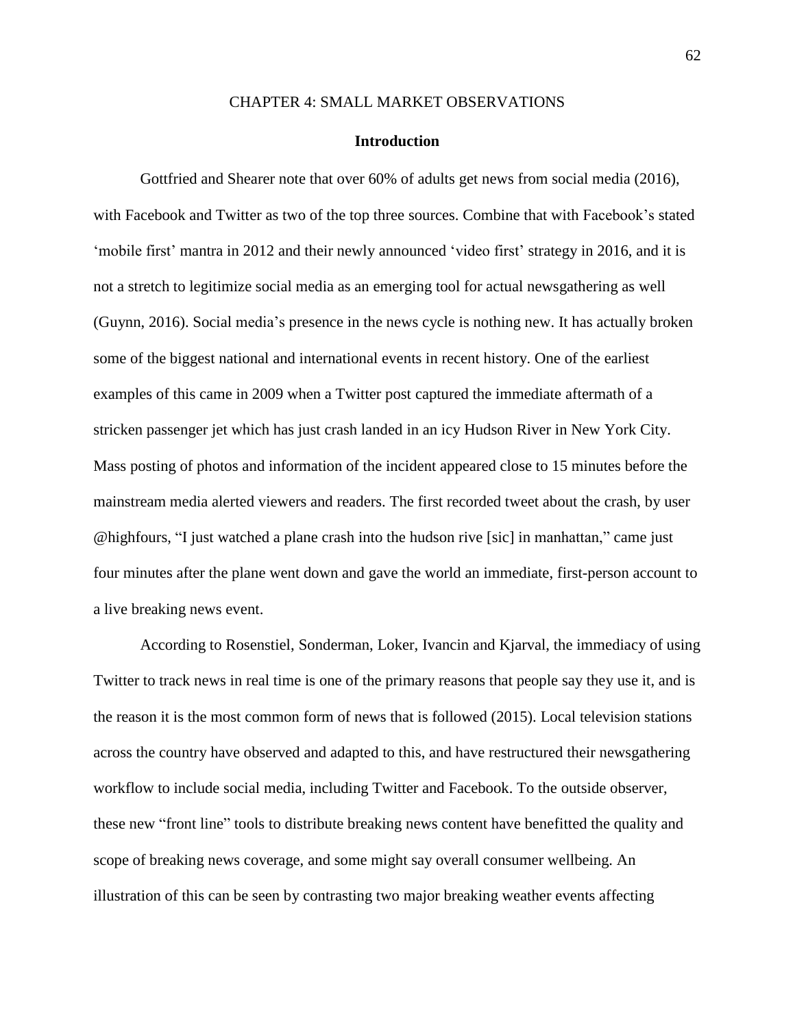# CHAPTER 4: SMALL MARKET OBSERVATIONS

### **Introduction**

Gottfried and Shearer note that over 60% of adults get news from social media (2016), with Facebook and Twitter as two of the top three sources. Combine that with Facebook's stated 'mobile first' mantra in 2012 and their newly announced 'video first' strategy in 2016, and it is not a stretch to legitimize social media as an emerging tool for actual newsgathering as well (Guynn, 2016). Social media's presence in the news cycle is nothing new. It has actually broken some of the biggest national and international events in recent history. One of the earliest examples of this came in 2009 when a Twitter post captured the immediate aftermath of a stricken passenger jet which has just crash landed in an icy Hudson River in New York City. Mass posting of photos and information of the incident appeared close to 15 minutes before the mainstream media alerted viewers and readers. The first recorded tweet about the crash, by user @highfours, "I just watched a plane crash into the hudson rive [sic] in manhattan," came just four minutes after the plane went down and gave the world an immediate, first-person account to a live breaking news event.

According to Rosenstiel, Sonderman, Loker, Ivancin and Kjarval, the immediacy of using Twitter to track news in real time is one of the primary reasons that people say they use it, and is the reason it is the most common form of news that is followed (2015). Local television stations across the country have observed and adapted to this, and have restructured their newsgathering workflow to include social media, including Twitter and Facebook. To the outside observer, these new "front line" tools to distribute breaking news content have benefitted the quality and scope of breaking news coverage, and some might say overall consumer wellbeing. An illustration of this can be seen by contrasting two major breaking weather events affecting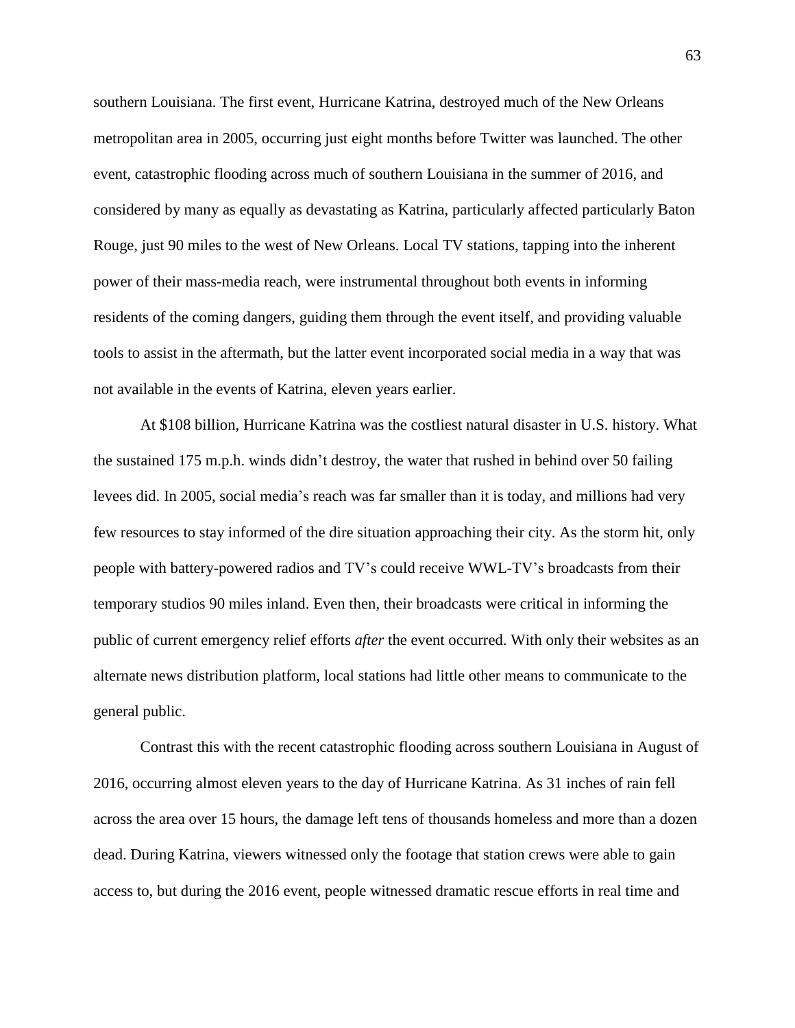southern Louisiana. The first event, Hurricane Katrina, destroyed much of the New Orleans metropolitan area in 2005, occurring just eight months before Twitter was launched. The other event, catastrophic flooding across much of southern Louisiana in the summer of 2016, and considered by many as equally as devastating as Katrina, particularly affected particularly Baton Rouge, just 90 miles to the west of New Orleans. Local TV stations, tapping into the inherent power of their mass-media reach, were instrumental throughout both events in informing residents of the coming dangers, guiding them through the event itself, and providing valuable tools to assist in the aftermath, but the latter event incorporated social media in a way that was not available in the events of Katrina, eleven years earlier.

At \$108 billion, Hurricane Katrina was the costliest natural disaster in U.S. history. What the sustained 175 m.p.h. winds didn't destroy, the water that rushed in behind over 50 failing levees did. In 2005, social media's reach was far smaller than it is today, and millions had very few resources to stay informed of the dire situation approaching their city. As the storm hit, only people with battery-powered radios and TV's could receive WWL-TV's broadcasts from their temporary studios 90 miles inland. Even then, their broadcasts were critical in informing the public of current emergency relief efforts *after* the event occurred. With only their websites as an alternate news distribution platform, local stations had little other means to communicate to the general public.

Contrast this with the recent catastrophic flooding across southern Louisiana in August of 2016, occurring almost eleven years to the day of Hurricane Katrina. As 31 inches of rain fell across the area over 15 hours, the damage left tens of thousands homeless and more than a dozen dead. During Katrina, viewers witnessed only the footage that station crews were able to gain access to, but during the 2016 event, people witnessed dramatic rescue efforts in real time and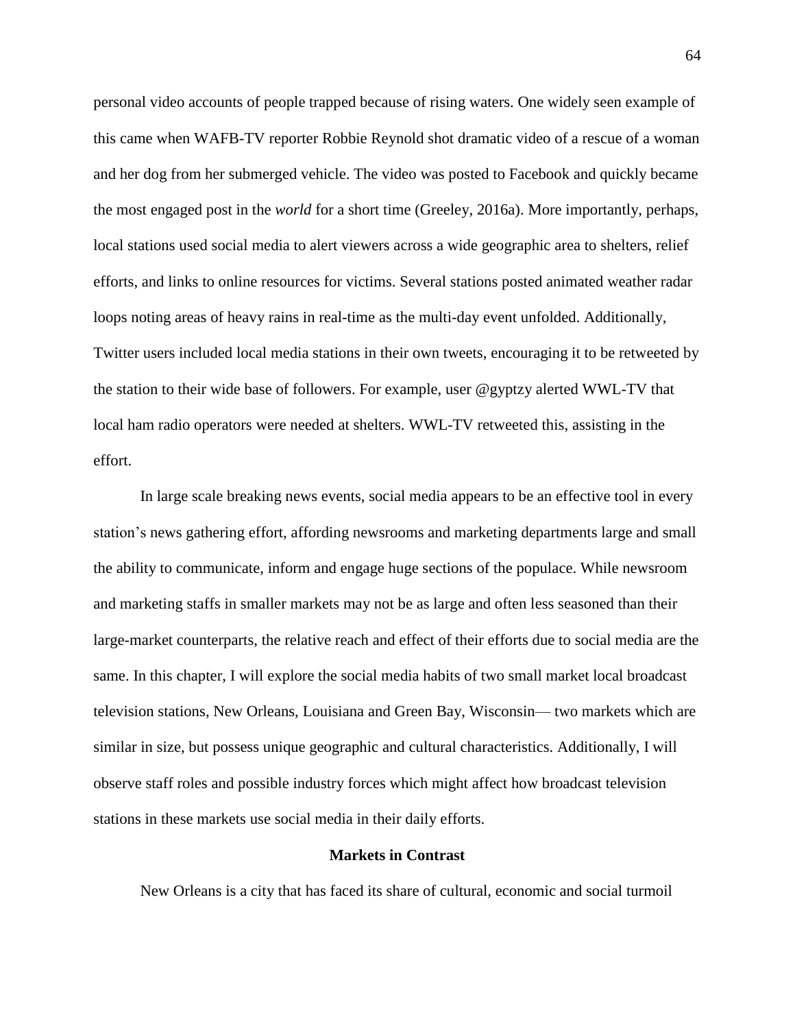personal video accounts of people trapped because of rising waters. One widely seen example of this came when WAFB-TV reporter Robbie Reynold shot dramatic video of a rescue of a woman and her dog from her submerged vehicle. The video was posted to Facebook and quickly became the most engaged post in the *world* for a short time (Greeley, 2016a). More importantly, perhaps, local stations used social media to alert viewers across a wide geographic area to shelters, relief efforts, and links to online resources for victims. Several stations posted animated weather radar loops noting areas of heavy rains in real-time as the multi-day event unfolded. Additionally, Twitter users included local media stations in their own tweets, encouraging it to be retweeted by the station to their wide base of followers. For example, user @gyptzy alerted WWL-TV that local ham radio operators were needed at shelters. WWL-TV retweeted this, assisting in the effort.

In large scale breaking news events, social media appears to be an effective tool in every station's news gathering effort, affording newsrooms and marketing departments large and small the ability to communicate, inform and engage huge sections of the populace. While newsroom and marketing staffs in smaller markets may not be as large and often less seasoned than their large-market counterparts, the relative reach and effect of their efforts due to social media are the same. In this chapter, I will explore the social media habits of two small market local broadcast television stations, New Orleans, Louisiana and Green Bay, Wisconsin— two markets which are similar in size, but possess unique geographic and cultural characteristics. Additionally, I will observe staff roles and possible industry forces which might affect how broadcast television stations in these markets use social media in their daily efforts.

## **Markets in Contrast**

New Orleans is a city that has faced its share of cultural, economic and social turmoil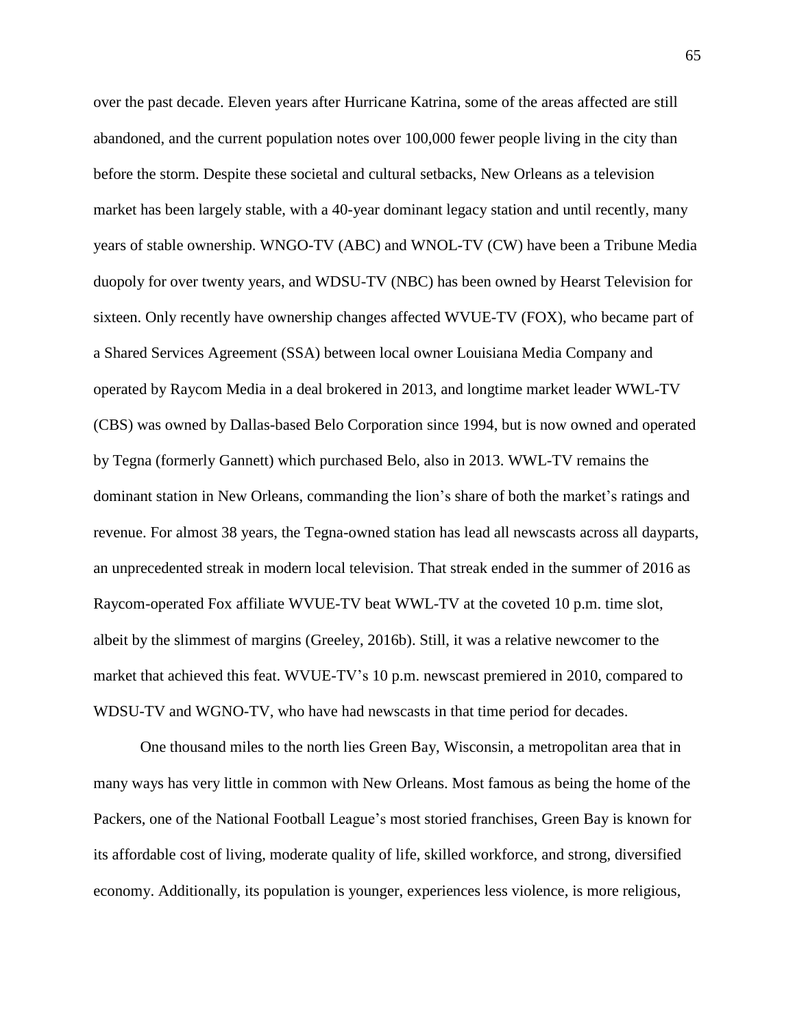over the past decade. Eleven years after Hurricane Katrina, some of the areas affected are still abandoned, and the current population notes over 100,000 fewer people living in the city than before the storm. Despite these societal and cultural setbacks, New Orleans as a television market has been largely stable, with a 40-year dominant legacy station and until recently, many years of stable ownership. WNGO-TV (ABC) and WNOL-TV (CW) have been a Tribune Media duopoly for over twenty years, and WDSU-TV (NBC) has been owned by Hearst Television for sixteen. Only recently have ownership changes affected WVUE-TV (FOX), who became part of a Shared Services Agreement (SSA) between local owner Louisiana Media Company and operated by Raycom Media in a deal brokered in 2013, and longtime market leader WWL-TV (CBS) was owned by Dallas-based Belo Corporation since 1994, but is now owned and operated by Tegna (formerly Gannett) which purchased Belo, also in 2013. WWL-TV remains the dominant station in New Orleans, commanding the lion's share of both the market's ratings and revenue. For almost 38 years, the Tegna-owned station has lead all newscasts across all dayparts, an unprecedented streak in modern local television. That streak ended in the summer of 2016 as Raycom-operated Fox affiliate WVUE-TV beat WWL-TV at the coveted 10 p.m. time slot, albeit by the slimmest of margins (Greeley, 2016b). Still, it was a relative newcomer to the market that achieved this feat. WVUE-TV's 10 p.m. newscast premiered in 2010, compared to WDSU-TV and WGNO-TV, who have had newscasts in that time period for decades.

One thousand miles to the north lies Green Bay, Wisconsin, a metropolitan area that in many ways has very little in common with New Orleans. Most famous as being the home of the Packers, one of the National Football League's most storied franchises, Green Bay is known for its affordable cost of living, moderate quality of life, skilled workforce, and strong, diversified economy. Additionally, its population is younger, experiences less violence, is more religious,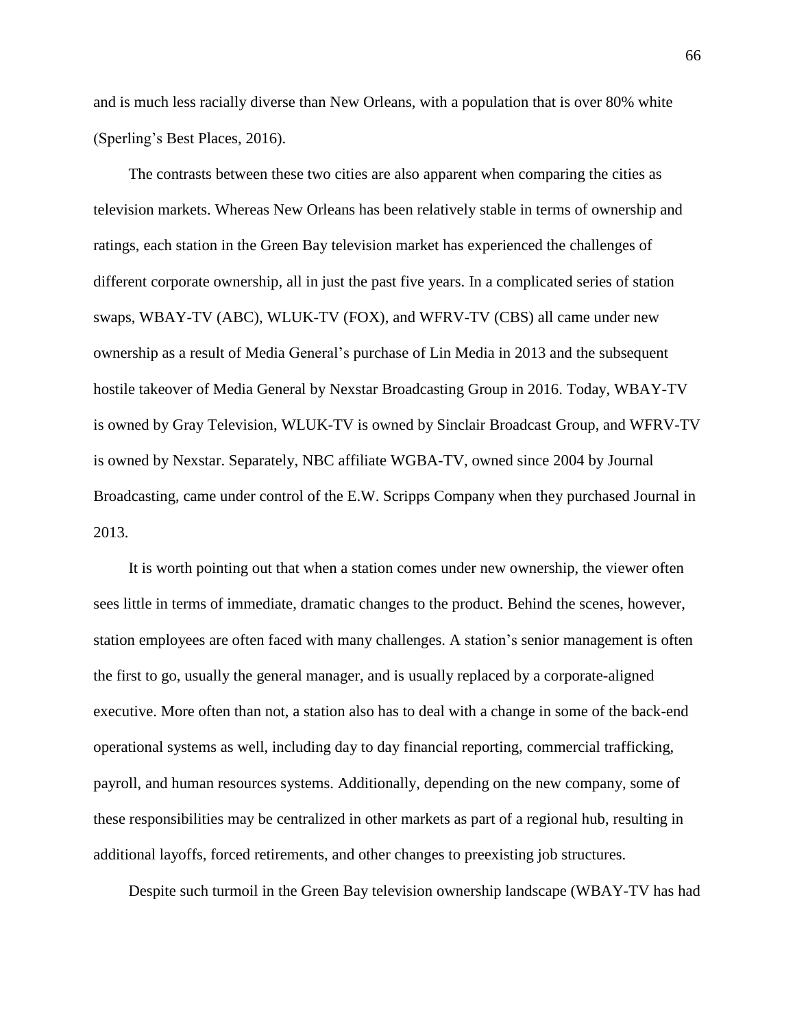and is much less racially diverse than New Orleans, with a population that is over 80% white (Sperling's Best Places, 2016).

The contrasts between these two cities are also apparent when comparing the cities as television markets. Whereas New Orleans has been relatively stable in terms of ownership and ratings, each station in the Green Bay television market has experienced the challenges of different corporate ownership, all in just the past five years. In a complicated series of station swaps, WBAY-TV (ABC), WLUK-TV (FOX), and WFRV-TV (CBS) all came under new ownership as a result of Media General's purchase of Lin Media in 2013 and the subsequent hostile takeover of Media General by Nexstar Broadcasting Group in 2016. Today, WBAY-TV is owned by Gray Television, WLUK-TV is owned by Sinclair Broadcast Group, and WFRV-TV is owned by Nexstar. Separately, NBC affiliate WGBA-TV, owned since 2004 by Journal Broadcasting, came under control of the E.W. Scripps Company when they purchased Journal in 2013.

It is worth pointing out that when a station comes under new ownership, the viewer often sees little in terms of immediate, dramatic changes to the product. Behind the scenes, however, station employees are often faced with many challenges. A station's senior management is often the first to go, usually the general manager, and is usually replaced by a corporate-aligned executive. More often than not, a station also has to deal with a change in some of the back-end operational systems as well, including day to day financial reporting, commercial trafficking, payroll, and human resources systems. Additionally, depending on the new company, some of these responsibilities may be centralized in other markets as part of a regional hub, resulting in additional layoffs, forced retirements, and other changes to preexisting job structures.

Despite such turmoil in the Green Bay television ownership landscape (WBAY-TV has had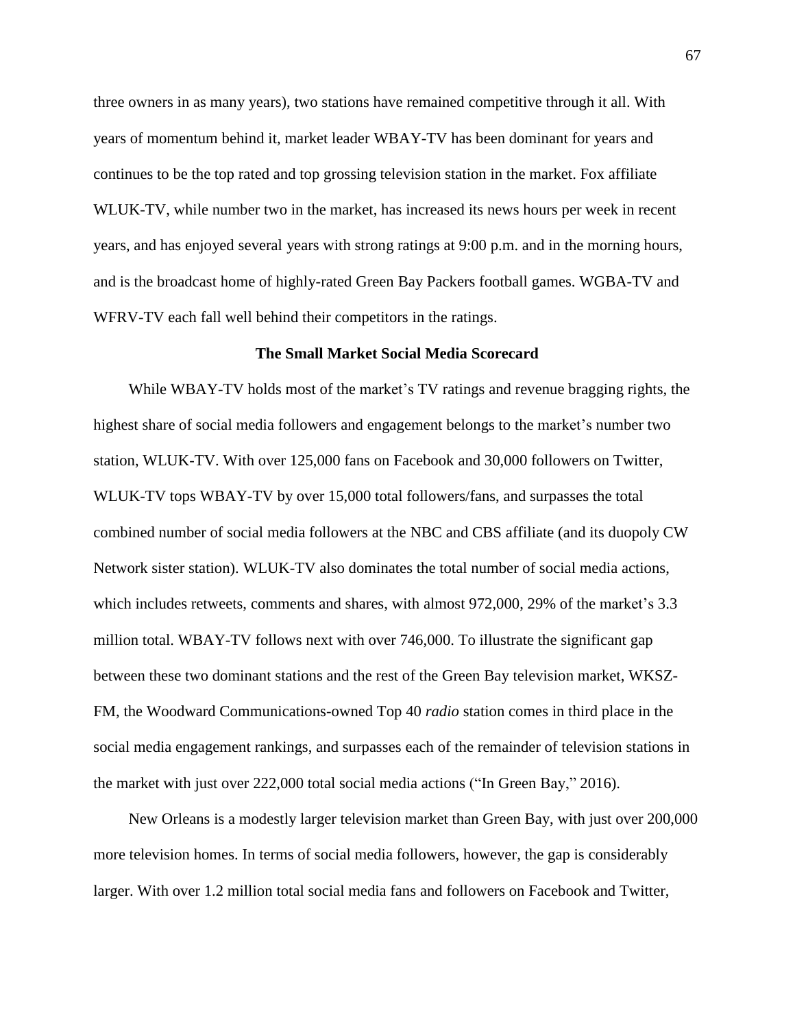three owners in as many years), two stations have remained competitive through it all. With years of momentum behind it, market leader WBAY-TV has been dominant for years and continues to be the top rated and top grossing television station in the market. Fox affiliate WLUK-TV, while number two in the market, has increased its news hours per week in recent years, and has enjoyed several years with strong ratings at 9:00 p.m. and in the morning hours, and is the broadcast home of highly-rated Green Bay Packers football games. WGBA-TV and WFRV-TV each fall well behind their competitors in the ratings.

#### **The Small Market Social Media Scorecard**

While WBAY-TV holds most of the market's TV ratings and revenue bragging rights, the highest share of social media followers and engagement belongs to the market's number two station, WLUK-TV. With over 125,000 fans on Facebook and 30,000 followers on Twitter, WLUK-TV tops WBAY-TV by over 15,000 total followers/fans, and surpasses the total combined number of social media followers at the NBC and CBS affiliate (and its duopoly CW Network sister station). WLUK-TV also dominates the total number of social media actions, which includes retweets, comments and shares, with almost 972,000, 29% of the market's 3.3 million total. WBAY-TV follows next with over 746,000. To illustrate the significant gap between these two dominant stations and the rest of the Green Bay television market, WKSZ-FM, the Woodward Communications-owned Top 40 *radio* station comes in third place in the social media engagement rankings, and surpasses each of the remainder of television stations in the market with just over 222,000 total social media actions ("In Green Bay," 2016).

New Orleans is a modestly larger television market than Green Bay, with just over 200,000 more television homes. In terms of social media followers, however, the gap is considerably larger. With over 1.2 million total social media fans and followers on Facebook and Twitter,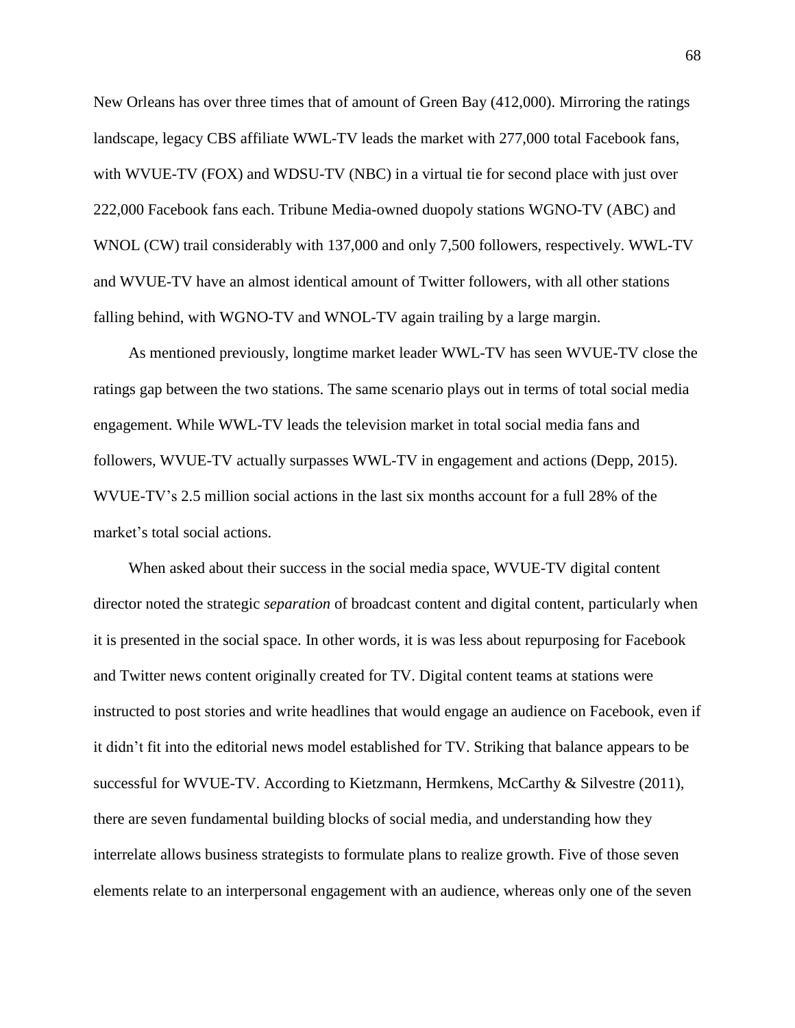New Orleans has over three times that of amount of Green Bay (412,000). Mirroring the ratings landscape, legacy CBS affiliate WWL-TV leads the market with 277,000 total Facebook fans, with WVUE-TV (FOX) and WDSU-TV (NBC) in a virtual tie for second place with just over 222,000 Facebook fans each. Tribune Media-owned duopoly stations WGNO-TV (ABC) and WNOL (CW) trail considerably with 137,000 and only 7,500 followers, respectively. WWL-TV and WVUE-TV have an almost identical amount of Twitter followers, with all other stations falling behind, with WGNO-TV and WNOL-TV again trailing by a large margin.

As mentioned previously, longtime market leader WWL-TV has seen WVUE-TV close the ratings gap between the two stations. The same scenario plays out in terms of total social media engagement. While WWL-TV leads the television market in total social media fans and followers, WVUE-TV actually surpasses WWL-TV in engagement and actions (Depp, 2015). WVUE-TV's 2.5 million social actions in the last six months account for a full 28% of the market's total social actions.

When asked about their success in the social media space, WVUE-TV digital content director noted the strategic *separation* of broadcast content and digital content, particularly when it is presented in the social space. In other words, it is was less about repurposing for Facebook and Twitter news content originally created for TV. Digital content teams at stations were instructed to post stories and write headlines that would engage an audience on Facebook, even if it didn't fit into the editorial news model established for TV. Striking that balance appears to be successful for WVUE-TV. According to Kietzmann, Hermkens, McCarthy & Silvestre (2011), there are seven fundamental building blocks of social media, and understanding how they interrelate allows business strategists to formulate plans to realize growth. Five of those seven elements relate to an interpersonal engagement with an audience, whereas only one of the seven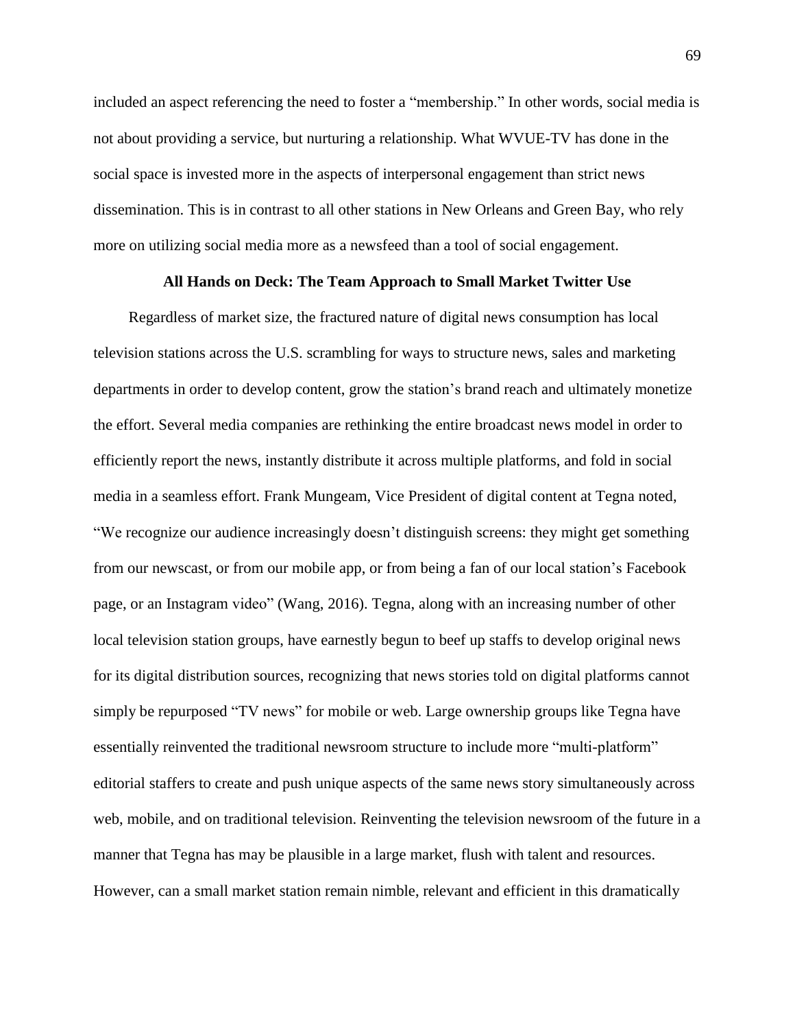included an aspect referencing the need to foster a "membership." In other words, social media is not about providing a service, but nurturing a relationship. What WVUE-TV has done in the social space is invested more in the aspects of interpersonal engagement than strict news dissemination. This is in contrast to all other stations in New Orleans and Green Bay, who rely more on utilizing social media more as a newsfeed than a tool of social engagement.

# **All Hands on Deck: The Team Approach to Small Market Twitter Use**

Regardless of market size, the fractured nature of digital news consumption has local television stations across the U.S. scrambling for ways to structure news, sales and marketing departments in order to develop content, grow the station's brand reach and ultimately monetize the effort. Several media companies are rethinking the entire broadcast news model in order to efficiently report the news, instantly distribute it across multiple platforms, and fold in social media in a seamless effort. Frank Mungeam, Vice President of digital content at Tegna noted, "We recognize our audience increasingly doesn't distinguish screens: they might get something from our newscast, or from our mobile app, or from being a fan of our local station's Facebook page, or an Instagram video" (Wang, 2016). Tegna, along with an increasing number of other local television station groups, have earnestly begun to beef up staffs to develop original news for its digital distribution sources, recognizing that news stories told on digital platforms cannot simply be repurposed "TV news" for mobile or web. Large ownership groups like Tegna have essentially reinvented the traditional newsroom structure to include more "multi-platform" editorial staffers to create and push unique aspects of the same news story simultaneously across web, mobile, and on traditional television. Reinventing the television newsroom of the future in a manner that Tegna has may be plausible in a large market, flush with talent and resources. However, can a small market station remain nimble, relevant and efficient in this dramatically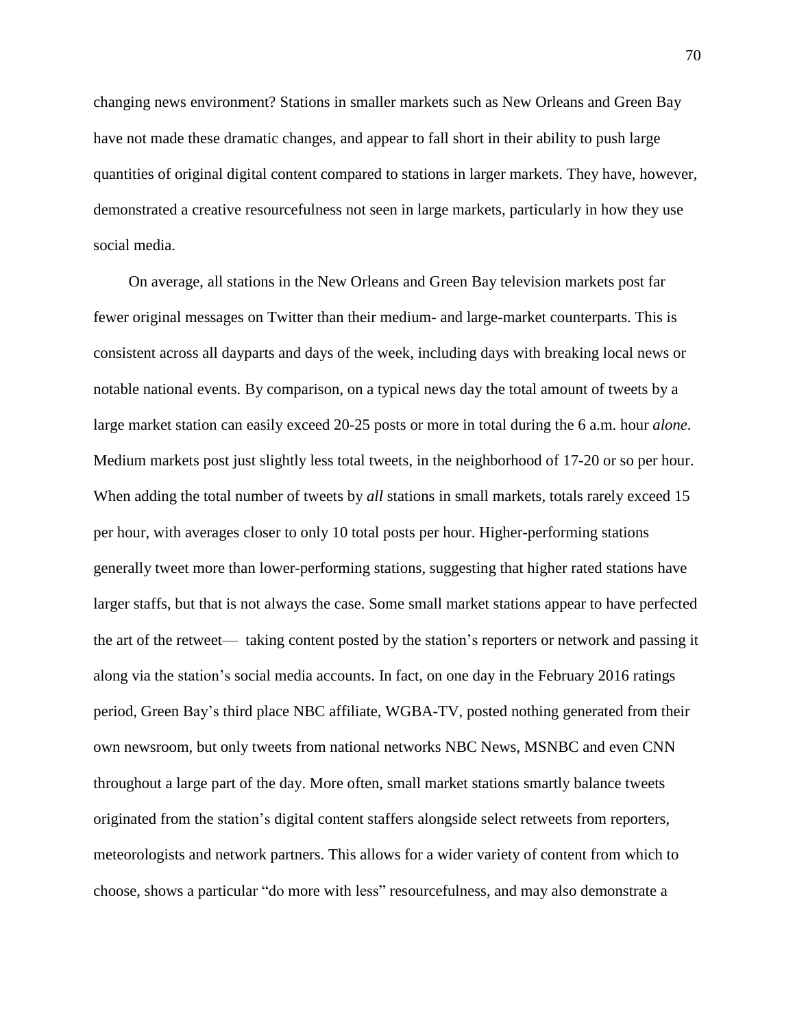changing news environment? Stations in smaller markets such as New Orleans and Green Bay have not made these dramatic changes, and appear to fall short in their ability to push large quantities of original digital content compared to stations in larger markets. They have, however, demonstrated a creative resourcefulness not seen in large markets, particularly in how they use social media.

On average, all stations in the New Orleans and Green Bay television markets post far fewer original messages on Twitter than their medium- and large-market counterparts. This is consistent across all dayparts and days of the week, including days with breaking local news or notable national events. By comparison, on a typical news day the total amount of tweets by a large market station can easily exceed 20-25 posts or more in total during the 6 a.m. hour *alone*. Medium markets post just slightly less total tweets, in the neighborhood of 17-20 or so per hour. When adding the total number of tweets by *all* stations in small markets, totals rarely exceed 15 per hour, with averages closer to only 10 total posts per hour. Higher-performing stations generally tweet more than lower-performing stations, suggesting that higher rated stations have larger staffs, but that is not always the case. Some small market stations appear to have perfected the art of the retweet— taking content posted by the station's reporters or network and passing it along via the station's social media accounts. In fact, on one day in the February 2016 ratings period, Green Bay's third place NBC affiliate, WGBA-TV, posted nothing generated from their own newsroom, but only tweets from national networks NBC News, MSNBC and even CNN throughout a large part of the day. More often, small market stations smartly balance tweets originated from the station's digital content staffers alongside select retweets from reporters, meteorologists and network partners. This allows for a wider variety of content from which to choose, shows a particular "do more with less" resourcefulness, and may also demonstrate a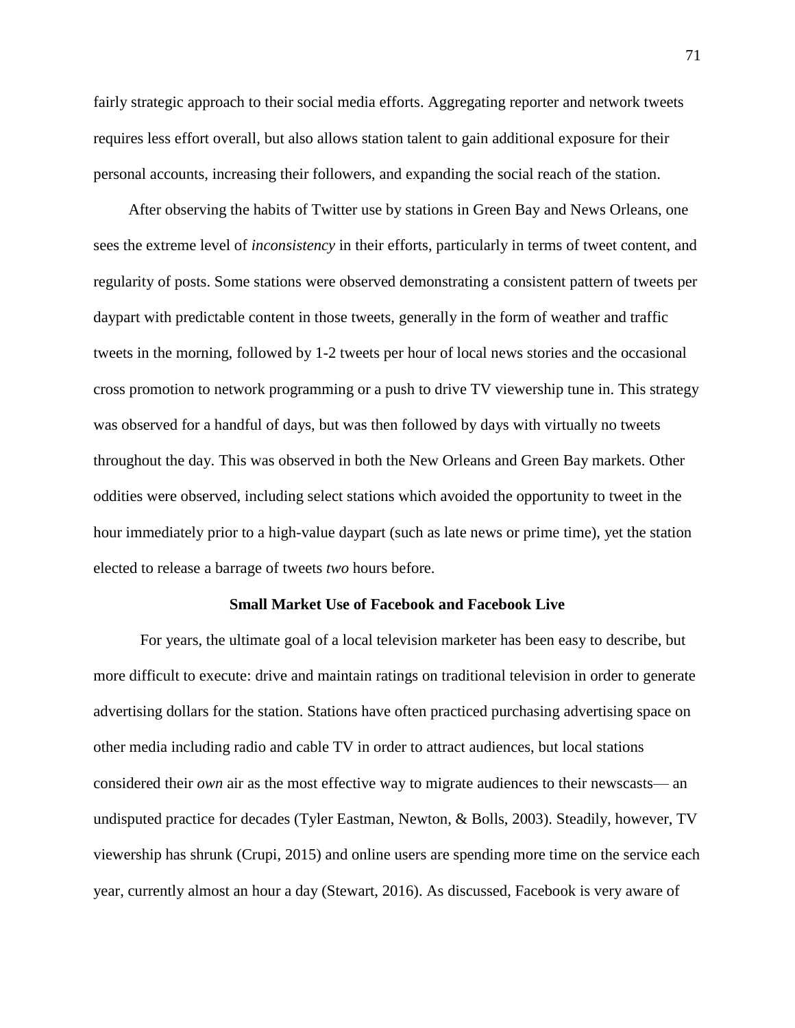fairly strategic approach to their social media efforts. Aggregating reporter and network tweets requires less effort overall, but also allows station talent to gain additional exposure for their personal accounts, increasing their followers, and expanding the social reach of the station.

After observing the habits of Twitter use by stations in Green Bay and News Orleans, one sees the extreme level of *inconsistency* in their efforts, particularly in terms of tweet content, and regularity of posts. Some stations were observed demonstrating a consistent pattern of tweets per daypart with predictable content in those tweets, generally in the form of weather and traffic tweets in the morning, followed by 1-2 tweets per hour of local news stories and the occasional cross promotion to network programming or a push to drive TV viewership tune in. This strategy was observed for a handful of days, but was then followed by days with virtually no tweets throughout the day. This was observed in both the New Orleans and Green Bay markets. Other oddities were observed, including select stations which avoided the opportunity to tweet in the hour immediately prior to a high-value daypart (such as late news or prime time), yet the station elected to release a barrage of tweets *two* hours before.

#### **Small Market Use of Facebook and Facebook Live**

For years, the ultimate goal of a local television marketer has been easy to describe, but more difficult to execute: drive and maintain ratings on traditional television in order to generate advertising dollars for the station. Stations have often practiced purchasing advertising space on other media including radio and cable TV in order to attract audiences, but local stations considered their *own* air as the most effective way to migrate audiences to their newscasts— an undisputed practice for decades (Tyler Eastman, Newton, & Bolls, 2003). Steadily, however, TV viewership has shrunk (Crupi, 2015) and online users are spending more time on the service each year, currently almost an hour a day (Stewart, 2016). As discussed, Facebook is very aware of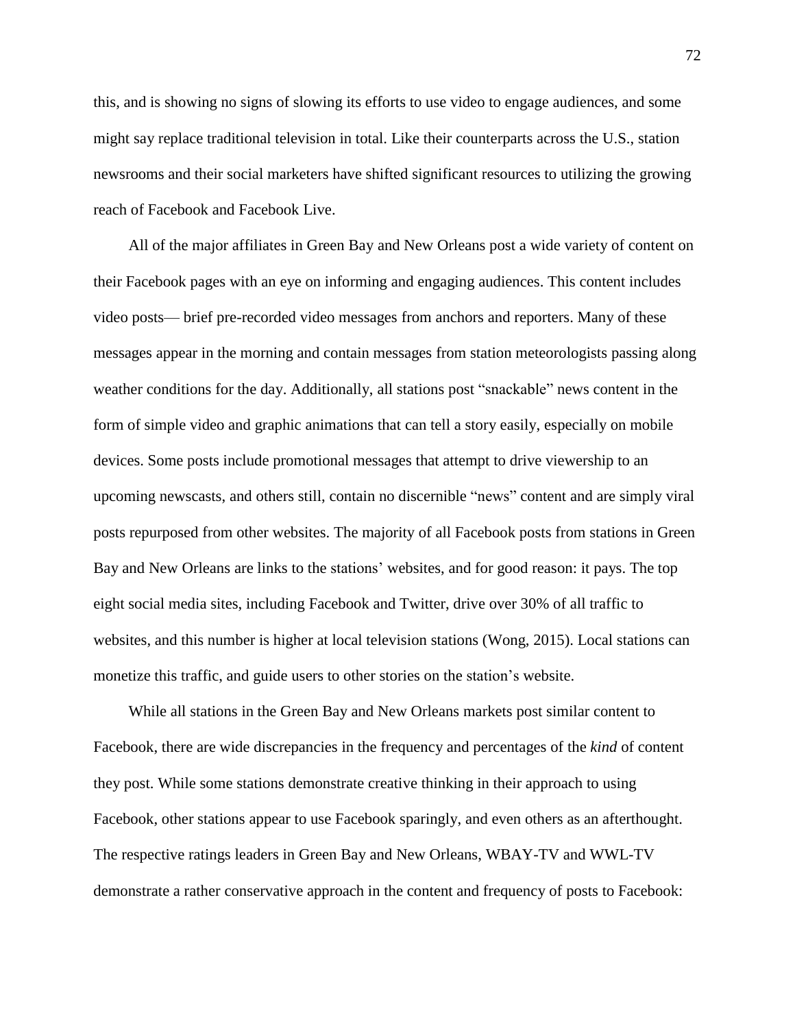this, and is showing no signs of slowing its efforts to use video to engage audiences, and some might say replace traditional television in total. Like their counterparts across the U.S., station newsrooms and their social marketers have shifted significant resources to utilizing the growing reach of Facebook and Facebook Live.

All of the major affiliates in Green Bay and New Orleans post a wide variety of content on their Facebook pages with an eye on informing and engaging audiences. This content includes video posts— brief pre-recorded video messages from anchors and reporters. Many of these messages appear in the morning and contain messages from station meteorologists passing along weather conditions for the day. Additionally, all stations post "snackable" news content in the form of simple video and graphic animations that can tell a story easily, especially on mobile devices. Some posts include promotional messages that attempt to drive viewership to an upcoming newscasts, and others still, contain no discernible "news" content and are simply viral posts repurposed from other websites. The majority of all Facebook posts from stations in Green Bay and New Orleans are links to the stations' websites, and for good reason: it pays. The top eight social media sites, including Facebook and Twitter, drive over 30% of all traffic to websites, and this number is higher at local television stations (Wong, 2015). Local stations can monetize this traffic, and guide users to other stories on the station's website.

While all stations in the Green Bay and New Orleans markets post similar content to Facebook, there are wide discrepancies in the frequency and percentages of the *kind* of content they post. While some stations demonstrate creative thinking in their approach to using Facebook, other stations appear to use Facebook sparingly, and even others as an afterthought. The respective ratings leaders in Green Bay and New Orleans, WBAY-TV and WWL-TV demonstrate a rather conservative approach in the content and frequency of posts to Facebook: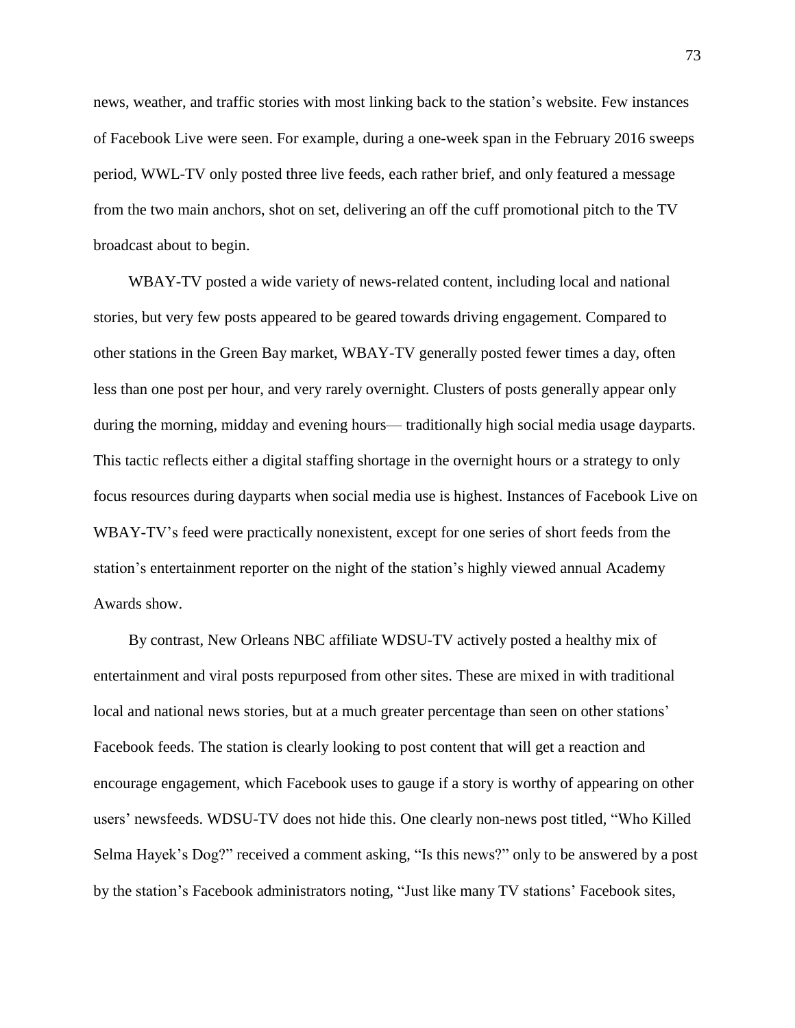news, weather, and traffic stories with most linking back to the station's website. Few instances of Facebook Live were seen. For example, during a one-week span in the February 2016 sweeps period, WWL-TV only posted three live feeds, each rather brief, and only featured a message from the two main anchors, shot on set, delivering an off the cuff promotional pitch to the TV broadcast about to begin.

WBAY-TV posted a wide variety of news-related content, including local and national stories, but very few posts appeared to be geared towards driving engagement. Compared to other stations in the Green Bay market, WBAY-TV generally posted fewer times a day, often less than one post per hour, and very rarely overnight. Clusters of posts generally appear only during the morning, midday and evening hours— traditionally high social media usage dayparts. This tactic reflects either a digital staffing shortage in the overnight hours or a strategy to only focus resources during dayparts when social media use is highest. Instances of Facebook Live on WBAY-TV's feed were practically nonexistent, except for one series of short feeds from the station's entertainment reporter on the night of the station's highly viewed annual Academy Awards show.

By contrast, New Orleans NBC affiliate WDSU-TV actively posted a healthy mix of entertainment and viral posts repurposed from other sites. These are mixed in with traditional local and national news stories, but at a much greater percentage than seen on other stations' Facebook feeds. The station is clearly looking to post content that will get a reaction and encourage engagement, which Facebook uses to gauge if a story is worthy of appearing on other users' newsfeeds. WDSU-TV does not hide this. One clearly non-news post titled, "Who Killed Selma Hayek's Dog?" received a comment asking, "Is this news?" only to be answered by a post by the station's Facebook administrators noting, "Just like many TV stations' Facebook sites,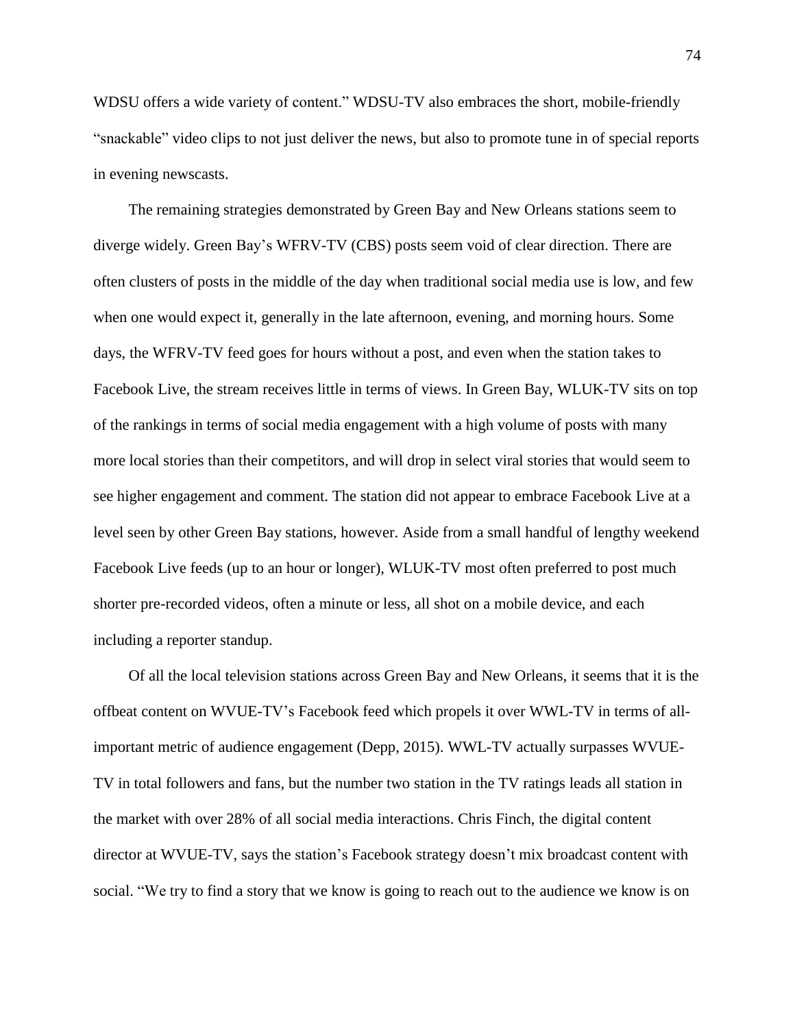WDSU offers a wide variety of content." WDSU-TV also embraces the short, mobile-friendly "snackable" video clips to not just deliver the news, but also to promote tune in of special reports in evening newscasts.

The remaining strategies demonstrated by Green Bay and New Orleans stations seem to diverge widely. Green Bay's WFRV-TV (CBS) posts seem void of clear direction. There are often clusters of posts in the middle of the day when traditional social media use is low, and few when one would expect it, generally in the late afternoon, evening, and morning hours. Some days, the WFRV-TV feed goes for hours without a post, and even when the station takes to Facebook Live, the stream receives little in terms of views. In Green Bay, WLUK-TV sits on top of the rankings in terms of social media engagement with a high volume of posts with many more local stories than their competitors, and will drop in select viral stories that would seem to see higher engagement and comment. The station did not appear to embrace Facebook Live at a level seen by other Green Bay stations, however. Aside from a small handful of lengthy weekend Facebook Live feeds (up to an hour or longer), WLUK-TV most often preferred to post much shorter pre-recorded videos, often a minute or less, all shot on a mobile device, and each including a reporter standup.

Of all the local television stations across Green Bay and New Orleans, it seems that it is the offbeat content on WVUE-TV's Facebook feed which propels it over WWL-TV in terms of allimportant metric of audience engagement (Depp, 2015). WWL-TV actually surpasses WVUE-TV in total followers and fans, but the number two station in the TV ratings leads all station in the market with over 28% of all social media interactions. Chris Finch, the digital content director at WVUE-TV, says the station's Facebook strategy doesn't mix broadcast content with social. "We try to find a story that we know is going to reach out to the audience we know is on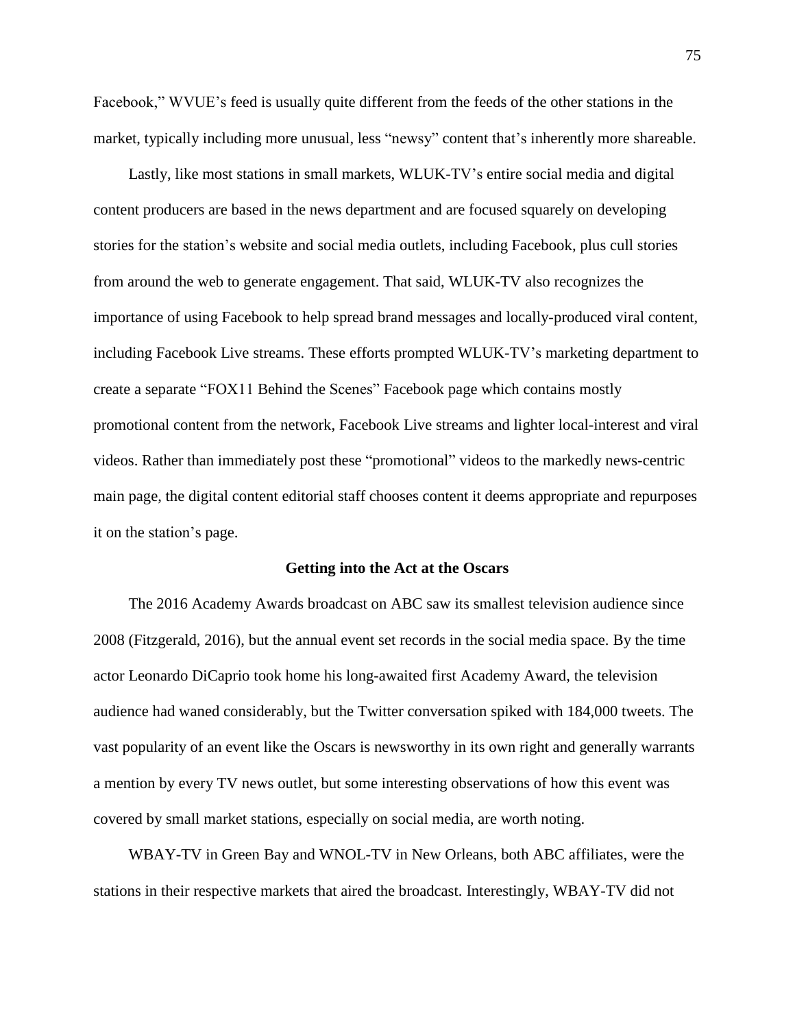Facebook," WVUE's feed is usually quite different from the feeds of the other stations in the market, typically including more unusual, less "newsy" content that's inherently more shareable.

Lastly, like most stations in small markets, WLUK-TV's entire social media and digital content producers are based in the news department and are focused squarely on developing stories for the station's website and social media outlets, including Facebook, plus cull stories from around the web to generate engagement. That said, WLUK-TV also recognizes the importance of using Facebook to help spread brand messages and locally-produced viral content, including Facebook Live streams. These efforts prompted WLUK-TV's marketing department to create a separate "FOX11 Behind the Scenes" Facebook page which contains mostly promotional content from the network, Facebook Live streams and lighter local-interest and viral videos. Rather than immediately post these "promotional" videos to the markedly news-centric main page, the digital content editorial staff chooses content it deems appropriate and repurposes it on the station's page.

#### **Getting into the Act at the Oscars**

The 2016 Academy Awards broadcast on ABC saw its smallest television audience since 2008 (Fitzgerald, 2016), but the annual event set records in the social media space. By the time actor Leonardo DiCaprio took home his long-awaited first Academy Award, the television audience had waned considerably, but the Twitter conversation spiked with 184,000 tweets. The vast popularity of an event like the Oscars is newsworthy in its own right and generally warrants a mention by every TV news outlet, but some interesting observations of how this event was covered by small market stations, especially on social media, are worth noting.

WBAY-TV in Green Bay and WNOL-TV in New Orleans, both ABC affiliates, were the stations in their respective markets that aired the broadcast. Interestingly, WBAY-TV did not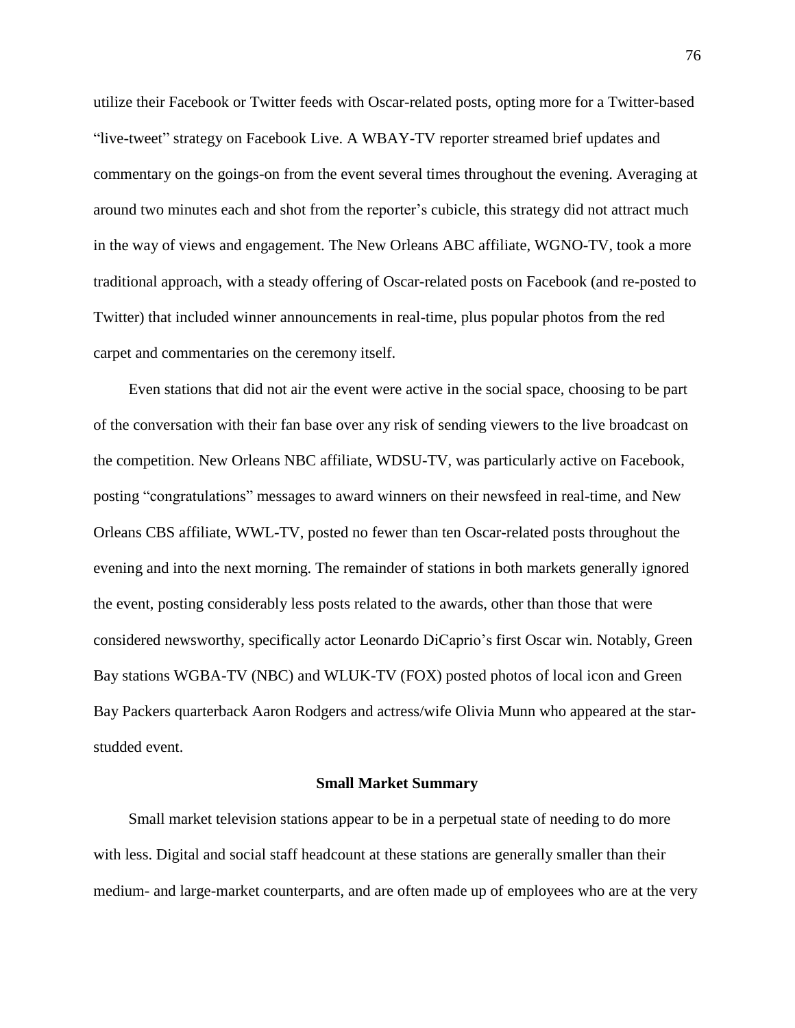utilize their Facebook or Twitter feeds with Oscar-related posts, opting more for a Twitter-based "live-tweet" strategy on Facebook Live. A WBAY-TV reporter streamed brief updates and commentary on the goings-on from the event several times throughout the evening. Averaging at around two minutes each and shot from the reporter's cubicle, this strategy did not attract much in the way of views and engagement. The New Orleans ABC affiliate, WGNO-TV, took a more traditional approach, with a steady offering of Oscar-related posts on Facebook (and re-posted to Twitter) that included winner announcements in real-time, plus popular photos from the red carpet and commentaries on the ceremony itself.

Even stations that did not air the event were active in the social space, choosing to be part of the conversation with their fan base over any risk of sending viewers to the live broadcast on the competition. New Orleans NBC affiliate, WDSU-TV, was particularly active on Facebook, posting "congratulations" messages to award winners on their newsfeed in real-time, and New Orleans CBS affiliate, WWL-TV, posted no fewer than ten Oscar-related posts throughout the evening and into the next morning. The remainder of stations in both markets generally ignored the event, posting considerably less posts related to the awards, other than those that were considered newsworthy, specifically actor Leonardo DiCaprio's first Oscar win. Notably, Green Bay stations WGBA-TV (NBC) and WLUK-TV (FOX) posted photos of local icon and Green Bay Packers quarterback Aaron Rodgers and actress/wife Olivia Munn who appeared at the starstudded event.

#### **Small Market Summary**

Small market television stations appear to be in a perpetual state of needing to do more with less. Digital and social staff headcount at these stations are generally smaller than their medium- and large-market counterparts, and are often made up of employees who are at the very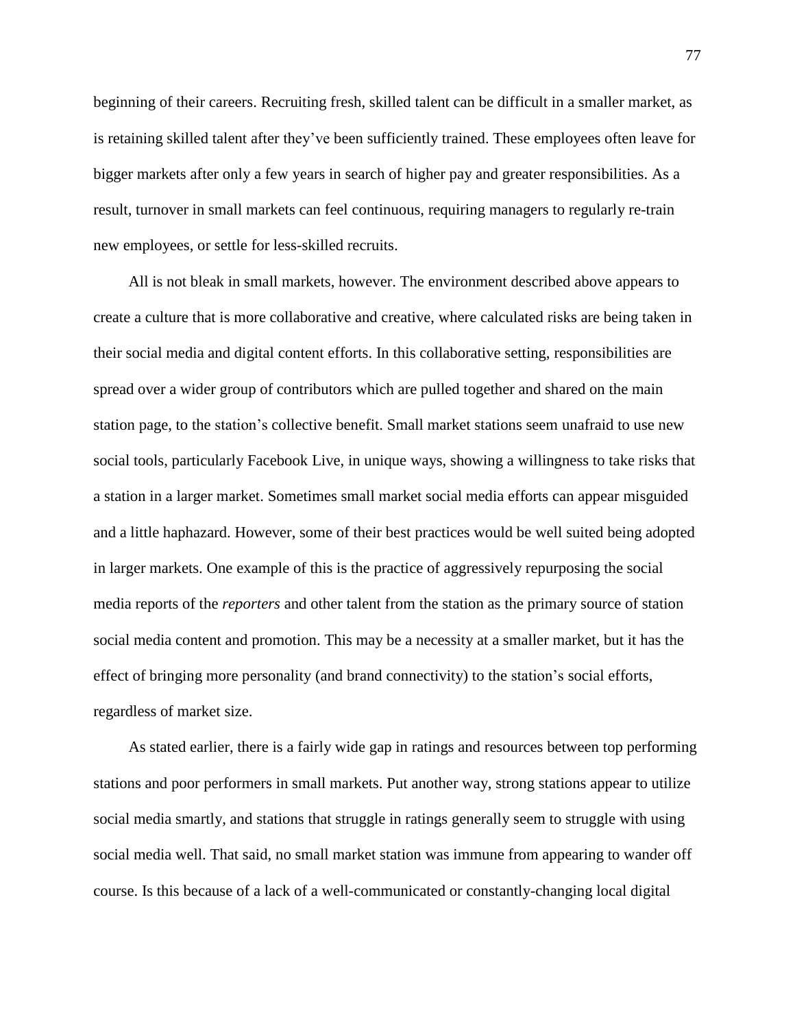beginning of their careers. Recruiting fresh, skilled talent can be difficult in a smaller market, as is retaining skilled talent after they've been sufficiently trained. These employees often leave for bigger markets after only a few years in search of higher pay and greater responsibilities. As a result, turnover in small markets can feel continuous, requiring managers to regularly re-train new employees, or settle for less-skilled recruits.

All is not bleak in small markets, however. The environment described above appears to create a culture that is more collaborative and creative, where calculated risks are being taken in their social media and digital content efforts. In this collaborative setting, responsibilities are spread over a wider group of contributors which are pulled together and shared on the main station page, to the station's collective benefit. Small market stations seem unafraid to use new social tools, particularly Facebook Live, in unique ways, showing a willingness to take risks that a station in a larger market. Sometimes small market social media efforts can appear misguided and a little haphazard. However, some of their best practices would be well suited being adopted in larger markets. One example of this is the practice of aggressively repurposing the social media reports of the *reporters* and other talent from the station as the primary source of station social media content and promotion. This may be a necessity at a smaller market, but it has the effect of bringing more personality (and brand connectivity) to the station's social efforts, regardless of market size.

As stated earlier, there is a fairly wide gap in ratings and resources between top performing stations and poor performers in small markets. Put another way, strong stations appear to utilize social media smartly, and stations that struggle in ratings generally seem to struggle with using social media well. That said, no small market station was immune from appearing to wander off course. Is this because of a lack of a well-communicated or constantly-changing local digital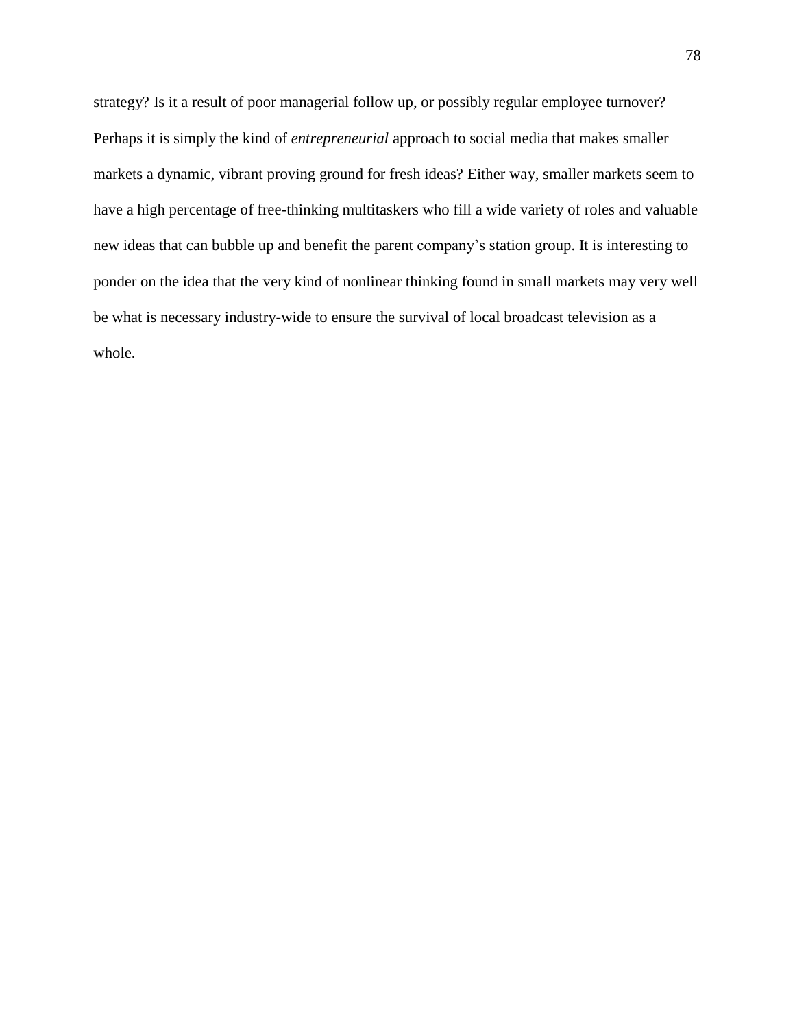strategy? Is it a result of poor managerial follow up, or possibly regular employee turnover? Perhaps it is simply the kind of *entrepreneurial* approach to social media that makes smaller markets a dynamic, vibrant proving ground for fresh ideas? Either way, smaller markets seem to have a high percentage of free-thinking multitaskers who fill a wide variety of roles and valuable new ideas that can bubble up and benefit the parent company's station group. It is interesting to ponder on the idea that the very kind of nonlinear thinking found in small markets may very well be what is necessary industry-wide to ensure the survival of local broadcast television as a whole.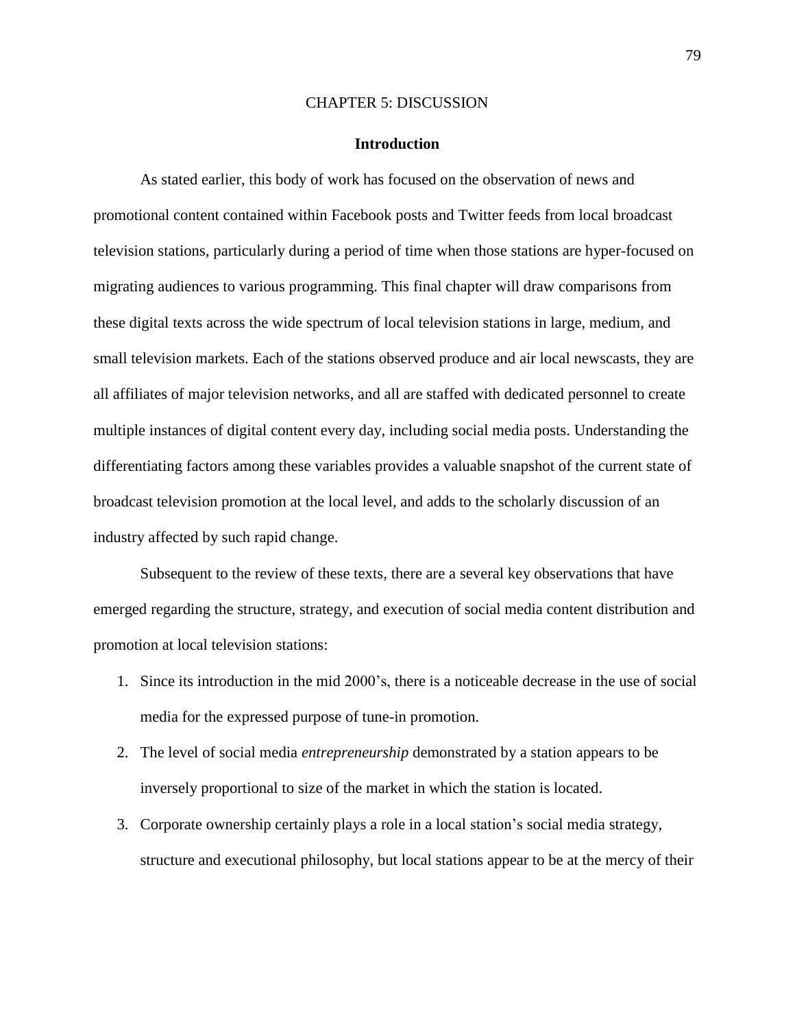### CHAPTER 5: DISCUSSION

#### **Introduction**

As stated earlier, this body of work has focused on the observation of news and promotional content contained within Facebook posts and Twitter feeds from local broadcast television stations, particularly during a period of time when those stations are hyper-focused on migrating audiences to various programming. This final chapter will draw comparisons from these digital texts across the wide spectrum of local television stations in large, medium, and small television markets. Each of the stations observed produce and air local newscasts, they are all affiliates of major television networks, and all are staffed with dedicated personnel to create multiple instances of digital content every day, including social media posts. Understanding the differentiating factors among these variables provides a valuable snapshot of the current state of broadcast television promotion at the local level, and adds to the scholarly discussion of an industry affected by such rapid change.

Subsequent to the review of these texts, there are a several key observations that have emerged regarding the structure, strategy, and execution of social media content distribution and promotion at local television stations:

- 1. Since its introduction in the mid 2000's, there is a noticeable decrease in the use of social media for the expressed purpose of tune-in promotion.
- 2. The level of social media *entrepreneurship* demonstrated by a station appears to be inversely proportional to size of the market in which the station is located.
- 3. Corporate ownership certainly plays a role in a local station's social media strategy, structure and executional philosophy, but local stations appear to be at the mercy of their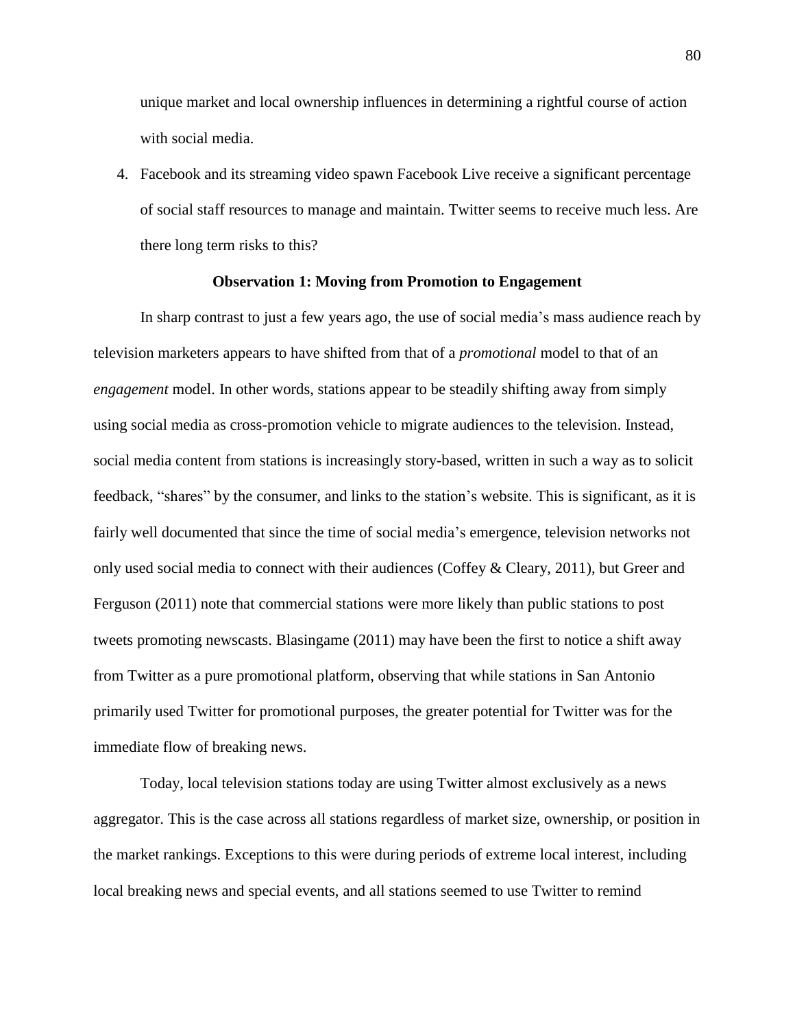unique market and local ownership influences in determining a rightful course of action with social media.

4. Facebook and its streaming video spawn Facebook Live receive a significant percentage of social staff resources to manage and maintain. Twitter seems to receive much less. Are there long term risks to this?

## **Observation 1: Moving from Promotion to Engagement**

In sharp contrast to just a few years ago, the use of social media's mass audience reach by television marketers appears to have shifted from that of a *promotional* model to that of an *engagement* model. In other words, stations appear to be steadily shifting away from simply using social media as cross-promotion vehicle to migrate audiences to the television. Instead, social media content from stations is increasingly story-based, written in such a way as to solicit feedback, "shares" by the consumer, and links to the station's website. This is significant, as it is fairly well documented that since the time of social media's emergence, television networks not only used social media to connect with their audiences (Coffey & Cleary, 2011), but Greer and Ferguson (2011) note that commercial stations were more likely than public stations to post tweets promoting newscasts. Blasingame (2011) may have been the first to notice a shift away from Twitter as a pure promotional platform, observing that while stations in San Antonio primarily used Twitter for promotional purposes, the greater potential for Twitter was for the immediate flow of breaking news.

Today, local television stations today are using Twitter almost exclusively as a news aggregator. This is the case across all stations regardless of market size, ownership, or position in the market rankings. Exceptions to this were during periods of extreme local interest, including local breaking news and special events, and all stations seemed to use Twitter to remind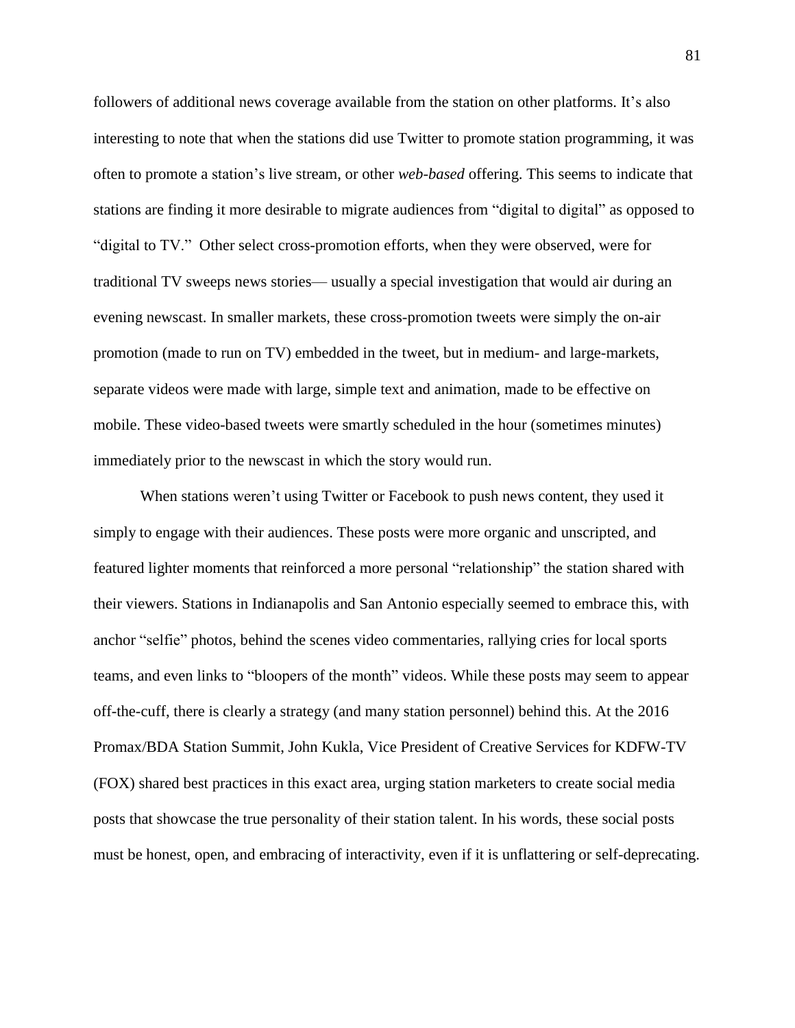followers of additional news coverage available from the station on other platforms. It's also interesting to note that when the stations did use Twitter to promote station programming, it was often to promote a station's live stream, or other *web-based* offering. This seems to indicate that stations are finding it more desirable to migrate audiences from "digital to digital" as opposed to "digital to TV." Other select cross-promotion efforts, when they were observed, were for traditional TV sweeps news stories— usually a special investigation that would air during an evening newscast. In smaller markets, these cross-promotion tweets were simply the on-air promotion (made to run on TV) embedded in the tweet, but in medium- and large-markets, separate videos were made with large, simple text and animation, made to be effective on mobile. These video-based tweets were smartly scheduled in the hour (sometimes minutes) immediately prior to the newscast in which the story would run.

When stations weren't using Twitter or Facebook to push news content, they used it simply to engage with their audiences. These posts were more organic and unscripted, and featured lighter moments that reinforced a more personal "relationship" the station shared with their viewers. Stations in Indianapolis and San Antonio especially seemed to embrace this, with anchor "selfie" photos, behind the scenes video commentaries, rallying cries for local sports teams, and even links to "bloopers of the month" videos. While these posts may seem to appear off-the-cuff, there is clearly a strategy (and many station personnel) behind this. At the 2016 Promax/BDA Station Summit, John Kukla, Vice President of Creative Services for KDFW-TV (FOX) shared best practices in this exact area, urging station marketers to create social media posts that showcase the true personality of their station talent. In his words, these social posts must be honest, open, and embracing of interactivity, even if it is unflattering or self-deprecating.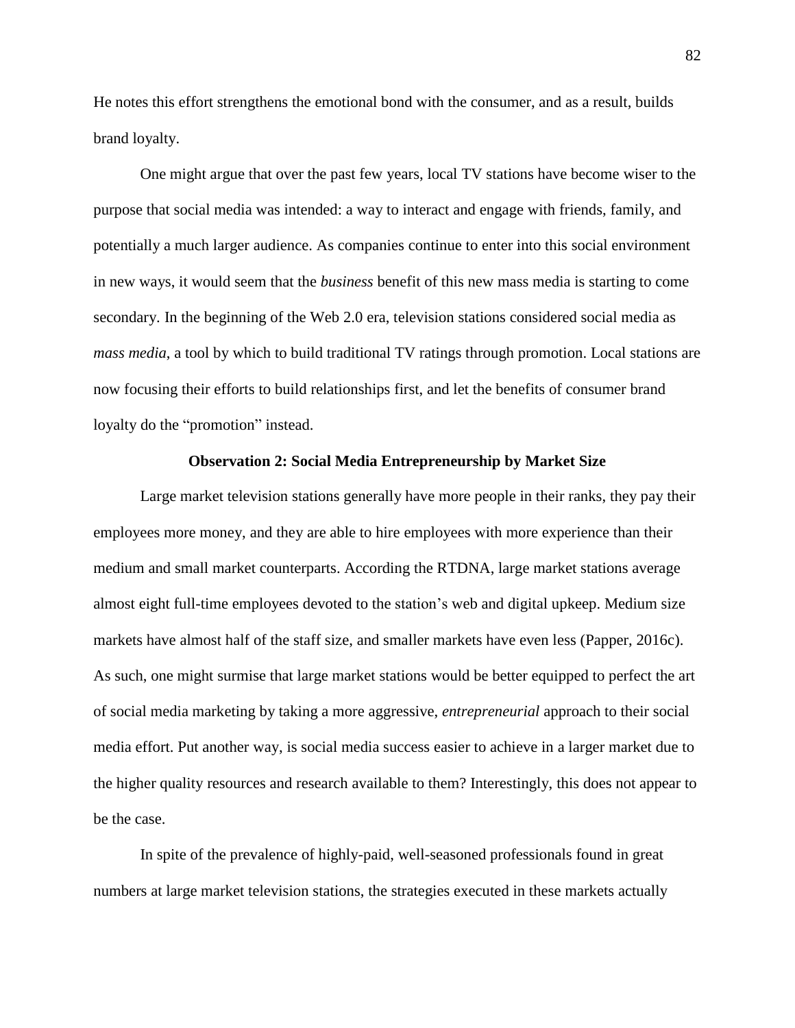He notes this effort strengthens the emotional bond with the consumer, and as a result, builds brand loyalty.

One might argue that over the past few years, local TV stations have become wiser to the purpose that social media was intended: a way to interact and engage with friends, family, and potentially a much larger audience. As companies continue to enter into this social environment in new ways, it would seem that the *business* benefit of this new mass media is starting to come secondary. In the beginning of the Web 2.0 era, television stations considered social media as *mass media*, a tool by which to build traditional TV ratings through promotion. Local stations are now focusing their efforts to build relationships first, and let the benefits of consumer brand loyalty do the "promotion" instead.

## **Observation 2: Social Media Entrepreneurship by Market Size**

Large market television stations generally have more people in their ranks, they pay their employees more money, and they are able to hire employees with more experience than their medium and small market counterparts. According the RTDNA, large market stations average almost eight full-time employees devoted to the station's web and digital upkeep. Medium size markets have almost half of the staff size, and smaller markets have even less (Papper, 2016c). As such, one might surmise that large market stations would be better equipped to perfect the art of social media marketing by taking a more aggressive, *entrepreneurial* approach to their social media effort. Put another way, is social media success easier to achieve in a larger market due to the higher quality resources and research available to them? Interestingly, this does not appear to be the case.

In spite of the prevalence of highly-paid, well-seasoned professionals found in great numbers at large market television stations, the strategies executed in these markets actually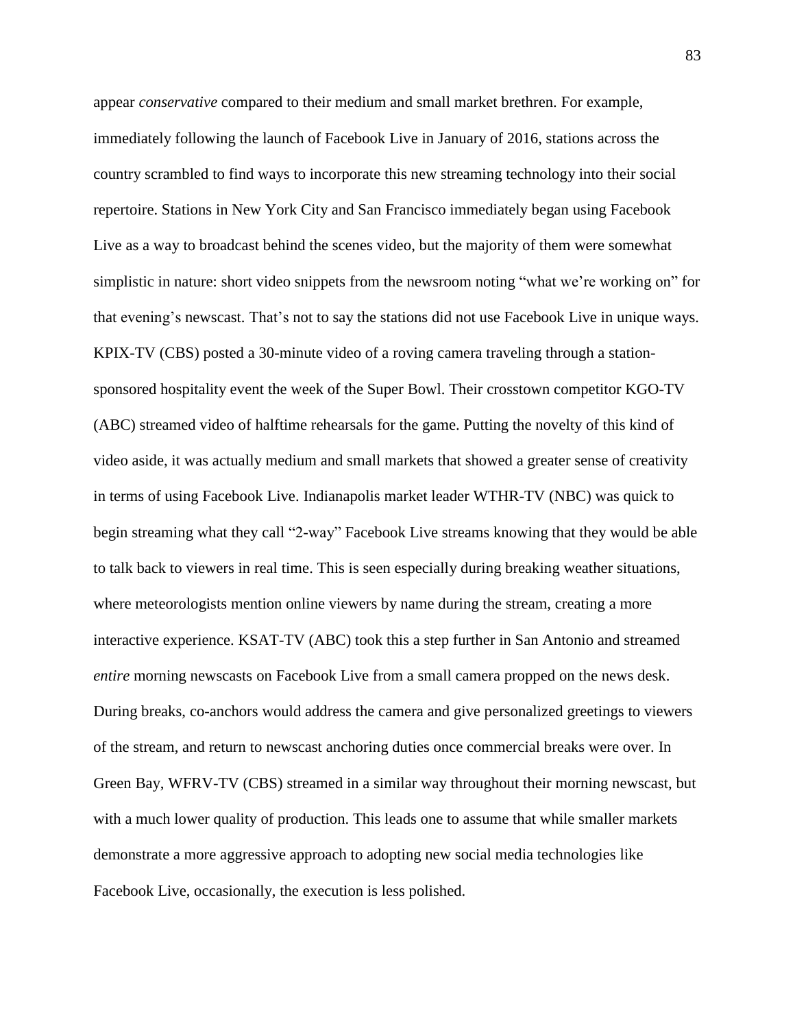appear *conservative* compared to their medium and small market brethren. For example, immediately following the launch of Facebook Live in January of 2016, stations across the country scrambled to find ways to incorporate this new streaming technology into their social repertoire. Stations in New York City and San Francisco immediately began using Facebook Live as a way to broadcast behind the scenes video, but the majority of them were somewhat simplistic in nature: short video snippets from the newsroom noting "what we're working on" for that evening's newscast. That's not to say the stations did not use Facebook Live in unique ways. KPIX-TV (CBS) posted a 30-minute video of a roving camera traveling through a stationsponsored hospitality event the week of the Super Bowl. Their crosstown competitor KGO-TV (ABC) streamed video of halftime rehearsals for the game. Putting the novelty of this kind of video aside, it was actually medium and small markets that showed a greater sense of creativity in terms of using Facebook Live. Indianapolis market leader WTHR-TV (NBC) was quick to begin streaming what they call "2-way" Facebook Live streams knowing that they would be able to talk back to viewers in real time. This is seen especially during breaking weather situations, where meteorologists mention online viewers by name during the stream, creating a more interactive experience. KSAT-TV (ABC) took this a step further in San Antonio and streamed *entire* morning newscasts on Facebook Live from a small camera propped on the news desk. During breaks, co-anchors would address the camera and give personalized greetings to viewers of the stream, and return to newscast anchoring duties once commercial breaks were over. In Green Bay, WFRV-TV (CBS) streamed in a similar way throughout their morning newscast, but with a much lower quality of production. This leads one to assume that while smaller markets demonstrate a more aggressive approach to adopting new social media technologies like Facebook Live, occasionally, the execution is less polished.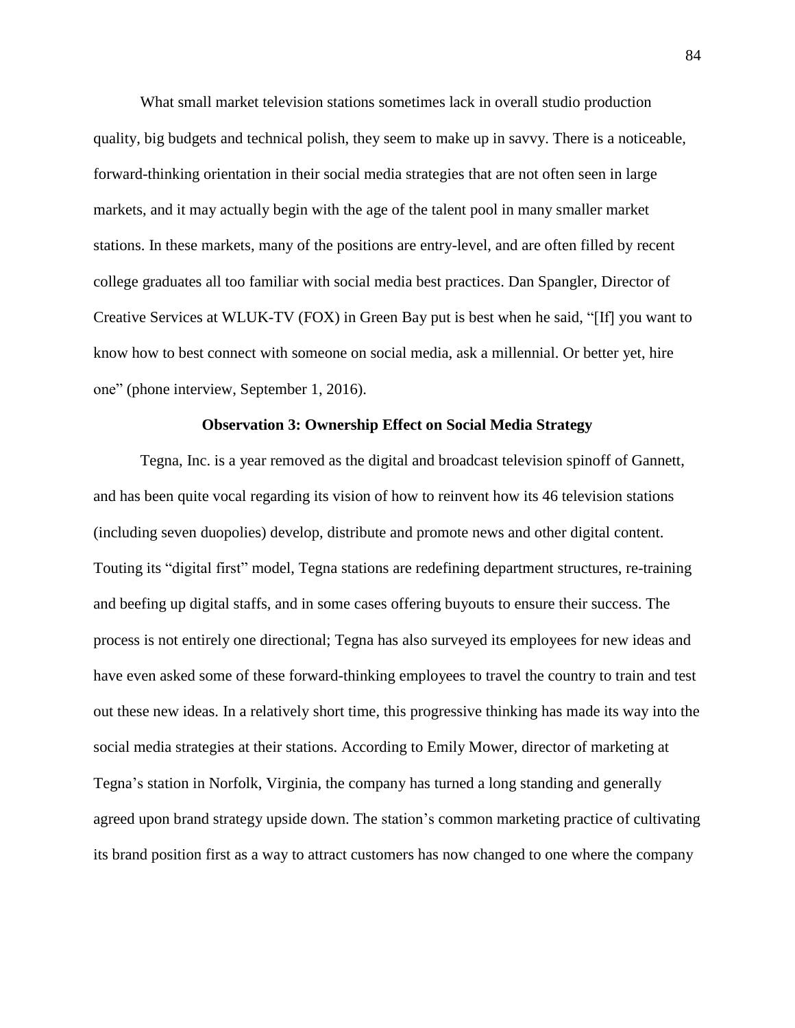What small market television stations sometimes lack in overall studio production quality, big budgets and technical polish, they seem to make up in savvy. There is a noticeable, forward-thinking orientation in their social media strategies that are not often seen in large markets, and it may actually begin with the age of the talent pool in many smaller market stations. In these markets, many of the positions are entry-level, and are often filled by recent college graduates all too familiar with social media best practices. Dan Spangler, Director of Creative Services at WLUK-TV (FOX) in Green Bay put is best when he said, "[If] you want to know how to best connect with someone on social media, ask a millennial. Or better yet, hire one" (phone interview, September 1, 2016).

## **Observation 3: Ownership Effect on Social Media Strategy**

Tegna, Inc. is a year removed as the digital and broadcast television spinoff of Gannett, and has been quite vocal regarding its vision of how to reinvent how its 46 television stations (including seven duopolies) develop, distribute and promote news and other digital content. Touting its "digital first" model, Tegna stations are redefining department structures, re-training and beefing up digital staffs, and in some cases offering buyouts to ensure their success. The process is not entirely one directional; Tegna has also surveyed its employees for new ideas and have even asked some of these forward-thinking employees to travel the country to train and test out these new ideas. In a relatively short time, this progressive thinking has made its way into the social media strategies at their stations. According to Emily Mower, director of marketing at Tegna's station in Norfolk, Virginia, the company has turned a long standing and generally agreed upon brand strategy upside down. The station's common marketing practice of cultivating its brand position first as a way to attract customers has now changed to one where the company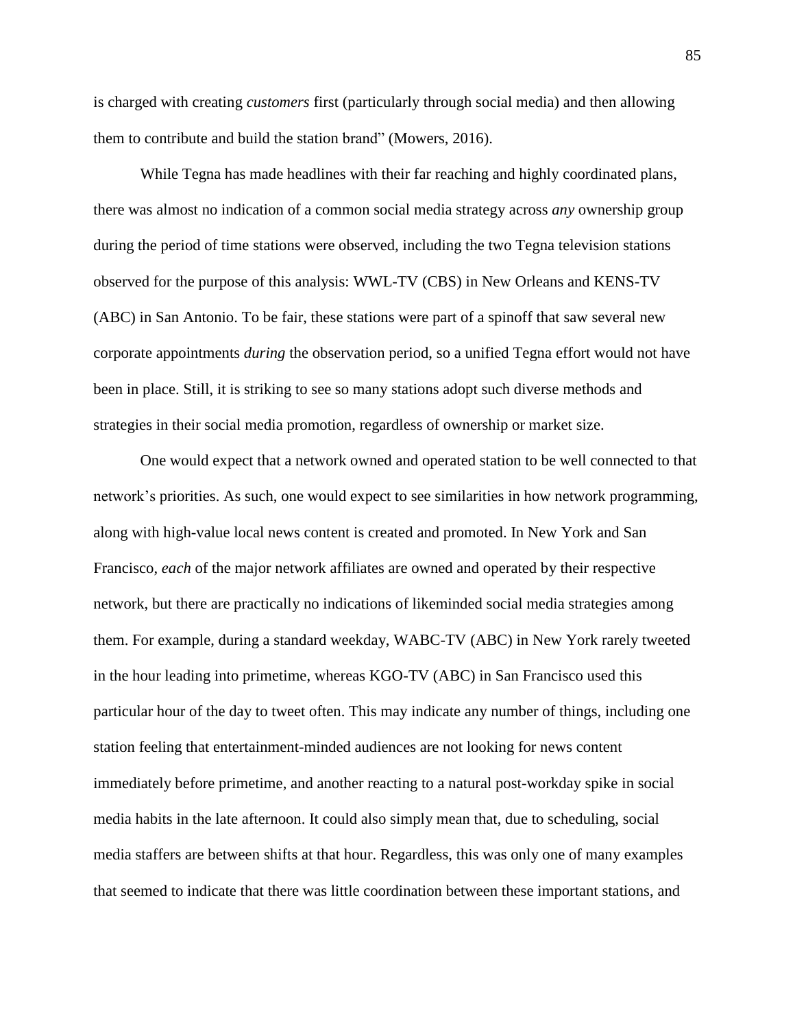is charged with creating *customers* first (particularly through social media) and then allowing them to contribute and build the station brand" (Mowers, 2016).

While Tegna has made headlines with their far reaching and highly coordinated plans, there was almost no indication of a common social media strategy across *any* ownership group during the period of time stations were observed, including the two Tegna television stations observed for the purpose of this analysis: WWL-TV (CBS) in New Orleans and KENS-TV (ABC) in San Antonio. To be fair, these stations were part of a spinoff that saw several new corporate appointments *during* the observation period, so a unified Tegna effort would not have been in place. Still, it is striking to see so many stations adopt such diverse methods and strategies in their social media promotion, regardless of ownership or market size.

One would expect that a network owned and operated station to be well connected to that network's priorities. As such, one would expect to see similarities in how network programming, along with high-value local news content is created and promoted. In New York and San Francisco, *each* of the major network affiliates are owned and operated by their respective network, but there are practically no indications of likeminded social media strategies among them. For example, during a standard weekday, WABC-TV (ABC) in New York rarely tweeted in the hour leading into primetime, whereas KGO-TV (ABC) in San Francisco used this particular hour of the day to tweet often. This may indicate any number of things, including one station feeling that entertainment-minded audiences are not looking for news content immediately before primetime, and another reacting to a natural post-workday spike in social media habits in the late afternoon. It could also simply mean that, due to scheduling, social media staffers are between shifts at that hour. Regardless, this was only one of many examples that seemed to indicate that there was little coordination between these important stations, and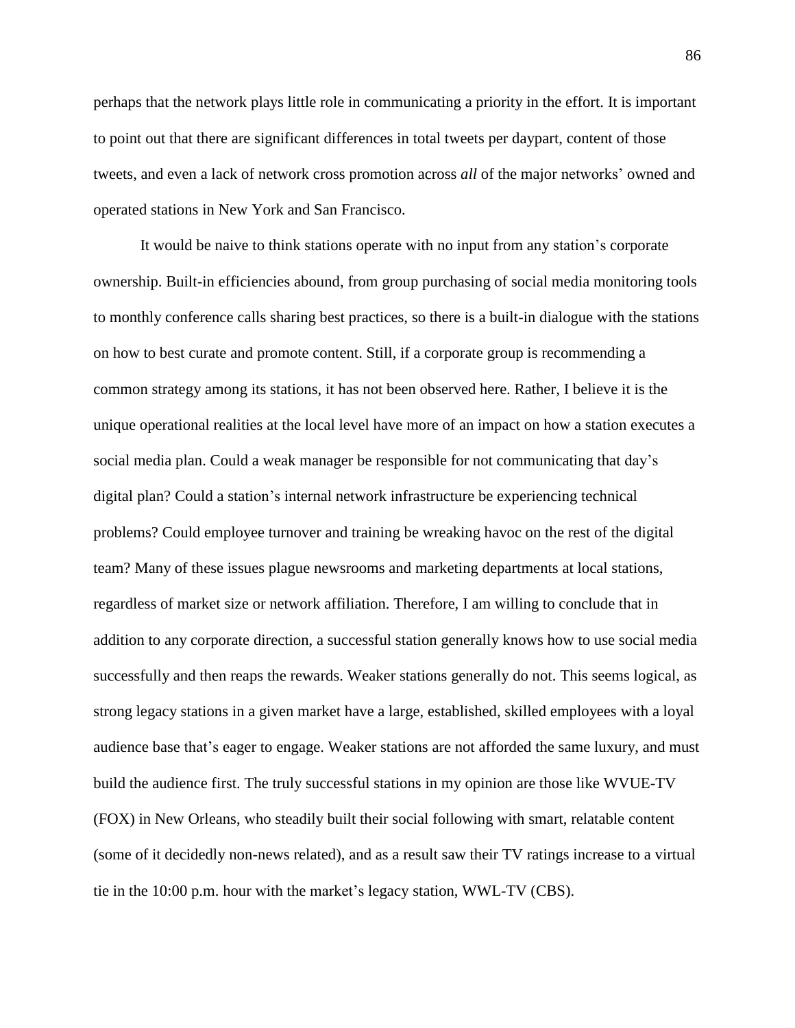perhaps that the network plays little role in communicating a priority in the effort. It is important to point out that there are significant differences in total tweets per daypart, content of those tweets, and even a lack of network cross promotion across *all* of the major networks' owned and operated stations in New York and San Francisco.

It would be naive to think stations operate with no input from any station's corporate ownership. Built-in efficiencies abound, from group purchasing of social media monitoring tools to monthly conference calls sharing best practices, so there is a built-in dialogue with the stations on how to best curate and promote content. Still, if a corporate group is recommending a common strategy among its stations, it has not been observed here. Rather, I believe it is the unique operational realities at the local level have more of an impact on how a station executes a social media plan. Could a weak manager be responsible for not communicating that day's digital plan? Could a station's internal network infrastructure be experiencing technical problems? Could employee turnover and training be wreaking havoc on the rest of the digital team? Many of these issues plague newsrooms and marketing departments at local stations, regardless of market size or network affiliation. Therefore, I am willing to conclude that in addition to any corporate direction, a successful station generally knows how to use social media successfully and then reaps the rewards. Weaker stations generally do not. This seems logical, as strong legacy stations in a given market have a large, established, skilled employees with a loyal audience base that's eager to engage. Weaker stations are not afforded the same luxury, and must build the audience first. The truly successful stations in my opinion are those like WVUE-TV (FOX) in New Orleans, who steadily built their social following with smart, relatable content (some of it decidedly non-news related), and as a result saw their TV ratings increase to a virtual tie in the 10:00 p.m. hour with the market's legacy station, WWL-TV (CBS).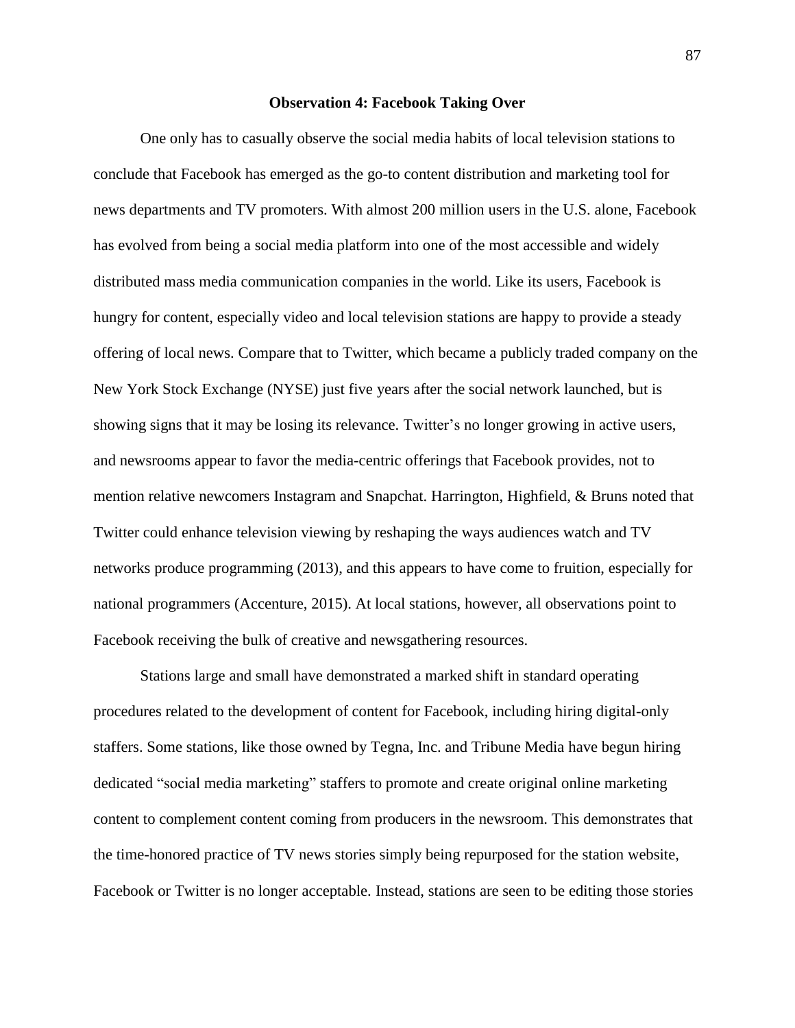## **Observation 4: Facebook Taking Over**

One only has to casually observe the social media habits of local television stations to conclude that Facebook has emerged as the go-to content distribution and marketing tool for news departments and TV promoters. With almost 200 million users in the U.S. alone, Facebook has evolved from being a social media platform into one of the most accessible and widely distributed mass media communication companies in the world. Like its users, Facebook is hungry for content, especially video and local television stations are happy to provide a steady offering of local news. Compare that to Twitter, which became a publicly traded company on the New York Stock Exchange (NYSE) just five years after the social network launched, but is showing signs that it may be losing its relevance. Twitter's no longer growing in active users, and newsrooms appear to favor the media-centric offerings that Facebook provides, not to mention relative newcomers Instagram and Snapchat. Harrington, Highfield, & Bruns noted that Twitter could enhance television viewing by reshaping the ways audiences watch and TV networks produce programming (2013), and this appears to have come to fruition, especially for national programmers (Accenture, 2015). At local stations, however, all observations point to Facebook receiving the bulk of creative and newsgathering resources.

Stations large and small have demonstrated a marked shift in standard operating procedures related to the development of content for Facebook, including hiring digital-only staffers. Some stations, like those owned by Tegna, Inc. and Tribune Media have begun hiring dedicated "social media marketing" staffers to promote and create original online marketing content to complement content coming from producers in the newsroom. This demonstrates that the time-honored practice of TV news stories simply being repurposed for the station website, Facebook or Twitter is no longer acceptable. Instead, stations are seen to be editing those stories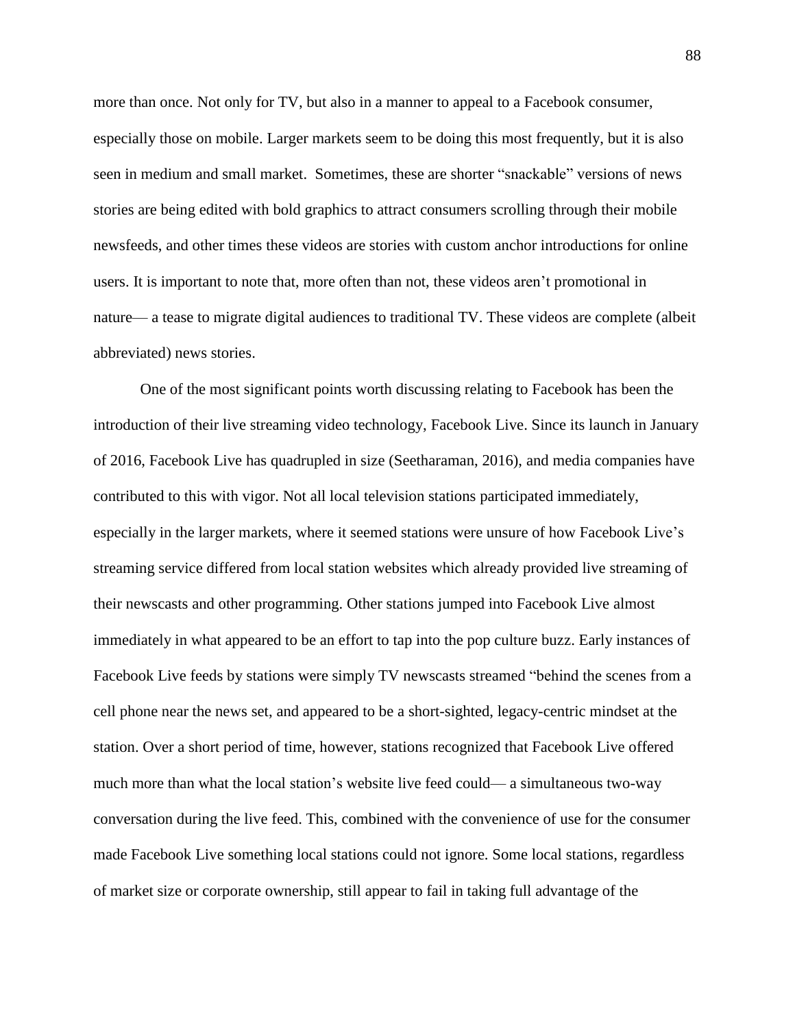more than once. Not only for TV, but also in a manner to appeal to a Facebook consumer, especially those on mobile. Larger markets seem to be doing this most frequently, but it is also seen in medium and small market. Sometimes, these are shorter "snackable" versions of news stories are being edited with bold graphics to attract consumers scrolling through their mobile newsfeeds, and other times these videos are stories with custom anchor introductions for online users. It is important to note that, more often than not, these videos aren't promotional in nature— a tease to migrate digital audiences to traditional TV. These videos are complete (albeit abbreviated) news stories.

One of the most significant points worth discussing relating to Facebook has been the introduction of their live streaming video technology, Facebook Live. Since its launch in January of 2016, Facebook Live has quadrupled in size (Seetharaman, 2016), and media companies have contributed to this with vigor. Not all local television stations participated immediately, especially in the larger markets, where it seemed stations were unsure of how Facebook Live's streaming service differed from local station websites which already provided live streaming of their newscasts and other programming. Other stations jumped into Facebook Live almost immediately in what appeared to be an effort to tap into the pop culture buzz. Early instances of Facebook Live feeds by stations were simply TV newscasts streamed "behind the scenes from a cell phone near the news set, and appeared to be a short-sighted, legacy-centric mindset at the station. Over a short period of time, however, stations recognized that Facebook Live offered much more than what the local station's website live feed could— a simultaneous two-way conversation during the live feed. This, combined with the convenience of use for the consumer made Facebook Live something local stations could not ignore. Some local stations, regardless of market size or corporate ownership, still appear to fail in taking full advantage of the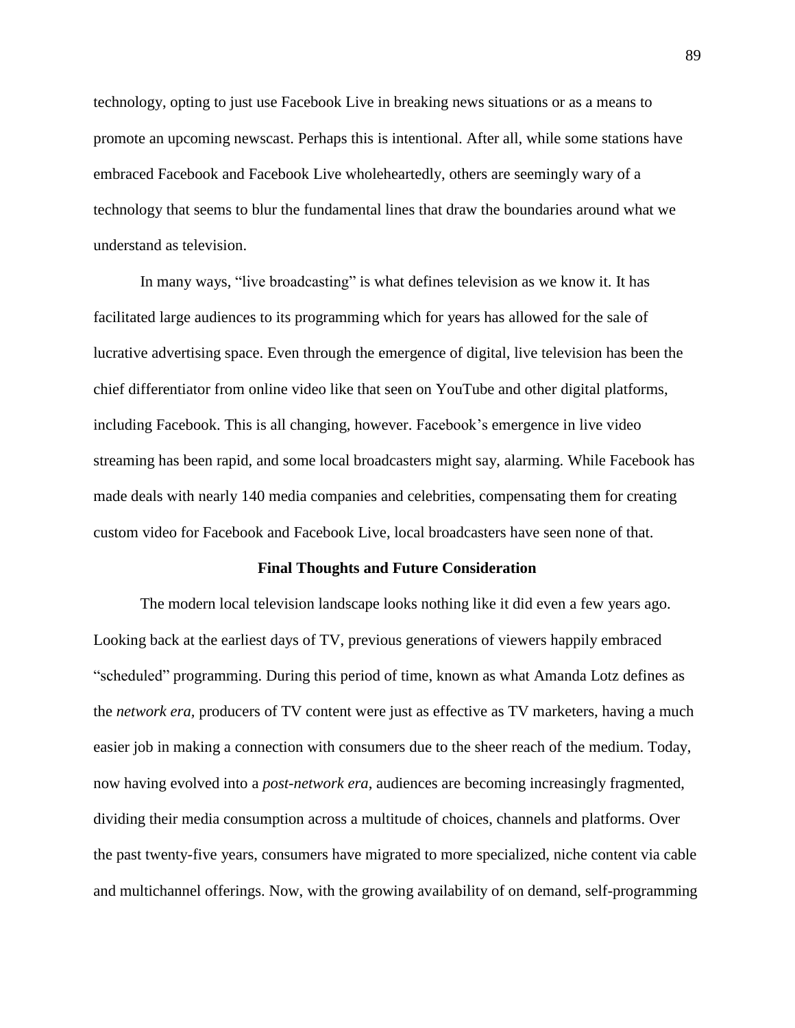technology, opting to just use Facebook Live in breaking news situations or as a means to promote an upcoming newscast. Perhaps this is intentional. After all, while some stations have embraced Facebook and Facebook Live wholeheartedly, others are seemingly wary of a technology that seems to blur the fundamental lines that draw the boundaries around what we understand as television.

In many ways, "live broadcasting" is what defines television as we know it. It has facilitated large audiences to its programming which for years has allowed for the sale of lucrative advertising space. Even through the emergence of digital, live television has been the chief differentiator from online video like that seen on YouTube and other digital platforms, including Facebook. This is all changing, however. Facebook's emergence in live video streaming has been rapid, and some local broadcasters might say, alarming. While Facebook has made deals with nearly 140 media companies and celebrities, compensating them for creating custom video for Facebook and Facebook Live, local broadcasters have seen none of that.

# **Final Thoughts and Future Consideration**

The modern local television landscape looks nothing like it did even a few years ago. Looking back at the earliest days of TV, previous generations of viewers happily embraced "scheduled" programming. During this period of time, known as what Amanda Lotz defines as the *network era,* producers of TV content were just as effective as TV marketers, having a much easier job in making a connection with consumers due to the sheer reach of the medium. Today, now having evolved into a *post-network era*, audiences are becoming increasingly fragmented, dividing their media consumption across a multitude of choices, channels and platforms. Over the past twenty-five years, consumers have migrated to more specialized, niche content via cable and multichannel offerings. Now, with the growing availability of on demand, self-programming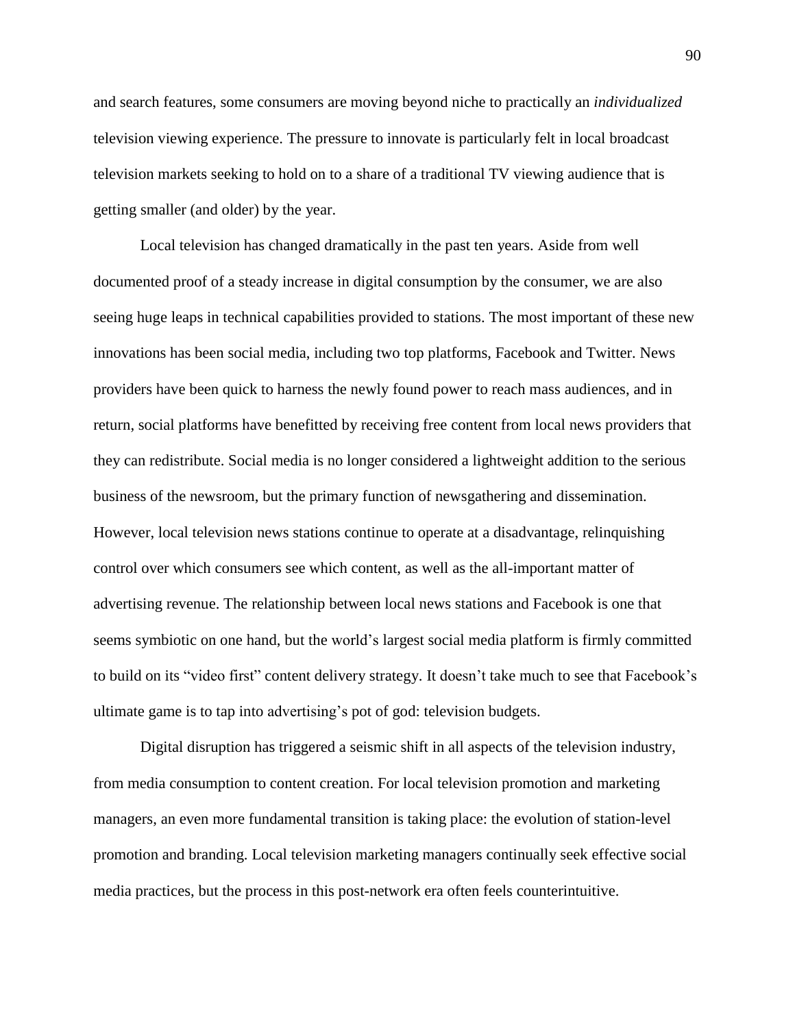and search features, some consumers are moving beyond niche to practically an *individualized* television viewing experience. The pressure to innovate is particularly felt in local broadcast television markets seeking to hold on to a share of a traditional TV viewing audience that is getting smaller (and older) by the year.

Local television has changed dramatically in the past ten years. Aside from well documented proof of a steady increase in digital consumption by the consumer, we are also seeing huge leaps in technical capabilities provided to stations. The most important of these new innovations has been social media, including two top platforms, Facebook and Twitter. News providers have been quick to harness the newly found power to reach mass audiences, and in return, social platforms have benefitted by receiving free content from local news providers that they can redistribute. Social media is no longer considered a lightweight addition to the serious business of the newsroom, but the primary function of newsgathering and dissemination. However, local television news stations continue to operate at a disadvantage, relinquishing control over which consumers see which content, as well as the all-important matter of advertising revenue. The relationship between local news stations and Facebook is one that seems symbiotic on one hand, but the world's largest social media platform is firmly committed to build on its "video first" content delivery strategy. It doesn't take much to see that Facebook's ultimate game is to tap into advertising's pot of god: television budgets.

Digital disruption has triggered a seismic shift in all aspects of the television industry, from media consumption to content creation. For local television promotion and marketing managers, an even more fundamental transition is taking place: the evolution of station-level promotion and branding. Local television marketing managers continually seek effective social media practices, but the process in this post-network era often feels counterintuitive.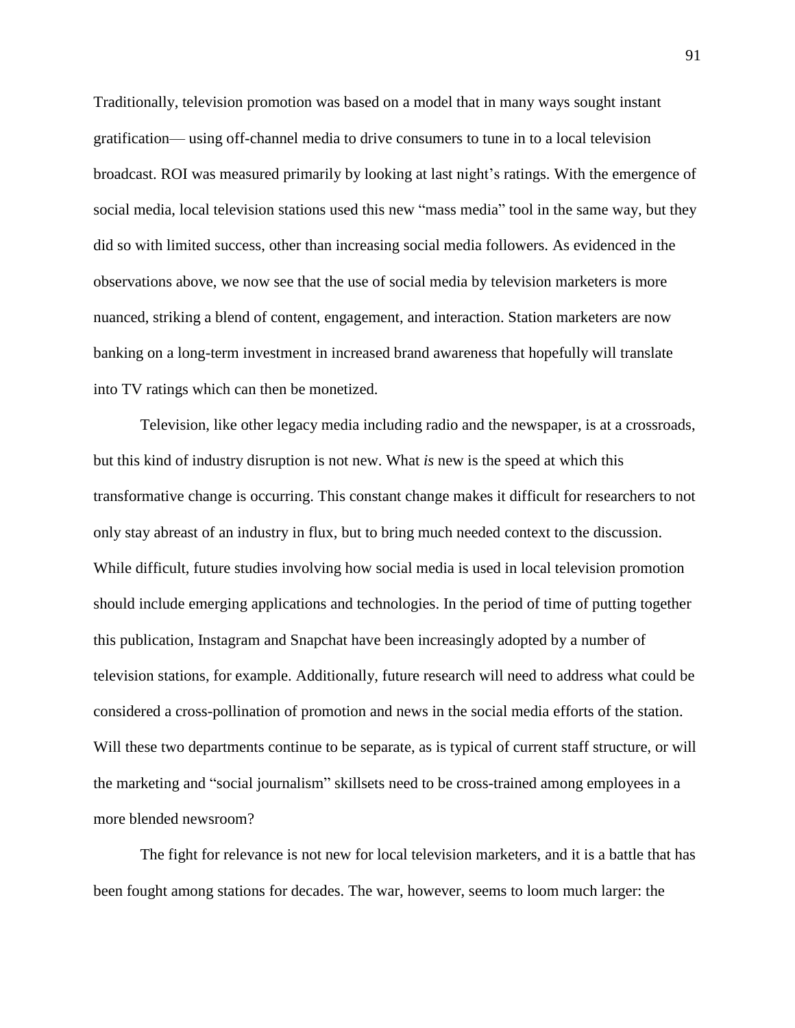Traditionally, television promotion was based on a model that in many ways sought instant gratification— using off-channel media to drive consumers to tune in to a local television broadcast. ROI was measured primarily by looking at last night's ratings. With the emergence of social media, local television stations used this new "mass media" tool in the same way, but they did so with limited success, other than increasing social media followers. As evidenced in the observations above, we now see that the use of social media by television marketers is more nuanced, striking a blend of content, engagement, and interaction. Station marketers are now banking on a long-term investment in increased brand awareness that hopefully will translate into TV ratings which can then be monetized.

Television, like other legacy media including radio and the newspaper, is at a crossroads, but this kind of industry disruption is not new. What *is* new is the speed at which this transformative change is occurring. This constant change makes it difficult for researchers to not only stay abreast of an industry in flux, but to bring much needed context to the discussion. While difficult, future studies involving how social media is used in local television promotion should include emerging applications and technologies. In the period of time of putting together this publication, Instagram and Snapchat have been increasingly adopted by a number of television stations, for example. Additionally, future research will need to address what could be considered a cross-pollination of promotion and news in the social media efforts of the station. Will these two departments continue to be separate, as is typical of current staff structure, or will the marketing and "social journalism" skillsets need to be cross-trained among employees in a more blended newsroom?

The fight for relevance is not new for local television marketers, and it is a battle that has been fought among stations for decades. The war, however, seems to loom much larger: the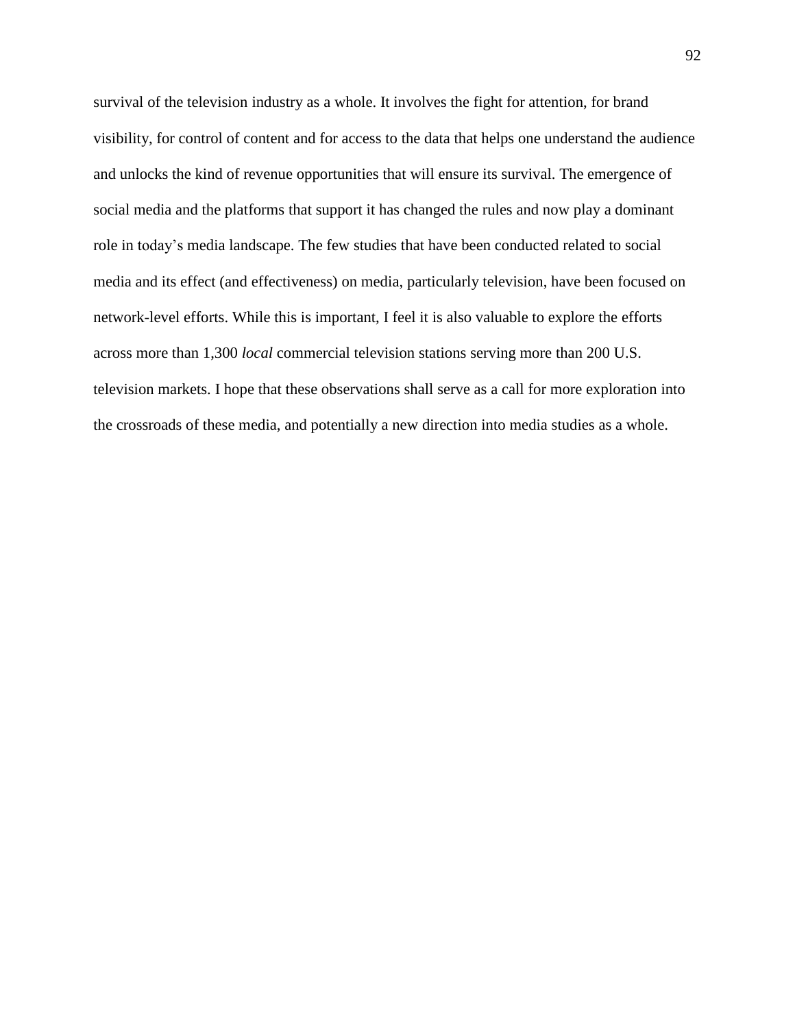survival of the television industry as a whole. It involves the fight for attention, for brand visibility, for control of content and for access to the data that helps one understand the audience and unlocks the kind of revenue opportunities that will ensure its survival. The emergence of social media and the platforms that support it has changed the rules and now play a dominant role in today's media landscape. The few studies that have been conducted related to social media and its effect (and effectiveness) on media, particularly television, have been focused on network-level efforts. While this is important, I feel it is also valuable to explore the efforts across more than 1,300 *local* commercial television stations serving more than 200 U.S. television markets. I hope that these observations shall serve as a call for more exploration into the crossroads of these media, and potentially a new direction into media studies as a whole.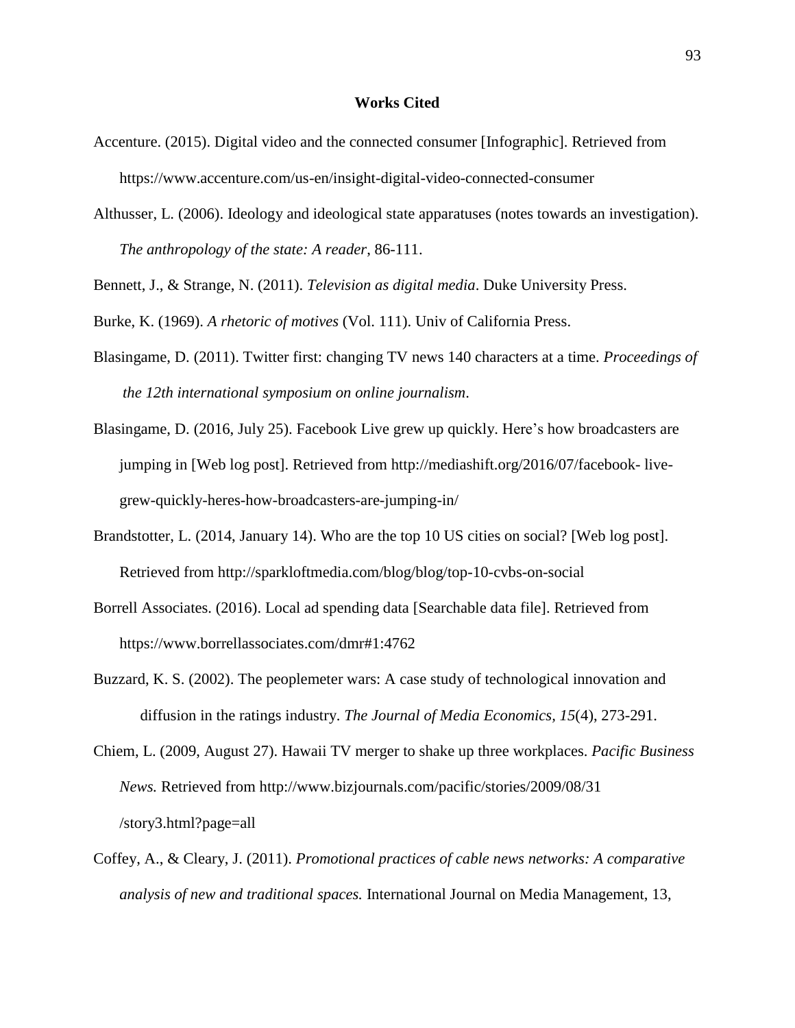### **Works Cited**

- Accenture. (2015). Digital video and the connected consumer [Infographic]. Retrieved from https://www.accenture.com/us-en/insight-digital-video-connected-consumer
- Althusser, L. (2006). Ideology and ideological state apparatuses (notes towards an investigation). *The anthropology of the state: A reader*, 86-111.

Bennett, J., & Strange, N. (2011). *Television as digital media*. Duke University Press.

Burke, K. (1969). *A rhetoric of motives* (Vol. 111). Univ of California Press.

- Blasingame, D. (2011). Twitter first: changing TV news 140 characters at a time. *Proceedings of the 12th international symposium on online journalism*.
- Blasingame, D. (2016, July 25). Facebook Live grew up quickly. Here's how broadcasters are jumping in [Web log post]. Retrieved from http://mediashift.org/2016/07/facebook- livegrew-quickly-heres-how-broadcasters-are-jumping-in/
- Brandstotter, L. (2014, January 14). Who are the top 10 US cities on social? [Web log post]. Retrieved from http://sparkloftmedia.com/blog/blog/top-10-cvbs-on-social
- Borrell Associates. (2016). Local ad spending data [Searchable data file]. Retrieved from https://www.borrellassociates.com/dmr#1:4762
- Buzzard, K. S. (2002). The peoplemeter wars: A case study of technological innovation and diffusion in the ratings industry. *The Journal of Media Economics, 15*(4), 273-291.
- Chiem, L. (2009, August 27). Hawaii TV merger to shake up three workplaces. *Pacific Business News.* Retrieved from http://www.bizjournals.com/pacific/stories/2009/08/31 /story3.html?page=all
- Coffey, A., & Cleary, J. (2011). *Promotional practices of cable news networks: A comparative analysis of new and traditional spaces.* International Journal on Media Management, 13,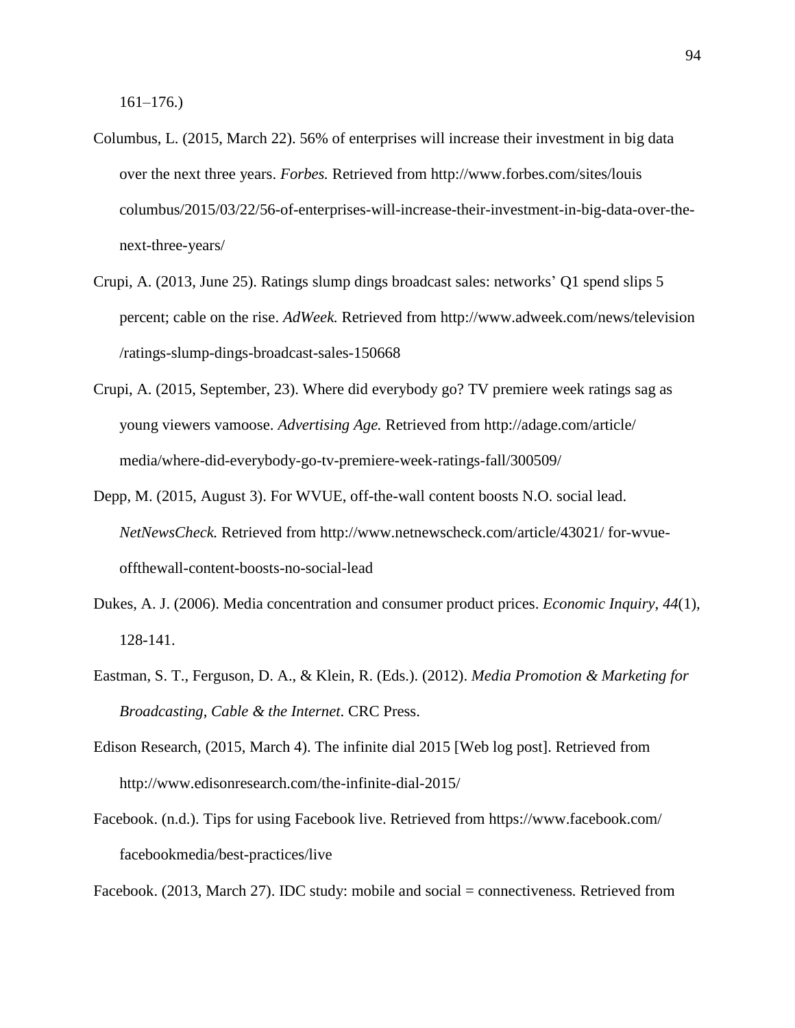- Columbus, L. (2015, March 22). 56% of enterprises will increase their investment in big data over the next three years. *Forbes.* Retrieved from http://www.forbes.com/sites/louis columbus/2015/03/22/56-of-enterprises-will-increase-their-investment-in-big-data-over-thenext-three-years/
- Crupi, A. (2013, June 25). Ratings slump dings broadcast sales: networks' Q1 spend slips 5 percent; cable on the rise. *AdWeek.* Retrieved from http://www.adweek.com/news/television /ratings-slump-dings-broadcast-sales-150668
- Crupi, A. (2015, September, 23). Where did everybody go? TV premiere week ratings sag as young viewers vamoose. *Advertising Age.* Retrieved from http://adage.com/article/ media/where-did-everybody-go-tv-premiere-week-ratings-fall/300509/
- Depp, M. (2015, August 3). For WVUE, off-the-wall content boosts N.O. social lead. *NetNewsCheck.* Retrieved from http://www.netnewscheck.com/article/43021/ for-wvueoffthewall-content-boosts-no-social-lead
- Dukes, A. J. (2006). Media concentration and consumer product prices. *Economic Inquiry*, *44*(1), 128-141.
- Eastman, S. T., Ferguson, D. A., & Klein, R. (Eds.). (2012). *Media Promotion & Marketing for Broadcasting, Cable & the Internet*. CRC Press.
- Edison Research, (2015, March 4). The infinite dial 2015 [Web log post]. Retrieved from http://www.edisonresearch.com/the-infinite-dial-2015/
- Facebook. (n.d.). Tips for using Facebook live. Retrieved from https://www.facebook.com/ facebookmedia/best-practices/live

Facebook. (2013, March 27). IDC study: mobile and social = connectiveness*.* Retrieved from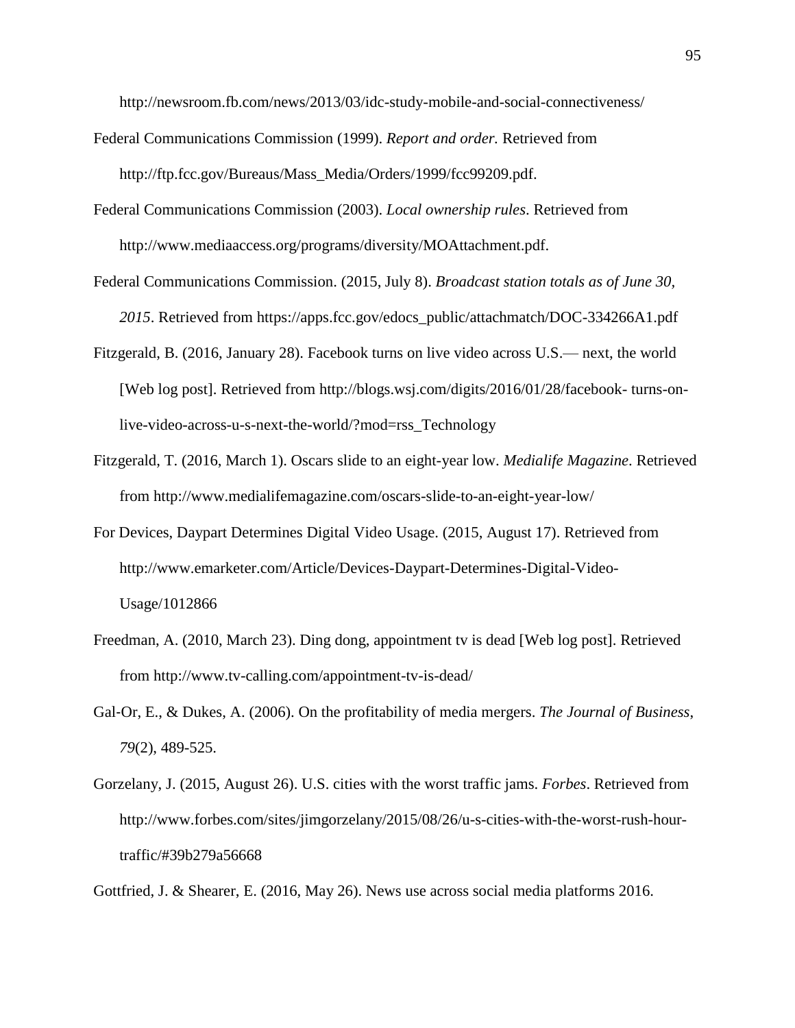http://newsroom.fb.com/news/2013/03/idc-study-mobile-and-social-connectiveness/

- Federal Communications Commission (1999). *Report and order.* Retrieved from http://ftp.fcc.gov/Bureaus/Mass\_Media/Orders/1999/fcc99209.pdf.
- Federal Communications Commission (2003). *Local ownership rules*. Retrieved from http://www.mediaaccess.org/programs/diversity/MOAttachment.pdf.
- Federal Communications Commission. (2015, July 8). *Broadcast station totals as of June 30, 2015*. Retrieved from https://apps.fcc.gov/edocs\_public/attachmatch/DOC-334266A1.pdf
- Fitzgerald, B. (2016, January 28). Facebook turns on live video across U.S.— next, the world [Web log post]. Retrieved from http://blogs.wsj.com/digits/2016/01/28/facebook- turns-onlive-video-across-u-s-next-the-world/?mod=rss\_Technology
- Fitzgerald, T. (2016, March 1). Oscars slide to an eight-year low. *Medialife Magazine*. Retrieved from http://www.medialifemagazine.com/oscars-slide-to-an-eight-year-low/
- For Devices, Daypart Determines Digital Video Usage. (2015, August 17). Retrieved from http://www.emarketer.com/Article/Devices-Daypart-Determines-Digital-Video-Usage/1012866
- Freedman, A. (2010, March 23). Ding dong, appointment tv is dead [Web log post]. Retrieved from http://www.tv-calling.com/appointment-tv-is-dead/
- Gal‐Or, E., & Dukes, A. (2006). On the profitability of media mergers. *The Journal of Business*, *79*(2), 489-525.
- Gorzelany, J. (2015, August 26). U.S. cities with the worst traffic jams. *Forbes*. Retrieved from http://www.forbes.com/sites/jimgorzelany/2015/08/26/u-s-cities-with-the-worst-rush-hourtraffic/#39b279a56668

Gottfried, J. & Shearer, E. (2016, May 26). News use across social media platforms 2016.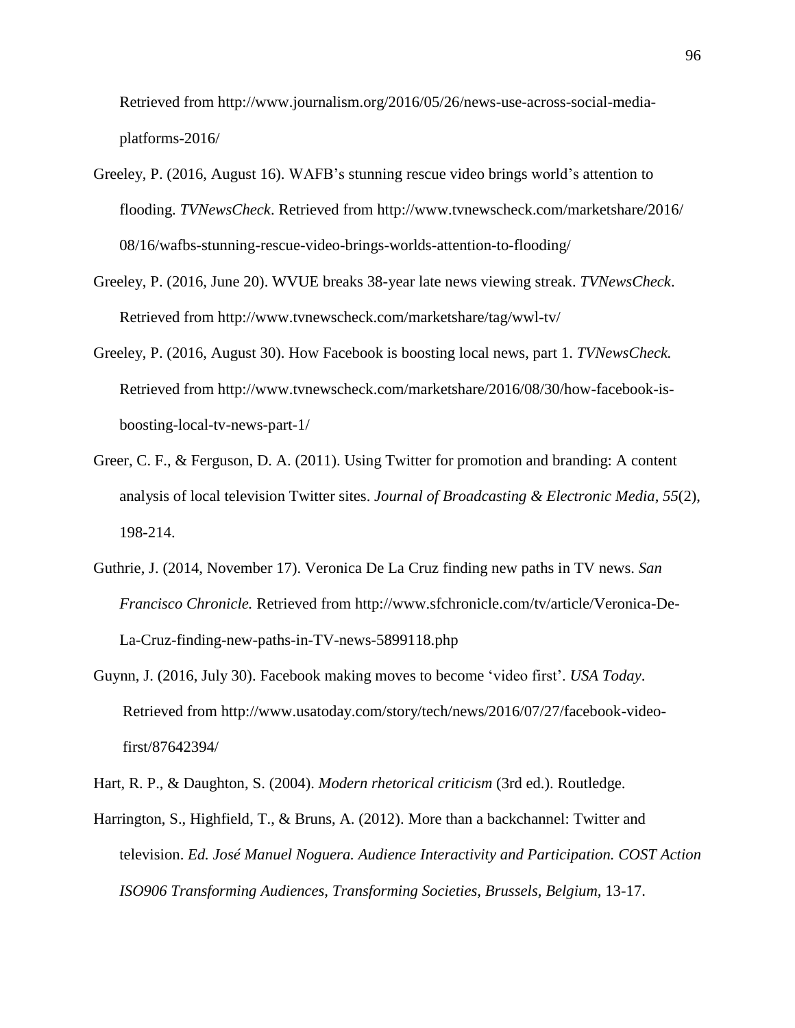Retrieved from http://www.journalism.org/2016/05/26/news-use-across-social-mediaplatforms-2016/

- Greeley, P. (2016, August 16). WAFB's stunning rescue video brings world's attention to flooding. *TVNewsCheck*. Retrieved from http://www.tvnewscheck.com/marketshare/2016/ 08/16/wafbs-stunning-rescue-video-brings-worlds-attention-to-flooding/
- Greeley, P. (2016, June 20). WVUE breaks 38-year late news viewing streak. *TVNewsCheck*. Retrieved from http://www.tvnewscheck.com/marketshare/tag/wwl-tv/
- Greeley, P. (2016, August 30). How Facebook is boosting local news, part 1. *TVNewsCheck.* Retrieved from http://www.tvnewscheck.com/marketshare/2016/08/30/how-facebook-isboosting-local-tv-news-part-1/
- Greer, C. F., & Ferguson, D. A. (2011). Using Twitter for promotion and branding: A content analysis of local television Twitter sites. *Journal of Broadcasting & Electronic Media*, *55*(2), 198-214.
- Guthrie, J. (2014, November 17). Veronica De La Cruz finding new paths in TV news. *San Francisco Chronicle.* Retrieved from http://www.sfchronicle.com/tv/article/Veronica-De-La-Cruz-finding-new-paths-in-TV-news-5899118.php
- Guynn, J. (2016, July 30). Facebook making moves to become 'video first'. *USA Today*. Retrieved from http://www.usatoday.com/story/tech/news/2016/07/27/facebook-videofirst/87642394/
- Hart, R. P., & Daughton, S. (2004). *Modern rhetorical criticism* (3rd ed.). Routledge.
- Harrington, S., Highfield, T., & Bruns, A. (2012). More than a backchannel: Twitter and television. *Ed. José Manuel Noguera. Audience Interactivity and Participation. COST Action ISO906 Transforming Audiences, Transforming Societies, Brussels, Belgium,* 13-17.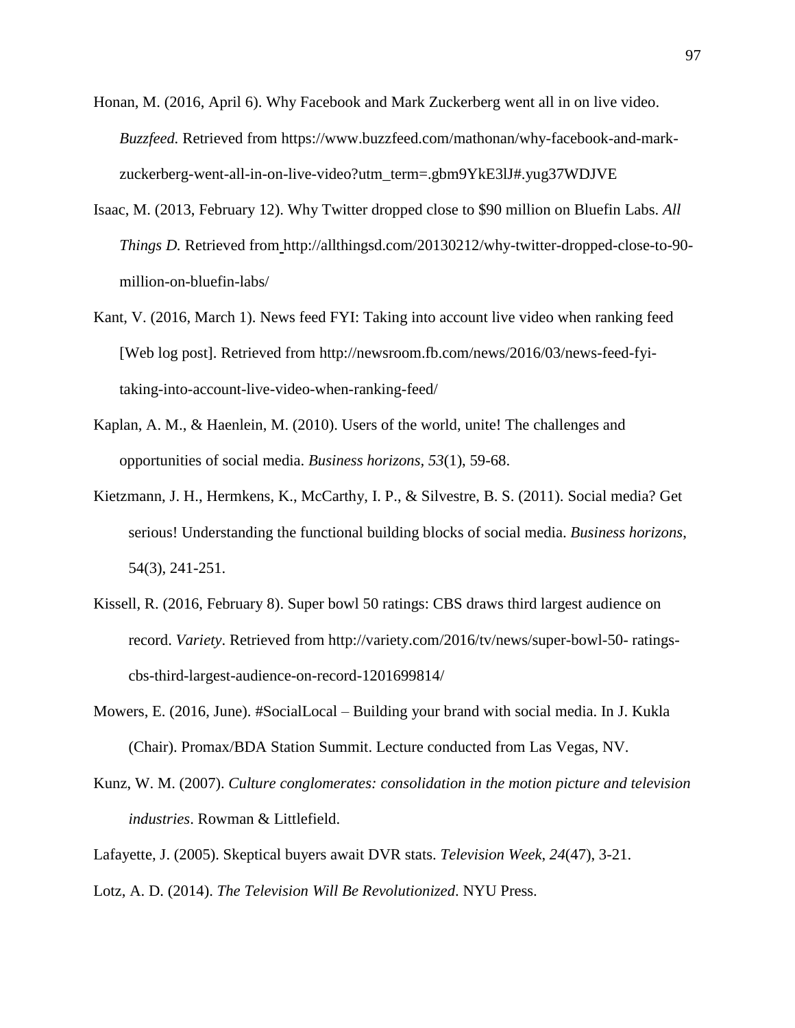- Honan, M. (2016, April 6). Why Facebook and Mark Zuckerberg went all in on live video. *Buzzfeed.* Retrieved from https://www.buzzfeed.com/mathonan/why-facebook-and-markzuckerberg-went-all-in-on-live-video?utm\_term=.gbm9YkE3lJ#.yug37WDJVE
- Isaac, M. (2013, February 12). Why Twitter dropped close to \$90 million on Bluefin Labs. *All Things D.* Retrieved from http://allthingsd.com/20130212/why-twitter-dropped-close-to-90 million-on-bluefin-labs/
- Kant, V. (2016, March 1). News feed FYI: Taking into account live video when ranking feed [Web log post]. Retrieved from http://newsroom.fb.com/news/2016/03/news-feed-fyitaking-into-account-live-video-when-ranking-feed/
- Kaplan, A. M., & Haenlein, M. (2010). Users of the world, unite! The challenges and opportunities of social media. *Business horizons, 53*(1), 59-68.
- Kietzmann, J. H., Hermkens, K., McCarthy, I. P., & Silvestre, B. S. (2011). Social media? Get serious! Understanding the functional building blocks of social media. *Business horizons*, 54(3), 241-251.
- Kissell, R. (2016, February 8). Super bowl 50 ratings: CBS draws third largest audience on record. *Variety*. Retrieved from http://variety.com/2016/tv/news/super-bowl-50- ratingscbs-third-largest-audience-on-record-1201699814/
- Mowers, E. (2016, June). #SocialLocal Building your brand with social media. In J. Kukla (Chair). Promax/BDA Station Summit. Lecture conducted from Las Vegas, NV.
- Kunz, W. M. (2007). *Culture conglomerates: consolidation in the motion picture and television industries*. Rowman & Littlefield.
- Lafayette, J. (2005). Skeptical buyers await DVR stats. *Television Week*, *24*(47), 3-21.
- Lotz, A. D. (2014). *The Television Will Be Revolutionized*. NYU Press.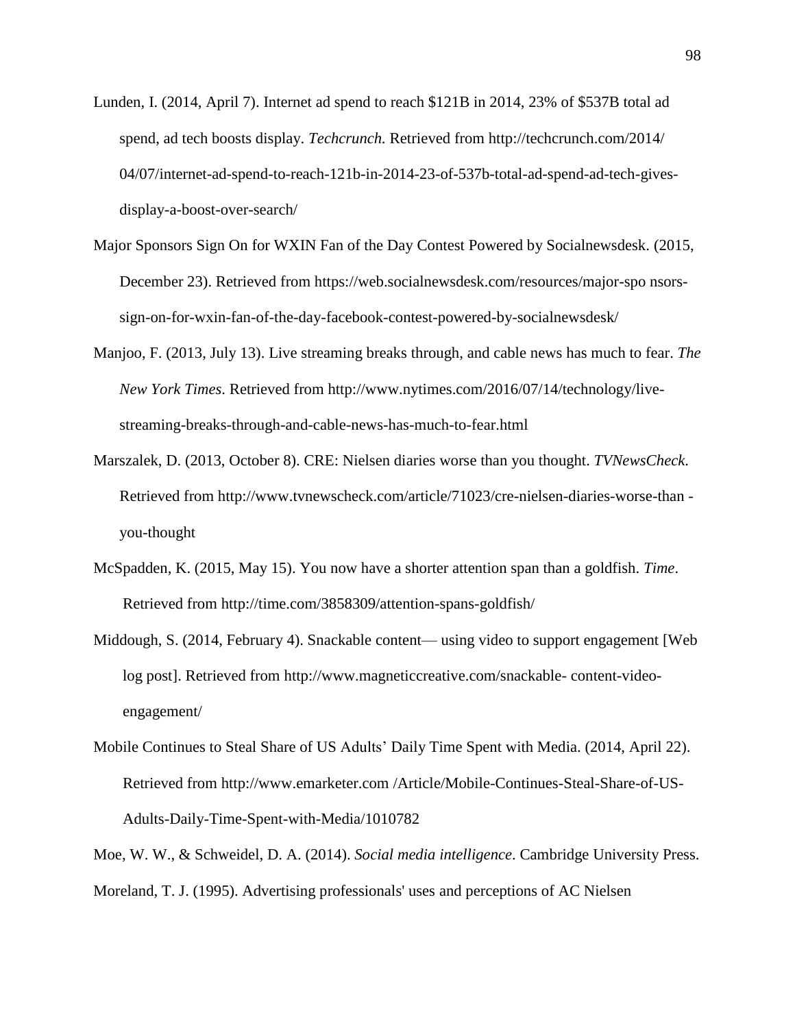- Lunden, I. (2014, April 7). Internet ad spend to reach \$121B in 2014, 23% of \$537B total ad spend, ad tech boosts display. *Techcrunch.* Retrieved from http://techcrunch.com/2014/ 04/07/internet-ad-spend-to-reach-121b-in-2014-23-of-537b-total-ad-spend-ad-tech-givesdisplay-a-boost-over-search/
- Major Sponsors Sign On for WXIN Fan of the Day Contest Powered by Socialnewsdesk. (2015, December 23). Retrieved from https://web.socialnewsdesk.com/resources/major-spo nsorssign-on-for-wxin-fan-of-the-day-facebook-contest-powered-by-socialnewsdesk/
- Manjoo, F. (2013, July 13). Live streaming breaks through, and cable news has much to fear. *The New York Times*. Retrieved from http://www.nytimes.com/2016/07/14/technology/livestreaming-breaks-through-and-cable-news-has-much-to-fear.html
- Marszalek, D. (2013, October 8). CRE: Nielsen diaries worse than you thought. *TVNewsCheck*. Retrieved from http://www.tvnewscheck.com/article/71023/cre-nielsen-diaries-worse-than you-thought
- McSpadden, K. (2015, May 15). You now have a shorter attention span than a goldfish. *Time*. Retrieved from http://time.com/3858309/attention-spans-goldfish/
- Middough, S. (2014, February 4). Snackable content— using video to support engagement [Web log post]. Retrieved from http://www.magneticcreative.com/snackable- content-videoengagement/
- Mobile Continues to Steal Share of US Adults' Daily Time Spent with Media. (2014, April 22). Retrieved from http://www.emarketer.com /Article/Mobile-Continues-Steal-Share-of-US-Adults-Daily-Time-Spent-with-Media/1010782

Moe, W. W., & Schweidel, D. A. (2014). *Social media intelligence*. Cambridge University Press. Moreland, T. J. (1995). Advertising professionals' uses and perceptions of AC Nielsen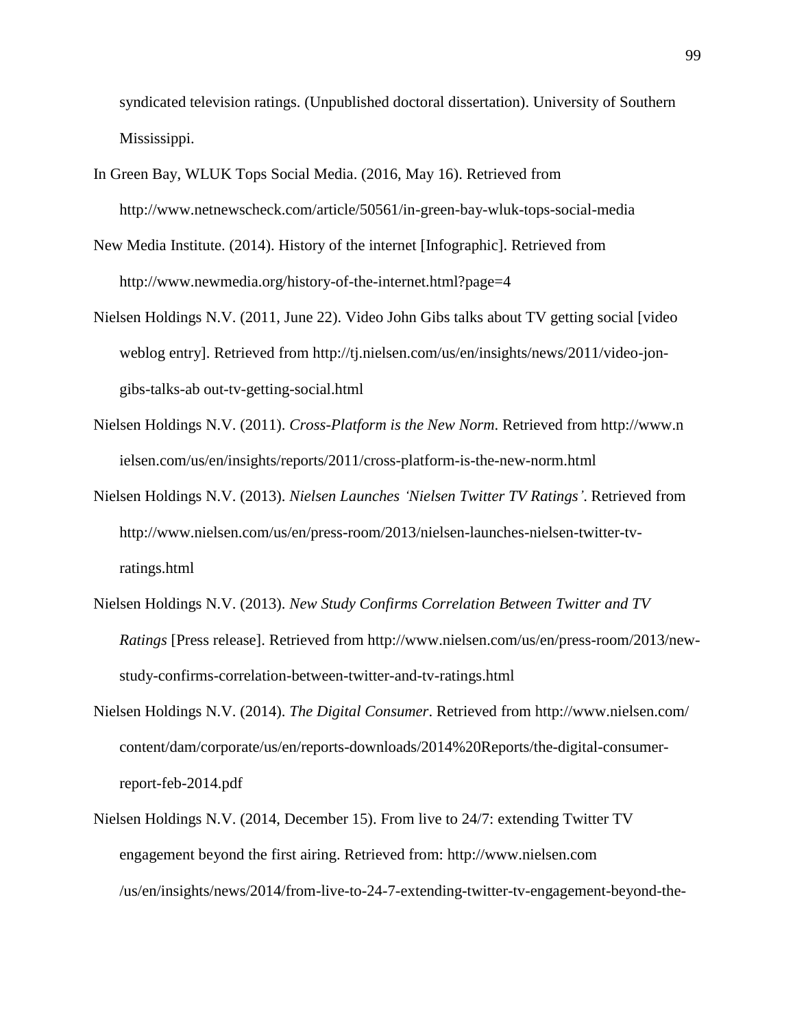syndicated television ratings. (Unpublished doctoral dissertation). University of Southern Mississippi.

- In Green Bay, WLUK Tops Social Media. (2016, May 16). Retrieved from http://www.netnewscheck.com/article/50561/in-green-bay-wluk-tops-social-media
- New Media Institute. (2014). History of the internet [Infographic]. Retrieved from http://www.newmedia.org/history-of-the-internet.html?page=4
- Nielsen Holdings N.V. (2011, June 22). Video John Gibs talks about TV getting social [video weblog entry]. Retrieved from http://tj.nielsen.com/us/en/insights/news/2011/video-jongibs-talks-ab out-tv-getting-social.html
- Nielsen Holdings N.V. (2011). *Cross-Platform is the New Norm*. Retrieved from http://www.n ielsen.com/us/en/insights/reports/2011/cross-platform-is-the-new-norm.html
- Nielsen Holdings N.V. (2013). *Nielsen Launches 'Nielsen Twitter TV Ratings'*. Retrieved from http://www.nielsen.com/us/en/press-room/2013/nielsen-launches-nielsen-twitter-tvratings.html
- Nielsen Holdings N.V. (2013). *New Study Confirms Correlation Between Twitter and TV Ratings* [Press release]. Retrieved from http://www.nielsen.com/us/en/press-room/2013/newstudy-confirms-correlation-between-twitter-and-tv-ratings.html
- Nielsen Holdings N.V. (2014). *The Digital Consumer*. Retrieved from http://www.nielsen.com/ content/dam/corporate/us/en/reports-downloads/2014%20Reports/the-digital-consumerreport-feb-2014.pdf
- Nielsen Holdings N.V. (2014, December 15). From live to 24/7: extending Twitter TV engagement beyond the first airing. Retrieved from: http://www.nielsen.com /us/en/insights/news/2014/from-live-to-24-7-extending-twitter-tv-engagement-beyond-the-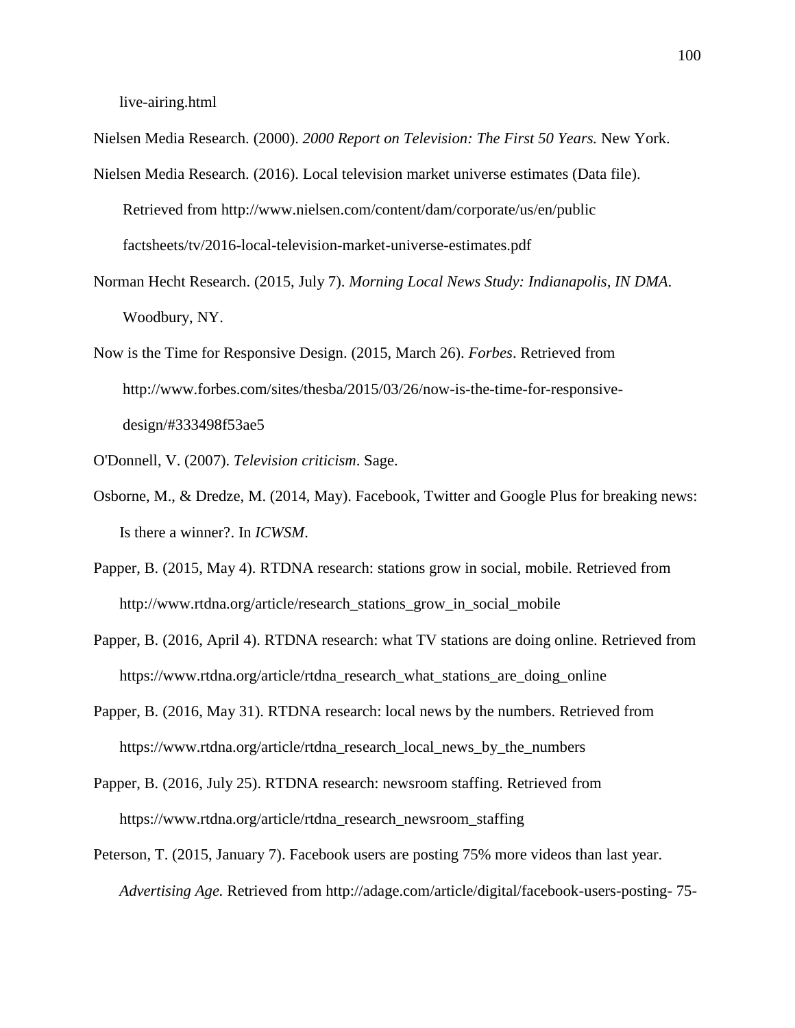live-airing.html

Nielsen Media Research. (2000). *2000 Report on Television: The First 50 Years.* New York.

- Nielsen Media Research. (2016). Local television market universe estimates (Data file). Retrieved from http://www.nielsen.com/content/dam/corporate/us/en/public factsheets/tv/2016-local-television-market-universe-estimates.pdf
- Norman Hecht Research. (2015, July 7). *Morning Local News Study: Indianapolis, IN DMA*. Woodbury, NY.
- Now is the Time for Responsive Design. (2015, March 26). *Forbes*. Retrieved from http://www.forbes.com/sites/thesba/2015/03/26/now-is-the-time-for-responsivedesign/#333498f53ae5
- O'Donnell, V. (2007). *Television criticism*. Sage.
- Osborne, M., & Dredze, M. (2014, May). Facebook, Twitter and Google Plus for breaking news: Is there a winner?. In *ICWSM*.
- Papper, B. (2015, May 4). RTDNA research: stations grow in social, mobile. Retrieved from http://www.rtdna.org/article/research\_stations\_grow\_in\_social\_mobile
- Papper, B. (2016, April 4). RTDNA research: what TV stations are doing online. Retrieved from https://www.rtdna.org/article/rtdna\_research\_what\_stations\_are\_doing\_online
- Papper, B. (2016, May 31). RTDNA research: local news by the numbers. Retrieved from https://www.rtdna.org/article/rtdna\_research\_local\_news\_by\_the\_numbers
- Papper, B. (2016, July 25). RTDNA research: newsroom staffing. Retrieved from https://www.rtdna.org/article/rtdna\_research\_newsroom\_staffing
- Peterson, T. (2015, January 7). Facebook users are posting 75% more videos than last year. *Advertising Age.* Retrieved from http://adage.com/article/digital/facebook-users-posting- 75-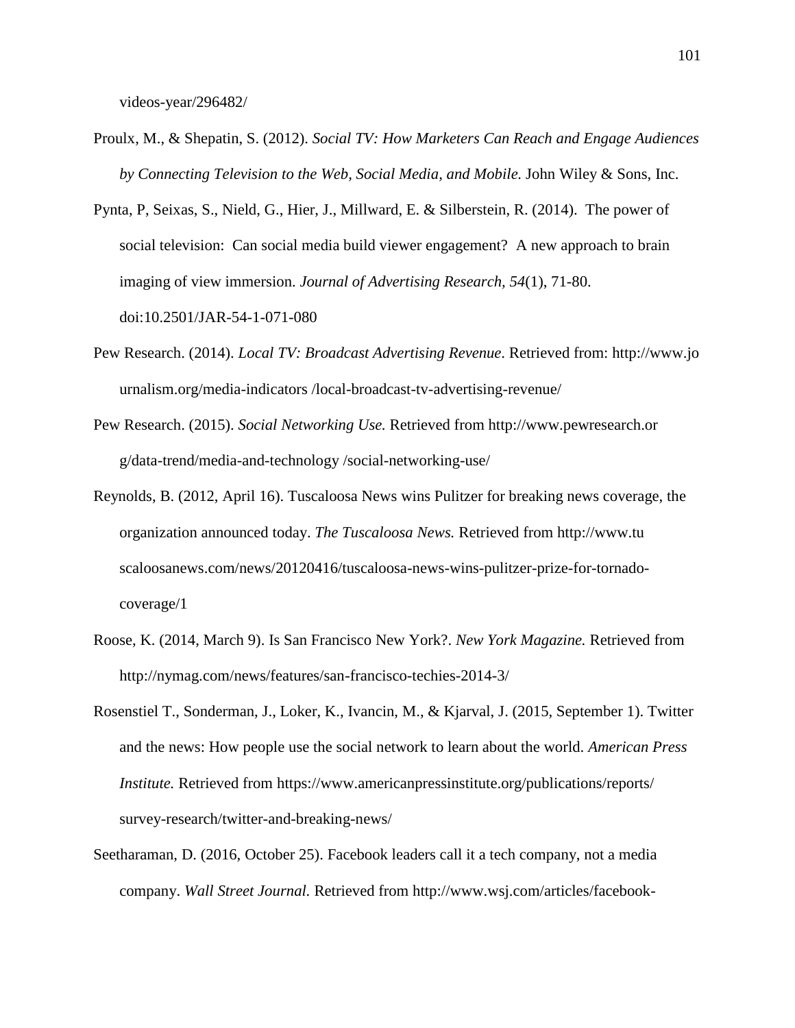videos-year/296482/

- Proulx, M., & Shepatin, S. (2012). *Social TV: How Marketers Can Reach and Engage Audiences by Connecting Television to the Web, Social Media, and Mobile.* John Wiley & Sons, Inc.
- Pynta, P, Seixas, S., Nield, G., Hier, J., Millward, E. & Silberstein, R. (2014). The power of social television: Can social media build viewer engagement? A new approach to brain imaging of view immersion. *Journal of Advertising Research, 54*(1), 71-80. doi:10.2501/JAR-54-1-071-080
- Pew Research. (2014). *Local TV: Broadcast Advertising Revenue*. Retrieved from: http://www.jo urnalism.org/media-indicators /local-broadcast-tv-advertising-revenue/
- Pew Research. (2015). *Social Networking Use.* Retrieved from http://www.pewresearch.or g/data-trend/media-and-technology /social-networking-use/
- Reynolds, B. (2012, April 16). Tuscaloosa News wins Pulitzer for breaking news coverage, the organization announced today. *The Tuscaloosa News.* Retrieved from http://www.tu scaloosanews.com/news/20120416/tuscaloosa-news-wins-pulitzer-prize-for-tornadocoverage/1
- Roose, K. (2014, March 9). Is San Francisco New York?. *New York Magazine.* Retrieved from http://nymag.com/news/features/san-francisco-techies-2014-3/
- Rosenstiel T., Sonderman, J., Loker, K., Ivancin, M., & Kjarval, J. (2015, September 1). Twitter and the news: How people use the social network to learn about the world. *American Press Institute.* Retrieved from https://www.americanpressinstitute.org/publications/reports/ survey-research/twitter-and-breaking-news/
- Seetharaman, D. (2016, October 25). Facebook leaders call it a tech company, not a media company. *Wall Street Journal.* Retrieved from http://www.wsj.com/articles/facebook-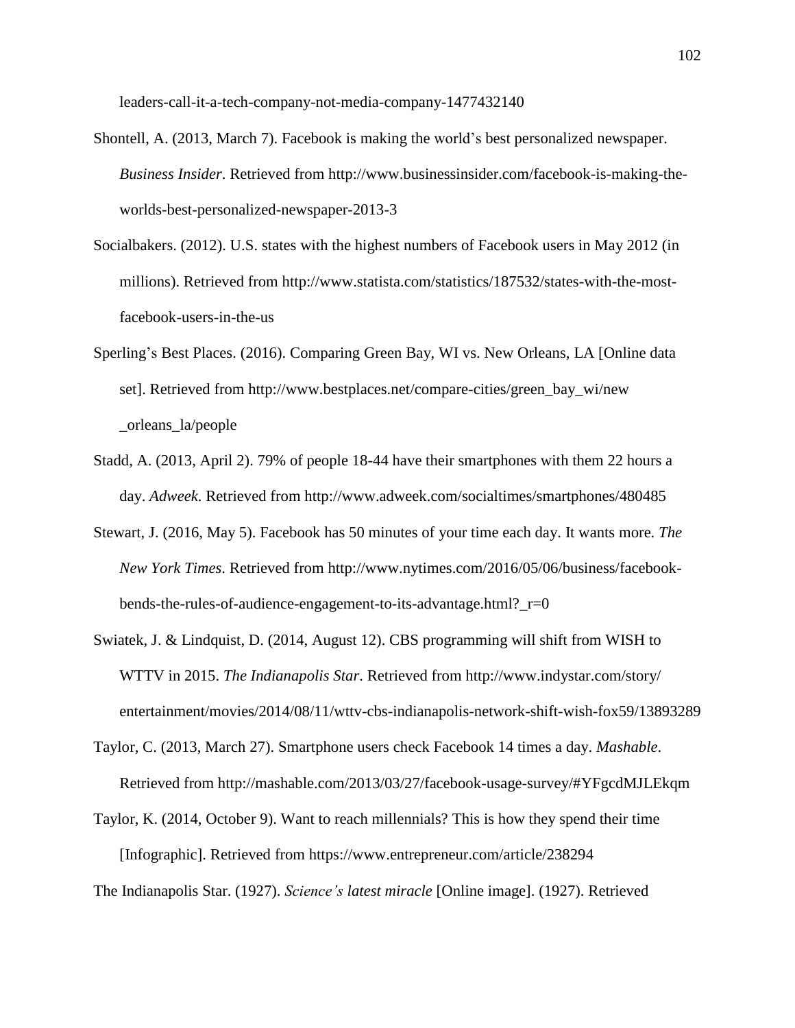leaders-call-it-a-tech-company-not-media-company-1477432140

- Shontell, A. (2013, March 7). Facebook is making the world's best personalized newspaper. *Business Insider*. Retrieved from http://www.businessinsider.com/facebook-is-making-theworlds-best-personalized-newspaper-2013-3
- Socialbakers. (2012). U.S. states with the highest numbers of Facebook users in May 2012 (in millions). Retrieved from http://www.statista.com/statistics/187532/states-with-the-mostfacebook-users-in-the-us
- Sperling's Best Places. (2016). Comparing Green Bay, WI vs. New Orleans, LA [Online data set]. Retrieved from http://www.bestplaces.net/compare-cities/green\_bay\_wi/new \_orleans\_la/people
- Stadd, A. (2013, April 2). 79% of people 18-44 have their smartphones with them 22 hours a day. *Adweek*. Retrieved from http://www.adweek.com/socialtimes/smartphones/480485
- Stewart, J. (2016, May 5). Facebook has 50 minutes of your time each day. It wants more. *The New York Times*. Retrieved from http://www.nytimes.com/2016/05/06/business/facebookbends-the-rules-of-audience-engagement-to-its-advantage.html?\_r=0
- Swiatek, J. & Lindquist, D. (2014, August 12). CBS programming will shift from WISH to WTTV in 2015. *The Indianapolis Star*. Retrieved from http://www.indystar.com/story/ entertainment/movies/2014/08/11/wttv-cbs-indianapolis-network-shift-wish-fox59/13893289
- Taylor, C. (2013, March 27). Smartphone users check Facebook 14 times a day. *Mashable*. Retrieved from http://mashable.com/2013/03/27/facebook-usage-survey/#YFgcdMJLEkqm
- Taylor, K. (2014, October 9). Want to reach millennials? This is how they spend their time [Infographic]. Retrieved from https://www.entrepreneur.com/article/238294

The Indianapolis Star. (1927). *Science's latest miracle* [Online image]. (1927). Retrieved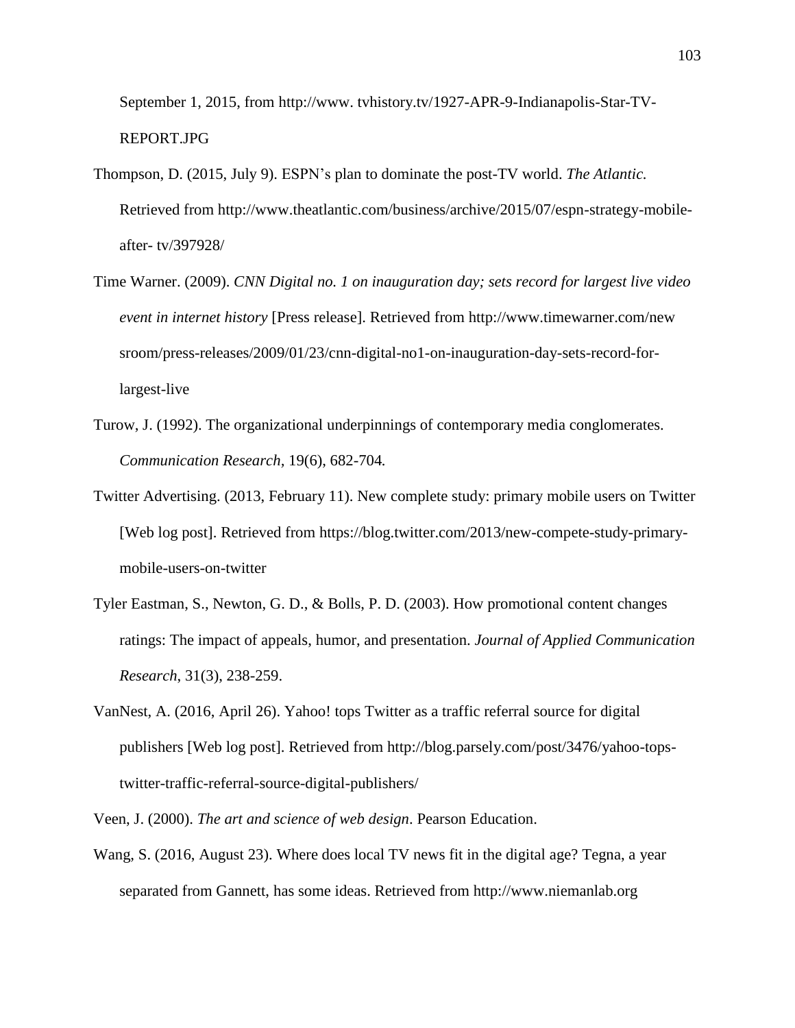September 1, 2015, from http://www. tvhistory.tv/1927-APR-9-Indianapolis-Star-TV-REPORT.JPG

- Thompson, D. (2015, July 9). ESPN's plan to dominate the post-TV world. *The Atlantic.* Retrieved from http://www.theatlantic.com/business/archive/2015/07/espn-strategy-mobileafter- tv/397928/
- Time Warner. (2009). *CNN Digital no. 1 on inauguration day; sets record for largest live video event in internet history* [Press release]. Retrieved from http://www.timewarner.com/new sroom/press-releases/2009/01/23/cnn-digital-no1-on-inauguration-day-sets-record-forlargest-live
- Turow, J. (1992). The organizational underpinnings of contemporary media conglomerates. *Communication Research,* 19(6), 682-704*.*
- Twitter Advertising. (2013, February 11). New complete study: primary mobile users on Twitter [Web log post]. Retrieved from https://blog.twitter.com/2013/new-compete-study-primarymobile-users-on-twitter
- Tyler Eastman, S., Newton, G. D., & Bolls, P. D. (2003). How promotional content changes ratings: The impact of appeals, humor, and presentation. *Journal of Applied Communication Research*, 31(3), 238-259.
- VanNest, A. (2016, April 26). Yahoo! tops Twitter as a traffic referral source for digital publishers [Web log post]. Retrieved from http://blog.parsely.com/post/3476/yahoo-topstwitter-traffic-referral-source-digital-publishers/
- Veen, J. (2000). *The art and science of web design*. Pearson Education.
- Wang, S. (2016, August 23). Where does local TV news fit in the digital age? Tegna, a year separated from Gannett, has some ideas. Retrieved from http://www.niemanlab.org